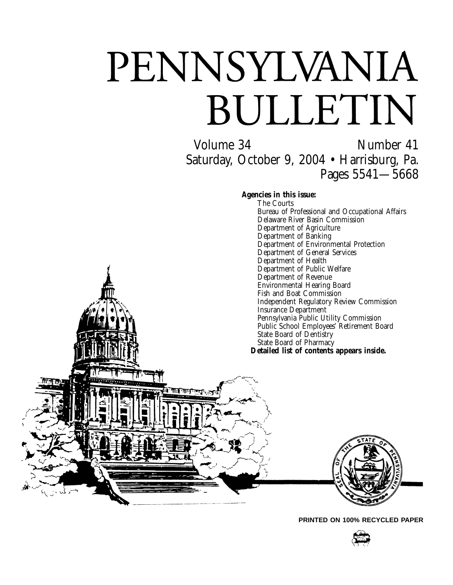# PENNSYLVANIA BULLETIN

Volume 34 Number 41 Saturday, October 9, 2004 • Harrisburg, Pa. Pages 5541—5668

**Agencies in this issue:**

The Courts Bureau of Professional and Occupational Affairs Delaware River Basin Commission Department of Agriculture Department of Banking Department of Environmental Protection Department of General Services Department of Health Department of Public Welfare Department of Revenue Environmental Hearing Board Fish and Boat Commission Independent Regulatory Review Commission Insurance Department Pennsylvania Public Utility Commission Public School Employees' Retirement Board State Board of Dentistry State Board of Pharmacy **Detailed list of contents appears inside.**



**PRINTED ON 100% RECYCLED PAPER**

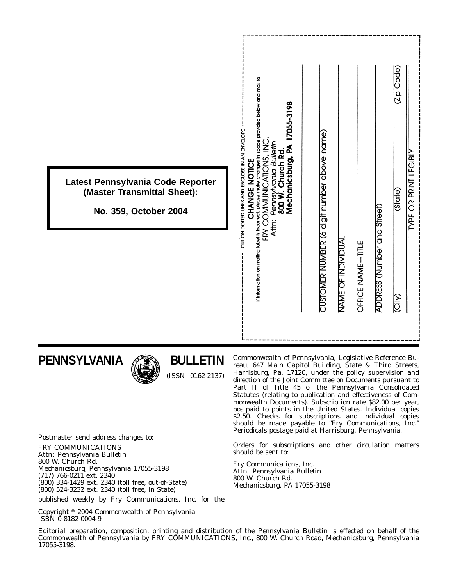|                                                                                           | If information on mailing label is incorrect, please make changes in space provided below and mail to:<br>17055-3198                                                     | <b>Code</b><br><b>ABRA</b>                                                                                                      |
|-------------------------------------------------------------------------------------------|--------------------------------------------------------------------------------------------------------------------------------------------------------------------------|---------------------------------------------------------------------------------------------------------------------------------|
| Latest Pennsylvania Code Reporter<br>(Master Transmittal Sheet):<br>No. 359, October 2004 | CUT ON DOTTED LINES AND ENCLOSE IN AN ENVELOPE<br>FRY COMMUNICATIONS, INC<br>Pennsylvania Builetin<br>800 W. Church Rd.<br>Mechanicsburg, PA 1<br>CHANGE NOTICE<br>Attr: | <b>YPE OR PRINT</b><br>(State)                                                                                                  |
|                                                                                           |                                                                                                                                                                          | CUSTOMER NUMBER (6 digit number above name)<br>ADDRESS (Number and Street)<br>NAME OF INDIVIDUAI<br>OFFICE NAME-TITLE<br>(City) |

# **PENNSYLVANIA**



# **BULLETIN**

(ISSN 0162-2137)

Commonwealth of Pennsylvania, Legislative Reference Bureau, 647 Main Capitol Building, State & Third Streets, Harrisburg, Pa. 17120, under the policy supervision and direction of the Joint Committee on Documents pursuant to Part II of Title 45 of the Pennsylvania Consolidated Statutes (relating to publication and effectiveness of Commonwealth Documents). Subscription rate \$82.00 per year, postpaid to points in the United States. Individual copies \$2.50. Checks for subscriptions and individual copies should be made payable to ''*Fry Communications, Inc.*'' Periodicals postage paid at Harrisburg, Pennsylvania.

Orders for subscriptions and other circulation matters should be sent to:

Fry Communications, Inc. Attn: *Pennsylvania Bulletin* 800 W. Church Rd. Mechanicsburg, PA 17055-3198

Postmaster send address changes to:

FRY COMMUNICATIONS Attn: *Pennsylvania Bulletin* 800 W. Church Rd. Mechanicsburg, Pennsylvania 17055-3198 (717) 766-0211 ext. 2340 (800) 334-1429 ext. 2340 (toll free, out-of-State) (800) 524-3232 ext. 2340 (toll free, in State)

published weekly by Fry Communications, Inc. for the

Copyright <sup>©</sup> 2004 Commonwealth of Pennsylvania ISBN 0-8182-0004-9

Editorial preparation, composition, printing and distribution of the *Pennsylvania Bulletin* is effected on behalf of the Commonwealth of Pennsylvania by FRY COMMUNICATIONS, Inc., 800 W. Church Road, Mechanicsburg, Pennsylvania 17055-3198.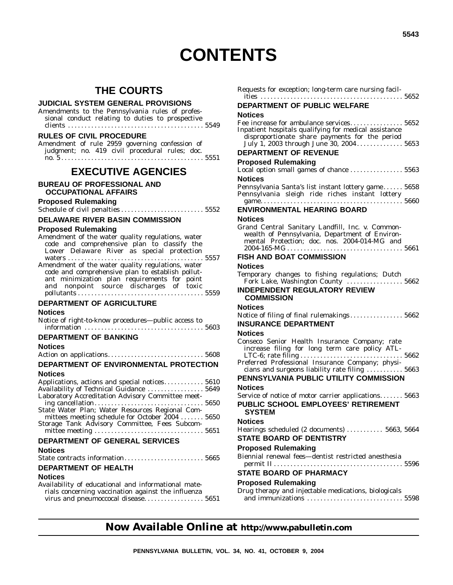# **CONTENTS**

# **THE COURTS**

# **JUDICIAL SYSTEM GENERAL PROVISIONS**

Amendments to the Pennsylvania rules of professional conduct relating to duties to prospective clients ......................................... 5549

# **RULES OF CIVIL PROCEDURE**

Amendment of rule 2959 governing confession of judgment; no. 419 civil procedural rules; doc. no. 5 . . . . . . . . . . . . . . . . . . . . . . . . . . . . . . . . . . . . . . . . . . . 5551

# **EXECUTIVE AGENCIES**

### **BUREAU OF PROFESSIONAL AND OCCUPATIONAL AFFAIRS**

# **Proposed Rulemaking**

Schedule of civil penalties ......................... 5552

# **DELAWARE RIVER BASIN COMMISSION**

# **Proposed Rulemaking**

| Amendment of the water quality regulations, water |  |
|---------------------------------------------------|--|
| code and comprehensive plan to classify the       |  |
| Lower Delaware River as special protection        |  |
|                                                   |  |
| Amendment of the water quality regulations, water |  |
| code and comprehensive plan to establish pollut-  |  |
| ant minimization plan requirements for point      |  |
| and nonpoint source discharges of toxic           |  |
|                                                   |  |
|                                                   |  |

# **DEPARTMENT OF AGRICULTURE**

# **Notices**

| Notice of right-to-know procedures—public access to |  |  |
|-----------------------------------------------------|--|--|
|                                                     |  |  |

# **DEPARTMENT OF BANKING**

# **Notices**

|--|--|--|--|

# **DEPARTMENT OF ENVIRONMENTAL PROTECTION Notices**

| Applications, actions and special notices 5610    |  |
|---------------------------------------------------|--|
| Availability of Technical Guidance  5649          |  |
| Laboratory Accreditation Advisory Committee meet- |  |
|                                                   |  |
| State Water Plan; Water Resources Regional Com-   |  |
| mittees meeting schedule for October 2004  5650   |  |
| Storage Tank Advisory Committee, Fees Subcom-     |  |
|                                                   |  |
| """" ^" ^"""""" ^""""""                           |  |

# **DEPARTMENT OF GENERAL SERVICES**

# **Notices**

# **DEPARTMENT OF HEALTH**

# **Notices**

Availability of educational and informational materials concerning vaccination against the influenza virus and pneumoccocal disease.................. 5651

| Requests for exception; long-term care nursing facil-                                                                                              |  |
|----------------------------------------------------------------------------------------------------------------------------------------------------|--|
| DEPARTMENT OF PUBLIC WELFARE                                                                                                                       |  |
| Notices                                                                                                                                            |  |
| Fee increase for ambulance services 5652                                                                                                           |  |
| Inpatient hospitals qualifying for medical assistance<br>disproportionate share payments for the period<br>July 1, 2003 through June 30, 2004 5653 |  |
| <b>DEPARTMENT OF REVENUE</b>                                                                                                                       |  |
| <b>Proposed Rulemaking</b>                                                                                                                         |  |
| Local option small games of chance  5563                                                                                                           |  |
| Notices                                                                                                                                            |  |
| Pennsylvania Santa's list instant lottery game 5658<br>Pennsylvania sleigh ride riches instant lottery                                             |  |
|                                                                                                                                                    |  |
| <b>ENVIRONMENTAL HEARING BOARD</b>                                                                                                                 |  |
| Notices                                                                                                                                            |  |
| Grand Central Sanitary Landfill, Inc. v. Common-                                                                                                   |  |
| wealth of Pennsylvania, Department of Environ-<br>mental Protection; doc. nos. 2004-014-MG and                                                     |  |
| $2004 - 165 - MG \ldots \ldots \ldots \ldots \ldots \ldots \ldots \ldots \ldots \ldots 5661$                                                       |  |
| <b>FISH AND BOAT COMMISSION</b>                                                                                                                    |  |
| <b>Notices</b>                                                                                                                                     |  |
| Temporary changes to fishing regulations; Dutch                                                                                                    |  |
| Fork Lake, Washington County  5662                                                                                                                 |  |
|                                                                                                                                                    |  |
| <b>INDEPENDENT REGULATORY REVIEW</b><br><b>COMMISSION</b>                                                                                          |  |
| <b>Notices</b>                                                                                                                                     |  |
| Notice of filing of final rulemakings 5662                                                                                                         |  |
| <b>INSURANCE DEPARTMENT</b>                                                                                                                        |  |
| Notices                                                                                                                                            |  |
| Conseco Senior Health Insurance Company; rate<br>increase filing for long term care policy ATL-                                                    |  |
| Preferred Professional Insurance Company; physi-                                                                                                   |  |
| cians and surgeons liability rate filing  5663                                                                                                     |  |
| PENNSYLVANIA PUBLIC UTILITY COMMISSION                                                                                                             |  |
| Notices                                                                                                                                            |  |
| Service of notice of motor carrier applications 5663                                                                                               |  |
| PUBLIC SCHOOL EMPLOYEES' RETIREMENT<br><b>SYSTEM</b>                                                                                               |  |
| <b>Notices</b>                                                                                                                                     |  |
| Hearings scheduled (2 documents)  5663, 5664                                                                                                       |  |
| <b>STATE BOARD OF DENTISTRY</b>                                                                                                                    |  |
| <b>Proposed Rulemaking</b>                                                                                                                         |  |
| Biennial renewal fees-dentist restricted anesthesia                                                                                                |  |
|                                                                                                                                                    |  |
| <b>STATE BOARD OF PHARMACY</b><br><b>Proposed Rulemaking</b>                                                                                       |  |

| Drug therapy and injectable medications, biologicals |  |
|------------------------------------------------------|--|
|                                                      |  |

# **Now Available Online at http://www.pabulletin.com**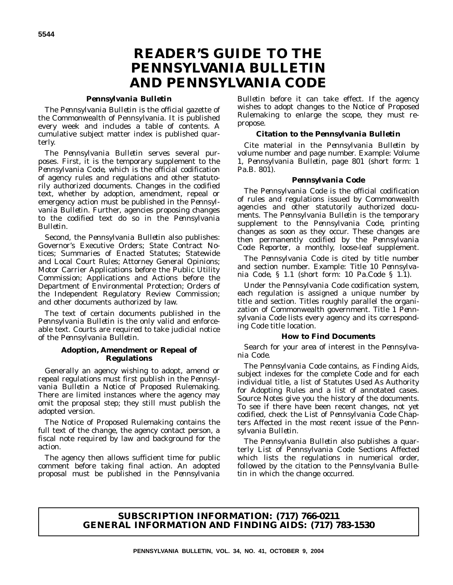# **READER'S GUIDE TO THE** *PENNSYLVANIA BULLETIN* **AND** *PENNSYLVANIA CODE*

# *Pennsylvania Bulletin*

The *Pennsylvania Bulletin* is the official gazette of the Commonwealth of Pennsylvania. It is published every week and includes a table of contents. A cumulative subject matter index is published quarterly.

The *Pennsylvania Bulletin* serves several purposes. First, it is the temporary supplement to the *Pennsylvania Code*, which is the official codification of agency rules and regulations and other statutorily authorized documents. Changes in the codified text, whether by adoption, amendment, repeal or emergency action must be published in the *Pennsylvania Bulletin*. Further, agencies proposing changes to the codified text do so in the *Pennsylvania Bulletin*.

Second, the *Pennsylvania Bulletin* also publishes: Governor's Executive Orders; State Contract Notices; Summaries of Enacted Statutes; Statewide and Local Court Rules; Attorney General Opinions; Motor Carrier Applications before the Public Utility Commission; Applications and Actions before the Department of Environmental Protection; Orders of the Independent Regulatory Review Commission; and other documents authorized by law.

The text of certain documents published in the *Pennsylvania Bulletin* is the only valid and enforceable text. Courts are required to take judicial notice of the *Pennsylvania Bulletin*.

# **Adoption, Amendment or Repeal of Regulations**

Generally an agency wishing to adopt, amend or repeal regulations must first publish in the *Pennsylvania Bulletin* a Notice of Proposed Rulemaking. There are limited instances where the agency may omit the proposal step; they still must publish the adopted version.

The Notice of Proposed Rulemaking contains the full text of the change, the agency contact person, a fiscal note required by law and background for the action.

The agency then allows sufficient time for public comment before taking final action. An adopted proposal must be published in the *Pennsylvania*

*Bulletin* before it can take effect. If the agency wishes to adopt changes to the Notice of Proposed Rulemaking to enlarge the scope, they must repropose.

# **Citation to the** *Pennsylvania Bulletin*

Cite material in the *Pennsylvania Bulletin* by volume number and page number. Example: Volume 1, *Pennsylvania Bulletin*, page 801 (short form: 1 Pa.B. 801).

# *Pennsylvania Code*

The *Pennsylvania Code* is the official codification of rules and regulations issued by Commonwealth agencies and other statutorily authorized documents. The *Pennsylvania Bulletin* is the temporary supplement to the *Pennsylvania Code*, printing changes as soon as they occur. These changes are then permanently codified by the *Pennsylvania Code Reporter*, a monthly, loose-leaf supplement.

The *Pennsylvania Code* is cited by title number and section number. Example: Title 10 *Pennsylvania Code*, § 1.1 (short form: 10 Pa.Code § 1.1).

Under the *Pennsylvania Code* codification system, each regulation is assigned a unique number by title and section. Titles roughly parallel the organization of Commonwealth government. Title 1 *Pennsylvania Code* lists every agency and its corresponding *Code* title location.

# **How to Find Documents**

Search for your area of interest in the *Pennsylvania Code*.

The *Pennsylvania Code* contains, as Finding Aids, subject indexes for the complete *Code* and for each individual title, a list of Statutes Used As Authority for Adopting Rules and a list of annotated cases. Source Notes give you the history of the documents. To see if there have been recent changes, not yet codified, check the List of *Pennsylvania Code* Chapters Affected in the most recent issue of the *Pennsylvania Bulletin*.

The *Pennsylvania Bulletin* also publishes a quarterly List of Pennsylvania Code Sections Affected which lists the regulations in numerical order, followed by the citation to the *Pennsylvania Bulletin* in which the change occurred.

# **SUBSCRIPTION INFORMATION: (717) 766-0211 GENERAL INFORMATION AND FINDING AIDS: (717) 783-1530**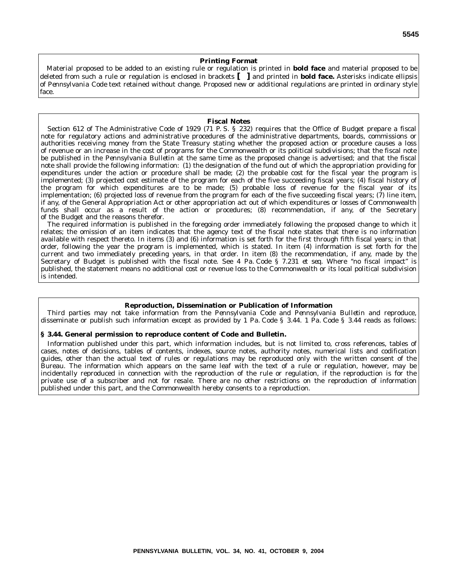### **Printing Format**

Material proposed to be added to an existing rule or regulation is printed in **bold face** and material proposed to be deleted from such a rule or regulation is enclosed in brackets **[ ]** and printed in **bold face.** Asterisks indicate ellipsis of *Pennsylvania Code* text retained without change. Proposed new or additional regulations are printed in ordinary style face.

#### **Fiscal Notes**

Section 612 of The Administrative Code of 1929 (71 P. S. § 232) requires that the Office of Budget prepare a fiscal note for regulatory actions and administrative procedures of the administrative departments, boards, commissions or authorities receiving money from the State Treasury stating whether the proposed action or procedure causes a loss of revenue or an increase in the cost of programs for the Commonwealth or its political subdivisions; that the fiscal note be published in the *Pennsylvania Bulletin* at the same time as the proposed change is advertised; and that the fiscal note shall provide the following information: (1) the designation of the fund out of which the appropriation providing for expenditures under the action or procedure shall be made; (2) the probable cost for the fiscal year the program is implemented; (3) projected cost estimate of the program for each of the five succeeding fiscal years; (4) fiscal history of the program for which expenditures are to be made; (5) probable loss of revenue for the fiscal year of its implementation; (6) projected loss of revenue from the program for each of the five succeeding fiscal years; (7) line item, if any, of the General Appropriation Act or other appropriation act out of which expenditures or losses of Commonwealth funds shall occur as a result of the action or procedures; (8) recommendation, if any, of the Secretary of the Budget and the reasons therefor.

The required information is published in the foregoing order immediately following the proposed change to which it relates; the omission of an item indicates that the agency text of the fiscal note states that there is no information available with respect thereto. In items (3) and (6) information is set forth for the first through fifth fiscal years; in that order, following the year the program is implemented, which is stated. In item (4) information is set forth for the current and two immediately preceding years, in that order. In item (8) the recommendation, if any, made by the Secretary of Budget is published with the fiscal note. See 4 Pa. Code § 7.231 *et seq.* Where ''no fiscal impact'' is published, the statement means no additional cost or revenue loss to the Commonwealth or its local political subdivision is intended.

#### **Reproduction, Dissemination or Publication of Information**

Third parties may not take information from the *Pennsylvania Code* and *Pennsylvania Bulletin* and reproduce, disseminate or publish such information except as provided by 1 Pa. Code § 3.44. 1 Pa. Code § 3.44 reads as follows:

#### **§ 3.44. General permission to reproduce content of Code and Bulletin.**

Information published under this part, which information includes, but is not limited to, cross references, tables of cases, notes of decisions, tables of contents, indexes, source notes, authority notes, numerical lists and codification guides, other than the actual text of rules or regulations may be reproduced only with the written consent of the Bureau. The information which appears on the same leaf with the text of a rule or regulation, however, may be incidentally reproduced in connection with the reproduction of the rule or regulation, if the reproduction is for the private use of a subscriber and not for resale. There are no other restrictions on the reproduction of information published under this part, and the Commonwealth hereby consents to a reproduction.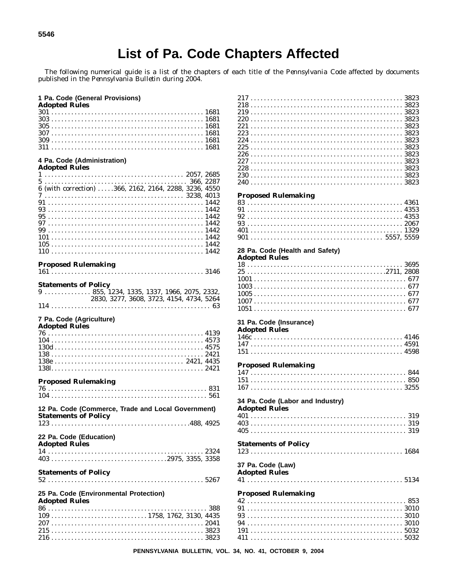# List of Pa. Code Chapters Affected

The following numerical guide is a list of the chapters of each title of the Pennsylvania Code affected by documents published in the Pennsylvania Bulletin during 2004.

|  |       | 1 Pa. Code (General Provisions) |
|--|-------|---------------------------------|
|  | A J D |                                 |

| Adopted Rules |  |  |  |  |  |  |  |  |  |  |  |  |  |  |  |  |  |  |  |  |  |  |  |  |
|---------------|--|--|--|--|--|--|--|--|--|--|--|--|--|--|--|--|--|--|--|--|--|--|--|--|
|               |  |  |  |  |  |  |  |  |  |  |  |  |  |  |  |  |  |  |  |  |  |  |  |  |
|               |  |  |  |  |  |  |  |  |  |  |  |  |  |  |  |  |  |  |  |  |  |  |  |  |
|               |  |  |  |  |  |  |  |  |  |  |  |  |  |  |  |  |  |  |  |  |  |  |  |  |
|               |  |  |  |  |  |  |  |  |  |  |  |  |  |  |  |  |  |  |  |  |  |  |  |  |
|               |  |  |  |  |  |  |  |  |  |  |  |  |  |  |  |  |  |  |  |  |  |  |  |  |
|               |  |  |  |  |  |  |  |  |  |  |  |  |  |  |  |  |  |  |  |  |  |  |  |  |

# 4 Pa. Code (Administration)<br>Adopted Rules

| Auvpleu Ivules                                        |  |
|-------------------------------------------------------|--|
|                                                       |  |
|                                                       |  |
| 6 (with correction) 366, 2162, 2164, 2288, 3236, 4550 |  |
|                                                       |  |
|                                                       |  |
|                                                       |  |
|                                                       |  |
|                                                       |  |
|                                                       |  |
|                                                       |  |
|                                                       |  |
|                                                       |  |

#### **Proposed Rulemaking**

|--|--|

| <b>Statements of Policy</b> |                                          |  |
|-----------------------------|------------------------------------------|--|
|                             |                                          |  |
|                             | 2830, 3277, 3608, 3723, 4154, 4734, 5264 |  |
|                             |                                          |  |

# 7 Pa. Code (Agriculture)<br>Adopted Rules

| лиоріси імпеэ |  |
|---------------|--|
|               |  |
|               |  |
|               |  |
|               |  |
|               |  |
|               |  |

#### **Proposed Rulemaking**

| 12 Pa. Code (Commerce, Trade and Local Government)<br><b>Statements of Policy</b> |
|-----------------------------------------------------------------------------------|
|                                                                                   |
| 22 Pa. Code (Education)<br><b>Adopted Rules</b>                                   |
| $14$ 2324                                                                         |
|                                                                                   |
| <b>Statements of Policy</b>                                                       |
|                                                                                   |
| 25 Pa. Code (Environmental Protection)                                            |

#### **Adopted Rules**

| $109 \ldots \ldots \ldots \ldots \ldots \ldots \ldots \ldots \ldots \ldots 1758, 1762, 3130, 4435$ |  |  |  |  |  |  |  |  |  |  |  |  |  |  |  |  |  |  |  |  |  |  |  |  |  |
|----------------------------------------------------------------------------------------------------|--|--|--|--|--|--|--|--|--|--|--|--|--|--|--|--|--|--|--|--|--|--|--|--|--|
|                                                                                                    |  |  |  |  |  |  |  |  |  |  |  |  |  |  |  |  |  |  |  |  |  |  |  |  |  |
|                                                                                                    |  |  |  |  |  |  |  |  |  |  |  |  |  |  |  |  |  |  |  |  |  |  |  |  |  |
|                                                                                                    |  |  |  |  |  |  |  |  |  |  |  |  |  |  |  |  |  |  |  |  |  |  |  |  |  |

| 240 |  |  |  |  |  |  |  |  |  |  |  |  |  |  |  |  |  |  |  |  |  |  |  |  |  |
|-----|--|--|--|--|--|--|--|--|--|--|--|--|--|--|--|--|--|--|--|--|--|--|--|--|--|

#### **Proposed Rulemaking**

## 28 Pa. Code (Health and Safety)

# **Adopted Rules**

| 1.44 |  |  |  |  |  |  |  |  |  |  |  |  |  |  |  |  |  |  |  |  |  |  |  |
|------|--|--|--|--|--|--|--|--|--|--|--|--|--|--|--|--|--|--|--|--|--|--|--|
|      |  |  |  |  |  |  |  |  |  |  |  |  |  |  |  |  |  |  |  |  |  |  |  |
|      |  |  |  |  |  |  |  |  |  |  |  |  |  |  |  |  |  |  |  |  |  |  |  |
|      |  |  |  |  |  |  |  |  |  |  |  |  |  |  |  |  |  |  |  |  |  |  |  |
|      |  |  |  |  |  |  |  |  |  |  |  |  |  |  |  |  |  |  |  |  |  |  |  |
|      |  |  |  |  |  |  |  |  |  |  |  |  |  |  |  |  |  |  |  |  |  |  |  |
|      |  |  |  |  |  |  |  |  |  |  |  |  |  |  |  |  |  |  |  |  |  |  |  |
|      |  |  |  |  |  |  |  |  |  |  |  |  |  |  |  |  |  |  |  |  |  |  |  |

# 31 Pa. Code (Insurance)

# **Adopted Rules**

### **Proposed Rulemaking**

| $1.9$ posed transmitting |  |  |  |  |  |  |  |  |  |  |  |  |  |  |  |  |  |  |  |          |
|--------------------------|--|--|--|--|--|--|--|--|--|--|--|--|--|--|--|--|--|--|--|----------|
|                          |  |  |  |  |  |  |  |  |  |  |  |  |  |  |  |  |  |  |  |          |
|                          |  |  |  |  |  |  |  |  |  |  |  |  |  |  |  |  |  |  |  | $151850$ |
|                          |  |  |  |  |  |  |  |  |  |  |  |  |  |  |  |  |  |  |  |          |

#### 34 Pa. Code (Labor and Industry)

**Adopted Rules** 

| $1100$ production |  |  |  |  |  |  |  |  |  |  |  |  |  |  |  |  |  |  |  |  |
|-------------------|--|--|--|--|--|--|--|--|--|--|--|--|--|--|--|--|--|--|--|--|
|                   |  |  |  |  |  |  |  |  |  |  |  |  |  |  |  |  |  |  |  |  |
|                   |  |  |  |  |  |  |  |  |  |  |  |  |  |  |  |  |  |  |  |  |
|                   |  |  |  |  |  |  |  |  |  |  |  |  |  |  |  |  |  |  |  |  |

| <b>Statements of Policy</b> |  |
|-----------------------------|--|
|                             |  |

#### 37 Pa. Code (Law) **Adopted Rules**

| THROPICA TANKS |  |  |  |  |  |  |  |  |  |  |  |  |  |  |  |  |  |  |  |  |
|----------------|--|--|--|--|--|--|--|--|--|--|--|--|--|--|--|--|--|--|--|--|
|                |  |  |  |  |  |  |  |  |  |  |  |  |  |  |  |  |  |  |  |  |

#### **Proposed Rulemaking**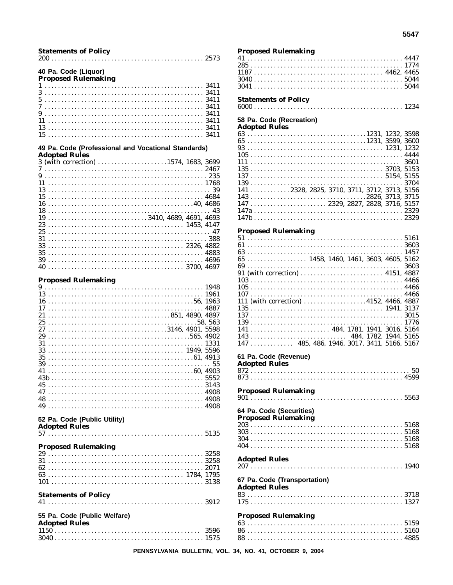| <b>Statements of Policy</b>                                                 |      |
|-----------------------------------------------------------------------------|------|
| 40 Pa. Code (Liquor)<br><b>Proposed Rulemaking</b>                          |      |
|                                                                             |      |
|                                                                             |      |
|                                                                             |      |
|                                                                             |      |
|                                                                             |      |
|                                                                             |      |
| 13                                                                          |      |
|                                                                             |      |
| 49 Pa. Code (Professional and Vocational Standards)<br><b>Adopted Rules</b> |      |
| 3 (with correction) 1574, 1683, 3699                                        |      |
|                                                                             |      |
|                                                                             |      |
|                                                                             |      |
| 13                                                                          |      |
| 15                                                                          |      |
|                                                                             |      |
| 18                                                                          |      |
|                                                                             |      |
| 23                                                                          |      |
| 25                                                                          |      |
|                                                                             |      |
| 33                                                                          |      |
|                                                                             |      |
|                                                                             |      |
|                                                                             |      |
|                                                                             |      |
| <b>Proposed Rulemaking</b>                                                  |      |
|                                                                             |      |
|                                                                             |      |
|                                                                             |      |
|                                                                             |      |
| 21                                                                          |      |
| 25                                                                          |      |
| 3146, 4901, 5598<br>27                                                      |      |
|                                                                             |      |
| 31                                                                          |      |
|                                                                             |      |
|                                                                             |      |
|                                                                             | 55   |
|                                                                             |      |
|                                                                             | 5552 |
|                                                                             |      |
|                                                                             |      |
|                                                                             |      |
|                                                                             |      |
|                                                                             |      |
| 52 Pa. Code (Public Utility)                                                |      |
| <b>Adopted Rules</b>                                                        |      |
|                                                                             |      |
|                                                                             |      |
| <b>Proposed Rulemaking</b>                                                  |      |
|                                                                             |      |
|                                                                             |      |
|                                                                             |      |
|                                                                             |      |
|                                                                             |      |
|                                                                             |      |
| <b>Statements of Policy</b>                                                 |      |
|                                                                             |      |
|                                                                             |      |
| 55 Pa. Code (Public Welfare)                                                |      |
| <b>Adopted Rules</b>                                                        |      |
|                                                                             |      |
|                                                                             |      |
|                                                                             |      |

# **Proposed Rulemaking**

#### **Statements of Policy**

#### 58 Pa. Code (Recreation) **Adopted Rules**

| $141$ 2328, 2825, 3710, 3711, 3712, 3713, 5156 |  |
|------------------------------------------------|--|
|                                                |  |
| 147  2329, 2827, 2828, 3716, 5157              |  |
|                                                |  |
|                                                |  |
| $D_{nonlocal}$ Dulamaking                      |  |
|                                                |  |

# **Proposed Rulemaking**

| $1.9$ posed transmitting |                                                                          |      |
|--------------------------|--------------------------------------------------------------------------|------|
|                          |                                                                          |      |
|                          |                                                                          |      |
|                          |                                                                          |      |
|                          |                                                                          |      |
|                          |                                                                          | 3603 |
|                          |                                                                          |      |
|                          |                                                                          |      |
|                          |                                                                          |      |
|                          |                                                                          |      |
|                          | 111 (with correction) 4152, 4466, 4887                                   |      |
|                          |                                                                          |      |
|                          |                                                                          |      |
|                          |                                                                          |      |
|                          |                                                                          |      |
|                          |                                                                          |      |
|                          | $147 \ldots \ldots \ldots \ldots$ 485, 486, 1946, 3017, 3411, 5166, 5167 |      |

# 61 Pa. Code (Revenue)

**Adopted Rules** 

## **Proposed Rulemaking**

# 64 Pa. Code (Securities) **Proposed Rulemaking Adopted Rules**

# 67 Pa. Code (Transportation)

# **Adopted Rules**

### **Proposed Rulemaking**

 $\overline{1112}$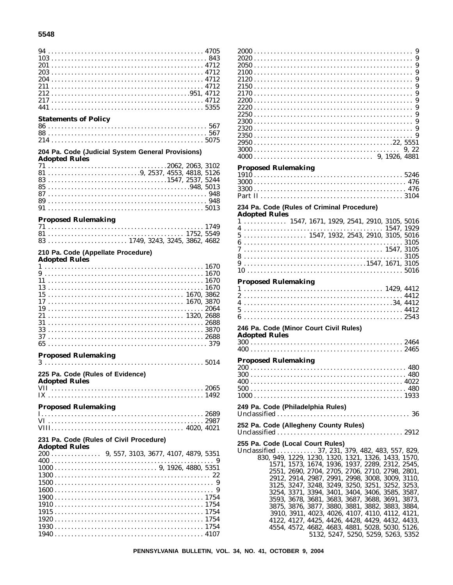#### 5548

| <b>Statements of Policy</b><br>204 Pa. Code (Judicial System General Provisions) |  |
|----------------------------------------------------------------------------------|--|
| <b>Adopted Rules</b>                                                             |  |
|                                                                                  |  |
| <b>Proposed Rulemaking</b><br>210 Pa. Code (Appellate Procedure)                 |  |
| <b>Adopted Rules</b>                                                             |  |
| 31<br><b>Proposed Rulemaking</b><br>225 Pa. Code (Rules of Evidence)             |  |
| <b>Adopted Rules</b>                                                             |  |
| <b>Proposed Rulemaking</b><br>231 Pa. Code (Rules of Civil Procedure)            |  |
| <b>Adopted Rules</b>                                                             |  |
|                                                                                  |  |

| <b>Proposed Rulemaking</b>                                                       |  |  |  |  |  |  |  |  |  |  |  |  |  |  |  |  |  |  |  |
|----------------------------------------------------------------------------------|--|--|--|--|--|--|--|--|--|--|--|--|--|--|--|--|--|--|--|
|                                                                                  |  |  |  |  |  |  |  |  |  |  |  |  |  |  |  |  |  |  |  |
|                                                                                  |  |  |  |  |  |  |  |  |  |  |  |  |  |  |  |  |  |  |  |
|                                                                                  |  |  |  |  |  |  |  |  |  |  |  |  |  |  |  |  |  |  |  |
|                                                                                  |  |  |  |  |  |  |  |  |  |  |  |  |  |  |  |  |  |  |  |
|                                                                                  |  |  |  |  |  |  |  |  |  |  |  |  |  |  |  |  |  |  |  |
| 234 Pa. Code (Rules of Criminal Procedure)                                       |  |  |  |  |  |  |  |  |  |  |  |  |  |  |  |  |  |  |  |
| <b>Adopted Rules</b>                                                             |  |  |  |  |  |  |  |  |  |  |  |  |  |  |  |  |  |  |  |
| $1 \ldots \ldots \ldots \ldots 1547, 1671, 1929, 2541, 2910, 3105, 5016$         |  |  |  |  |  |  |  |  |  |  |  |  |  |  |  |  |  |  |  |
|                                                                                  |  |  |  |  |  |  |  |  |  |  |  |  |  |  |  |  |  |  |  |
|                                                                                  |  |  |  |  |  |  |  |  |  |  |  |  |  |  |  |  |  |  |  |
| $5 \ldots \ldots \ldots \ldots \ldots \ldots 1547, 1932, 2543, 2910, 3105, 5016$ |  |  |  |  |  |  |  |  |  |  |  |  |  |  |  |  |  |  |  |
|                                                                                  |  |  |  |  |  |  |  |  |  |  |  |  |  |  |  |  |  |  |  |
|                                                                                  |  |  |  |  |  |  |  |  |  |  |  |  |  |  |  |  |  |  |  |

### **Proposed Rulemaking**

# 246 Pa. Code (Minor Court Civil Rules)

| Auopteu Kules |  |  |  |  |  |  |  |  |  |  |  |  |  |  |  |  |  |  |  |
|---------------|--|--|--|--|--|--|--|--|--|--|--|--|--|--|--|--|--|--|--|
|               |  |  |  |  |  |  |  |  |  |  |  |  |  |  |  |  |  |  |  |
|               |  |  |  |  |  |  |  |  |  |  |  |  |  |  |  |  |  |  |  |

#### **Proposed Rulemaking**

| 1000 - |  |  |  |  |  |  |  |  |  |  |  |  |  |  |  |  |  |  |  |  |  |  |  | 1933 |
|--------|--|--|--|--|--|--|--|--|--|--|--|--|--|--|--|--|--|--|--|--|--|--|--|------|

#### 249 Pa. Code (Philadelphia Rules)

| 252 Pa. Code (Allegheny County Rules) |  |
|---------------------------------------|--|

255 Pa. Code (Local Court Rules) Unclassified ............ 37, 231, 379, 482, 483, 557, 829, 830, 949, 1229, 1230, 1320, 1321, 1326, 1433, 1570, 1571, 1573, 1674, 1936, 1937, 2289, 2312, 2545, 2551, 2690, 2704, 2705, 2706, 2710, 2798, 2801, 2912, 2914, 2987, 2991, 2998, 3008, 3009, 3110, 3125, 3247, 3248, 3249, 3250, 3251, 3252, 3253, 3254, 3371, 3394, 3401, 3404, 3406, 3585, 3587, 3593, 3678, 3681, 3683, 3687, 3688, 3691, 3873, 3875, 3876, 3877, 3880, 3881, 3882, 3883, 3884, 3910, 3911, 4023, 4026, 4107, 4110, 4112, 4121, 4122, 4127, 4425, 4426, 4428, 4429, 4432, 4433, 4554, 4572, 4682, 4683, 4881, 5028, 5030, 5126, 5132, 5247, 5250, 5259, 5263, 5352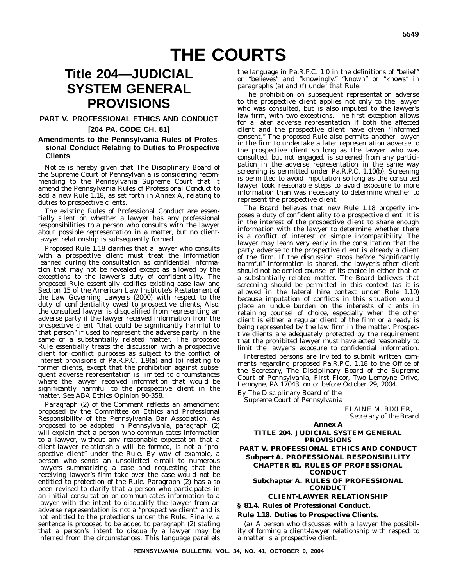# **Title 204—JUDICIAL SYSTEM GENERAL PROVISIONS**

### **PART V. PROFESSIONAL ETHICS AND CONDUCT**

#### **[204 PA. CODE CH. 81]**

#### **Amendments to the Pennsylvania Rules of Professional Conduct Relating to Duties to Prospective Clients**

Notice is hereby given that The Disciplinary Board of the Supreme Court of Pennsylvania is considering recommending to the Pennsylvania Supreme Court that it amend the Pennsylvania Rules of Professional Conduct to add a new Rule 1.18, as set forth in Annex A, relating to duties to prospective clients.

The existing Rules of Professional Conduct are essentially silent on whether a lawyer has any professional responsibilities to a person who consults with the lawyer about possible representation in a matter, but no clientlawyer relationship is subsequently formed.

Proposed Rule 1.18 clarifies that a lawyer who consults with a prospective client must treat the information learned during the consultation as confidential information that may not be revealed except as allowed by the exceptions to the lawyer's duty of confidentiality. The proposed Rule essentially codifies existing case law and Section 15 of the American Law Institute's *Restatement of the Law Governing Lawyers* (2000) with respect to the duty of confidentiality owed to prospective clients. Also, the consulted lawyer is disqualified from representing an adverse party if the lawyer received information from the prospective client ''that could be significantly harmful to that person'' if used to represent the adverse party in the same or a substantially related matter. The proposed Rule essentially treats the discussion with a prospective client for conflict purposes as subject to the conflict of interest provisions of Pa.R.P.C. 1.9(a) and (b) relating to former clients, except that the prohibition against subsequent adverse representation is limited to circumstances where the lawyer received information that would be significantly harmful to the prospective client in the matter. See ABA Ethics Opinion 90-358.

Paragraph (2) of the Comment reflects an amendment proposed by the Committee on Ethics and Professional Responsibility of the Pennsylvania Bar Association. As proposed to be adopted in Pennsylvania, paragraph (2) will explain that a person who communicates information to a lawyer, without any reasonable expectation that a client-lawyer relationship will be formed, is not a ''prospective client'' under the Rule. By way of example, a person who sends an unsolicited e-mail to numerous lawyers summarizing a case and requesting that the receiving lawyer's firm take over the case would not be entitled to protection of the Rule. Paragraph (2) has also been revised to clarify that a person who participates in an initial consultation or communicates information to a lawyer with the intent to disqualify the lawyer from an adverse representation is not a ''prospective client'' and is not entitled to the protections under the Rule. Finally, a sentence is proposed to be added to paragraph (2) stating that a person's intent to disqualify a lawyer may be inferred from the circumstances. This language parallels

the language in Pa.R.P.C. 1.0 in the definitions of ''belief'' or ''believes'' and ''knowingly,'' ''known'' or ''knows'' in paragraphs (a) and (f) under that Rule.

The prohibition on subsequent representation adverse to the prospective client applies not only to the lawyer who was consulted, but is also imputed to the lawyer's law firm, with two exceptions. The first exception allows for a later adverse representation if both the affected client and the prospective client have given ''informed consent.'' The proposed Rule also permits another lawyer in the firm to undertake a later representation adverse to the prospective client so long as the lawyer who was consulted, but not engaged, is screened from any participation in the adverse representation in the same way screening is permitted under Pa.R.P.C. 1.10(b). Screening is permitted to avoid imputation so long as the consulted lawyer took reasonable steps to avoid exposure to more information than was necessary to determine whether to represent the prospective client.

The Board believes that new Rule 1.18 properly imposes a duty of confidentiality to a prospective client. It is in the interest of the prospective client to share enough information with the lawyer to determine whether there is a conflict of interest or simple incompatibility. The lawyer may learn very early in the consultation that the party adverse to the prospective client is already a client of the firm. If the discussion stops before ''significantly harmful'' information is shared, the lawyer's other client should not be denied counsel of its choice in either that or a substantially related matter. The Board believes that screening should be permitted in this context (as it is allowed in the lateral hire context under Rule 1.10) because imputation of conflicts in this situation would place an undue burden on the interests of clients in retaining counsel of choice, especially when the other client is either a regular client of the firm or already is being represented by the law firm in the matter. Prospective clients are adequately protected by the requirement that the prohibited lawyer must have acted reasonably to limit the lawyer's exposure to confidential information.

Interested persons are invited to submit written comments regarding proposed Pa.R.P.C. 1.18 to the Office of the Secretary, The Disciplinary Board of the Supreme Court of Pennsylvania, First Floor, Two Lemoyne Drive, Lemoyne, PA 17043, on or before October 29, 2004.

*By The Disciplinary Board of the Supreme Court of Pennsylvania*

> ELAINE M. BIXLER, *Secretary of the Board*

#### **Annex A TITLE 204. JUDICIAL SYSTEM GENERAL PROVISIONS PART V. PROFESSIONAL ETHICS AND CONDUCT Subpart A. PROFESSIONAL RESPONSIBILITY CHAPTER 81. RULES OF PROFESSIONAL CONDUCT Subchapter A. RULES OF PROFESSIONAL CONDUCT**

#### **CLIENT-LAWYER RELATIONSHIP**

**§ 81.4. Rules of Professional Conduct.**

#### **Rule 1.18. Duties to Prospective Clients.**

(a) A person who discusses with a lawyer the possibility of forming a client-lawyer relationship with respect to a matter is a prospective client.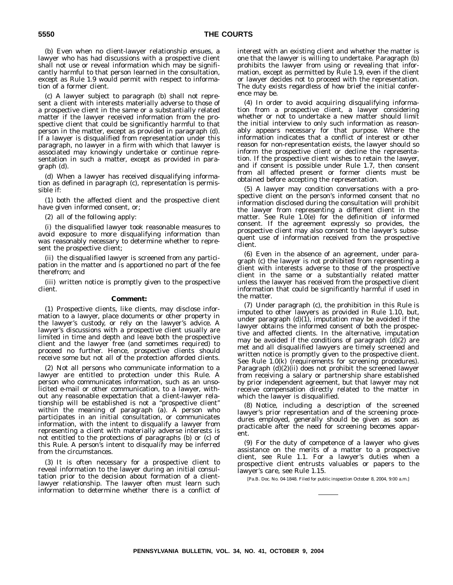(b) Even when no client-lawyer relationship ensues, a lawyer who has had discussions with a prospective client shall not use or reveal information which may be significantly harmful to that person learned in the consultation, except as Rule 1.9 would permit with respect to information of a former client.

(c) A lawyer subject to paragraph (b) shall not represent a client with interests materially adverse to those of a prospective client in the same or a substantially related matter if the lawyer received information from the prospective client that could be significantly harmful to that person in the matter, except as provided in paragraph (d). If a lawyer is disqualified from representation under this paragraph, no lawyer in a firm with which that lawyer is associated may knowingly undertake or continue representation in such a matter, except as provided in paragraph (d).

(d) When a lawyer has received disqualifying information as defined in paragraph (c), representation is permissible if:

(1) both the affected client and the prospective client have given informed consent, or;

(2) all of the following apply:

(i) the disqualified lawyer took reasonable measures to avoid exposure to more disqualifying information than was reasonably necessary to determine whether to represent the prospective client;

(ii) the disqualified lawyer is screened from any participation in the matter and is apportioned no part of the fee therefrom; and

(iii) written notice is promptly given to the prospective client.

#### **Comment:**

(1) Prospective clients, like clients, may disclose information to a lawyer, place documents or other property in the lawyer's custody, or rely on the lawyer's advice. A lawyer's discussions with a prospective client usually are limited in time and depth and leave both the prospective client and the lawyer free (and sometimes required) to proceed no further. Hence, prospective clients should receive some but not all of the protection afforded clients.

(2) Not all persons who communicate information to a lawyer are entitled to protection under this Rule. A person who communicates information, such as an unsolicited e-mail or other communication, to a lawyer, without any reasonable expectation that a client-lawyer relationship will be established is not a ''prospective client'' within the meaning of paragraph (a). A person who participates in an initial consultation, or communicates information, with the intent to disqualify a lawyer from representing a client with materially adverse interests is not entitled to the protections of paragraphs (b) or (c) of this Rule. A person's intent to disqualify may be inferred from the circumstances.

(3) It is often necessary for a prospective client to reveal information to the lawyer during an initial consultation prior to the decision about formation of a clientlawyer relationship. The lawyer often must learn such information to determine whether there is a conflict of interest with an existing client and whether the matter is one that the lawyer is willing to undertake. Paragraph (b) prohibits the lawyer from using or revealing that information, except as permitted by Rule 1.9, even if the client or lawyer decides not to proceed with the representation. The duty exists regardless of how brief the initial conference may be.

(4) In order to avoid acquiring disqualifying information from a prospective client, a lawyer considering whether or not to undertake a new matter should limit the initial interview to only such information as reasonably appears necessary for that purpose. Where the information indicates that a conflict of interest or other reason for non-representation exists, the lawyer should so inform the prospective client or decline the representation. If the prospective client wishes to retain the lawyer, and if consent is possible under Rule 1.7, then consent from all affected present or former clients must be obtained before accepting the representation.

(5) A lawyer may condition conversations with a prospective client on the person's informed consent that no information disclosed during the consultation will prohibit the lawyer from representing a different client in the matter. See Rule 1.0(e) for the definition of informed consent. If the agreement expressly so provides, the prospective client may also consent to the lawyer's subsequent use of information received from the prospective client.

(6) Even in the absence of an agreement, under paragraph (c) the lawyer is not prohibited from representing a client with interests adverse to those of the prospective client in the same or a substantially related matter unless the lawyer has received from the prospective client information that could be significantly harmful if used in the matter.

(7) Under paragraph (c), the prohibition in this Rule is imputed to other lawyers as provided in Rule 1.10, but, under paragraph (d)(1), imputation may be avoided if the lawyer obtains the informed consent of both the prospective and affected clients. In the alternative, imputation may be avoided if the conditions of paragraph (d)(2) are met and all disqualified lawyers are timely screened and written notice is promptly given to the prospective client. See Rule 1.0(k) (requirements for screening procedures). Paragraph (d)(2)(ii) does not prohibit the screened lawyer from receiving a salary or partnership share established by prior independent agreement, but that lawyer may not receive compensation directly related to the matter in which the lawyer is disqualified.

(8) Notice, including a description of the screened lawyer's prior representation and of the screening procedures employed, generally should be given as soon as practicable after the need for screening becomes apparent.

(9) For the duty of competence of a lawyer who gives assistance on the merits of a matter to a prospective client, see Rule 1.1. For a lawyer's duties when a prospective client entrusts valuables or papers to the lawyer's care, see Rule 1.15.

[Pa.B. Doc. No. 04-1848. Filed for public inspection October 8, 2004, 9:00 a.m.]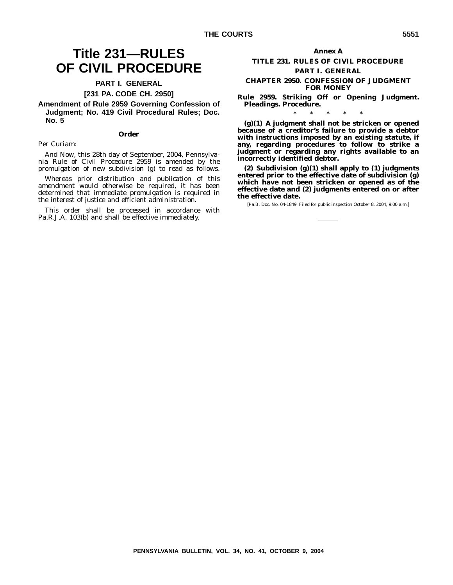# **OF CIVIL PROCEDURE PART I. GENERAL**

# **[231 PA. CODE CH. 2950]**

**Amendment of Rule 2959 Governing Confession of Judgment; No. 419 Civil Procedural Rules; Doc. No. 5**

#### **Order**

#### *Per Curiam:*

*And Now*, this 28th day of September, 2004, Pennsylvania Rule of Civil Procedure 2959 is amended by the promulgation of new subdivision (g) to read as follows.

Whereas prior distribution and publication of this amendment would otherwise be required, it has been determined that immediate promulgation is required in the interest of justice and efficient administration.

This order shall be processed in accordance with Pa.R.J.A. 103(b) and shall be effective immediately.

# **Annex A**

# **TITLE 231. RULES OF CIVIL PROCEDURE PART I. GENERAL**

#### **CHAPTER 2950. CONFESSION OF JUDGMENT FOR MONEY**

**Rule 2959. Striking Off or Opening Judgment. Pleadings. Procedure.** \*\*\*\*\*

**(g)(1) A judgment shall not be stricken or opened because of a creditor's failure to provide a debtor with instructions imposed by an existing statute, if any, regarding procedures to follow to strike a judgment or regarding any rights available to an incorrectly identified debtor.**

**(2) Subdivision (g)(1) shall apply to (1) judgments entered prior to the effective date of subdivision (g) which have not been stricken or opened as of the effective date and (2) judgments entered on or after the effective date.**

[Pa.B. Doc. No. 04-1849. Filed for public inspection October 8, 2004, 9:00 a.m.]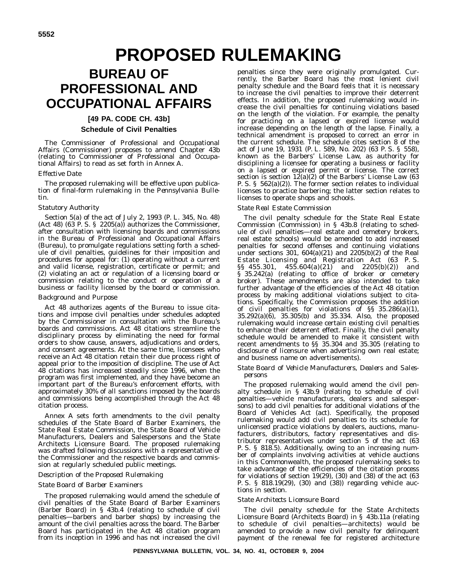# **BUREAU OF PROFESSIONAL AND OCCUPATIONAL AFFAIRS**

# **[49 PA. CODE CH. 43b]**

# **Schedule of Civil Penalties**

The Commissioner of Professional and Occupational Affairs (Commissioner) proposes to amend Chapter 43b (relating to Commissioner of Professional and Occupational Affairs) to read as set forth in Annex A.

### *Effective Date*

The proposed rulemaking will be effective upon publication of final-form rulemaking in the *Pennsylvania Bulletin*.

### *Statutory Authority*

Section 5(a) of the act of July 2, 1993 (P. L. 345, No. 48) (Act 48) (63 P. S. § 2205(a)) authorizes the Commissioner, after consultation with licensing boards and commissions in the Bureau of Professional and Occupational Affairs (Bureau), to promulgate regulations setting forth a schedule of civil penalties, guidelines for their imposition and procedures for appeal for: (1) operating without a current and valid license, registration, certificate or permit; and (2) violating an act or regulation of a licensing board or commission relating to the conduct or operation of a business or facility licensed by the board or commission.

#### *Background and Purpose*

Act 48 authorizes agents of the Bureau to issue citations and impose civil penalties under schedules adopted by the Commissioner in consultation with the Bureau's boards and commissions. Act 48 citations streamline the disciplinary process by eliminating the need for formal orders to show cause, answers, adjudications and orders, and consent agreements. At the same time, licensees who receive an Act 48 citation retain their due process right of appeal prior to the imposition of discipline. The use of Act 48 citations has increased steadily since 1996, when the program was first implemented, and they have become an important part of the Bureau's enforcement efforts, with approximately 30% of all sanctions imposed by the boards and commissions being accomplished through the Act 48 citation process.

Annex A sets forth amendments to the civil penalty schedules of the State Board of Barber Examiners, the State Real Estate Commission, the State Board of Vehicle Manufacturers, Dealers and Salespersons and the State Architects Licensure Board. The proposed rulemaking was drafted following discussions with a representative of the Commissioner and the respective boards and commission at regularly scheduled public meetings.

#### *Description of the Proposed Rulemaking*

#### *State Board of Barber Examiners*

The proposed rulemaking would amend the schedule of civil penalties of the State Board of Barber Examiners (Barber Board) in § 43b.4 (relating to schedule of civil penalties—barbers and barber shops) by increasing the amount of the civil penalties across the board. The Barber Board has participated in the Act 48 citation program from its inception in 1996 and has not increased the civil

penalties since they were originally promulgated. Currently, the Barber Board has the most lenient civil penalty schedule and the Board feels that it is necessary to increase the civil penalties to improve their deterrent effects. In addition, the proposed rulemaking would increase the civil penalties for continuing violations based on the length of the violation. For example, the penalty for practicing on a lapsed or expired license would increase depending on the length of the lapse. Finally, a technical amendment is proposed to correct an error in the current schedule. The schedule cites section 8 of the act of June 19, 1931 (P. L. 589, No. 202) (63 P. S. § 558), known as the Barbers' License Law, as authority for disciplining a licensee for operating a business or facility on a lapsed or expired permit or license. The correct section is section 12(a)(2) of the Barbers' License Law (63 P. S. § 562(a)(2)). The former section relates to individual licenses to practice barbering; the latter section relates to licenses to operate shops and schools.

# *State Real Estate Commission*

The civil penalty schedule for the State Real Estate Commission (Commission) in § 43b.8 (relating to schedule of civil penalties—real estate and cemetery brokers, real estate schools) would be amended to add increased penalties for second offenses and continuing violations under sections 301, 604(a)(21) and 2205(b)(2) of the Real Estate Licensing and Registration Act (63 P. S. §§ 455.301, 455.604(a)(21) and 2205(b)(2)) and § 35.242(a) (relating to office of broker or cemetery broker). These amendments are also intended to take further advantage of the efficiencies of the Act 48 citation process by making additional violations subject to citations. Specifically, the Commission proposes the addition of civil penalties for violations of §§ 35.286(a)(1), 35.292(a)(6), 35.305(b) and 35.334. Also, the proposed rulemaking would increase certain existing civil penalties to enhance their deterrent effect. Finally, the civil penalty schedule would be amended to make it consistent with recent amendments to §§ 35.304 and 35.305 (relating to disclosure of licensure when advertising own real estate; and business name on advertisements).

#### *State Board of Vehicle Manufacturers, Dealers and Salespersons*

The proposed rulemaking would amend the civil penalty schedule in § 43b.9 (relating to schedule of civil penalties—vehicle manufacturers, dealers and salespersons) to add civil penalties for additional violations of the Board of Vehicles Act (act). Specifically, the proposed rulemaking would add civil penalties to its schedule for unlicensed practice violations by dealers, auctions, manufacturers, distributors, factory representatives and distributor representatives under section 5 of the act (63 P. S. § 818.5). Additionally, owing to an increasing number of complaints involving activities at vehicle auctions in this Commonwealth, the proposed rulemaking seeks to take advantage of the efficiencies of the citation process for violations of section 19(29), (30) and (38) of the act (63 P. S. § 818.19(29), (30) and (38)) regarding vehicle auctions in section.

# *State Architects Licensure Board*

The civil penalty schedule for the State Architects Licensure Board (Architects Board) in § 43b.11a (relating to schedule of civil penalties—architects) would be amended to provide a new civil penalty for delinquent payment of the renewal fee for registered architecture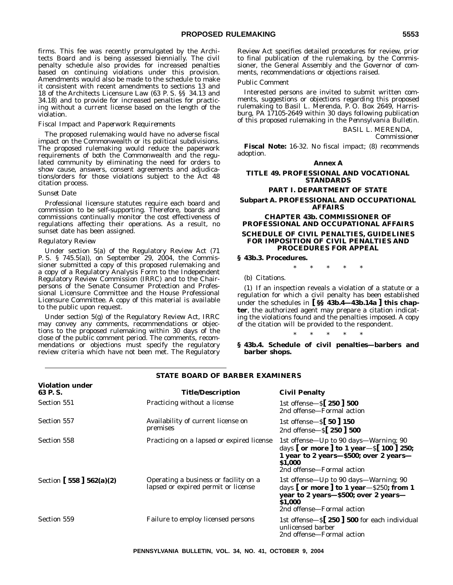firms. This fee was recently promulgated by the Architects Board and is being assessed biennially. The civil penalty schedule also provides for increased penalties based on continuing violations under this provision. Amendments would also be made to the schedule to make it consistent with recent amendments to sections 13 and 18 of the Architects Licensure Law (63 P. S. §§ 34.13 and 34.18) and to provide for increased penalties for practicing without a current license based on the length of the violation.

#### *Fiscal Impact and Paperwork Requirements*

The proposed rulemaking would have no adverse fiscal impact on the Commonwealth or its political subdivisions. The proposed rulemaking would reduce the paperwork requirements of both the Commonwealth and the regulated community by eliminating the need for orders to show cause, answers, consent agreements and adjudications/orders for those violations subject to the Act 48 citation process.

#### *Sunset Date*

Professional licensure statutes require each board and commission to be self-supporting. Therefore, boards and commissions continually monitor the cost effectiveness of regulations affecting their operations. As a result, no sunset date has been assigned.

#### *Regulatory Review*

Under section 5(a) of the Regulatory Review Act (71 P. S. § 745.5(a)), on September 29, 2004, the Commissioner submitted a copy of this proposed rulemaking and a copy of a Regulatory Analysis Form to the Independent Regulatory Review Commission (IRRC) and to the Chairpersons of the Senate Consumer Protection and Professional Licensure Committee and the House Professional Licensure Committee. A copy of this material is available to the public upon request.

Under section 5(g) of the Regulatory Review Act, IRRC may convey any comments, recommendations or objections to the proposed rulemaking within 30 days of the close of the public comment period. The comments, recommendations or objections must specify the regulatory review criteria which have not been met. The Regulatory

Review Act specifies detailed procedures for review, prior to final publication of the rulemaking, by the Commissioner, the General Assembly and the Governor of comments, recommendations or objections raised.

#### *Public Comment*

Interested persons are invited to submit written comments, suggestions or objections regarding this proposed rulemaking to Basil L. Merenda, P. O. Box 2649, Harrisburg, PA 17105-2649 within 30 days following publication of this proposed rulemaking in the *Pennsylvania Bulletin*.

BASIL L. MERENDA,

*Commissioner*

**Fiscal Note:** 16-32. No fiscal impact; (8) recommends adoption.

#### **Annex A**

**TITLE 49. PROFESSIONAL AND VOCATIONAL STANDARDS**

#### **PART I. DEPARTMENT OF STATE**

**Subpart A. PROFESSIONAL AND OCCUPATIONAL AFFAIRS**

#### **CHAPTER 43b. COMMISSIONER OF PROFESSIONAL AND OCCUPATIONAL AFFAIRS SCHEDULE OF CIVIL PENALTIES, GUIDELINES FOR IMPOSITION OF CIVIL PENALTIES AND PROCEDURES FOR APPEAL**

#### **§ 43b.3. Procedures.**

\*\*\*\*\*

(b) *Citations.*

(1) If an inspection reveals a violation of a statute or a regulation for which a civil penalty has been established under the schedules in **[ §§ 43b.4—43b.14a ] this chapter**, the authorized agent may prepare a citation indicating the violations found and the penalties imposed. A copy of the citation will be provided to the respondent.

\*\*\*\*\* **§ 43b.4. Schedule of civil penalties—barbers and barber shops.**

| 91ALE DVAND VI. DANDEN EAAMINENS  |                                                                              |                                                                                                                                                                                                  |  |
|-----------------------------------|------------------------------------------------------------------------------|--------------------------------------------------------------------------------------------------------------------------------------------------------------------------------------------------|--|
| <b>Violation under</b><br>63 P.S. | <b>Title/Description</b>                                                     | <b>Civil Penalty</b>                                                                                                                                                                             |  |
| Section 551                       | Practicing without a license                                                 | 1st offense— $\frac{5}{250}$ 300<br>2nd offense—Formal action                                                                                                                                    |  |
| Section 557                       | Availability of current license on<br>premises                               | 1st offense $-S$ 50 150<br>2nd offense- $\S$ [250] 500                                                                                                                                           |  |
| Section 558                       | Practicing on a lapsed or expired license                                    | 1st offense—Up to 90 days—Warning; 90<br>days $\lceil$ or more $\rceil$ to 1 year - $\lceil$ 100 $\rceil$ 250;<br>1 year to 2 years-\$500; over 2 years-<br>\$1.000<br>2nd offense—Formal action |  |
| Section [ $558$ ] $562(a)(2)$     | Operating a business or facility on a<br>lapsed or expired permit or license | 1st offense—Up to 90 days—Warning; 90<br>days $\lceil$ or more $\rceil$ to 1 year– $\$250$ ; from 1<br>year to 2 years-\$500; over 2 years-<br><b>S1.000</b><br>2nd offense—Formal action        |  |
| Section 559                       | Failure to employ licensed persons                                           | 1st offense $-\$ [250 ] 500 for each individual<br>unlicensed barber<br>2nd offense—Formal action                                                                                                |  |

#### **STATE BOARD OF BARBER EXAMINERS**

**PENNSYLVANIA BULLETIN, VOL. 34, NO. 41, OCTOBER 9, 2004**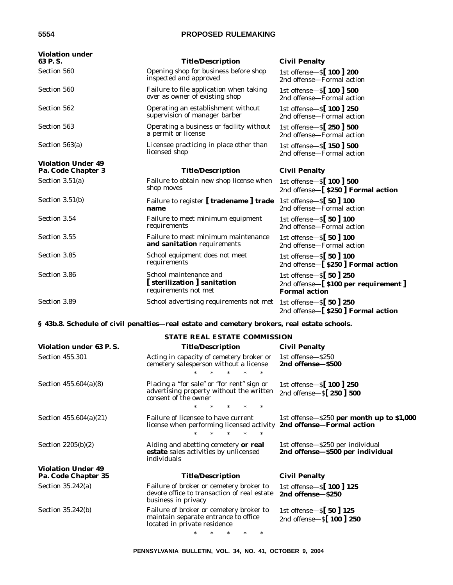| <b>Violation under</b><br>63 P.S.               | <b>Title/Description</b>                                                      | <b>Civil Penalty</b>                                                                   |
|-------------------------------------------------|-------------------------------------------------------------------------------|----------------------------------------------------------------------------------------|
| Section 560                                     | Opening shop for business before shop<br>inspected and approved               | 1st offense- $S$ [100] 200<br>2nd offense-Formal action                                |
| Section 560                                     | Failure to file application when taking<br>over as owner of existing shop     | 1st offense-S[ 100 ] 500<br>2nd offense—Formal action                                  |
| Section 562                                     | Operating an establishment without<br>supervision of manager barber           | 1st offense- $S$ [100] 250<br>2nd offense-Formal action                                |
| Section 563                                     | Operating a business or facility without<br>a permit or license               | 1st offense-S[ 250 ] 500<br>2nd offense-Formal action                                  |
| Section $563(a)$                                | Licensee practicing in place other than<br>licensed shop                      | 1st offense- $\frac{150}{150}$ 500<br>2nd offense—Formal action                        |
| <b>Violation Under 49</b><br>Pa. Code Chapter 3 | <b>Title/Description</b>                                                      | <b>Civil Penalty</b>                                                                   |
| Section $3.51(a)$                               | Failure to obtain new shop license when<br>shop moves                         | 1st offense-S[ 100 ] 500<br>2nd offense-[ \$250 ] Formal action                        |
| Section $3.51(b)$                               | Failure to register [tradename ] trade 1st offense-S[50] 100<br>name          | 2nd offense-Formal action                                                              |
| Section 3.54                                    | Failure to meet minimum equipment<br>requirements                             | 1st offense-S[ 50] 100<br>2nd offense-Formal action                                    |
| Section 3.55                                    | Failure to meet minimum maintenance<br>and sanitation requirements            | 1st offense $-S$ [ 50 ] 100<br>2nd offense-Formal action                               |
| Section 3.85                                    | School equipment does not meet<br>requirements                                | 1st offense $-S[50]100$<br>2nd offense-[\$250] Formal action                           |
| Section 3.86                                    | School maintenance and<br>[sterilization ] sanitation<br>requirements not met | 1st offense $-S[50]250$<br>2nd offense-[\$100 per requirement]<br><b>Formal action</b> |
| Section 3.89                                    | School advertising requirements not met                                       | 1st offense $-S$ [ 50 ] 250<br>2nd offense-[\$250] Formal action                       |

# **§ 43b.8. Schedule of civil penalties—real estate and cemetery brokers, real estate schools.**

| <b>STATE REAL ESTATE COMMISSION</b>              |                                                                                                                                              |                                                                            |  |
|--------------------------------------------------|----------------------------------------------------------------------------------------------------------------------------------------------|----------------------------------------------------------------------------|--|
| Violation under 63 P.S.                          | <b>Title/Description</b>                                                                                                                     | <b>Civil Penalty</b>                                                       |  |
| <b>Section 455.301</b>                           | Acting in capacity of cemetery broker or<br>cemetery salesperson without a license<br>$\ast$                                                 | 1st offense-\$250<br>2nd offense-\$500                                     |  |
| Section $455.604(a)(8)$                          | Placing a "for sale" or "for rent" sign or<br>advertising property without the written<br>consent of the owner                               | 1st offense- $S$ [100] 250<br>2nd offense $-S$ [ 250 ] 500                 |  |
| Section $455.604(a)(21)$                         | $\ast$<br>$\ast$<br>Failure of licensee to have current<br>license when performing licensed activity<br>$\ast$<br>$\ast$<br>$\ast$<br>$\ast$ | 1st offense $-$ \$250 per month up to \$1,000<br>2nd offense-Formal action |  |
| Section $2205(b)(2)$                             | Aiding and abetting cemetery or real<br>estate sales activities by unlicensed<br>individuals                                                 | 1st offense—\$250 per individual<br>2nd offense-\$500 per individual       |  |
| <b>Violation Under 49</b><br>Pa. Code Chapter 35 | <b>Title/Description</b>                                                                                                                     | <b>Civil Penalty</b>                                                       |  |
| Section $35.242(a)$                              | Failure of broker or cemetery broker to<br>devote office to transaction of real estate<br>business in privacy                                | 1st offense- $S$ [100] 125<br>2nd offense-\$250                            |  |
| Section $35.242(b)$                              | Failure of broker or cemetery broker to<br>maintain separate entrance to office<br>located in private residence                              | 1st offense $-S$ 50 125<br>2nd offense-S[ 100 ] 250                        |  |
|                                                  | $\ast$                                                                                                                                       |                                                                            |  |

**PENNSYLVANIA BULLETIN, VOL. 34, NO. 41, OCTOBER 9, 2004**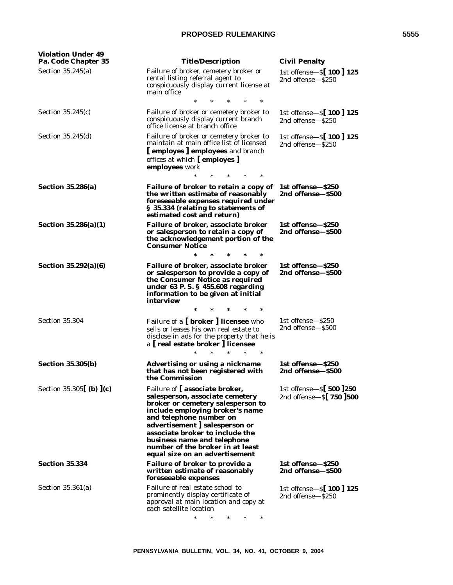| <b>Violation Under 49</b><br>Pa. Code Chapter 35 | <b>Title/Description</b>                                                                                                                                                                                                                                                                                                                      | <b>Civil Penalty</b>                                    |
|--------------------------------------------------|-----------------------------------------------------------------------------------------------------------------------------------------------------------------------------------------------------------------------------------------------------------------------------------------------------------------------------------------------|---------------------------------------------------------|
| Section $35.245(a)$                              | Failure of broker, cemetery broker or<br>rental listing referral agent to<br>conspicuously display current license at<br>main office                                                                                                                                                                                                          | 1st offense-S[ 100 ] 125<br>2nd offense—\$250           |
| Section $35.245(c)$                              | Failure of broker or cemetery broker to<br>conspicuously display current branch<br>office license at branch office                                                                                                                                                                                                                            | 1st offense-S[100] 125<br>2nd offense-\$250             |
| Section 35.245(d)                                | Failure of broker or cemetery broker to<br>maintain at main office list of licensed<br>[employes] employees and branch<br>offices at which [employes]<br>employees work<br>$\ast$                                                                                                                                                             | 1st offense-S[ 100 ] 125<br>2nd offense-\$250           |
| <b>Section 35.286(a)</b>                         | Failure of broker to retain a copy of<br>the written estimate of reasonably<br>foreseeable expenses required under<br>§ 35.334 (relating to statements of<br>estimated cost and return)                                                                                                                                                       | 1st offense-\$250<br>2nd offense-\$500                  |
| Section $35.286(a)(1)$                           | Failure of broker, associate broker<br>or salesperson to retain a copy of<br>the acknowledgement portion of the<br><b>Consumer Notice</b>                                                                                                                                                                                                     | 1st offense-\$250<br>2nd offense—\$500                  |
| Section 35.292(a)(6)                             | Failure of broker, associate broker<br>or salesperson to provide a copy of<br>the Consumer Notice as required<br>under 63 P.S. § 455.608 regarding<br>information to be given at initial<br>interview                                                                                                                                         | 1st offense-\$250<br>2nd offense-\$500                  |
| <b>Section 35.304</b>                            | Failure of a [broker] licensee who<br>sells or leases his own real estate to<br>disclose in ads for the property that he is<br>a [real estate broker ] licensee<br>$\ast$                                                                                                                                                                     | 1st offense-\$250<br>2nd offense-\$500                  |
| <b>Section 35.305(b)</b>                         | Advertising or using a nickname<br>that has not been registered with<br>the Commission                                                                                                                                                                                                                                                        | 1st offense-\$250<br>2nd offense-\$500                  |
| Section 35.305 (b) $(c)$                         | Failure of [associate broker,<br>salesperson, associate cemetery<br>broker or cemetery salesperson to<br>include employing broker's name<br>and telephone number on<br>advertisement   salesperson or<br>associate broker to include the<br>business name and telephone<br>number of the broker in at least<br>equal size on an advertisement | 1st offense $-S[500]250$<br>2nd offense $-S$ [ 750 ]500 |
| <b>Section 35.334</b>                            | Failure of broker to provide a<br>written estimate of reasonably<br>foreseeable expenses                                                                                                                                                                                                                                                      | 1st offense-\$250<br>2nd offense-\$500                  |
| Section $35.361(a)$                              | Failure of real estate school to<br>prominently display certificate of<br>approval at main location and copy at<br>each satellite location<br>*<br>$\ast$                                                                                                                                                                                     | 1st offense-S[100] 125<br>2nd offense-\$250             |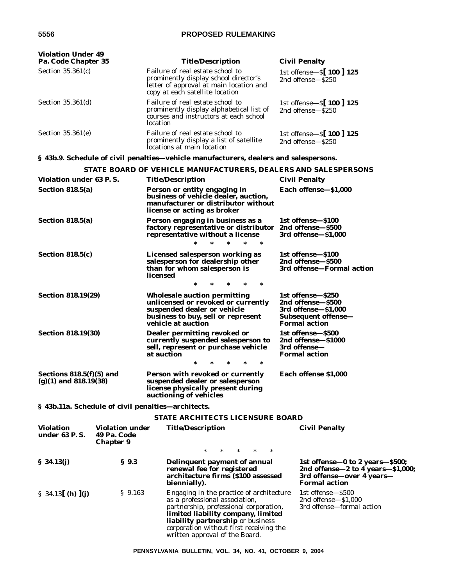| <b>Violation Under 49</b><br>Pa. Code Chapter 35         |                                                           | <b>Title/Description</b>                                                                                                                                                                                                                          | <b>Civil Penalty</b>                                                                                                             |
|----------------------------------------------------------|-----------------------------------------------------------|---------------------------------------------------------------------------------------------------------------------------------------------------------------------------------------------------------------------------------------------------|----------------------------------------------------------------------------------------------------------------------------------|
| Section $35.361(c)$                                      |                                                           | Failure of real estate school to<br>prominently display school director's<br>letter of approval at main location and<br>copy at each satellite location                                                                                           | 1st offense-S [100 ] 125<br>2nd offense-\$250                                                                                    |
| Section 35.361(d)                                        |                                                           | Failure of real estate school to<br>prominently display alphabetical list of<br>courses and instructors at each school<br>location                                                                                                                | 1st offense-S[ 100 ] 125<br>2nd offense-\$250                                                                                    |
| Section 35.361(e)                                        |                                                           | Failure of real estate school to<br>prominently display a list of satellite<br>locations at main location                                                                                                                                         | 1st offense- $S$ [100] 125<br>2nd offense-\$250                                                                                  |
|                                                          |                                                           | § 43b.9. Schedule of civil penalties—vehicle manufacturers, dealers and salespersons.                                                                                                                                                             |                                                                                                                                  |
|                                                          |                                                           | STATE BOARD OF VEHICLE MANUFACTURERS, DEALERS AND SALESPERSONS                                                                                                                                                                                    |                                                                                                                                  |
| Violation under 63 P.S.                                  |                                                           | <b>Title/Description</b>                                                                                                                                                                                                                          | <b>Civil Penalty</b>                                                                                                             |
| Section 818.5(a)                                         |                                                           | Person or entity engaging in<br>business of vehicle dealer, auction,<br>manufacturer or distributor without<br>license or acting as broker                                                                                                        | Each offense-\$1,000                                                                                                             |
| Section 818.5(a)                                         |                                                           | Person engaging in business as a<br>factory representative or distributor 2nd offense-\$500<br>representative without a license<br>$\ast$                                                                                                         | 1st offense-\$100<br>3rd offense-\$1,000                                                                                         |
| <b>Section 818.5(c)</b>                                  |                                                           | Licensed salesperson working as<br>salesperson for dealership other<br>than for whom salesperson is<br>licensed<br>$\ast$                                                                                                                         | 1st offense-\$100<br>2nd offense-\$500<br>3rd offense-Formal action                                                              |
| <b>Section 818.19(29)</b>                                |                                                           | <b>Wholesale auction permitting</b><br>unlicensed or revoked or currently<br>suspended dealer or vehicle<br>business to buy, sell or represent<br>vehicle at auction                                                                              | 1st offense-\$250<br>2nd offense-\$500<br>3rd offense-\$1,000<br>Subsequent offense-<br><b>Formal action</b>                     |
| <b>Section 818.19(30)</b>                                |                                                           | Dealer permitting revoked or<br>currently suspended salesperson to<br>sell, represent or purchase vehicle<br>at auction                                                                                                                           | 1st offense-\$500<br>2nd offense-\$1000<br>3rd offense-<br><b>Formal action</b>                                                  |
| Sections $818.5(f)(5)$ and<br>$(g)(1)$ and 818.19 $(38)$ |                                                           | Person with revoked or currently<br>suspended dealer or salesperson<br>license physically present during<br>auctioning of vehicles                                                                                                                | Each offense \$1,000                                                                                                             |
|                                                          |                                                           | § 43b.11a. Schedule of civil penalties—architects.                                                                                                                                                                                                |                                                                                                                                  |
|                                                          |                                                           | <b>STATE ARCHITECTS LICENSURE BOARD</b>                                                                                                                                                                                                           |                                                                                                                                  |
| <b>Violation</b><br>under 63 P.S.                        | <b>Violation under</b><br>49 Pa. Code<br><b>Chapter 9</b> | <b>Title/Description</b><br>$\ast$<br>$\ast$<br>$\ast$<br>$\ast$                                                                                                                                                                                  | <b>Civil Penalty</b>                                                                                                             |
| \$34.13(j)                                               | $\S$ 9.3                                                  | Delinquent payment of annual<br>renewal fee for registered<br>architecture firms (\$100 assessed<br>biennially).                                                                                                                                  | 1st offense—0 to 2 years—\$500;<br>2nd offense $-2$ to 4 years $-$ \$1,000;<br>3rd offense-over 4 years-<br><b>Formal action</b> |
| § 34.13 ( <b>h</b> ) $\int$ ( <b>j</b> )                 | $\S$ 9.163                                                | Engaging in the practice of architecture<br>as a professional association,<br>partnership, professional corporation,<br>limited liability company, limited<br><b>liability partnership</b> or business<br>corporation without first receiving the | 1st offense-\$500<br>2nd offense $-$ \$1,000<br>3rd offense-formal action                                                        |

written approval of the Board.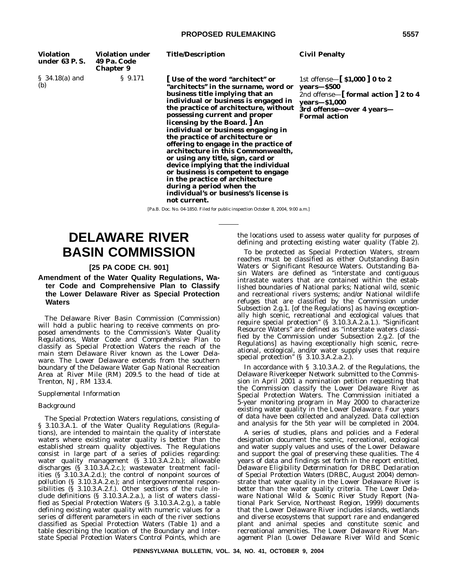| <b>Violation</b><br>under 63 P.S. | <b>Violation under</b><br>49 Pa. Code<br><b>Chapter 9</b> | <b>Title/Description</b>                                                                                                                                                                                                                                                                                                                                                                                                                                                                                                                                                                                                                                        | <b>Civil Penalty</b>                                                                                                                                                                      |
|-----------------------------------|-----------------------------------------------------------|-----------------------------------------------------------------------------------------------------------------------------------------------------------------------------------------------------------------------------------------------------------------------------------------------------------------------------------------------------------------------------------------------------------------------------------------------------------------------------------------------------------------------------------------------------------------------------------------------------------------------------------------------------------------|-------------------------------------------------------------------------------------------------------------------------------------------------------------------------------------------|
| $$34.18(a)$ and<br>(b)            | $\frac{1}{2}$ 9.171                                       | l Use of the word "architect" or<br>"architects" in the surname, word or<br>business title implying that an<br>individual or business is engaged in<br>the practice of architecture, without<br>possessing current and proper<br>licensing by the Board.   An<br>individual or business engaging in<br>the practice of architecture or<br>offering to engage in the practice of<br>architecture in this Commonwealth,<br>or using any title, sign, card or<br>device implying that the individual<br>or business is competent to engage<br>in the practice of architecture<br>during a period when the<br>individual's or business's license is<br>not current. | 1st offense— $\lceil$ \$1,000 $\rceil$ 0 to 2<br>years-\$500<br>2nd offense- $\lceil$ formal action $\rceil$ 2 to 4<br>years-\$1,000<br>3rd offense-over 4 years-<br><b>Formal action</b> |
|                                   |                                                           | [Pa.B. Doc. No. 04-1850. Filed for public inspection October 8, 2004, 9:00 a.m.]                                                                                                                                                                                                                                                                                                                                                                                                                                                                                                                                                                                |                                                                                                                                                                                           |

**DELAWARE RIVER BASIN COMMISSION**

### **[25 PA CODE CH. 901]**

**Amendment of the Water Quality Regulations, Water Code and Comprehensive Plan to Classify the Lower Delaware River as Special Protection Waters**

The Delaware River Basin Commission (Commission) will hold a public hearing to receive comments on proposed amendments to the Commission's *Water Quality Regulations, Water Code* and *Comprehensive Plan* to classify as Special Protection Waters the reach of the main stem Delaware River known as the Lower Delaware. The Lower Delaware extends from the southern boundary of the Delaware Water Gap National Recreation Area at River Mile (RM) 209.5 to the head of tide at Trenton, NJ, RM 133.4.

#### *Supplemental Information*

#### *Background*

The Special Protection Waters regulations, consisting of § 3.10.3.A.1. of the Water Quality Regulations (Regulations), are intended to maintain the quality of interstate waters where existing water quality is better than the established stream quality objectives. The Regulations consist in large part of a series of policies regarding: water quality management (§ 3.10.3.A.2.b.); allowable discharges (§ 3.10.3.A.2.c.); wastewater treatment facilities (§ 3.10.3.A.2.d.); the control of nonpoint sources of pollution (§ 3.10.3.A.2.e.); and intergovernmental responsibilities (§ 3.10.3.A.2.f.). Other sections of the rule include definitions (§ 3.10.3.A.2.a.), a list of waters classified as Special Protection Waters (§ 3.10.3.A.2.g.), a table defining existing water quality with numeric values for a series of different parameters in each of the river sections classified as Special Protection Waters (Table 1) and a table describing the location of the Boundary and Interstate Special Protection Waters Control Points, which are

the locations used to assess water quality for purposes of defining and protecting existing water quality (Table 2).

To be protected as Special Protection Waters, stream reaches must be classified as either Outstanding Basin Waters or Significant Resource Waters. Outstanding Basin Waters are defined as ''interstate and contiguous intrastate waters that are contained within the established boundaries of National parks; National wild, scenic and recreational rivers systems; and/or National wildlife refuges that are classified by the Commission under Subsection 2.g.1. [of the Regulations] as having exceptionally high scenic, recreational and ecological values that require special protection" (§ 3.10.3.A.2.a.1.). "Significant Resource Waters'' are defined as ''interstate waters classified by the Commission under Subsection 2.g.2. [of the Regulations] as having exceptionally high scenic, recreational, ecological, and/or water supply uses that require special protection" (§ 3.10.3.A.2.a.2.).

In accordance with § 3.10.3.A.2. of the Regulations, the Delaware Riverkeeper Network submitted to the Commission in April 2001 a nomination petition requesting that the Commission classify the Lower Delaware River as Special Protection Waters. The Commission initiated a 5-year monitoring program in May 2000 to characterize existing water quality in the Lower Delaware. Four years of data have been collected and analyzed. Data collection and analysis for the 5th year will be completed in 2004.

A series of studies, plans and policies and a Federal designation document the scenic, recreational, ecological and water supply values and uses of the Lower Delaware and support the goal of preserving these qualities. The 4 years of data and findings set forth in the report entitled, *Delaware Eligibility Determination for DRBC Declaration of Special Protection Waters* (DRBC, August 2004) demonstrate that water quality in the Lower Delaware River is better than the water quality criteria. The *Lower Delaware National Wild & Scenic River Study Report* (National Park Service, Northeast Region, 1999) documents that the Lower Delaware River includes islands, wetlands and diverse ecosystems that support rare and endangered plant and animal species and constitute scenic and recreational amenities. The *Lower Delaware River Management Plan* (Lower Delaware River Wild and Scenic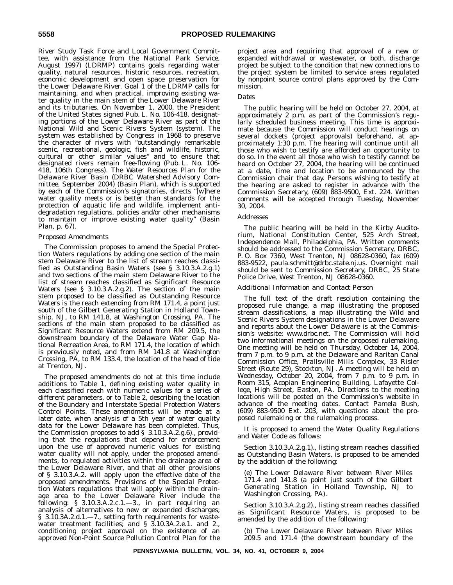River Study Task Force and Local Government Committee, with assistance from the National Park Service, August 1997) (LDRMP) contains goals regarding water quality, natural resources, historic resources, recreation, economic development and open space preservation for the Lower Delaware River. Goal 1 of the LDRMP calls for maintaining, and when practical, improving existing water quality in the main stem of the Lower Delaware River and its tributaries. On November 1, 2000, the President of the United States signed Pub. L. No. 106-418, designating portions of the Lower Delaware River as part of the National Wild and Scenic Rivers System (system). The system was established by Congress in 1968 to preserve the character of rivers with ''outstandingly remarkable scenic, recreational, geologic, fish and wildlife, historic, cultural or other similar values'' and to ensure that designated rivers remain free-flowing (Pub. L. No. 106- 418, 106th Congress). The *Water Resources Plan for the Delaware River Basin* (DRBC Watershed Advisory Committee, September 2004) (Basin Plan), which is supported by each of the Commission's signatories, directs ''[w]here water quality meets or is better than standards for the protection of aquatic life and wildlife, implement antidegradation regulations, policies and/or other mechanisms to maintain or improve existing water quality'' (Basin Plan, p. 67).

#### *Proposed Amendments*

The Commission proposes to amend the Special Protection Waters regulations by adding one section of the main stem Delaware River to the list of stream reaches classified as Outstanding Basin Waters (see § 3.10.3.A.2.g.1) and two sections of the main stem Delaware River to the list of stream reaches classified as Significant Resource Waters (see § 3.10.3.A.2.g.2). The section of the main stem proposed to be classified as Outstanding Resource Waters is the reach extending from RM 171.4, a point just south of the Gilbert Generating Station in Holland Township, NJ, to RM 141.8, at Washington Crossing, PA. The sections of the main stem proposed to be classified as Significant Resource Waters extend from RM 209.5, the downstream boundary of the Delaware Water Gap National Recreation Area, to RM 171.4, the location of which is previously noted, and from RM 141.8 at Washington Crossing, PA, to RM 133.4, the location of the head of tide at Trenton, NJ.

The proposed amendments do not at this time include additions to Table 1, defining existing water quality in each classified reach with numeric values for a series of different parameters, or to Table 2, describing the location of the Boundary and Interstate Special Protection Waters Control Points. These amendments will be made at a later date, when analysis of a 5th year of water quality data for the Lower Delaware has been completed. Thus, the Commission proposes to add § 3.10.3.A.2.g.6)., providing that the regulations that depend for enforcement upon the use of approved numeric values for existing water quality will not apply, under the proposed amendments, to regulated activities within the drainage area of the Lower Delaware River, and that all other provisions of § 3.10.3.A.2. will apply upon the effective date of the proposed amendments. Provisions of the Special Protection Waters regulations that will apply within the drainage area to the Lower Delaware River include the following: § 3.10.3.A.2.c.1.—3., in part requiring an analysis of alternatives to new or expanded discharges; § 3.10.3A.2.d.1.-7., setting forth requirements for wastewater treatment facilities; and § 3.10.3A.2.e.1. and 2., conditioning project approval on the existence of an approved Non-Point Source Pollution Control Plan for the

project area and requiring that approval of a new or expanded withdrawal or wastewater, or both, discharge project be subject to the condition that new connections to the project system be limited to service areas regulated by nonpoint source control plans approved by the Commission.

#### *Dates*

The public hearing will be held on October 27, 2004, at approximately 2 p.m. as part of the Commission's regularly scheduled business meeting. This time is approximate because the Commission will conduct hearings on several dockets (project approvals) beforehand, at approximately 1:30 p.m. The hearing will continue until all those who wish to testify are afforded an opportunity to do so. In the event all those who wish to testify cannot be heard on October 27, 2004, the hearing will be continued at a date, time and location to be announced by the Commission chair that day. Persons wishing to testify at the hearing are asked to register in advance with the Commission Secretary, (609) 883-9500, Ext. 224. Written comments will be accepted through Tuesday, November 30, 2004.

#### *Addresses*

The public hearing will be held in the Kirby Auditorium, National Constitution Center, 525 Arch Street, Independence Mall, Philadelphia, PA. Written comments should be addressed to the Commission Secretary, DRBC, P. O. Box 7360, West Trenton, NJ 08628-0360, fax (609) 883-9522, paula.schmitt@drbc.state.nj.us. Overnight mail should be sent to Commission Secretary, DRBC, 25 State Police Drive, West Trenton, NJ 08628-0360.

#### *Additional Information and Contact Person*

The full text of the draft resolution containing the proposed rule change, a map illustrating the proposed stream classifications, a map illustrating the Wild and Scenic Rivers System designations in the Lower Delaware and reports about the Lower Delaware is at the Commission's website: www.drbc.net. The Commission will hold two informational meetings on the proposed rulemaking. One meeting will be held on Thursday, October 14, 2004, from 7 p.m. to 9 p.m. at the Delaware and Raritan Canal Commission Office, Prallsville Mills Complex, 33 Risler Street (Route 29), Stockton, NJ. A meeting will be held on Wednesday, October 20, 2004, from 7 p.m. to 9 p.m. in Room 315, Acopian Engineering Building, Lafayette College, High Street, Easton, PA. Directions to the meeting locations will be posted on the Commission's website in advance of the meeting dates. Contact Pamela Bush, (609) 883-9500 Ext. 203, with questions about the proposed rulemaking or the rulemaking process.

It is proposed to amend the *Water Quality Regulations* and *Water Code* as follows:

Section 3.10.3.A.2.g.1)., listing stream reaches classified as Outstanding Basin Waters, is proposed to be amended by the addition of the following:

(e) The Lower Delaware River between River Miles 171.4 and 141.8 (a point just south of the Gilbert Generating Station in Holland Township, NJ to Washington Crossing, PA).

Section 3.10.3.A.2.g.2)., listing stream reaches classified as Significant Resource Waters, is proposed to be amended by the addition of the following:

(b) The Lower Delaware River between River Miles 209.5 and 171.4 (the downstream boundary of the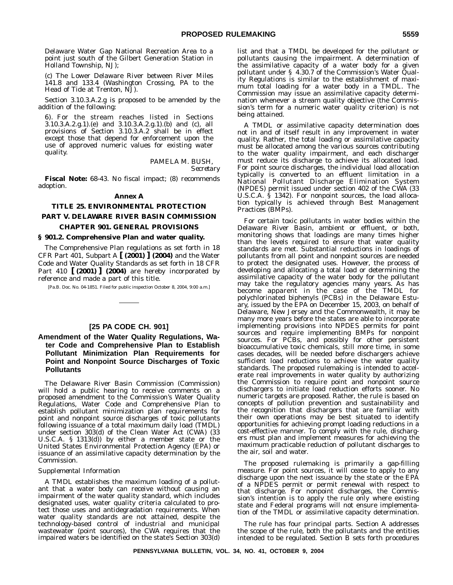Delaware Water Gap National Recreation Area to a point just south of the Gilbert Generation Station in Holland Township, NJ);

(c) The Lower Delaware River between River Miles 141.8 and 133.4 (Washington Crossing, PA to the Head of Tide at Trenton, NJ).

Section 3.10.3.A.2.g is proposed to be amended by the addition of the following:

6). For the stream reaches listed in Sections 3.10.3.A.2.g.1).(e) and 3.10.3.A.2.g.1).(b) and (c), all provisions of Section 3.10.3.A.2 shall be in effect except those that depend for enforcement upon the use of approved numeric values for existing water quality.

> PAMELA M. BUSH, *Secretary*

**Fiscal Note:** 68-43. No fiscal impact; (8) recommends adoption.

#### **Annex A**

# **TITLE 25. ENVIRONMENTAL PROTECTION PART V. DELAWARE RIVER BASIN COMMISSION**

# **CHAPTER 901. GENERAL PROVISIONS**

#### **§ 901.2. Comprehensive Plan and water quality.**

The Comprehensive Plan regulations as set forth in 18 CFR Part 401, Subpart A **[ (2001) ] (2004)** and the Water Code and Water Quality Standards as set forth in 18 CFR Part 410 **[ (2001) ] (2004)** are hereby incorporated by reference and made a part of this title.

[Pa.B. Doc. No. 04-1851. Filed for public inspection October 8, 2004, 9:00 a.m.]

# **[25 PA CODE CH. 901]**

# **Amendment of the Water Quality Regulations, Water Code and Comprehensive Plan to Establish Pollutant Minimization Plan Requirements for Point and Nonpoint Source Discharges of Toxic Pollutants**

The Delaware River Basin Commission (Commission) will hold a public hearing to receive comments on a proposed amendment to the Commission's Water Quality Regulations, Water Code and Comprehensive Plan to establish pollutant minimization plan requirements for point and nonpoint source discharges of toxic pollutants following issuance of a total maximum daily load (TMDL) under section 303(d) of the Clean Water Act (CWA) (33 U.S.C.A. § 1313(d)) by either a member state or the United States Environmental Protection Agency (EPA) or issuance of an assimilative capacity determination by the Commission.

#### *Supplemental Information*

A TMDL establishes the maximum loading of a pollutant that a water body can receive without causing an impairment of the water quality standard, which includes designated uses, water quality criteria calculated to protect those uses and antidegradation requirements. When water quality standards are not attained, despite the technology-based control of industrial and municipal wastewater (point sources), the CWA requires that the impaired waters be identified on the state's Section 303(d)

list and that a TMDL be developed for the pollutant or pollutants causing the impairment. A determination of the assimilative capacity of a water body for a given pollutant under § 4.30.7 of the Commission's Water Quality Regulations is similar to the establishment of maximum total loading for a water body in a TMDL. The Commission may issue an assimilative capacity determination whenever a stream quality objective (the Commission's term for a numeric water quality criterion) is not being attained.

A TMDL or assimilative capacity determination does not in and of itself result in any improvement in water quality. Rather, the total loading or assimilative capacity must be allocated among the various sources contributing to the water quality impairment, and each discharger must reduce its discharge to achieve its allocated load. For point source discharges, the individual load allocation typically is converted to an effluent limitation in a National Pollutant Discharge Elimination System (NPDES) permit issued under section 402 of the CWA (33 U.S.C.A. § 1342). For nonpoint sources, the load allocation typically is achieved through Best Management Practices (BMPs).

For certain toxic pollutants in water bodies within the Delaware River Basin, ambient or effluent, or both, monitoring shows that loadings are many times higher than the levels required to ensure that water quality standards are met. Substantial reductions in loadings of pollutants from all point and nonpoint sources are needed to protect the designated uses. However, the process of developing and allocating a total load or determining the assimilative capacity of the water body for the pollutant may take the regulatory agencies many years. As has become apparent in the case of the TMDL for polychlorinated biphenyls (PCBs) in the Delaware Estuary, issued by the EPA on December 15, 2003, on behalf of Delaware, New Jersey and the Commonwealth, it may be many more years before the states are able to incorporate implementing provisions into NPDES permits for point sources and require implementing BMPs for nonpoint sources. For PCBs, and possibly for other persistent bioaccumulative toxic chemicals, still more time, in some cases decades, will be needed before dischargers achieve sufficient load reductions to achieve the water quality standards. The proposed rulemaking is intended to accelerate real improvements in water quality by authorizing the Commission to require point and nonpoint source dischargers to initiate load reduction efforts sooner. No numeric targets are proposed. Rather, the rule is based on concepts of pollution prevention and sustainability and the recognition that dischargers that are familiar with their own operations may be best situated to identify opportunities for achieving prompt loading reductions in a cost-effective manner. To comply with the rule, dischargers must plan and implement measures for achieving the maximum practicable reduction of pollutant discharges to the air, soil and water.

The proposed rulemaking is primarily a gap-filling measure. For point sources, it will cease to apply to any discharge upon the next issuance by the state or the EPA of a NPDES permit or permit renewal with respect to that discharge. For nonpoint discharges, the Commission's intention is to apply the rule only where existing state and Federal programs will not ensure implementation of the TMDL or assimilative capacity determination.

The rule has four principal parts. Section A addresses the scope of the rule, both the pollutants and the entities intended to be regulated. Section B sets forth procedures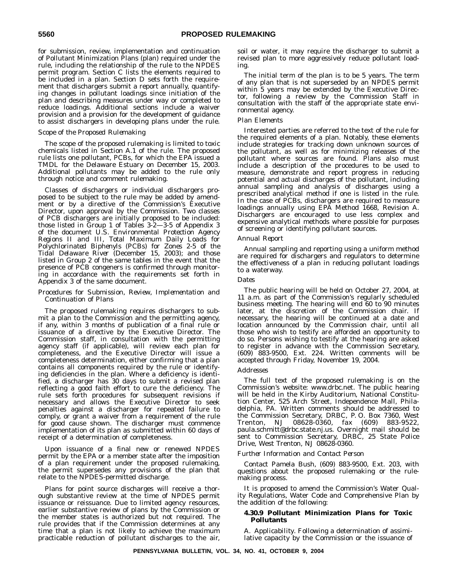for submission, review, implementation and continuation of Pollutant Minimization Plans (plan) required under the rule, including the relationship of the rule to the NPDES permit program. Section C lists the elements required to be included in a plan. Section D sets forth the requirement that dischargers submit a report annually, quantifying changes in pollutant loadings since initiation of the plan and describing measures under way or completed to reduce loadings. Additional sections include a waiver provision and a provision for the development of guidance to assist dischargers in developing plans under the rule.

#### *Scope of the Proposed Rulemaking*

The scope of the proposed rulemaking is limited to toxic chemicals listed in Section A.1 of the rule. The proposed rule lists one pollutant, PCBs, for which the EPA issued a TMDL for the Delaware Estuary on December 15, 2003. Additional pollutants may be added to the rule only through notice and comment rulemaking.

Classes of dischargers or individual dischargers proposed to be subject to the rule may be added by amendment or by a directive of the Commission's Executive Director, upon approval by the Commission. Two classes of PCB dischargers are initially proposed to be included: those listed in Group 1 of Tables 3-2—3-5 of Appendix 3 of the document *U.S. Environmental Protection Agency Regions II and III, Total Maximum Daily Loads for Polychlorinated Biphenyls (PCBs) for Zones 2-5 of the Tidal Delaware River* (December 15, 2003); and those listed in Group 2 of the same tables in the event that the presence of PCB congeners is confirmed through monitoring in accordance with the requirements set forth in Appendix 3 of the same document.

#### *Procedures for Submission, Review, Implementation and Continuation of Plans*

The proposed rulemaking requires dischargers to submit a plan to the Commission and the permitting agency, if any, within 3 months of publication of a final rule or issuance of a directive by the Executive Director. The Commission staff, in consultation with the permitting agency staff (if applicable), will review each plan for completeness, and the Executive Director will issue a completeness determination, either confirming that a plan contains all components required by the rule or identifying deficiencies in the plan. Where a deficiency is identified, a discharger has 30 days to submit a revised plan reflecting a good faith effort to cure the deficiency. The rule sets forth procedures for subsequent revisions if necessary and allows the Executive Director to seek penalties against a discharger for repeated failure to comply, or grant a waiver from a requirement of the rule for good cause shown. The discharger must commence implementation of its plan as submitted within 60 days of receipt of a determination of completeness.

Upon issuance of a final new or renewed NPDES permit by the EPA or a member state after the imposition of a plan requirement under the proposed rulemaking, the permit supersedes any provisions of the plan that relate to the NPDES-permitted discharge.

Plans for point source discharges will receive a thorough substantive review at the time of NPDES permit issuance or reissuance. Due to limited agency resources, earlier substantive review of plans by the Commission or the member states is authorized but not required. The rule provides that if the Commission determines at any time that a plan is not likely to achieve the maximum practicable reduction of pollutant discharges to the air,

soil or water, it may require the discharger to submit a revised plan to more aggressively reduce pollutant loading.

The initial term of the plan is to be 5 years. The term of any plan that is not superseded by an NPDES permit within 5 years may be extended by the Executive Director, following a review by the Commission Staff in consultation with the staff of the appropriate state environmental agency.

#### *Plan Elements*

Interested parties are referred to the text of the rule for the required elements of a plan. Notably, these elements include strategies for tracking down unknown sources of the pollutant, as well as for minimizing releases of the pollutant where sources are found. Plans also must include a description of the procedures to be used to measure, demonstrate and report progress in reducing potential and actual discharges of the pollutant, including annual sampling and analysis of discharges using a prescribed analytical method if one is listed in the rule. In the case of PCBs, dischargers are required to measure loadings annually using EPA Method 1668, Revision A. Dischargers are encouraged to use less complex and expensive analytical methods where possible for purposes of screening or identifying pollutant sources.

#### *Annual Report*

Annual sampling and reporting using a uniform method are required for dischargers and regulators to determine the effectiveness of a plan in reducing pollutant loadings to a waterway.

#### *Dates*

The public hearing will be held on October 27, 2004, at 11 a.m. as part of the Commission's regularly scheduled business meeting. The hearing will end 60 to 90 minutes later, at the discretion of the Commission chair. If necessary, the hearing will be continued at a date and location announced by the Commission chair, until all those who wish to testify are afforded an opportunity to do so. Persons wishing to testify at the hearing are asked to register in advance with the Commission Secretary, (609) 883-9500, Ext. 224. Written comments will be accepted through Friday, November 19, 2004.

#### *Addresses*

The full text of the proposed rulemaking is on the Commission's website: www.drbc.net. The public hearing will be held in the Kirby Auditorium, National Constitution Center, 525 Arch Street, Independence Mall, Philadelphia, PA. Written comments should be addressed to the Commission Secretary, DRBC, P. O. Box 7360, West Trenton, NJ 08628-0360, fax (609) 883-9522, paula.schmitt@drbc.state.nj.us. Overnight mail should be sent to Commission Secretary, DRBC, 25 State Police Drive, West Trenton, NJ 08628-0360.

#### *Further Information and Contact Person*

Contact Pamela Bush, (609) 883-9500, Ext. 203, with questions about the proposed rulemaking or the rulemaking process.

It is proposed to amend the Commission's Water Quality Regulations, Water Code and Comprehensive Plan by the addition of the following:

#### **4.30.9 Pollutant Minimization Plans for Toxic Pollutants**

A. *Applicability*. Following a determination of assimilative capacity by the Commission or the issuance of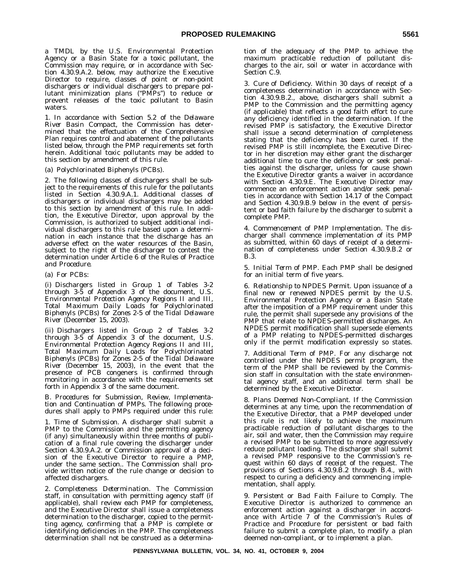a TMDL by the U.S. Environmental Protection Agency or a Basin State for a toxic pollutant, the Commission may require, or in accordance with Section 4.30.9.A.2. below, may authorize the Executive Director to require, classes of point or non-point dischargers or individual dischargers to prepare pollutant minimization plans (''PMPs'') to reduce or prevent releases of the toxic pollutant to Basin waters.

1. In accordance with Section 5.2 of the *Delaware River Basin Compact*, the Commission has determined that the effectuation of the Comprehensive Plan requires control and abatement of the pollutants listed below, through the PMP requirements set forth herein. Additional toxic pollutants may be added to this section by amendment of this rule.

(a) Polychlorinated Biphenyls (PCBs).

2. The following classes of dischargers shall be subject to the requirements of this rule for the pollutants listed in Section 4.30.9.A.1. Additional classes of dischargers or individual dischargers may be added to this section by amendment of this rule. In addition, the Executive Director, upon approval by the Commission, is authorized to subject additional individual dischargers to this rule based upon a determination in each instance that the discharge has an adverse effect on the water resources of the Basin, subject to the right of the discharger to contest the determination under Article 6 of the *Rules of Practice and Procedure*.

(a) For PCBs:

(i) Dischargers listed in Group 1 of Tables 3-2 through 3-5 of Appendix 3 of the document, *U.S. Environmental Protection Agency Regions II and III, Total Maximum Daily Loads for Polychlorinated Biphenyls (PCBs) for Zones 2-5 of the Tidal Delaware River* (December 15, 2003).

(ii) Dischargers listed in Group 2 of Tables 3-2 through 3-5 of Appendix 3 of the document, *U.S. Environmental Protection Agency Regions II and III, Total Maximum Daily Loads for Polychlorinated Biphenyls (PCBs) for Zones 2-5 of the Tidal Delaware River* (December 15, 2003), in the event that the presence of PCB congeners is confirmed through monitoring in accordance with the requirements set forth in Appendix 3 of the same document.

B. *Procedures for Submission, Review, Implementation and Continuation of PMPs*. The following procedures shall apply to PMPs required under this rule:

1. *Time of Submission*. A discharger shall submit a PMP to the Commission and the permitting agency (if any) simultaneously within three months of publication of a final rule covering the discharger under Section 4.30.9.A.2. or Commission approval of a decision of the Executive Director to require a PMP, under the same section.. The Commission shall provide written notice of the rule change or decision to affected dischargers.

2. *Completeness Determination*. The Commission staff, in consultation with permitting agency staff (if applicable), shall review each PMP for completeness, and the Executive Director shall issue a completeness determination to the discharger, copied to the permitting agency, confirming that a PMP is complete or identifying deficiencies in the PMP. The completeness determination shall not be construed as a determina-

tion of the adequacy of the PMP to achieve the maximum practicable reduction of pollutant discharges to the air, soil or water in accordance with Section C.9.

3. *Cure of Deficiency*. Within 30 days of receipt of a completeness determination in accordance with Section 4.30.9.B.2., above, dischargers shall submit a PMP to the Commission and the permitting agency (if applicable) that reflects a good faith effort to cure any deficiency identified in the determination. If the revised PMP is satisfactory, the Executive Director shall issue a second determination of completeness stating that the deficiency has been cured. If the revised PMP is still incomplete, the Executive Director in her discretion may either grant the discharger additional time to cure the deficiency or seek penalties against the discharger, unless for cause shown the Executive Director grants a waiver in accordance with Section 4.30.9.E. The Executive Director may commence an enforcement action and/or seek penalties in accordance with Section 14.17 of the *Compact* and Section 4.30.9.B.9 below in the event of persistent or bad faith failure by the discharger to submit a complete PMP.

4. *Commencement of PMP Implementation*. The discharger shall commence implementation of its PMP as submitted, within 60 days of receipt of a determination of completeness under Section 4.30.9.B.2 or B.3.

5. *Initial Term of PMP*. Each PMP shall be designed for an initial term of five years.

6. *Relationship to NPDES Permit*. Upon issuance of a final new or renewed NPDES permit by the U.S. Environmental Protection Agency or a Basin State after the imposition of a PMP requirement under this rule, the permit shall supersede any provisions of the PMP that relate to NPDES-permitted discharges. An NPDES permit modification shall supersede elements of a PMP relating to NPDES-permitted discharges only if the permit modification expressly so states.

7. *Additional Term of PMP*. For any discharge not controlled under the NPDES permit program, the term of the PMP shall be reviewed by the Commission staff in consultation with the state environmental agency staff, and an additional term shall be determined by the Executive Director.

8. *Plans Deemed Non-Compliant*. If the Commission determines at any time, upon the recommendation of the Executive Director, that a PMP developed under this rule is not likely to achieve the maximum practicable reduction of pollutant discharges to the air, soil and water, then the Commission may require a revised PMP to be submitted to more aggressively reduce pollutant loading. The discharger shall submit a revised PMP responsive to the Commission's request within 60 days of receipt of the request. The provisions of Sections 4.30.9.B.2 through B.4., with respect to curing a deficiency and commencing implementation, shall apply.

9. *Persistent or Bad Faith Failure to Comply*. The Executive Director is authorized to commence an enforcement action against a discharger in accordance with Article 7 of the Commission's *Rules of Practice and Procedure* for persistent or bad faith failure to submit a complete plan, to modify a plan deemed non-compliant, or to implement a plan.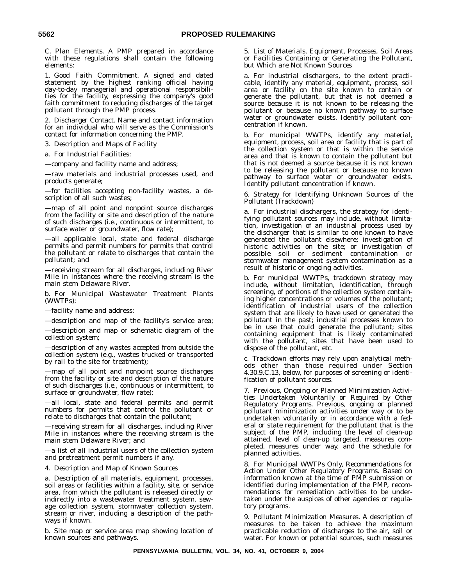C. *Plan Elements*. A PMP prepared in accordance with these regulations shall contain the following elements:

1. *Good Faith Commitment*. A signed and dated statement by the highest ranking official having day-to-day managerial and operational responsibilities for the facility, expressing the company's good faith commitment to reducing discharges of the target pollutant through the PMP process.

2. *Discharger Contact*. Name and contact information for an individual who will serve as the Commission's contact for information concerning the PMP.

3. *Description and Maps of Facility*

a. For Industrial Facilities:

—company and facility name and address;

—raw materials and industrial processes used, and products generate;

—for facilities accepting non-facility wastes, a description of all such wastes;

—map of all point and nonpoint source discharges from the facility or site and description of the nature of such discharges (i.e., continuous or intermittent, to surface water or groundwater, flow rate);

—all applicable local, state and federal discharge permits and permit numbers for permits that control the pollutant or relate to discharges that contain the pollutant; and

—receiving stream for all discharges, including River Mile in instances where the receiving stream is the main stem Delaware River.

b. For Municipal Wastewater Treatment Plants (WWTPs):

—facility name and address;

—description and map of the facility's service area;

—description and map or schematic diagram of the collection system;

—description of any wastes accepted from outside the collection system (e.g., wastes trucked or transported by rail to the site for treatment);

—map of all point and nonpoint source discharges from the facility or site and description of the nature of such discharges (i.e., continuous or intermittent, to surface or groundwater, flow rate);

—all local, state and federal permits and permit numbers for permits that control the pollutant or relate to discharges that contain the pollutant;

—receiving stream for all discharges, including River Mile in instances where the receiving stream is the main stem Delaware River; and

—a list of all industrial users of the collection system and pretreatment permit numbers if any.

4. *Description and Map of Known Sources*

a. Description of all materials, equipment, processes, soil areas or facilities within a facility, site, or service area, from which the pollutant is released directly or indirectly into a wastewater treatment system, sewage collection system, stormwater collection system, stream or river, including a description of the pathways if known.

b. Site map or service area map showing location of known sources and pathways.

5. *List of Materials, Equipment, Processes, Soil Areas or Facilities Containing or Generating the Pollutant, but Which are Not Known Sources*

a. For industrial dischargers, to the extent practicable, identify any material, equipment, process, soil area or facility on the site known to contain or generate the pollutant, but that is not deemed a source because it is not known to be releasing the pollutant or because no known pathway to surface water or groundwater exists. Identify pollutant concentration if known.

b. For municipal WWTPs, identify any material, equipment, process, soil area or facility that is part of the collection system or that is within the service area and that is known to contain the pollutant but that is not deemed a source because it is not known to be releasing the pollutant or because no known pathway to surface water or groundwater exists. Identify pollutant concentration if known.

6. *Strategy for Identifying Unknown Sources of the Pollutant (Trackdown)*

a. For industrial dischargers, the strategy for identifying pollutant sources may include, without limitation, investigation of an industrial process used by the discharger that is similar to one known to have generated the pollutant elsewhere; investigation of historic activities on the site; or investigation of possible soil or sediment contamination or stormwater management system contamination as a result of historic or ongoing activities.

b. For municipal WWTPs, trackdown strategy may include, without limitation, identification, through screening, of portions of the collection system containing higher concentrations or volumes of the pollutant; identification of industrial users of the collection system that are likely to have used or generated the pollutant in the past; industrial processes known to be in use that could generate the pollutant; sites containing equipment that is likely contaminated with the pollutant, sites that have been used to dispose of the pollutant, etc.

c. Trackdown efforts may rely upon analytical methods other than those required under Section 4.30.9.C.13, below, for purposes of screening or identification of pollutant sources.

7. *Previous, Ongoing or Planned Minimization Activities Undertaken Voluntarily or Required by Other Regulatory Programs*. Previous, ongoing or planned pollutant minimization activities under way or to be undertaken voluntarily or in accordance with a federal or state requirement for the pollutant that is the subject of the PMP, including the level of clean-up attained, level of clean-up targeted, measures completed, measures under way, and the schedule for planned activities.

8. *For Municipal WWTPs Only, Recommendations for Action Under Other Regulatory Programs*. Based on information known at the time of PMP submission or identified during implementation of the PMP, recommendations for remediation activities to be undertaken under the auspices of other agencies or regulatory programs.

9. *Pollutant Minimization Measures*. A description of measures to be taken to achieve the maximum practicable reduction of discharges to the air, soil or water. For known or potential sources, such measures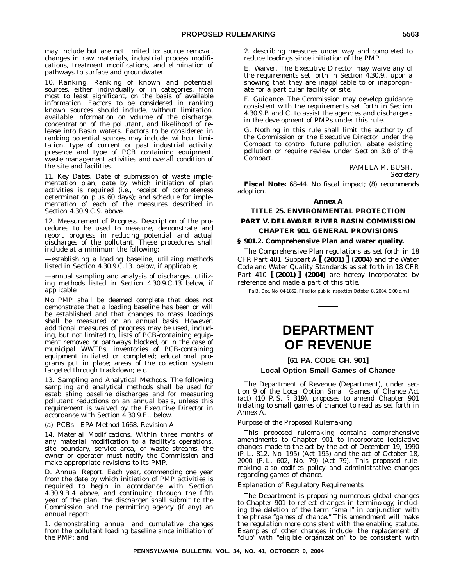may include but are not limited to: source removal, changes in raw materials, industrial process modifications, treatment modifications, and elimination of pathways to surface and groundwater.

10. *Ranking*. Ranking of known and potential sources, either individually or in categories, from most to least significant, on the basis of available information. Factors to be considered in ranking known sources should include, without limitation, available information on volume of the discharge, concentration of the pollutant, and likelihood of release into Basin waters. Factors to be considered in ranking potential sources may include, without limitation, type of current or past industrial activity, presence and type of PCB containing equipment, waste management activities and overall condition of the site and facilities.

11. *Key Dates*. Date of submission of waste implementation plan; date by which initiation of plan activities is required (i.e., receipt of completeness determination plus 60 days); and schedule for implementation of each of the measures described in Section 4.30.9.C.9. above.

12. *Measurement of Progress*. Description of the procedures to be used to measure, demonstrate and report progress in reducing potential and actual discharges of the pollutant. These procedures shall include at a minimum the following:

—establishing a loading baseline, utilizing methods listed in Section 4.30.9.C.13. below, if applicable;

—annual sampling and analysis of discharges, utilizing methods listed in Section 4.30.9.C.13 below, if applicable

No PMP shall be deemed complete that does not demonstrate that a loading baseline has been or will be established and that changes to mass loadings shall be measured on an annual basis. However, additional measures of progress may be used, including, but not limited to, lists of PCB-containing equipment removed or pathways blocked, or in the case of municipal WWTPs, inventories of PCB-containing equipment initiated or completed; educational programs put in place; areas of the collection system targeted through trackdown; etc.

13. *Sampling and Analytical Methods*. The following sampling and analytical methods shall be used for establishing baseline discharges and for measuring pollutant reductions on an annual basis, unless this requirement is waived by the Executive Director in accordance with Section 4.30.9.E., below.

(a) PCBs—EPA Method 1668, Revision A.

14. *Material Modifications*. Within three months of any material modification to a facility's operations, site boundary, service area, or waste streams, the owner or operator must notify the Commission and make appropriate revisions to its PMP.

D. *Annual Report*. Each year, commencing one year from the date by which initiation of PMP activities is required to begin in accordance with Section 4.30.9.B.4 above, and continuing through the fifth year of the plan, the discharger shall submit to the Commission and the permitting agency (if any) an annual report:

1. demonstrating annual and cumulative changes from the pollutant loading baseline since initiation of the PMP; and

2. describing measures under way and completed to reduce loadings since initiation of the PMP.

E. *Waiver*. The Executive Director may waive any of the requirements set forth in Section 4.30.9., upon a showing that they are inapplicable to or inappropriate for a particular facility or site.

F. *Guidance*. The Commission may develop guidance consistent with the requirements set forth in Section 4.30.9.B and C. to assist the agencies and dischargers in the development of PMPs under this rule.

G. Nothing in this rule shall limit the authority of the Commission or the Executive Director under the *Compact* to control future pollution, abate existing pollution or require review under Section 3.8 of the *Compact*.

> PAMELA M. BUSH, *Secretary*

**Fiscal Note:** 68-44. No fiscal impact; (8) recommends adoption.

#### **Annex A**

# **TITLE 25. ENVIRONMENTAL PROTECTION PART V. DELAWARE RIVER BASIN COMMISSION CHAPTER 901. GENERAL PROVISIONS**

#### **§ 901.2. Comprehensive Plan and water quality.**

The Comprehensive Plan regulations as set forth in 18 CFR Part 401, Subpart A **[ (2001) ] (2004)** and the Water Code and Water Quality Standards as set forth in 18 CFR Part 410 **[ (2001) ] (2004)** are hereby incorporated by reference and made a part of this title.

[Pa.B. Doc. No. 04-1852. Filed for public inspection October 8, 2004, 9:00 a.m.]

# **DEPARTMENT OF REVENUE**

# **[61 PA. CODE CH. 901]**

#### **Local Option Small Games of Chance**

The Department of Revenue (Department), under section 9 of the Local Option Small Games of Chance Act (act) (10 P. S. § 319), proposes to amend Chapter 901 (relating to small games of chance) to read as set forth in Annex A.

#### *Purpose of the Proposed Rulemaking*

This proposed rulemaking contains comprehensive amendments to Chapter 901 to incorporate legislative changes made to the act by the act of December 19, 1990 (P. L. 812, No. 195) (Act 195) and the act of October 18, 2000 (P. L. 602, No. 79) (Act 79). This proposed rulemaking also codifies policy and administrative changes regarding games of chance.

#### *Explanation of Regulatory Requirements*

The Department is proposing numerous global changes to Chapter 901 to reflect changes in terminology, including the deletion of the term ''small'' in conjunction with the phrase ''games of chance.'' This amendment will make the regulation more consistent with the enabling statute. Examples of other changes include: the replacement of "club" with "eligible organization" to be consistent with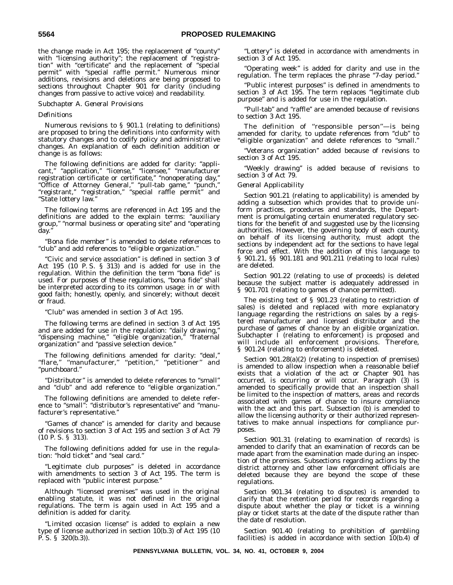the change made in Act 195; the replacement of ''county'' with ''licensing authority''; the replacement of ''registration'' with ''certificate'' and the replacement of ''special permit'' with ''special raffle permit.'' Numerous minor additions, revisions and deletions are being proposed to sections throughout Chapter 901 for clarity (including changes from passive to active voice) and readability.

#### *Subchapter A. General Provisions*

#### *Definitions*

Numerous revisions to § 901.1 (relating to definitions) are proposed to bring the definitions into conformity with statutory changes and to codify policy and administrative changes. An explanation of each definition addition or change is as follows:

The following definitions are added for clarity: ''applicant,'' ''application,'' ''license,'' ''licensee,'' ''manufacturer registration certificate or certificate,'' ''nonoperating day,'' ''Office of Attorney General,'' ''pull-tab game,'' ''punch,'' ''registrant,'' ''registration,'' ''special raffle permit'' and ''State lottery law.''

The following terms are referenced in Act 195 and the definitions are added to the explain terms: ''auxiliary group,'' ''normal business or operating site'' and ''operating day.''

''Bona fide member'' is amended to delete references to ''club'' and add references to ''eligible organization.''

''Civic and service association'' is defined in section 3 of Act 195 (10 P. S. § 313) and is added for use in the regulation. Within the definition the term ''bona fide'' is used. For purposes of these regulations, ''bona fide'' shall be interpreted according to its common usage: in or with good faith; honestly, openly, and sincerely; without deceit or fraud.

"Club" was amended in section 3 of Act 195.

The following terms are defined in section 3 of Act 195 and are added for use in the regulation: ''daily drawing,'' ''dispensing machine,'' ''eligible organization,'' ''fraternal organization'' and ''passive selection device.''

The following definitions amended for clarity: ''deal,'' ''flare,'' ''manufacturer,'' ''petition,'' ''petitioner'' and ''punchboard.''

''Distributor'' is amended to delete references to ''small'' and ''club'' and add reference to ''eligible organization.''

The following definitions are amended to delete reference to ''small'': ''distributor's representative'' and ''manufacturer's representative.''

"Games of chance" is amended for clarity and because of revisions to section 3 of Act 195 and section 3 of Act 79 (10 P. S. § 313).

The following definitions added for use in the regulation: ''hold ticket'' and ''seal card.''

"Legitimate club purposes" is deleted in accordance with amendments to section 3 of Act 195. The term is replaced with ''public interest purpose.''

Although ''licensed premises'' was used in the original enabling statute, it was not defined in the original regulations. The term is again used in Act 195 and a definition is added for clarity.

"Limited occasion license" is added to explain a new type of license authorized in section 10(b.3) of Act 195 (10 P. S. § 320(b.3)).

"Lottery" is deleted in accordance with amendments in section 3 of Act 195.

"Operating week" is added for clarity and use in the regulation. The term replaces the phrase ''7-day period.''

"Public interest purposes" is defined in amendments to section 3 of Act 195. The term replaces ''legitimate club purpose'' and is added for use in the regulation.

''Pull-tab'' and ''raffle'' are amended because of revisions to section 3 Act 195.

The definition of ''responsible person''—is being amended for clarity, to update references from ''club'' to ''eligible organization'' and delete references to ''small.''

''Veterans organization'' added because of revisions to section 3 of Act 195.

'Weekly drawing" is added because of revisions to section 3 of Act 79.

#### *General Applicability*

Section 901.21 (relating to applicability) is amended by adding a subsection which provides that to provide uniform practices, procedures and standards, the Department is promulgating certain enumerated regulatory sections for the benefit of and suggested use by the licensing authorities. However, the governing body of each county, on behalf of its licensing authority, must adopt the sections by independent act for the sections to have legal force and effect. With the addition of this language to § 901.21, §§ 901.181 and 901.211 (relating to local rules) are deleted.

Section 901.22 (relating to use of proceeds) is deleted because the subject matter is adequately addressed in § 901.701 (relating to games of chance permitted).

The existing text of § 901.23 (relating to restriction of sales) is deleted and replaced with more explanatory language regarding the restrictions on sales by a registered manufacturer and licensed distributor and the purchase of games of chance by an eligible organization. Subchapter I (relating to enforcement) is proposed and will include all enforcement provisions. Therefore, § 901.24 (relating to enforcement) is deleted.

Section 901.28(a)(2) (relating to inspection of premises) is amended to allow inspection when a reasonable belief exists that a violation of the act or Chapter 901 has occurred, is occurring or will occur. Paragraph (3) is amended to specifically provide that an inspection shall be limited to the inspection of matters, areas and records associated with games of chance to insure compliance with the act and this part. Subsection (b) is amended to allow the licensing authority or their authorized representatives to make annual inspections for compliance purposes.

Section 901.31 (relating to examination of records) is amended to clarify that an examination of records can be made apart from the examination made during an inspection of the premises. Subsections regarding actions by the district attorney and other law enforcement officials are deleted because they are beyond the scope of these regulations.

Section 901.34 (relating to disputes) is amended to clarify that the retention period for records regarding a dispute about whether the play or ticket is a winning play or ticket starts at the date of the dispute rather than the date of resolution.

Section 901.40 (relating to prohibition of gambling facilities) is added in accordance with section 10(b.4) of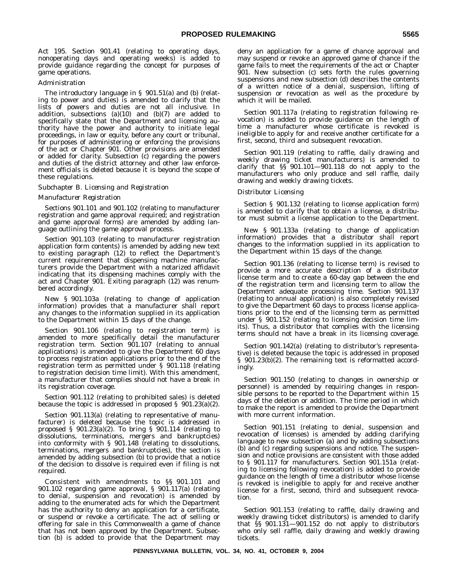Act 195. Section 901.41 (relating to operating days, nonoperating days and operating weeks) is added to provide guidance regarding the concept for purposes of game operations.

#### *Administration*

The introductory language in § 901.51(a) and (b) (relating to power and duties) is amended to clarify that the lists of powers and duties are not all inclusive. In addition, subsections  $(a)(10)$  and  $(b)(7)$  are added to specifically state that the Department and licensing authority have the power and authority to initiate legal proceedings, in law or equity, before any court or tribunal, for purposes of administering or enforcing the provisions of the act or Chapter 901. Other provisions are amended or added for clarity. Subsection (c) regarding the powers and duties of the district attorney and other law enforcement officials is deleted because it is beyond the scope of these regulations.

#### *Subchapter B. Licensing and Registration*

#### *Manufacturer Registration*

Sections 901.101 and 901.102 (relating to manufacturer registration and game approval required; and registration and game approval forms) are amended by adding language outlining the game approval process.

Section 901.103 (relating to manufacturer registration application form contents) is amended by adding new text to existing paragraph (12) to reflect the Department's current requirement that dispensing machine manufacturers provide the Department with a notarized affidavit indicating that its dispensing machines comply with the act and Chapter 901. Exiting paragraph (12) was renumbered accordingly.

New § 901.103a (relating to change of application information) provides that a manufacturer shall report any changes to the information supplied in its application to the Department within 15 days of the change.

Section 901.106 (relating to registration term) is amended to more specifically detail the manufacturer registration term. Section 901.107 (relating to annual applications) is amended to give the Department 60 days to process registration applications prior to the end of the registration term as permitted under § 901.118 (relating to registration decision time limit). With this amendment, a manufacturer that complies should not have a break in its registration coverage.

Section 901.112 (relating to prohibited sales) is deleted because the topic is addressed in proposed  $\S$  901.23(a)(2).

Section 901.113(a) (relating to representative of manufacturer) is deleted because the topic is addressed in proposed § 901.23(a)(2). To bring § 901.114 (relating to dissolutions, terminations, mergers and bankruptcies) into conformity with § 901.148 (relating to dissolutions, terminations, mergers and bankruptcies), the section is amended by adding subsection (b) to provide that a notice of the decision to dissolve is required even if filing is not required.

Consistent with amendments to §§ 901.101 and 901.102 regarding game approval, § 901.117(a) (relating to denial, suspension and revocation) is amended by adding to the enumerated acts for which the Department has the authority to deny an application for a certificate, or suspend or revoke a certificate. The act of selling or offering for sale in this Commonwealth a game of chance that has not been approved by the Department. Subsection (b) is added to provide that the Department may deny an application for a game of chance approval and may suspend or revoke an approved game of chance if the game fails to meet the requirements of the act or Chapter 901. New subsection (c) sets forth the rules governing suspensions and new subsection (d) describes the contents of a written notice of a denial, suspension, lifting of suspension or revocation as well as the procedure by which it will be mailed.

Section 901.117a (relating to registration following revocation) is added to provide guidance on the length of time a manufacturer whose certificate is revoked is ineligible to apply for and receive another certificate for a first, second, third and subsequent revocation.

Section 901.119 (relating to raffle, daily drawing and weekly drawing ticket manufacturers) is amended to clarify that §§ 901.101—901.118 do not apply to the manufacturers who only produce and sell raffle, daily drawing and weekly drawing tickets.

#### *Distributor Licensing*

Section § 901.132 (relating to license application form) is amended to clarify that to obtain a license, a distributor must submit a license application to the Department.

New § 901.133a (relating to change of application information) provides that a distributor shall report changes to the information supplied in its application to the Department within 15 days of the change.

Section 901.136 (relating to license term) is revised to provide a more accurate description of a distributor license term and to create a 60-day gap between the end of the registration term and licensing term to allow the Department adequate processing time. Section 901.137 (relating to annual application) is also completely revised to give the Department 60 days to process license applications prior to the end of the licensing term as permitted under § 901.152 (relating to licensing decision time limits). Thus, a distributor that complies with the licensing terms should not have a break in its licensing coverage.

Section 901.142(a) (relating to distributor's representative) is deleted because the topic is addressed in proposed § 901.23(b)(2). The remaining text is reformatted accordingly.

Section 901.150 (relating to changes in ownership or personnel) is amended by requiring changes in responsible persons to be reported to the Department within 15 days of the deletion or addition. The time period in which to make the report is amended to provide the Department with more current information.

Section 901.151 (relating to denial, suspension and revocation of licenses) is amended by adding clarifying language to new subsection (a) and by adding subsections (b) and (c) regarding suspensions and notice. The suspension and notice provisions are consistent with those added to § 901.117 for manufacturers. Section 901.151a (relating to licensing following revocation) is added to provide guidance on the length of time a distributor whose license is revoked is ineligible to apply for and receive another license for a first, second, third and subsequent revocation.

Section 901.153 (relating to raffle, daily drawing and weekly drawing ticket distributors) is amended to clarify that §§ 901.131—901.152 do not apply to distributors who only sell raffle, daily drawing and weekly drawing tickets.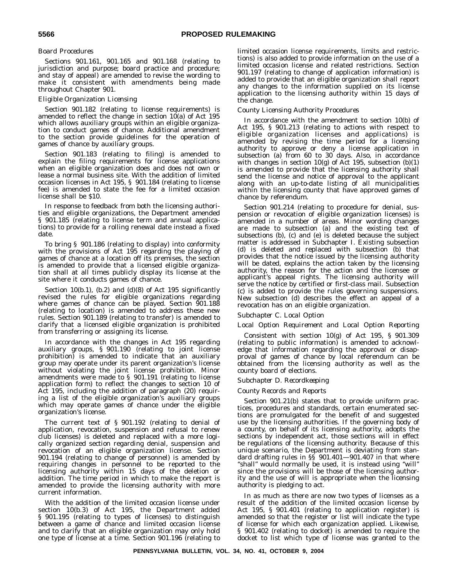#### *Board Procedures*

Sections 901.161, 901.165 and 901.168 (relating to jurisdiction and purpose; board practice and procedure; and stay of appeal) are amended to revise the wording to make it consistent with amendments being made throughout Chapter 901.

#### *Eligible Organization Licensing*

Section 901.182 (relating to license requirements) is amended to reflect the change in section  $10(a)$  of Act 195 which allows auxiliary groups within an eligible organization to conduct games of chance. Additional amendment to the section provide guidelines for the operation of games of chance by auxiliary groups.

Section 901.183 (relating to filing) is amended to explain the filing requirements for license applications when an eligible organization does and does not own or lease a normal business site. With the addition of limited occasion licenses in Act 195, § 901.184 (relating to license fee) is amended to state the fee for a limited occasion license shall be \$10.

In response to feedback from both the licensing authorities and eligible organizations, the Department amended § 901.185 (relating to license term and annual applications) to provide for a rolling renewal date instead a fixed date.

To bring § 901.186 (relating to display) into conformity with the provisions of Act 195 regarding the playing of games of chance at a location off its premises, the section is amended to provide that a licensed eligible organization shall at all times publicly display its license at the site where it conducts games of chance.

Section 10(b.1), (b.2) and (d)(8) of Act 195 significantly revised the rules for eligible organizations regarding where games of chance can be played. Section 901.188 (relating to location) is amended to address these new rules. Section 901.189 (relating to transfer) is amended to clarify that a licensed eligible organization is prohibited from transferring or assigning its license.

In accordance with the changes in Act 195 regarding auxiliary groups, § 901.190 (relating to joint license prohibition) is amended to indicate that an auxiliary group may operate under its parent organization's license without violating the joint license prohibition. Minor amendments were made to § 901.191 (relating to license application form) to reflect the changes to section 10 of Act 195, including the addition of paragraph (20) requiring a list of the eligible organization's auxiliary groups which may operate games of chance under the eligible organization's license.

The current text of § 901.192 (relating to denial of application, revocation, suspension and refusal to renew club licenses) is deleted and replaced with a more logically organized section regarding denial, suspension and revocation of an eligible organization license. Section 901.194 (relating to change of personnel) is amended by requiring changes in personnel to be reported to the licensing authority within 15 days of the deletion or addition. The time period in which to make the report is amended to provide the licensing authority with more current information.

With the addition of the limited occasion license under section 10(b.3) of Act 195, the Department added § 901.195 (relating to types of licenses) to distinguish between a game of chance and limited occasion license and to clarify that an eligible organization may only hold one type of license at a time. Section 901.196 (relating to

limited occasion license requirements, limits and restrictions) is also added to provide information on the use of a limited occasion license and related restrictions. Section 901.197 (relating to change of application information) is added to provide that an eligible organization shall report any changes to the information supplied on its license application to the licensing authority within 15 days of the change.

### *County Licensing Authority Procedures*

In accordance with the amendment to section 10(b) of Act 195, § 901.213 (relating to actions with respect to eligible organization licenses and applications) is amended by revising the time period for a licensing authority to approve or deny a license application in subsection (a) from 60 to 30 days. Also, in accordance with changes in section 10(g) of Act 195, subsection (b)(1) is amended to provide that the licensing authority shall send the license and notice of approval to the applicant along with an up-to-date listing of all municipalities within the licensing county that have approved games of chance by referendum.

Section 901.214 (relating to procedure for denial, suspension or revocation of eligible organization licenses) is amended in a number of areas. Minor wording changes are made to subsection (a) and the existing text of subsections (b), (c) and (e) is deleted because the subject matter is addressed in Subchapter I. Existing subsection (d) is deleted and replaced with subsection (b) that provides that the notice issued by the licensing authority will be dated, explains the action taken by the licensing authority, the reason for the action and the licensee or applicant's appeal rights. The licensing authority will serve the notice by certified or first-class mail. Subsection (c) is added to provide the rules governing suspensions. New subsection (d) describes the effect an appeal of a revocation has on an eligible organization.

# *Subchapter C. Local Option*

# *Local Option Requirement and Local Option Reporting*

Consistent with section 10(g) of Act 195, § 901.309 (relating to public information) is amended to acknowledge that information regarding the approval or disapproval of games of chance by local referendum can be obtained from the licensing authority as well as the county board of elections.

# *Subchapter D. Recordkeeping*

#### *County Records and Reports*

Section 901.21(b) states that to provide uniform practices, procedures and standards, certain enumerated sections are promulgated for the benefit of and suggested use by the licensing authorities. If the governing body of a county, on behalf of its licensing authority, adopts the sections by independent act, those sections will in effect be regulations of the licensing authority. Because of this unique scenario, the Department is deviating from standard drafting rules in §§ 901.401—901.407 in that where ''shall'' would normally be used, it is instead using ''will'' since the provisions will be those of the licensing authority and the use of will is appropriate when the licensing authority is pledging to act.

In as much as there are now two types of licenses as a result of the addition of the limited occasion license by Act 195, § 901.401 (relating to application register) is amended so that the register or list will indicate the type of license for which each organization applied. Likewise, § 901.402 (relating to docket) is amended to require the docket to list which type of license was granted to the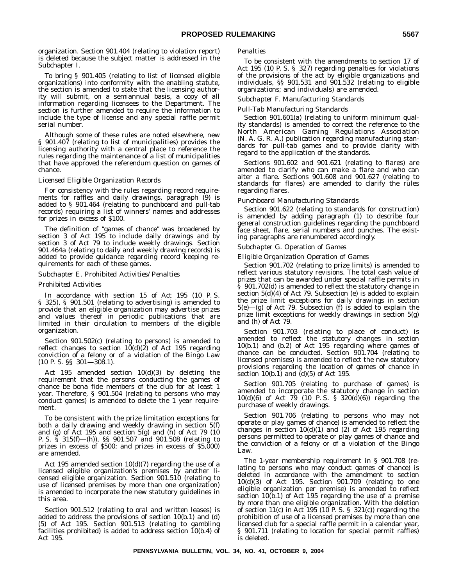organization. Section 901.404 (relating to violation report) is deleted because the subject matter is addressed in the Subchapter I.

To bring § 901.405 (relating to list of licensed eligible organizations) into conformity with the enabling statute, the section is amended to state that the licensing authority will submit, on a semiannual basis, a copy of all information regarding licensees to the Department. The section is further amended to require the information to include the type of license and any special raffle permit serial number.

Although some of these rules are noted elsewhere, new § 901.407 (relating to list of municipalities) provides the licensing authority with a central place to reference the rules regarding the maintenance of a list of municipalities that have approved the referendum question on games of chance.

#### *Licensed Eligible Organization Records*

For consistency with the rules regarding record requirements for raffles and daily drawings, paragraph (9) is added to § 901.464 (relating to punchboard and pull-tab records) requiring a list of winners' names and addresses for prizes in excess of \$100.

The definition of ''games of chance'' was broadened by section 3 of Act 195 to include daily drawings and by section 3 of Act 79 to include weekly drawings. Section 901.464a (relating to daily and weekly drawing records) is added to provide guidance regarding record keeping requirements for each of these games.

### *Subchapter E. Prohibited Activities/Penalties*

#### *Prohibited Activities*

In accordance with section 15 of Act 195 (10 P. S. § 325), § 901.501 (relating to advertising) is amended to provide that an eligible organization may advertise prizes and values thereof in periodic publications that are limited in their circulation to members of the eligible organization.

Section 901.502(c) (relating to persons) is amended to reflect changes to section  $10(d)(2)$  of Act 195 regarding conviction of a felony or of a violation of the Bingo Law (10 P. S. §§ 301—308.1).

Act 195 amended section 10(d)(3) by deleting the requirement that the persons conducting the games of chance be bona fide members of the club for at least 1 year. Therefore, § 901.504 (relating to persons who may conduct games) is amended to delete the 1 year requirement.

To be consistent with the prize limitation exceptions for both a daily drawing and weekly drawing in section 5(f) and (g) of Act 195 and section 5(g) and (h) of Act 79 (10 P. S. § 315(f)—(h)), §§ 901.507 and 901.508 (relating to prizes in excess of \$500; and prizes in excess of \$5,000) are amended.

Act 195 amended section 10(d)(7) regarding the use of a licensed eligible organization's premises by another licensed eligible organization. Section 901.510 (relating to use of licensed premises by more than one organization) is amended to incorporate the new statutory guidelines in this area.

Section 901.512 (relating to oral and written leases) is added to address the provisions of section 10(b.1) and (d) (5) of Act 195. Section 901.513 (relating to gambling facilities prohibited) is added to address section  $10(b.4)$  of Act 195.

#### *Penalties*

To be consistent with the amendments to section 17 of Act 195 (10 P. S. § 327) regarding penalties for violations of the provisions of the act by eligible organizations and individuals, §§ 901.531 and 901.532 (relating to eligible organizations; and individuals) are amended.

#### *Subchapter F. Manufacturing Standards*

#### *Pull-Tab Manufacturing Standards*

Section 901.601(a) (relating to uniform minimum quality standards) is amended to correct the reference to the North American Gaming Regulations Association (N. A. G. R. A.) publication regarding manufacturing standards for pull-tab games and to provide clarity with regard to the application of the standards.

Sections 901.602 and 901.621 (relating to flares) are amended to clarify who can make a flare and who can alter a flare. Sections 901.608 and 901.627 (relating to standards for flares) are amended to clarify the rules regarding flares.

#### *Punchboard Manufacturing Standards*

Section 901.622 (relating to standards for construction) is amended by adding paragraph (1) to describe four general construction guidelines regarding the punchboard face sheet, flare, serial numbers and punches. The existing paragraphs are renumbered accordingly.

#### *Subchapter G. Operation of Games*

#### *Eligible Organization Operation of Games*

Section 901.702 (relating to prize limits) is amended to reflect various statutory revisions. The total cash value of prizes that can be awarded under special raffle permits in § 901.702(d) is amended to reflect the statutory change in section 5(d)(4) of Act 79. Subsection (e) is added to explain the prize limit exceptions for daily drawings in section 5(e)—(g) of Act 79. Subsection (f) is added to explain the prize limit exceptions for weekly drawings in section 5(g) and (h) of Act 79.

Section 901.703 (relating to place of conduct) is amended to reflect the statutory changes in section 10(b.1) and (b.2) of Act 195 regarding where games of chance can be conducted. Section 901.704 (relating to licensed premises) is amended to reflect the new statutory provisions regarding the location of games of chance in section  $10(b.1)$  and  $\overline{d}(0.5)$  of Act 195.

Section 901.705 (relating to purchase of games) is amended to incorporate the statutory change in section 10(d)(6) of Act 79 (10 P. S. § 320(d)(6)) regarding the purchase of weekly drawings.

Section 901.706 (relating to persons who may not operate or play games of chance) is amended to reflect the changes in section 10(d)(1) and (2) of Act 195 regarding persons permitted to operate or play games of chance and the conviction of a felony or of a violation of the Bingo Law.

The 1-year membership requirement in § 901.708 (relating to persons who may conduct games of chance) is deleted in accordance with the amendment to section 10(d)(3) of Act 195. Section 901.709 (relating to one eligible organization per premise) is amended to reflect section 10(b.1) of Act 195 regarding the use of a premise by more than one eligible organization. With the deletion of section 11(c) in Act 195 (10 P. S.  $\S$  321(c)) regarding the prohibition of use of a licensed premises by more than one licensed club for a special raffle permit in a calendar year, § 901.711 (relating to location for special permit raffles) is deleted.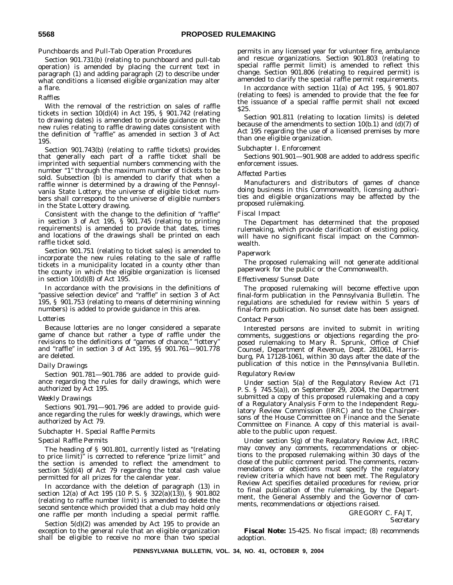#### *Punchboards and Pull-Tab Operation Procedures*

Section 901.731(b) (relating to punchboard and pull-tab operation) is amended by placing the current text in paragraph (1) and adding paragraph (2) to describe under what conditions a licensed eligible organization may alter a flare.

#### *Raffles*

With the removal of the restriction on sales of raffle tickets in section 10(d)(4) in Act 195, § 901.742 (relating to drawing dates) is amended to provide guidance on the new rules relating to raffle drawing dates consistent with the definition of ''raffle'' as amended in section 3 of Act 195.

Section 901.743(b) (relating to raffle tickets) provides that generally each part of a raffle ticket shall be imprinted with sequential numbers commencing with the number "1" through the maximum number of tickets to be sold. Subsection (b) is amended to clarify that when a raffle winner is determined by a drawing of the Pennsylvania State Lottery, the universe of eligible ticket numbers shall correspond to the universe of eligible numbers in the State Lottery drawing.

Consistent with the change to the definition of ''raffle'' in section 3 of Act 195, § 901.745 (relating to printing requirements) is amended to provide that dates, times and locations of the drawings shall be printed on each raffle ticket sold.

Section 901.751 (relating to ticket sales) is amended to incorporate the new rules relating to the sale of raffle tickets in a municipality located in a county other than the county in which the eligible organization is licensed in section  $10(d)(8)$  of Act 195.

In accordance with the provisions in the definitions of "passive selection device" and "raffle" in section 3 of Act 195, § 901.753 (relating to means of determining winning numbers) is added to provide guidance in this area.

#### *Lotteries*

Because lotteries are no longer considered a separate game of chance but rather a type of raffle under the revisions to the definitions of "games of chance," "lottery' and ''raffle'' in section 3 of Act 195, §§ 901.761—901.778 are deleted.

#### *Daily Drawings*

Section 901.781—901.786 are added to provide guidance regarding the rules for daily drawings, which were authorized by Act 195.

#### *Weekly Drawings*

Sections 901.791—901.796 are added to provide guidance regarding the rules for weekly drawings, which were authorized by Act 79.

# *Subchapter H. Special Raffle Permits*

#### *Special Raffle Permits*

The heading of § 901.801, currently listed as "(relating to price limit)'' is corrected to reference ''prize limit'' and the section is amended to reflect the amendment to section 5(d)(4) of Act 79 regarding the total cash value permitted for all prizes for the calendar year.

In accordance with the deletion of paragraph (13) in section 12(a) of Act 195 (10 P. S. § 322(a)(13)), § 901.802 (relating to raffle number limit) is amended to delete the second sentence which provided that a club may hold only one raffle per month including a special permit raffle.

Section 5(d)(2) was amended by Act 195 to provide an exception to the general rule that an eligible organization shall be eligible to receive no more than two special permits in any licensed year for volunteer fire, ambulance and rescue organizations. Section 901.803 (relating to special raffle permit limit) is amended to reflect this change. Section 901.806 (relating to required permit) is amended to clarify the special raffle permit requirements.

In accordance with section 11(a) of Act 195, § 901.807 (relating to fees) is amended to provide that the fee for the issuance of a special raffle permit shall not exceed \$25.

Section 901.811 (relating to location limits) is deleted because of the amendments to section  $10(b.1)$  and  $(d)(7)$  of Act 195 regarding the use of a licensed premises by more than one eligible organization.

#### *Subchapter I. Enforcement*

Sections 901.901—901.908 are added to address specific enforcement issues.

#### *Affected Parties*

Manufacturers and distributors of games of chance doing business in this Commonwealth, licensing authorities and eligible organizations may be affected by the proposed rulemaking.

#### *Fiscal Impact*

The Department has determined that the proposed rulemaking, which provide clarification of existing policy, will have no significant fiscal impact on the Commonwealth.

#### *Paperwork*

The proposed rulemaking will not generate additional paperwork for the public or the Commonwealth.

#### *Effectiveness/Sunset Date*

The proposed rulemaking will become effective upon final-form publication in the *Pennsylvania Bulletin*. The regulations are scheduled for review within 5 years of final-form publication. No sunset date has been assigned.

#### *Contact Person*

Interested persons are invited to submit in writing comments, suggestions or objections regarding the proposed rulemaking to Mary R. Sprunk, Office of Chief Counsel, Department of Revenue, Dept. 281061, Harrisburg, PA 17128-1061, within 30 days after the date of the publication of this notice in the *Pennsylvania Bulletin*.

#### *Regulatory Review*

Under section 5(a) of the Regulatory Review Act (71 P. S. § 745.5(a)), on September 29, 2004, the Department submitted a copy of this proposed rulemaking and a copy of a Regulatory Analysis Form to the Independent Regulatory Review Commission (IRRC) and to the Chairpersons of the House Committee on Finance and the Senate Committee on Finance. A copy of this material is available to the public upon request.

Under section 5(g) of the Regulatory Review Act, IRRC may convey any comments, recommendations or objections to the proposed rulemaking within 30 days of the close of the public comment period. The comments, recommendations or objections must specify the regulatory review criteria which have not been met. The Regulatory Review Act specifies detailed procedures for review, prior to final publication of the rulemaking, by the Department, the General Assembly and the Governor of comments, recommendations or objections raised.

> GREGORY C. FAJT, *Secretary*

**Fiscal Note:** 15-425. No fiscal impact; (8) recommends adoption.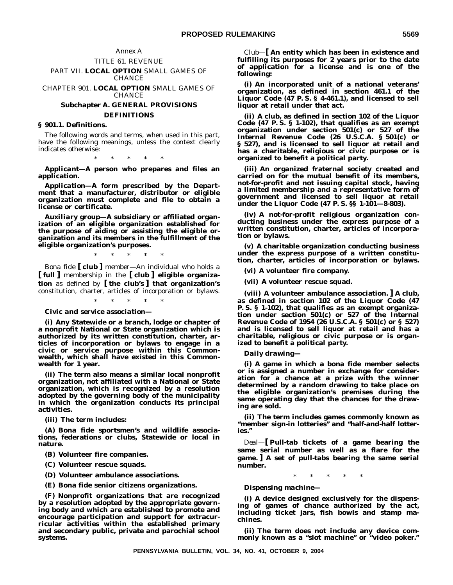# TITLE 61. REVENUE

PART VII. **LOCAL OPTION** SMALL GAMES OF CHANCE

CHAPTER 901. **LOCAL OPTION** SMALL GAMES OF CHANCE

# **Subchapter A. GENERAL PROVISIONS DEFINITIONS**

#### **§ 901.1. Definitions.**

The following words and terms, when used in this part, have the following meanings, unless the context clearly indicates otherwise:

\*\*\*\*\*

*Applicant—***A person who prepares and files an application.**

*Application—***A form prescribed by the Department that a manufacturer, distributor or eligible organization must complete and file to obtain a license or certificate.**

*Auxiliary group—***A subsidiary or affiliated organization of an eligible organization established for the purpose of aiding or assisting the eligible organization and its members in the fulfillment of the eligible organization's purposes.**

*Bona fide* **[** *club* **]** *member—*An individual who holds a **[ full ]** membership in the **[ club ] eligible organization** as defined by **[ the club's ] that organization's** constitution, charter, articles of incorporation or bylaws.

\*\*\*\*\*

\*\*\*\*\*

*Civic and service association—*

**(i) Any Statewide or a branch, lodge or chapter of a nonprofit National or State organization which is authorized by its written constitution, charter, articles of incorporation or bylaws to engage in a civic or service purpose within this Commonwealth, which shall have existed in this Commonwealth for 1 year.**

**(ii) The term also means a similar local nonprofit organization, not affiliated with a National or State organization, which is recognized by a resolution adopted by the governing body of the municipality in which the organization conducts its principal activities.**

**(iii) The term includes:**

**(A) Bona fide sportsmen's and wildlife associations, federations or clubs, Statewide or local in nature.**

**(B) Volunteer fire companies.**

**(C) Volunteer rescue squads.**

**(D) Volunteer ambulance associations.**

**(E) Bona fide senior citizens organizations.**

**(F) Nonprofit organizations that are recognized by a resolution adopted by the appropriate governing body and which are established to promote and encourage participation and support for extracurricular activities within the established primary and secondary public, private and parochial school systems.**

*Club—***[ An entity which has been in existence and fulfilling its purposes for 2 years prior to the date of application for a license and is one of the following:**

**(i) An incorporated unit of a national veterans' organization, as defined in section 461.1 of the Liquor Code (47 P. S. § 4-461.1), and licensed to sell liquor at retail under that act.**

**(ii) A club, as defined in section 102 of the Liquor Code (47 P. S. § 1-102), that qualifies as an exempt organization under section 501(c) or 527 of the Internal Revenue Code (26 U.S.C.A. § 501(c) or § 527), and is licensed to sell liquor at retail and has a charitable, religious or civic purpose or is organized to benefit a political party.**

**(iii) An organized fraternal society created and carried on for the mutual benefit of its members, not-for-profit and not issuing capital stock, having a limited membership and a representative form of government and licensed to sell liquor at retail under the Liquor Code (47 P. S. §§ 1-101—8-803).**

**(iv) A not-for-profit religious organization conducting business under the express purpose of a written constitution, charter, articles of incorporation or bylaws.**

**(v) A charitable organization conducting business under the express purpose of a written constitution, charter, articles of incorporation or bylaws.**

**(vi) A volunteer fire company.**

**(vii) A volunteer rescue squad.**

**(viii) A volunteer ambulance association. ] A club, as defined in section 102 of the Liquor Code (47 P. S. § 1-102), that qualifies as an exempt organization under section 501(c) or 527 of the Internal Revenue Code of 1954 (26 U.S.C.A. § 501(c) or § 527) and is licensed to sell liquor at retail and has a charitable, religious or civic purpose or is organized to benefit a political party.**

*Daily drawing—*

**(i) A game in which a bona fide member selects or is assigned a number in exchange for consideration for a chance at a prize with the winner determined by a random drawing to take place on the eligible organization's premises during the same operating day that the chances for the drawing are sold.**

**(ii) The term includes games commonly known as ''member sign-in lotteries'' and ''half-and-half lotteries.''**

*Deal—***[ Pull-tab tickets of a game bearing the same serial number as well as a flare for the game. ] A set of pull-tabs bearing the same serial number.**

 $*$  \*

*Dispensing machine—*

**(i) A device designed exclusively for the dispensing of games of chance authorized by the act, including ticket jars, fish bowls and stamp machines.**

**(ii) The term does not include any device commonly known as a ''slot machine'' or ''video poker.''**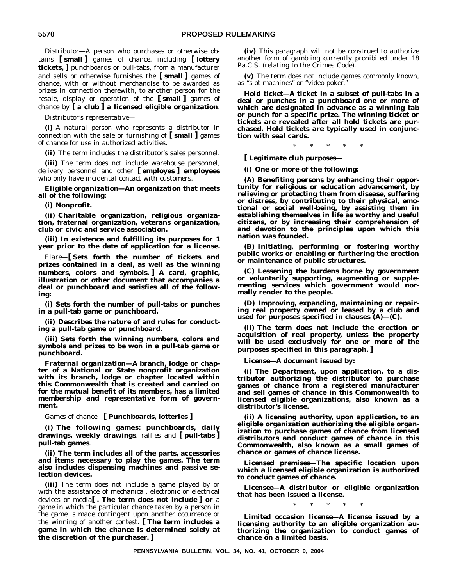*Distributor—*A person who purchases or otherwise obtains **[ small ]** games of chance, including **[ lottery tickets, ]** punchboards or pull-tabs, from a manufacturer and sells or otherwise furnishes the **[ small ]** games of chance, with or without merchandise to be awarded as prizes in connection therewith, to another person for the resale, display or operation of the **[ small ]** games of chance by **[ a club ] a licensed eligible organization**.

*Distributor's representative—*

**(i)** A natural person who represents a distributor in connection with the sale or furnishing of **[ small ]** games of chance for use in authorized activities.

**(ii)** The term includes the distributor's sales personnel.

**(iii)** The term does not include warehouse personnel, delivery personnel and other **[ employes ] employees** who only have incidental contact with customers.

*Eligible organization—***An organization that meets all of the following:**

**(i) Nonprofit.**

**(ii) Charitable organization, religious organization, fraternal organization, veterans organization, club or civic and service association.**

**(iii) In existence and fulfilling its purposes for 1 year prior to the date of application for a license.**

*Flare—***[ Sets forth the number of tickets and prizes contained in a deal, as well as the winning numbers, colors and symbols. ] A card, graphic, illustration or other document that accompanies a deal or punchboard and satisfies all of the following:**

**(i) Sets forth the number of pull-tabs or punches in a pull-tab game or punchboard.**

**(ii) Describes the nature of and rules for conducting a pull-tab game or punchboard.**

**(iii) Sets forth the winning numbers, colors and symbols and prizes to be won in a pull-tab game or punchboard.**

*Fraternal organization—***A branch, lodge or chapter of a National or State nonprofit organization with its branch, lodge or chapter located within this Commonwealth that is created and carried on for the mutual benefit of its members, has a limited membership and representative form of government.**

*Games of chance—***[ Punchboards, lotteries ]**

**(i) The following games: punchboards, daily drawings, weekly drawings**, raffles and **[ pull-tabs ] pull-tab games**.

**(ii) The term includes all of the parts, accessories and items necessary to play the games. The term also includes dispensing machines and passive selection devices.**

**(iii)** The term does not include a game played by or with the assistance of mechanical, electronic or electrical devices or media**[ . The term does not include ] or** a game in which the particular chance taken by a person in the game is made contingent upon another occurrence or the winning of another contest. **[ The term includes a game in which the chance is determined solely at the discretion of the purchaser. ]**

**(iv)** This paragraph will not be construed to authorize another form of gambling currently prohibited under 18 Pa.C.S. (relating to the Crimes Code).

**(v)** The term does not include games commonly known, as ''slot machines'' or ''video poker.''

*Hold ticket—***A ticket in a subset of pull-tabs in a deal or punches in a punchboard one or more of which are designated in advance as a winning tab or punch for a specific prize. The winning ticket or tickets are revealed after all hold tickets are purchased. Hold tickets are typically used in conjunction with seal cards.**

 $*$  \* \*

**[** *Legitimate club purposes—*

**(i) One or more of the following:**

**(A) Benefiting persons by enhancing their opportunity for religious or education advancement, by relieving or protecting them from disease, suffering or distress, by contributing to their physical, emotional or social well-being, by assisting them in establishing themselves in life as worthy and useful citizens, or by increasing their comprehension of and devotion to the principles upon which this nation was founded.**

**(B) Initiating, performing or fostering worthy public works or enabling or furthering the erection or maintenance of public structures.**

**(C) Lessening the burdens borne by government or voluntarily supporting, augmenting or supplementing services which government would normally render to the people.**

**(D) Improving, expanding, maintaining or repairing real property owned or leased by a club and used for purposes specified in clauses (A)—(C).**

**(ii) The term does not include the erection or acquisition of real property, unless the property will be used exclusively for one or more of the purposes specified in this paragraph. ]**

*License—***A document issued by:**

**(i) The Department, upon application, to a distributor authorizing the distributor to purchase games of chance from a registered manufacturer and sell games of chance in this Commonwealth to licensed eligible organizations, also known as a distributor's license.**

**(ii) A licensing authority, upon application, to an eligible organization authorizing the eligible organization to purchase games of chance from licensed distributors and conduct games of chance in this Commonwealth, also known as a small games of chance or games of chance license.**

*Licensed premises—***The specific location upon which a licensed eligible organization is authorized to conduct games of chance.**

*Licensee—***A distributor or eligible organization that has been issued a license.**

\*\*\*\*\*

*Limited occasion license—***A license issued by a licensing authority to an eligible organization authorizing the organization to conduct games of chance on a limited basis.**

**PENNSYLVANIA BULLETIN, VOL. 34, NO. 41, OCTOBER 9, 2004**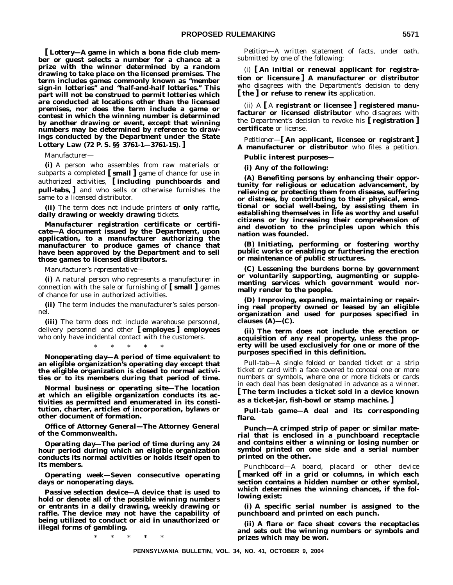**[** *Lottery—***A game in which a bona fide club member or guest selects a number for a chance at a prize with the winner determined by a random drawing to take place on the licensed premises. The term includes games commonly known as ''member sign-in lotteries'' and ''half-and-half lotteries.'' This part will not be construed to permit lotteries which are conducted at locations other than the licensed premises, nor does the term include a game or contest in which the winning number is determined by another drawing or event, except that winning numbers may be determined by reference to drawings conducted by the Department under the State Lottery Law (72 P. S. §§ 3761-1—3761-15). ]**

*Manufacturer—*

**(i)** A person who assembles from raw materials or subparts a completed **[ small ]** game of chance for use in authorized activities, **[ including punchboards and pull-tabs, ]** and who sells or otherwise furnishes the same to a licensed distributor.

**(ii)** The term does not include printers of **only** raffle**, daily drawing or weekly drawing** tickets.

*Manufacturer registration certificate* **or** *certificate—***A document issued by the Department, upon application, to a manufacturer authorizing the manufacturer to produce games of chance that have been approved by the Department and to sell those games to licensed distributors.**

*Manufacturer's representative—*

**(i)** A natural person who represents a manufacturer in connection with the sale or furnishing of **[ small ]** games of chance for use in authorized activities.

**(ii)** The term includes the manufacturer's sales personnel.

**(iii)** The term does not include warehouse personnel, delivery personnel and other **[ employes ] employees** who only have incidental contact with the customers.

\*\*\*\*\*

*Nonoperating day—***A period of time equivalent to an eligible organization's operating day except that the eligible organization is closed to normal activities or to its members during that period of time.**

*Normal business or operating site—***The location at which an eligible organization conducts its activities as permitted and enumerated in its constitution, charter, articles of incorporation, bylaws or other document of formation.**

*Office of Attorney General—***The Attorney General of the Commonwealth.**

*Operating day—***The period of time during any 24 hour period during which an eligible organization conducts its normal activities or holds itself open to its members.**

*Operating week—***Seven consecutive operating days or nonoperating days.**

*Passive selection device—***A device that is used to hold or denote all of the possible winning numbers or entrants in a daily drawing, weekly drawing or raffle. The device may not have the capability of being utilized to conduct or aid in unauthorized or illegal forms of gambling.**

\*\*\*\*\*

*Petition—*A written statement of facts, under oath, submitted by one of the following:

(i) **[ An initial or renewal applicant for registration or licensure ] A manufacturer or distributor** who disagrees with the Department's decision to deny **[ the ] or refuse to renew its** application.

(ii) A **[** A **registrant or licensee ] registered manufacturer or licensed distributor** who disagrees with the Department's decision to revoke his **[ registration ] certificate** or license.

*Petitioner—***[ An applicant, licensee or registrant ] A manufacturer or distributor** who files a petition.

*Public interest purposes—*

**(i) Any of the following:**

**(A) Benefiting persons by enhancing their opportunity for religious or education advancement, by relieving or protecting them from disease, suffering or distress, by contributing to their physical, emotional or social well-being, by assisting them in establishing themselves in life as worthy and useful citizens or by increasing their comprehension of and devotion to the principles upon which this nation was founded.**

**(B) Initiating, performing or fostering worthy public works or enabling or furthering the erection or maintenance of public structures.**

**(C) Lessening the burdens borne by government or voluntarily supporting, augmenting or supplementing services which government would normally render to the people.**

**(D) Improving, expanding, maintaining or repairing real property owned or leased by an eligible organization and used for purposes specified in clauses (A)—(C).**

**(ii) The term does not include the erection or acquisition of any real property, unless the property will be used exclusively for one or more of the purposes specified in this definition.**

*Pull-tab—*A single folded or banded ticket or a strip ticket or card with a face covered to conceal one or more numbers or symbols, where one or more tickets or cards in each deal has been designated in advance as a winner. **[ The term includes a ticket sold in a device known**

**as a ticket-jar, fish-bowl or stamp machine. ]**

*Pull-tab game—***A deal and its corresponding flare.**

*Punch—***A crimped strip of paper or similar material that is enclosed in a punchboard receptacle and contains either a winning or losing number or symbol printed on one side and a serial number printed on the other.**

*Punchboard—*A board, placard or other device **[ marked off in a grid or columns, in which each section contains a hidden number or other symbol, which determines the winning chances, if the following exist:**

**(i) A specific serial number is assigned to the punchboard and printed on each punch.**

**(ii) A flare or face sheet covers the receptacles and sets out the winning numbers or symbols and prizes which may be won.**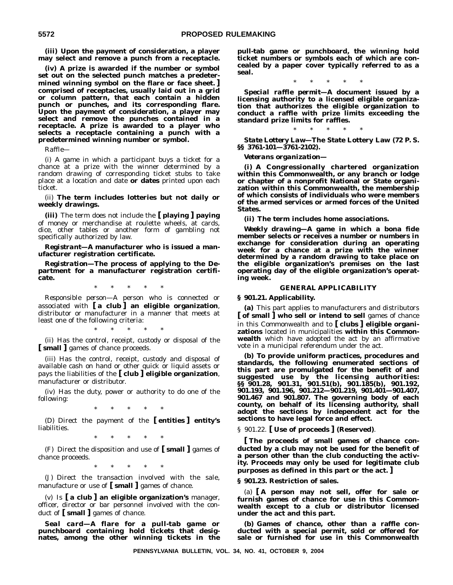**(iii) Upon the payment of consideration, a player may select and remove a punch from a receptacle.**

**(iv) A prize is awarded if the number or symbol set out on the selected punch matches a predetermined winning symbol on the flare or face sheet. ] comprised of receptacles, usually laid out in a grid or column pattern, that each contain a hidden punch or punches, and its corresponding flare. Upon the payment of consideration, a player may select and remove the punches contained in a receptacle. A prize is awarded to a player who selects a receptacle containing a punch with a predetermined winning number or symbol.**

*Raffle—*

(i) A game in which a participant buys a ticket for a chance at a prize with the winner determined by a random drawing of corresponding ticket stubs to take place at a location and date **or dates** printed upon each ticket.

(ii) **The term includes lotteries but not daily or weekly drawings.**

**(iii)** The term does not include the **[ playing ] paying** of money or merchandise at roulette wheels, at cards, dice, other tables or another form of gambling not specifically authorized by law.

*Registrant—***A manufacturer who is issued a manufacturer registration certificate.**

*Registration—***The process of applying to the Department for a manufacturer registration certificate.**

\*\*\*\*\*

*Responsible person—*A person who is connected or associated with **[ a club ] an eligible organization**, distributor or manufacturer in a manner that meets at least one of the following criteria:

\*\*\*\*\*

(ii) Has the control, receipt, custody or disposal of the **[ small ]** games of chance proceeds.

(iii) Has the control, receipt, custody and disposal of available cash on hand or other quick or liquid assets or pays the liabilities of the **[ club ] eligible organization**, manufacturer or distributor.

(iv) Has the duty, power or authority to do one of the following:

\*\*\*\*\*

(D) Direct the payment of the **[ entities ] entity's** liabilities.

\*\*\*\*\*

(F) Direct the disposition and use of **[ small ]** games of chance proceeds.

\*\*\*\*\*

(J) Direct the transaction involved with the sale, manufacture or use of **[ small ]** games of chance.

(v) Is **[ a club ] an eligible organization's** manager, officer, director or bar personnel involved with the conduct of **[ small ]** games of chance.

*Seal card—***A flare for a pull-tab game or punchboard containing hold tickets that designates, among the other winning tickets in the**

**pull-tab game or punchboard, the winning hold ticket numbers or symbols each of which are concealed by a paper cover typically referred to as a seal.**

\*\*\*\*\*

*Special raffle permit—***A document issued by a licensing authority to a licensed eligible organization that authorizes the eligible organization to conduct a raffle with prize limits exceeding the standard prize limits for raffles.**

\*\*\*\*\* *State Lottery Law—***The State Lottery Law (72 P. S. §§ 3761-101—3761-2102).**

*Veterans organization—*

**(i) A Congressionally chartered organization within this Commonwealth, or any branch or lodge or chapter of a nonprofit National or State organization within this Commonwealth, the membership of which consists of individuals who were members of the armed services or armed forces of the United States.**

**(ii) The term includes home associations.**

*Weekly drawing—***A game in which a bona fide member selects or receives a number or numbers in exchange for consideration during an operating week for a chance at a prize with the winner determined by a random drawing to take place on the eligible organization's premises on the last operating day of the eligible organization's operating week.**

#### **GENERAL APPLICABILITY**

**§ 901.21. Applicability.**

**(a)** This part applies to manufacturers and distributors **[ of small ] who sell or intend to sell** games of chance in this Commonwealth and to **[ clubs ] eligible organizations** located in municipalities **within this Commonwealth** which have adopted the act by an affirmative vote in a municipal referendum under the act.

**(b) To provide uniform practices, procedures and standards, the following enumerated sections of this part are promulgated for the benefit of and suggested use by the licensing authorities: §§ 901.28, 901.31, 901.51(b), 901.185(b), 901.192, 901.193, 901.196, 901.212—901.219, 901.401—901.407, 901.467 and 901.807. The governing body of each county, on behalf of its licensing authority, shall adopt the sections by independent act for the sections to have legal force and effect.**

§ 901.22. **[ Use of proceeds ] (Reserved)**.

**[ The proceeds of small games of chance conducted by a club may not be used for the benefit of a person other than the club conducting the activity. Proceeds may only be used for legitimate club purposes as defined in this part or the act. ]**

**§ 901.23. Restriction of sales.**

(a) **[ A person may not sell, offer for sale or furnish games of chance for use in this Commonwealth except to a club or distributor licensed under the act and this part.**

**(b) Games of chance, other than a raffle conducted with a special permit, sold or offered for sale or furnished for use in this Commonwealth**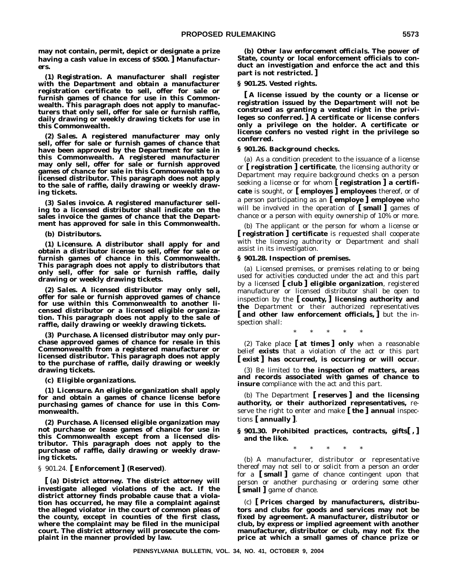**may not contain, permit, depict or designate a prize having a cash value in excess of \$500. ]** *Manufacturers***.**

**(1)** *Registration***. A manufacturer shall register with the Department and obtain a manufacturer registration certificate to sell, offer for sale or furnish games of chance for use in this Commonwealth. This paragraph does not apply to manufacturers that only sell, offer for sale or furnish raffle, daily drawing or weekly drawing tickets for use in this Commonwealth.**

**(2)** *Sales***. A registered manufacturer may only sell, offer for sale or furnish games of chance that have been approved by the Department for sale in this Commonwealth. A registered manufacturer may only sell, offer for sale or furnish approved games of chance for sale in this Commonwealth to a licensed distributor. This paragraph does not apply to the sale of raffle, daily drawing or weekly drawing tickets.**

**(3)** *Sales invoice***. A registered manufacturer selling to a licensed distributor shall indicate on the sales invoice the games of chance that the Department has approved for sale in this Commonwealth.**

#### **(b)** *Distributors***.**

**(1)** *Licensure***. A distributor shall apply for and obtain a distributor license to sell, offer for sale or furnish games of chance in this Commonwealth. This paragraph does not apply to distributors that only sell, offer for sale or furnish raffle, daily drawing or weekly drawing tickets.**

**(2)** *Sales***. A licensed distributor may only sell, offer for sale or furnish approved games of chance** for use within this Commonwealth to another li**censed distributor or a licensed eligible organization. This paragraph does not apply to the sale of raffle, daily drawing or weekly drawing tickets.**

**(3)** *Purchase***. A licensed distributor may only purchase approved games of chance for resale in this Commonwealth from a registered manufacturer or licensed distributor. This paragraph does not apply to the purchase of raffle, daily drawing or weekly drawing tickets.**

#### **(c)** *Eligible organizations***.**

**(1)** *Licensure***. An eligible organization shall apply for and obtain a games of chance license before purchasing games of chance for use in this Commonwealth.**

**(2)** *Purchase***. A licensed eligible organization may not purchase or lease games of chance for use in this Commonwealth except from a licensed distributor. This paragraph does not apply to the purchase of raffle, daily drawing or weekly drawing tickets.**

# § 901.24. **[ Enforcement ] (Reserved)**.

**[ (a)** *District attorney***. The district attorney will investigate alleged violations of the act. If the district attorney finds probable cause that a violation has occurred, he may file a complaint against the alleged violator in the court of common pleas of the county, except in counties of the first class, where the complaint may be filed in the municipal court. The district attorney will prosecute the complaint in the manner provided by law.**

**(b)** *Other law enforcement officials***. The power of State, county or local enforcement officials to conduct an investigation and enforce the act and this part is not restricted. ]**

#### **§ 901.25. Vested rights.**

**[ A license issued by the county or a license or registration issued by the Department will not be construed as granting a vested right in the privileges so conferred. ] A certificate or license confers only a privilege on the holder. A certificate or license confers no vested right in the privilege so conferred.**

### **§ 901.26. Background checks.**

(a) As a condition precedent to the issuance of a license or **[ registration ] certificate**, the licensing authority or Department may require background checks on a person seeking a license or for whom **[ registration ] a certificate** is sought, or **[ employes ] employees** thereof, or of a person participating as an **[ employe ] employee** who will be involved in the operation of **[ small ]** games of chance or a person with equity ownership of 10% or more.

(b) The applicant or the person for whom a license or **[ registration ] certificate** is requested shall cooperate with the licensing authority or Department and shall assist in its investigation.

#### **§ 901.28. Inspection of premises.**

(a) Licensed premises, or premises relating to or being used for activities conducted under the act and this part by a licensed **[ club ] eligible organization**, registered manufacturer or licensed distributor shall be open to inspection by the **[ county, ] licensing authority and the** Department or their authorized representatives **[ and other law enforcement officials, ]** but the inspection shall:

\*\*\*\*\*

(2) Take place **[ at times ] only** when a reasonable belief **exists** that a violation of the act or this part **[ exist ] has occurred, is occurring or will occur**.

(3) Be limited to **the inspection of matters, areas and records associated with games of chance to insure** compliance with the act and this part.

(b) The Department **[ reserves ] and the licensing authority, or their authorized representatives,** reserve the right to enter and make **[ the ] annual** inspections **[ annually ]**.

### **§ 901.30. Prohibited practices, contracts, gifts[ , ] and the like.**

\*\*\*\*\*

(b) A manufacturer, distributor or representative thereof may not sell to or solicit from a person an order for a **[ small ]** game of chance contingent upon that person or another purchasing or ordering some other **[ small ]** game of chance.

(c) **[ Prices charged by manufacturers, distributors and clubs for goods and services may not be fixed by agreement. A manufacturer, distributor or club, by express or implied agreement with another manufacturer, distributor or club, may not fix the price at which a small games of chance prize or**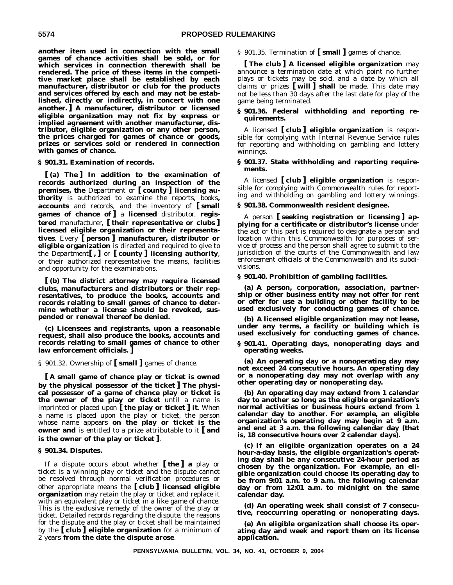**another item used in connection with the small games of chance activities shall be sold, or for which services in connection therewith shall be rendered. The price of these items in the competitive market place shall be established by each manufacturer, distributor or club for the products and services offered by each and may not be established, directly or indirectly, in concert with one another. ] A manufacturer, distributor or licensed eligible organization may not fix by express or implied agreement with another manufacturer, distributor, eligible organization or any other person, the prices charged for games of chance or goods, prizes or services sold or rendered in connection with games of chance.**

#### **§ 901.31. Examination of records.**

**[ (a) The ] In addition to the examination of records authorized during an inspection of the premises, the** Department or **[ county ] licensing authority** is authorized to examine the reports, books**, accounts** and records, and the inventory of **[ small games of chance of ]** a **licensed** distributor, **registered** manufacturer, **[ their representative or clubs ] licensed eligible organization or their representatives**. Every **[ person ] manufacturer, distributor or eligible organization** is directed and required to give to the Department**[ , ]** or **[ county ] licensing authority**, or their authorized representative the means, facilities and opportunity for the examinations.

**[ (b) The district attorney may require licensed clubs, manufacturers and distributors or their representatives, to produce the books, accounts and records relating to small games of chance to determine whether a license should be revoked, suspended or renewal thereof be denied.**

**(c) Licensees and registrants, upon a reasonable request, shall also produce the books, accounts and records relating to small games of chance to other law enforcement officials. ]**

§ 901.32. Ownership of **[ small ]** games of chance.

**[ A small game of chance play or ticket is owned by the physical possessor of the ticket ] The physical possessor of a game of chance play or ticket is** the owner of the play or ticket until a name is imprinted or placed upon **[ the play or ticket ] it**. When a name is placed upon the play or ticket, the person whose name appears **on the play or ticket is the owner and** is entitled to a prize attributable to it **[ and is the owner of the play or ticket ]**.

#### **§ 901.34. Disputes.**

If a dispute occurs about whether **[ the ] a** play or ticket is a winning play or ticket and the dispute cannot be resolved through normal verification procedures or other appropriate means the **[ club ] licensed eligible organization** may retain the play or ticket and replace it with an equivalent play or ticket in a like game of chance. This is the exclusive remedy of the owner of the play or ticket. Detailed records regarding the dispute, the reasons for the dispute and the play or ticket shall be maintained by the **[ club ] eligible organization** for a minimum of 2 years **from the date the dispute arose**.

§ 901.35. Termination of **[ small ]** games of chance.

**[ The club ] A licensed eligible organization** may announce a termination date at which point no further plays or tickets may be sold, and a date by which all claims or prizes **[ will ] shall** be made. This date may not be less than 30 days after the last date for play of the game being terminated.

#### **§ 901.36. Federal withholding and reporting requirements.**

A licensed **[ club ] eligible organization** is responsible for complying with Internal Revenue Service rules for reporting and withholding on gambling and lottery winnings.

#### **§ 901.37. State withholding and reporting requirements.**

A licensed **[ club ] eligible organization** is responsible for complying with Commonwealth rules for reporting and withholding on gambling and lottery winnings.

#### **§ 901.38. Commonwealth resident designee.**

A person **[ seeking registration or licensing ] applying for a certificate or distributor's license** under the act or this part is required to designate a person and location within this Commonwealth for purposes of service of process and the person shall agree to submit to the jurisdiction of the courts of the Commonwealth and law enforcement officials of the Commonwealth and its subdivisions.

#### **§ 901.40. Prohibition of gambling facilities.**

**(a) A person, corporation, association, partnership or other business entity may not offer for rent or offer for use a building or other facility to be used exclusively for conducting games of chance.**

**(b) A licensed eligible organization may not lease, under any terms, a facility or building which is used exclusively for conducting games of chance.**

**§ 901.41. Operating days, nonoperating days and operating weeks.**

**(a) An operating day or a nonoperating day may not exceed 24 consecutive hours. An operating day or a nonoperating day may not overlap with any other operating day or nonoperating day.**

**(b) An operating day may extend from 1 calendar day to another so long as the eligible organization's normal activities or business hours extend from 1 calendar day to another. For example, an eligible organization's operating day may begin at 9 a.m. and end at 3 a.m. the following calendar day (that is, 18 consecutive hours over 2 calendar days).**

**(c) If an eligible organization operates on a 24 hour-a-day basis, the eligible organization's operating day shall be any consecutive 24-hour period as chosen by the organization. For example, an eligible organization could choose its operating day to be from 9:01 a.m. to 9 a.m. the following calendar day or from 12:01 a.m. to midnight on the same calendar day.**

**(d) An operating week shall consist of 7 consecutive, reoccurring operating or nonoperating days.**

**(e) An eligible organization shall choose its operating day and week and report them on its license application.**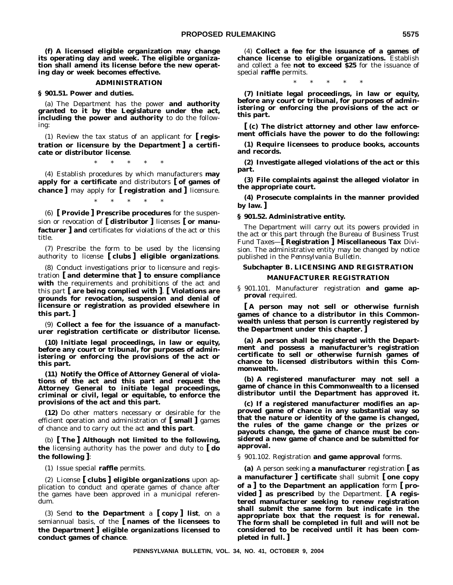**(f) A licensed eligible organization may change its operating day and week. The eligible organization shall amend its license before the new operating day or week becomes effective.**

#### **ADMINISTRATION**

**§ 901.51. Power and duties.**

(a) The Department has the power **and authority granted to it by the Legislature under the act, including the power and authority** to do the following:

(1) Review the tax status of an applicant for **[ registration or licensure by the Department ] a certificate or distributor license**.

\*\*\*\*\*

(4) Establish procedures by which manufacturers **may apply for a certificate** and distributors **[ of games of chance ]** may apply for **[ registration and ]** licensure.

\*\*\*\*\*

(6) **[ Provide ] Prescribe procedures** for the suspension or revocation of **[ distributor ]** licenses **[ or manufacturer ] and** certificates for violations of the act or this title.

(7) Prescribe the form to be used by the licensing authority to license **[ clubs ] eligible organizations**.

(8) Conduct investigations prior to licensure and registration **[ and determine that ] to ensure compliance with** the requirements and prohibitions of the act and this part **[ are being complied with ]**. **[ Violations are grounds for revocation, suspension and denial of licensure or registration as provided elsewhere in this part. ]**

(9) **Collect a fee for the issuance of a manufacturer registration certificate or distributor license.**

**(10) Initiate legal proceedings, in law or equity, before any court or tribunal, for purposes of administering or enforcing the provisions of the act or this part.**

**(11) Notify the Office of Attorney General of violations of the act and this part and request the Attorney General to initiate legal proceedings, criminal or civil, legal or equitable, to enforce the provisions of the act and this part.**

**(12)** Do other matters necessary or desirable for the efficient operation and administration of **[ small ]** games of chance and to carry out the act **and this part**.

(b) **[ The ] Although not limited to the following, the** licensing authority has the power and duty to **[ do the following ]**:

(1) Issue special **raffle** permits.

(2) License **[ clubs ] eligible organizations** upon application to conduct and operate games of chance after the games have been approved in a municipal referendum.

(3) Send **to the Department** a **[ copy ] list**, on a semiannual basis, of the **[ names of the licensees to the Department ] eligible organizations licensed to conduct games of chance**.

(4) **Collect a fee for the issuance of a games of chance license to eligible organizations.** Establish and collect a fee **not to exceed \$25** for the issuance of special **raffle** permits.

\*\*\*\*\*

**(7) Initiate legal proceedings, in law or equity, before any court or tribunal, for purposes of administering or enforcing the provisions of the act or this part.**

**[ (c) The district attorney and other law enforcement officials have the power to do the following:**

**(1) Require licensees to produce books, accounts and records.**

**(2) Investigate alleged violations of the act or this part.**

**(3) File complaints against the alleged violator in the appropriate court.**

**(4) Prosecute complaints in the manner provided by law. ]**

**§ 901.52. Administrative entity.**

The Department will carry out its powers provided in the act or this part through the Bureau of Business Trust Fund Taxes—**[ Registration ] Miscellaneous Tax** Division. The administrative entity may be changed by notice published in the *Pennsylvania Bulletin*.

# **Subchapter B. LICENSING AND REGISTRATION MANUFACTURER REGISTRATION**

§ 901.101. Manufacturer registration **and game approval** required.

**[ A person may not sell or otherwise furnish games of chance to a distributor in this Commonwealth unless that person is currently registered by the Department under this chapter. ]**

**(a) A person shall be registered with the Department and possess a manufacturer's registration certificate to sell or otherwise furnish games of chance to licensed distributors within this Commonwealth.**

**(b) A registered manufacturer may not sell a game of chance in this Commonwealth to a licensed distributor until the Department has approved it.**

**(c) If a registered manufacturer modifies an approved game of chance in any substantial way so that the nature or identity of the game is changed, the rules of the game change or the prizes or payouts change, the game of chance must be considered a new game of chance and be submitted for approval.**

§ 901.102. Registration **and game approval** forms.

**(a)** A person seeking **a manufacturer** registration **[ as a manufacturer ] certificate** shall submit **[ one copy of a ] to the Department an application** form **[ provided ] as prescribed** by the Department. **[ A registered manufacturer seeking to renew registration shall submit the same form but indicate in the appropriate box that the request is for renewal. The form shall be completed in full and will not be considered to be received until it has been completed in full. ]**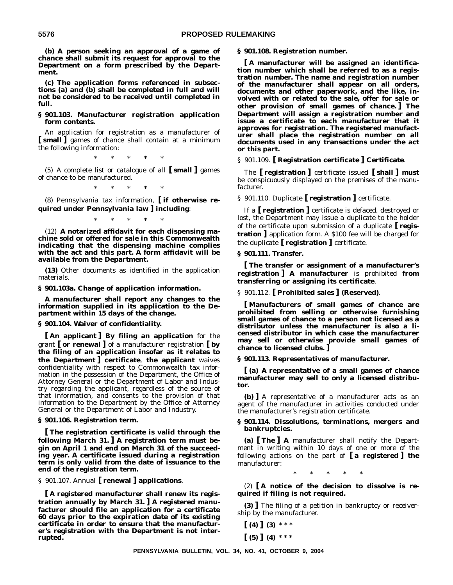**(b) A person seeking an approval of a game of chance shall submit its request for approval to the Department on a form prescribed by the Department.**

**(c) The application forms referenced in subsections (a) and (b) shall be completed in full and will not be considered to be received until completed in full.**

#### **§ 901.103. Manufacturer registration application form contents.**

An application for registration as a manufacturer of **[ small ]** games of chance shall contain at a minimum the following information:

\*\*\*\*\*

(5) A complete list or catalogue of all **[ small ]** games of chance to be manufactured.

\*\*\*\*\*

(8) Pennsylvania tax information, **[ if otherwise required under Pennsylvania law ] including**:

\*\*\*\*\*

(12) **A notarized affidavit for each dispensing machine sold or offered for sale in this Commonwealth indicating that the dispensing machine complies with the act and this part. A form affidavit will be available from the Department.**

**(13)** Other documents as identified in the application materials.

**§ 901.103a. Change of application information.**

**A manufacturer shall report any changes to the information supplied in its application to the Department within 15 days of the change.**

#### **§ 901.104. Waiver of confidentiality.**

**[ An applicant ] By filing an application** for the grant **[ or renewal ]** of a manufacturer registration **[ by the filing of an application insofar as it relates to the Department ] certificate**, **the applicant** waives confidentiality with respect to Commonwealth tax information in the possession of the Department, the Office of Attorney General or the Department of Labor and Industry regarding the applicant, regardless of the source of that information, and consents to the provision of that information to the Department by the Office of Attorney General or the Department of Labor and Industry.

#### **§ 901.106. Registration term.**

**[ The registration certificate is valid through the following March 31. ] A registration term must begin on April 1 and end on March 31 of the succeeding year. A certificate issued during a registration term is only valid from the date of issuance to the end of the registration term.**

§ 901.107. Annual **[ renewal ] applications**.

**[ A registered manufacturer shall renew its registration annually by March 31. ] A registered manufacturer should file an application for a certificate 60 days prior to the expiration date of its existing certificate in order to ensure that the manufacturer's registration with the Department is not interrupted.**

**§ 901.108. Registration number.**

**[ A manufacturer will be assigned an identification number which shall be referred to as a registration number. The name and registration number of the manufacturer shall appear on all orders, documents and other paperwork, and the like, involved with or related to the sale, offer for sale or other provision of small games of chance. ] The Department will assign a registration number and issue a certificate to each manufacturer that it approves for registration. The registered manufacturer shall place the registration number on all documents used in any transactions under the act or this part.**

#### § 901.109. **[ Registration certificate ] Certificate**.

The **[ registration ]** certificate issued **[ shall ] must** be conspicuously displayed on the premises of the manufacturer.

§ 901.110. Duplicate **[ registration ]** certificate.

If a **[ registration ]** certificate is defaced, destroyed or lost, the Department may issue a duplicate to the holder of the certificate upon submission of a duplicate **[ registration ]** application form. A \$100 fee will be charged for the duplicate **[ registration ]** certificate.

#### **§ 901.111. Transfer.**

**[ The transfer or assignment of a manufacturer's registration ] A manufacturer** is prohibited **from transferring or assigning its certificate**.

§ 901.112. **[ Prohibited sales ] (Reserved)**.

**[ Manufacturers of small games of chance are prohibited from selling or otherwise furnishing small games of chance to a person not licensed as a distributor unless the manufacturer is also a licensed distributor in which case the manufacturer may sell or otherwise provide small games of chance to licensed clubs. ]**

**§ 901.113. Representatives of manufacturer.**

**[ (a) A representative of a small games of chance manufacturer may sell to only a licensed distributor.**

**(b) ]** A representative of a manufacturer acts as an agent of the manufacturer in activities conducted under the manufacturer's registration certificate.

#### **§ 901.114. Dissolutions, terminations, mergers and bankruptcies.**

**(a) [ The ] A** manufacturer shall notify the Department in writing within 10 days of one or more of the following actions on the part of **[ a registered ] the** manufacturer:

\*\*\*\*\*

(2) **[ A notice of the decision to dissolve is required if filing is not required.**

**(3) ]** The filing of a petition in bankruptcy or receivership by the manufacturer.

 $(4)$   $(3)$  \*\*\* **[ (5) ] (4) \* \* \***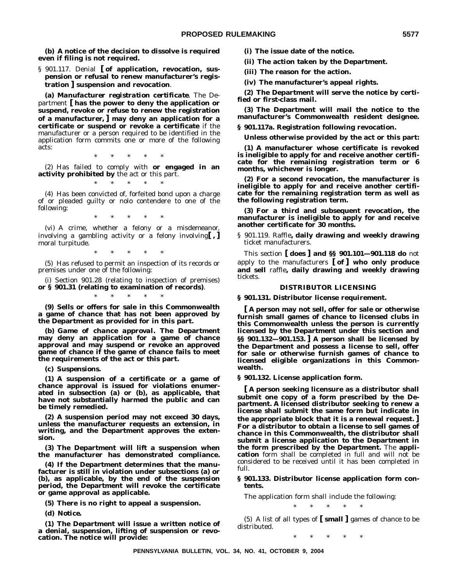**(b) A notice of the decision to dissolve is required even if filing is not required.**

§ 901.117. Denial **[ of application, revocation, suspension or refusal to renew manufacturer's registration ] suspension and revocation**.

**(a)** *Manufacturer registration certificate*. The Department **[ has the power to deny the application or suspend, revoke or refuse to renew the registration of a manufacturer, ] may deny an application for a certificate or suspend or revoke a certificate** if the manufacturer or a person required to be identified in the application form commits one or more of the following acts:

\*\*\*\*\*

(2) Has failed to comply with **or engaged in an activity prohibited by** the act or this part.

\*\*\*\*\*

(4) Has been convicted of, forfeited bond upon a charge of or pleaded guilty or nolo contendere to one of the following:

\*\*\*\*\*

(vi) A crime, whether a felony or a misdemeanor, involving a gambling activity or a felony involving**[ , ]** moral turpitude.

\*\*\*\*\*

(5) Has refused to permit an inspection of its records or premises under one of the following:

(i) Section 901.28 (relating to inspection of premises) **or § 901.31 (relating to examination of records)**.

\*\*\*\*\*

**(9) Sells or offers for sale in this Commonwealth a game of chance that has not been approved by the Department as provided for in this part.**

**(b)** *Game of chance approval***. The Department may deny an application for a game of chance approval and may suspend or revoke an approved game of chance if the game of chance fails to meet the requirements of the act or this part.**

**(c)** *Suspensions***.**

**(1) A suspension of a certificate or a game of chance approval is issued for violations enumerated in subsection (a) or (b), as applicable, that have not substantially harmed the public and can be timely remedied.**

**(2) A suspension period may not exceed 30 days, unless the manufacturer requests an extension, in writing, and the Department approves the extension.**

**(3) The Department will lift a suspension when the manufacturer has demonstrated compliance.**

**(4) If the Department determines that the manufacturer is still in violation under subsections (a) or (b), as applicable, by the end of the suspension period, the Department will revoke the certificate or game approval as applicable.**

**(5) There is no right to appeal a suspension.**

**(d)** *Notice***.**

**(1) The Department will issue a written notice of a denial, suspension, lifting of suspension or revocation. The notice will provide:**

**(i) The issue date of the notice.**

**(ii) The action taken by the Department.**

**(iii) The reason for the action.**

**(iv) The manufacturer's appeal rights.**

**(2) The Department will serve the notice by certified or first-class mail.**

**(3) The Department will mail the notice to the manufacturer's Commonwealth resident designee.**

**§ 901.117a. Registration following revocation.**

**Unless otherwise provided by the act or this part:**

**(1) A manufacturer whose certificate is revoked is ineligible to apply for and receive another certificate for the remaining registration term or 6 months, whichever is longer.**

**(2) For a second revocation, the manufacturer is ineligible to apply for and receive another certificate for the remaining registration term as well as the following registration term.**

**(3) For a third and subsequent revocation, the manufacturer is ineligible to apply for and receive another certificate for 30 months.**

§ 901.119. Raffle**, daily drawing and weekly drawing** ticket manufacturers.

This section **[ does ] and §§ 901.101—901.118 do** not apply to the manufacturers **[ of ] who only produce and sell** raffle**, daily drawing and weekly drawing** tickets.

# **DISTRIBUTOR LICENSING**

**§ 901.131. Distributor license requirement.**

**[ A person may not sell, offer for sale or otherwise furnish small games of chance to licensed clubs in this Commonwealth unless the person is currently licensed by the Department under this section and §§ 901.132—901.153. ] A person shall be licensed by the Department and possess a license to sell, offer for sale or otherwise furnish games of chance to licensed eligible organizations in this Commonwealth.**

**§ 901.132. License application form.**

**[ A person seeking licensure as a distributor shall submit one copy of a form prescribed by the Department. A licensed distributor seeking to renew a license shall submit the same form but indicate in the appropriate block that it is a renewal request. ] For a distributor to obtain a license to sell games of chance in this Commonwealth, the distributor shall submit a license application to the Department in the form prescribed by the Department.** The **application** form shall be completed in full and will not be considered to be received until it has been completed in full.

## **§ 901.133. Distributor license application form contents.**

The application form shall include the following:

\*\*\*\*\*

(5) A list of all types of **[ small ]** games of chance to be distributed.

\*\*\*\*\*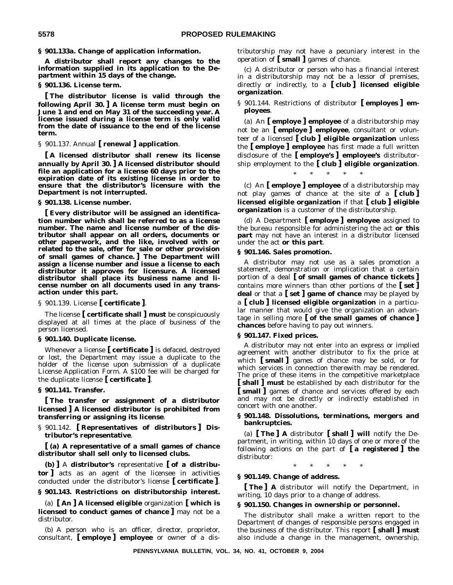# **§ 901.133a. Change of application information.**

**A distributor shall report any changes to the information supplied in its application to the Department within 15 days of the change.**

# **§ 901.136. License term.**

**[ The distributor license is valid through the following April 30. ] A license term must begin on June 1 and end on May 31 of the succeeding year. A license issued during a license term is only valid from the date of issuance to the end of the license term.**

# § 901.137. Annual **[ renewal ] application**.

**[ A licensed distributor shall renew its license annually by April 30. ] A licensed distributor should file an application for a license 60 days prior to the expiration date of its existing license in order to ensure that the distributor's licensure with the Department is not interrupted.**

#### **§ 901.138. License number.**

**[ Every distributor will be assigned an identification number which shall be referred to as a license number. The name and license number of the distributor shall appear on all orders, documents or other paperwork, and the like, involved with or related to the sale, offer for sale or other provision of small games of chance. ] The Department will assign a license number and issue a license to each distributor it approves for licensure. A licensed distributor shall place its business name and license number on all documents used in any transaction under this part.**

§ 901.139. License **[ certificate ]**.

The license **[ certificate shall ] must** be conspicuously displayed at all times at the place of business of the person licensed.

## **§ 901.140. Duplicate license.**

Whenever a license **[ certificate ]** is defaced, destroyed or lost, the Department may issue a duplicate to the holder of the license upon submission of a duplicate License Application Form. A \$100 fee will be charged for the duplicate license **[ certificate ]**.

### **§ 901.141. Transfer.**

**[ The transfer or assignment of a distributor licensed ] A licensed distributor is prohibited from transferring or assigning its license**.

§ 901.142. **[ Representatives of distributors ] Distributor's representative**.

**[ (a) A representative of a small games of chance distributor shall sell only to licensed clubs.**

**(b) ]** A **distributor's** representative **[ of a distributor ]** acts as an agent of the licensee in activities conducted under the distributor's license **[ certificate ]**.

# **§ 901.143. Restrictions on distributorship interest.**

(a) **[ An ] A licensed eligible** organization **[ which is licensed to conduct games of chance ]** may not be a distributor.

(b) A person who is an officer, director, proprietor, consultant, **[ employe ] employee** or owner of a distributorship may not have a pecuniary interest in the operation of **[ small ]** games of chance.

(c) A distributor or person who has a financial interest in a distributorship may not be a lessor of premises, directly or indirectly, to a **[ club ] licensed eligible organization**.

# § 901.144. Restrictions of distributor **[ employes ] employees**.

(a) An **[ employe ] employee** of a distributorship may not be an **[ employe ] employee**, consultant or volunteer of a licensed **[ club ] eligible organization** unless the **[ employe ] employee** has first made a full written disclosure of the **[ employe's ] employee's** distributorship employment to the **[ club ] eligible organization**.

\*\*\*\*\*

(c) An **[ employe ] employee** of a distributorship may not play games of chance at the site of a **[ club ] licensed eligible organization** if that **[ club ] eligible organization** is a customer of the distributorship.

(d) A Department **[ employe ] employee** assigned to the bureau responsible for administering the act **or this part** may not have an interest in a distributor licensed under the act **or this part**.

# **§ 901.146. Sales promotion.**

A distributor may not use as a sales promotion a statement, demonstration or implication that a certain portion of a deal **[ of small games of chance tickets ]** contains more winners than other portions of the **[ set ] deal** or that a **[ set ] game of chance** may be played by a **[ club ] licensed eligible organization** in a particular manner that would give the organization an advantage in selling more **[ of the small games of chance ] chances** before having to pay out winners.

## **§ 901.147. Fixed prices.**

A distributor may not enter into an express or implied agreement with another distributor to fix the price at which **[ small ]** games of chance may be sold, or for which services in connection therewith may be rendered. The price of these items in the competitive marketplace **[ shall ] must** be established by each distributor for the **[ small ]** games of chance and services offered by each and may not be directly or indirectly established in concert with one another.

# **§ 901.148. Dissolutions, terminations, mergers and bankruptcies.**

(a) **[ The ] A** distributor **[ shall ] will** notify the Department, in writing, within 10 days of one or more of the following actions on the part of **[ a registered ] the** distributor:

\*\*\*\*\*

#### **§ 901.149. Change of address.**

**[ The ] A** distributor will notify the Department, in writing, 10 days prior to a change of address.

#### **§ 901.150. Changes in ownership or personnel.**

The distributor shall make a written report to the Department of changes of responsible persons engaged in the business of the distributor. This report **[ shall ] must** also include a change in the management, ownership,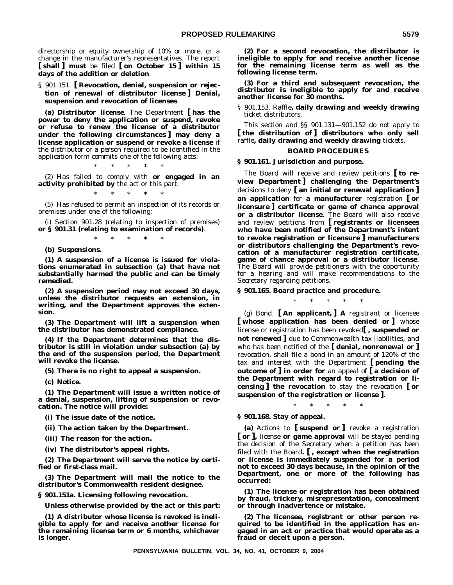directorship or equity ownership of 10% or more, or a change in the manufacturer's representatives. The report **[ shall ] must** be filed **[ on October 15 ] within 15 days of the addition or deletion**.

§ 901.151. **[ Revocation, denial, suspension or rejection of renewal of distributor license ] Denial, suspension and revocation of licenses**.

**(a)** *Distributor license*. The Department **[ has the power to deny the application or suspend, revoke or refuse to renew the license of a distributor under the following circumstances ] may deny a license application or suspend or revoke a license** if the distributor or a person required to be identified in the application form commits one of the following acts:

\*\*\*\*\* (2) Has failed to comply with **or engaged in an activity prohibited by** the act or this part.

\*\*\*\*\*

(5) Has refused to permit an inspection of its records or premises under one of the following:

(i) Section 901.28 (relating to inspection of premises) **or § 901.31 (relating to examination of records)**.

\*\*\*\*\*

**(b)** *Suspensions***.**

**(1) A suspension of a license is issued for violations enumerated in subsection (a) that have not substantially harmed the public and can be timely remedied.**

**(2) A suspension period may not exceed 30 days, unless the distributor requests an extension, in writing, and the Department approves the extension.**

**(3) The Department will lift a suspension when the distributor has demonstrated compliance.**

**(4) If the Department determines that the distributor is still in violation under subsection (a) by the end of the suspension period, the Department will revoke the license.**

**(5) There is no right to appeal a suspension.**

**(c)** *Notice***.**

**(1) The Department will issue a written notice of a denial, suspension, lifting of suspension or revocation. The notice will provide:**

**(i) The issue date of the notice.**

**(ii) The action taken by the Department.**

**(iii) The reason for the action.**

**(iv) The distributor's appeal rights.**

**(2) The Department will serve the notice by certified or first-class mail.**

**(3) The Department will mail the notice to the distributor's Commonwealth resident designee.**

**§ 901.151a. Licensing following revocation.**

**Unless otherwise provided by the act or this part:**

**(1) A distributor whose license is revoked is ineligible to apply for and receive another license for the remaining license term or 6 months, whichever is longer.**

**(2) For a second revocation, the distributor is ineligible to apply for and receive another license for the remaining license term as well as the following license term.**

**(3) For a third and subsequent revocation, the distributor is ineligible to apply for and receive another license for 30 months.**

§ 901.153. Raffle**, daily drawing and weekly drawing** ticket distributors.

This section and §§ 901.131—901.152 do not apply to **[ the distribution of ] distributors who only sell** raffle**, daily drawing and weekly drawing** tickets.

# **BOARD PROCEDURES**

# **§ 901.161. Jurisdiction and purpose.**

The Board will receive and review petitions **[ to review Department ] challenging the Department's** decisions to deny **[ an initial or renewal application ] an application** for **a manufacturer** registration **[ or licensure ] certificate or game of chance approval or a distributor license**. The Board will also receive and review petitions from **[ registrants or licensees who have been notified of the Department's intent to revoke registration or licensure ] manufacturers or distributors challenging the Department's revocation of a manufacturer registration certificate, game of chance approval or a distributor license**. The Board will provide petitioners with the opportunity for a hearing and will make recommendations to the Secretary regarding petitions.

#### **§ 901.165. Board practice and procedure.**

\*\*\*\*\*

(g) *Bond.* **[ An applicant, ] A** registrant or licensee **[ whose application has been denied or ]** whose license or registration has been revoked**[ , suspended or not renewed ]** due to Commonwealth tax liabilities, and who has been notified of the **[ denial, nonrenewal or ]** revocation, shall file a bond in an amount of 120% of the tax and interest with the Department **[ pending the outcome of ] in order for** an appeal of **[ a decision of the Department with regard to registration or licensing ] the revocation** to stay the revocation **[ or suspension of the registration or license ]**.

**§ 901.168. Stay of appeal.**

**(a)** Actions to **[ suspend or ]** revoke a registration **[ or ],** license **or game approval** will be stayed pending the decision of the Secretary when a petition has been filed with the Board**. [ , except when the registration or license is immediately suspended for a period not to exceed 30 days because, in the opinion of the Department, one or more of the following has occurred:**

\*\*\*\*\*

**(1) The license or registration has been obtained by fraud, trickery, misrepresentation, concealment or through inadvertence or mistake.**

**(2) The licensee, registrant or other person required to be identified in the application has engaged in an act or practice that would operate as a fraud or deceit upon a person.**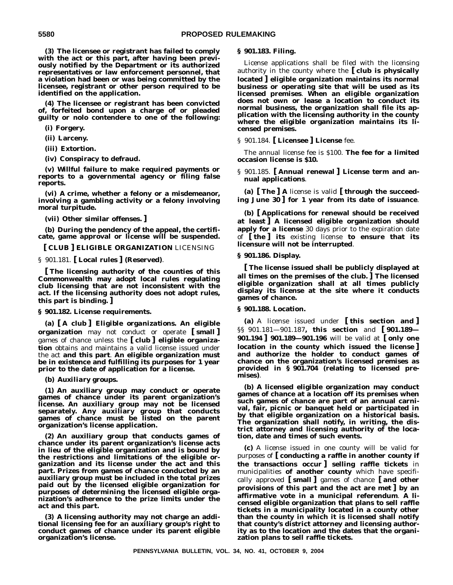**(3) The licensee or registrant has failed to comply with the act or this part, after having been previously notified by the Department or its authorized representatives or law enforcement personnel, that a violation had been or was being committed by the licensee, registrant or other person required to be identified on the application.**

**(4) The licensee or registrant has been convicted of, forfeited bond upon a charge of or pleaded guilty or nolo contendere to one of the following:**

**(i) Forgery.**

**(ii) Larceny.**

**(iii) Extortion.**

**(iv) Conspiracy to defraud.**

**(v) Willful failure to make required payments or reports to a governmental agency or filing false reports.**

**(vi) A crime, whether a felony or a misdemeanor, involving a gambling activity or a felony involving moral turpitude.**

**(vii) Other similar offenses. ]**

**(b) During the pendency of the appeal, the certificate, game approval or license will be suspended.**

**[ CLUB ] ELIGIBLE ORGANIZATION** LICENSING

§ 901.181. **[ Local rules ] (Reserved)**.

**[ The licensing authority of the counties of this Commonwealth may adopt local rules regulating club licensing that are not inconsistent with the act. If the licensing authority does not adopt rules, this part is binding. ]**

**§ 901.182. License requirements.**

**(a) [ A club ]** *Eligible organizations***. An eligible organization** may not conduct or operate **[ small ]** games of chance unless the **[ club ] eligible organization** obtains and maintains a valid license issued under the act **and this part**. **An eligible organization must be in existence and fulfilling its purposes for 1 year prior to the date of application for a license.**

**(b)** *Auxiliary groups***.**

**(1) An auxiliary group may conduct or operate games of chance under its parent organization's license. An auxiliary group may not be licensed separately. Any auxiliary group that conducts games of chance must be listed on the parent organization's license application.**

**(2) An auxiliary group that conducts games of chance under its parent organization's license acts in lieu of the eligible organization and is bound by the restrictions and limitations of the eligible organization and its license under the act and this part. Prizes from games of chance conducted by an auxiliary group must be included in the total prizes paid out by the licensed eligible organization for purposes of determining the licensed eligible organization's adherence to the prize limits under the act and this part.**

**(3) A licensing authority may not charge an additional licensing fee for an auxiliary group's right to conduct games of chance under its parent eligible organization's license.**

#### **§ 901.183. Filing.**

License applications shall be filed with the licensing authority in the county where the **[ club is physically located ] eligible organization maintains its normal business or operating site that will be used as its licensed premises**. **When an eligible organization does not own or lease a location to conduct its normal business, the organization shall file its application with the licensing authority in the county where the eligible organization maintains its licensed premises.**

§ 901.184. **[ Licensee ] License** fee.

The annual license fee is \$100. **The fee for a limited occasion license is \$10.**

§ 901.185. **[ Annual renewal ] License term and annual applications**.

**(a) [ The ] A** license is valid **[ through the succeeding June 30 ] for 1 year from its date of issuance**.

**(b) [ Applications for renewal should be received at least ] A licensed eligible organization should apply for a license** 30 days prior to the expiration date of **[ the ] its** existing license **to ensure that its licensure will not be interrupted**.

**§ 901.186. Display.**

**[ The license issued shall be publicly displayed at all times on the premises of the club. ] The licensed eligible organization shall at all times publicly display its license at the site where it conducts games of chance.**

## **§ 901.188. Location.**

**(a)** A license issued under **[ this section and ]** §§ 901.181—901.187**, this section** and **[ 901.189— 901.194 ] 901.189—901.196** will be valid at **[ only one location in the county which issued the license ] and authorize the holder to conduct games of chance on the organization's licensed premises as provided in § 901.704 (relating to licensed premises)**.

**(b) A licensed eligible organization may conduct games of chance at a location off its premises when such games of chance are part of an annual carnival, fair, picnic or banquet held or participated in by that eligible organization on a historical basis. The organization shall notify, in writing, the district attorney and licensing authority of the location, date and times of such events.**

**(c)** A license issued in one county will be valid for purposes of **[ conducting a raffle in another county if the transactions occur ] selling raffle tickets** in municipalities **of another county** which have specifically approved **[ small ]** games of chance **[ and other provisions of this part and the act are met ] by an affirmative vote in a municipal referendum**. **A licensed eligible organization that plans to sell raffle tickets in a municipality located in a county other than the county in which it is licensed shall notify that county's district attorney and licensing authority as to the location and the dates that the organization plans to sell raffle tickets.**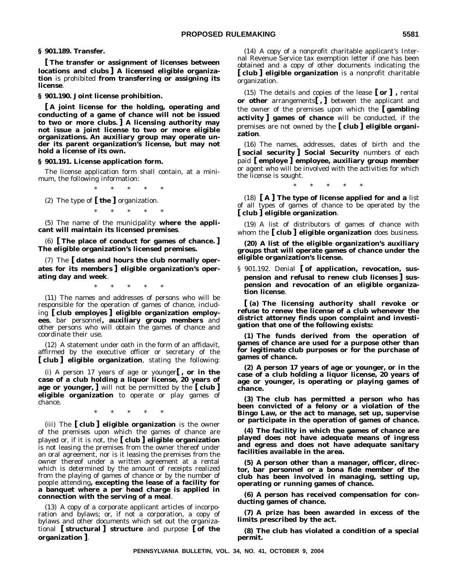**§ 901.189. Transfer.**

**[ The transfer or assignment of licenses between locations and clubs ] A licensed eligible organization** is prohibited **from transferring or assigning its license**.

**§ 901.190. Joint license prohibition.**

**[ A joint license for the holding, operating and conducting of a game of chance will not be issued to two or more clubs. ] A licensing authority may not issue a joint license to two or more eligible organizations. An auxiliary group may operate under its parent organization's license, but may not hold a license of its own.**

**§ 901.191. License application form.**

The license application form shall contain, at a minimum, the following information:

\*\*\*\*\*

(2) The type of **[ the ]** organization.

\*\*\*\*\*

(5) The name of the municipality **where the applicant will maintain its licensed premises**.

(6) **[ The place of conduct for games of chance. ] The eligible organization's licensed premises.**

(7) The **[ dates and hours the club normally operates for its members ] eligible organization's operating day and week**.

\*\*\*\*\*

(11) The names and addresses of persons who will be responsible for the operation of games of chance, including **[ club employes ] eligible organization employees**, bar personnel**, auxiliary group members** and other persons who will obtain the games of chance and coordinate their use.

(12) A statement under oath in the form of an affidavit, affirmed by the executive officer or secretary of the **[ club ] eligible organization**, stating the following:

(i) A person 17 years of age or younger**[ , or in the case of a club holding a liquor license, 20 years of age or younger, ]** will not be permitted by the **[ club ] eligible organization** to operate or play games of chance.

\*\*\*\*\*

(iii) The **[ club ] eligible organization** is the owner of the premises upon which the games of chance are played or, if it is not, the **[ club ] eligible organization** is not leasing the premises from the owner thereof under an oral agreement, nor is it leasing the premises from the owner thereof under a written agreement at a rental which is determined by the amount of receipts realized from the playing of games of chance or by the number of people attending**, excepting the lease of a facility for a banquet where a per head charge is applied in connection with the serving of a meal**.

(13) A copy of a corporate applicant articles of incorporation and bylaws; or, if not a corporation, a copy of bylaws and other documents which set out the organizational **[ structural ] structure** and purpose **[ of the organization ]**.

(14) A copy of a nonprofit charitable applicant's Internal Revenue Service tax exemption letter if one has been obtained and a copy of other documents indicating the **[ club ] eligible organization** is a nonprofit charitable organization.

(15) The details and copies of the lease **[ or ] ,** rental **or other** arrangements**[ , ]** between the applicant and the owner of the premises upon which the **[ gambling activity ] games of chance** will be conducted, if the premises are not owned by the **[ club ] eligible organization**.

(16) The names, addresses, dates of birth and the **[ social security ] Social Security** numbers of each paid **[ employe ] employee, auxiliary group member** or agent who will be involved with the activities for which the license is sought.

\*\*\*\*\*

(18) **[ A ] The type of license applied for and a** list of all types of games of chance to be operated by the **[ club ] eligible organization**.

(19) A list of distributors of games of chance with whom the **[ club ] eligible organization** does business.

**(20) A list of the eligible organization's auxiliary groups that will operate games of chance under the eligible organization's license.**

§ 901.192. Denial **[ of application, revocation, suspension and refusal to renew club licenses ] suspension and revocation of an eligible organization license**.

**[ (a) The licensing authority shall revoke or refuse to renew the license of a club whenever the district attorney finds upon complaint and investigation that one of the following exists:**

**(1) The funds derived from the operation of games of chance are used for a purpose other than for legitimate club purposes or for the purchase of games of chance.**

**(2) A person 17 years of age or younger, or in the case of a club holding a liquor license, 20 years of age or younger, is operating or playing games of chance.**

**(3) The club has permitted a person who has been convicted of a felony or a violation of the Bingo Law, or the act to manage, set up, supervise or participate in the operation of games of chance.**

**(4) The facility in which the games of chance are played does not have adequate means of ingress and egress and does not have adequate sanitary facilities available in the area.**

**(5) A person other than a manager, officer, director, bar personnel or a bona fide member of the club has been involved in managing, setting up, operating or running games of chance.**

**(6) A person has received compensation for conducting games of chance.**

**(7) A prize has been awarded in excess of the limits prescribed by the act.**

**(8) The club has violated a condition of a special permit.**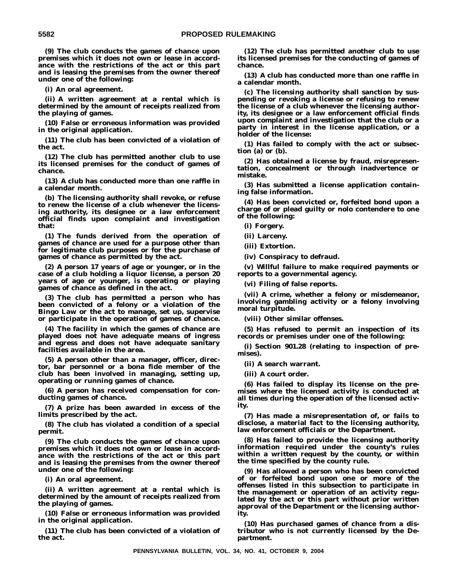**(9) The club conducts the games of chance upon premises which it does not own or lease in accordance with the restrictions of the act or this part and is leasing the premises from the owner thereof under one of the following:**

**(i) An oral agreement.**

**(ii) A written agreement at a rental which is determined by the amount of receipts realized from the playing of games.**

**(10) False or erroneous information was provided in the original application.**

**(11) The club has been convicted of a violation of the act.**

**(12) The club has permitted another club to use its licensed premises for the conduct of games of chance.**

**(13) A club has conducted more than one raffle in a calendar month.**

**(b) The licensing authority shall revoke, or refuse to renew the license of a club whenever the licensing authority, its designee or a law enforcement official finds upon complaint and investigation that:**

**(1) The funds derived from the operation of games of chance are used for a purpose other than for legitimate club purposes or for the purchase of games of chance as permitted by the act.**

**(2) A person 17 years of age or younger, or in the case of a club holding a liquor license, a person 20 years of age or younger, is operating or playing games of chance as defined in the act.**

**(3) The club has permitted a person who has been convicted of a felony or a violation of the Bingo Law or the act to manage, set up, supervise or participate in the operation of games of chance.**

**(4) The facility in which the games of chance are played does not have adequate means of ingress and egress and does not have adequate sanitary facilities available in the area.**

**(5) A person other than a manager, officer, director, bar personnel or a bona fide member of the club has been involved in managing, setting up, operating or running games of chance.**

**(6) A person has received compensation for conducting games of chance.**

**(7) A prize has been awarded in excess of the limits prescribed by the act.**

**(8) The club has violated a condition of a special permit.**

**(9) The club conducts the games of chance upon premises which it does not own or lease in accordance with the restrictions of the act or this part and is leasing the premises from the owner thereof under one of the following:**

**(i) An oral agreement.**

**(ii) A written agreement at a rental which is determined by the amount of receipts realized from the playing of games.**

**(10) False or erroneous information was provided in the original application.**

**(11) The club has been convicted of a violation of the act.**

**(12) The club has permitted another club to use its licensed premises for the conducting of games of chance.**

**(13) A club has conducted more than one raffle in a calendar month.**

**(c) The licensing authority shall sanction by suspending or revoking a license or refusing to renew the license of a club whenever the licensing authority, its designee or a law enforcement official finds upon complaint and investigation that the club or a party in interest in the license application, or a holder of the license:**

**(1) Has failed to comply with the act or subsection (a) or (b).**

**(2) Has obtained a license by fraud, misrepresentation, concealment or through inadvertence or mistake.**

**(3) Has submitted a license application containing false information.**

**(4) Has been convicted or, forfeited bond upon a charge of or plead guilty or nolo contendere to one of the following:**

**(i) Forgery.**

**(ii) Larceny.**

**(iii) Extortion.**

**(iv) Conspiracy to defraud.**

**(v) Willful failure to make required payments or reports to a governmental agency.**

**(vi) Filing of false reports.**

**(vii) A crime, whether a felony or misdemeanor, involving gambling activity or a felony involving moral turpitude.**

**(viii) Other similar offenses.**

**(5) Has refused to permit an inspection of its records or premises under one of the following:**

**(i) Section 901.28 (relating to inspection of premises).**

**(ii) A search warrant.**

**(iii) A court order.**

**(6) Has failed to display its license on the premises where the licensed activity is conducted at all times during the operation of the licensed activity.**

**(7) Has made a misrepresentation of, or fails to disclose, a material fact to the licensing authority, law enforcement officials or the Department.**

**(8) Has failed to provide the licensing authority information required under the county's rules within a written request by the county, or within the time specified by the county rule.**

**(9) Has allowed a person who has been convicted of or forfeited bond upon one or more of the offenses listed in this subsection to participate in the management or operation of an activity regulated by the act or this part without prior written approval of the Department or the licensing authority.**

**(10) Has purchased games of chance from a distributor who is not currently licensed by the Department.**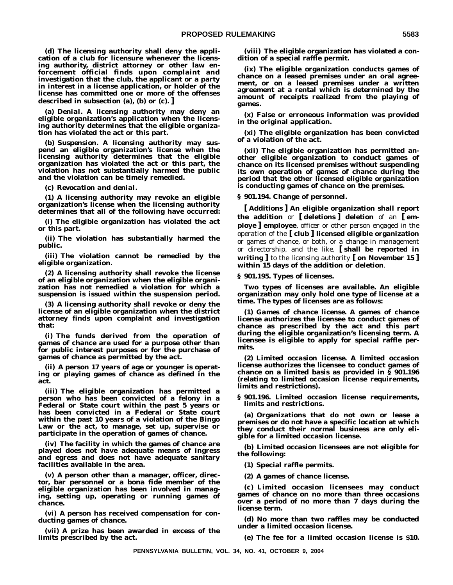**(d) The licensing authority shall deny the application of a club for licensure whenever the licensing authority, district attorney or other law enforcement official finds upon complaint and investigation that the club, the applicant or a party in interest in a license application, or holder of the license has committed one or more of the offenses described in subsection (a), (b) or (c). ]**

**(a)** *Denial***. A licensing authority may deny an eligible organization's application when the licensing authority determines that the eligible organization has violated the act or this part.**

**(b)** *Suspension***. A licensing authority may suspend an eligible organization's license when the licensing authority determines that the eligible organization has violated the act or this part, the violation has not substantially harmed the public and the violation can be timely remedied.**

**(c)** *Revocation and denial***.**

**(1) A licensing authority may revoke an eligible organization's license when the licensing authority determines that all of the following have occurred:**

**(i) The eligible organization has violated the act or this part.**

**(ii) The violation has substantially harmed the public.**

**(iii) The violation cannot be remedied by the eligible organization.**

**(2) A licensing authority shall revoke the license of an eligible organization when the eligible organization has not remedied a violation for which a suspension is issued within the suspension period.**

**(3) A licensing authority shall revoke or deny the license of an eligible organization when the district attorney finds upon complaint and investigation that:**

**(i) The funds derived from the operation of games of chance are used for a purpose other than for public interest purposes or for the purchase of games of chance as permitted by the act.**

**(ii) A person 17 years of age or younger is operating or playing games of chance as defined in the act.**

**(iii) The eligible organization has permitted a person who has been convicted of a felony in a Federal or State court within the past 5 years or has been convicted in a Federal or State court within the past 10 years of a violation of the Bingo Law or the act, to manage, set up, supervise or participate in the operation of games of chance.**

**(iv) The facility in which the games of chance are played does not have adequate means of ingress and egress and does not have adequate sanitary facilities available in the area.**

**(v) A person other than a manager, officer, director, bar personnel or a bona fide member of the eligible organization has been involved in managing, setting up, operating or running games of chance.**

**(vi) A person has received compensation for conducting games of chance.**

**(vii) A prize has been awarded in excess of the limits prescribed by the act.**

**(viii) The eligible organization has violated a condition of a special raffle permit.**

**(ix) The eligible organization conducts games of chance on a leased premises under an oral agreement, or on a leased premises under a written agreement at a rental which is determined by the amount of receipts realized from the playing of games.**

**(x) False or erroneous information was provided in the original application.**

**(xi) The eligible organization has been convicted of a violation of the act.**

**(xii) The eligible organization has permitted another eligible organization to conduct games of chance on its licensed premises without suspending its own operation of games of chance during the period that the other licensed eligible organization is conducting games of chance on the premises.**

**§ 901.194. Change of personnel.**

**[ Additions ] An eligible organization shall report the addition** or **[ deletions ] deletion** of an **[ employe ] employee**, officer or other person engaged in the operation of the **[ club ] licensed eligible organization** or games of chance, or both, or a change in management or directorship, and the like, **[ shall be reported in writing ]** to the licensing authority **[ on November 15 ] within 15 days of the addition or deletion**.

**§ 901.195. Types of licenses.**

**Two types of licenses are available. An eligible organization may only hold one type of license at a time. The types of licenses are as follows:**

**(1)** *Games of chance license***. A games of chance license authorizes the licensee to conduct games of chance as prescribed by the act and this part during the eligible organization's licensing term. A licensee is eligible to apply for special raffle permits.**

**(2)** *Limited occasion license***. A limited occasion license authorizes the licensee to conduct games of chance on a limited basis as provided in § 901.196 (relating to limited occasion license requirements, limits and restrictions).**

**§ 901.196. Limited occasion license requirements, limits and restrictions.**

**(a) Organizations that do not own or lease a premises or do not have a specific location at which they conduct their normal business are only eligible for a limited occasion license.**

**(b) Limited occasion licensees are not eligible for the following:**

**(1) Special raffle permits.**

**(2) A games of chance license.**

**(c) Limited occasion licensees may conduct games of chance on no more than three occasions over a period of no more than 7 days during the license term.**

**(d) No more than two raffles may be conducted under a limited occasion license.**

**(e) The fee for a limited occasion license is \$10.**

**PENNSYLVANIA BULLETIN, VOL. 34, NO. 41, OCTOBER 9, 2004**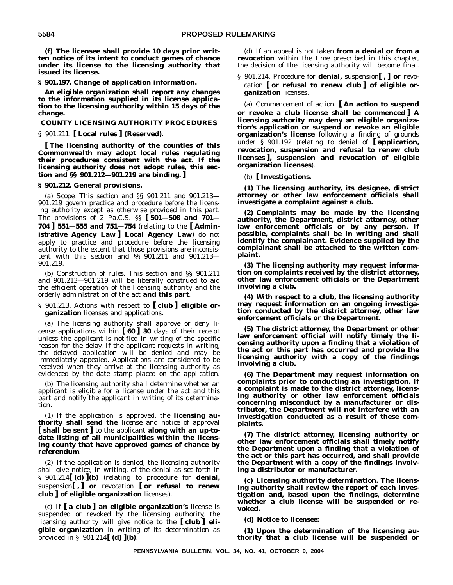**(f) The licensee shall provide 10 days prior written notice of its intent to conduct games of chance under its license to the licensing authority that issued its license.**

**§ 901.197. Change of application information.**

**An eligible organization shall report any changes to the information supplied in its license application to the licensing authority within 15 days of the change.**

# **COUNTY LICENSING AUTHORITY PROCEDURES**

§ 901.211. **[ Local rules ] (Reserved)**.

**[ The licensing authority of the counties of this Commonwealth may adopt local rules regulating their procedures consistent with the act. If the licensing authority does not adopt rules, this section and §§ 901.212—901.219 are binding. ]**

#### **§ 901.212. General provisions.**

(a) *Scope*. This section and §§ 901.211 and 901.213— 901.219 govern practice and procedure before the licensing authority except as otherwise provided in this part. The provisions of 2 Pa.C.S. §§ **[ 501—508 and 701— 704 ] 551—555 and 751—754** (relating to the **[ Administrative Agency Law ] Local Agency Law**) do not apply to practice and procedure before the licensing authority to the extent that those provisions are inconsistent with this section and §§ 901.211 and 901.213— 901.219.

(b) *Construction of rules*. This section and §§ 901.211 and 901.213—901.219 will be liberally construed to aid the efficient operation of the licensing authority and the orderly administration of the act **and this part**.

### § 901.213. Actions with respect to **[ club ] eligible organization** licenses and applications.

(a) The licensing authority shall approve or deny license applications within **[ 60 ] 30** days of their receipt unless the applicant is notified in writing of the specific reason for the delay. If the applicant requests in writing, the delayed application will be denied and may be immediately appealed. Applications are considered to be received when they arrive at the licensing authority as evidenced by the date stamp placed on the application.

(b) The licensing authority shall determine whether an applicant is eligible for a license under the act and this part and notify the applicant in writing of its determination.

(1) If the application is approved, the **licensing authority shall send the** license and notice of approval **[ shall be sent ]** to the applicant **along with an up-todate listing of all municipalities within the licensing county that have approved games of chance by referendum**.

(2) If the application is denied, the licensing authority shall give notice, in writing, of the denial as set forth in § 901.214**[ (d) ](b)** (relating to procedure for **denial,** suspension**[ , ] or** revocation **[ or refusal to renew club ] of eligible organization** licenses).

(c) If **[ a club ] an eligible organization's** license is suspended or revoked by the licensing authority, the licensing authority will give notice to the **[ club ] eligible organization** in writing of its determination as provided in § 901.214**[ (d) ](b)**.

(d) If an appeal is not taken **from a denial or from a revocation** within the time prescribed in this chapter, the decision of the licensing authority will become final.

§ 901.214. Procedure for **denial,** suspension**[ , ] or** revocation **[ or refusal to renew club ] of eligible organization** licenses.

(a) *Commencement of action.* **[ An action to suspend or revoke a club license shall be commenced ] A licensing authority may deny an eligible organization's application or suspend or revoke an eligible organization's license** following a finding of grounds under § 901.192 (relating to denial of **[ application, revocation, suspension and refusal to renew club licenses ], suspension and revocation of eligible organization licenses**).

(b) **[** *Investigations***.**

**(1) The licensing authority, its designee, district attorney or other law enforcement officials shall investigate a complaint against a club.**

**(2) Complaints may be made by the licensing authority, the Department, district attorney, other law enforcement officials or by any person. If possible, complaints shall be in writing and shall identify the complainant. Evidence supplied by the complainant shall be attached to the written complaint.**

**(3) The licensing authority may request information on complaints received by the district attorney, other law enforcement officials or the Department involving a club.**

**(4) With respect to a club, the licensing authority may request information on an ongoing investigation conducted by the district attorney, other law enforcement officials or the Department.**

**(5) The district attorney, the Department or other law enforcement official will notify timely the licensing authority upon a finding that a violation of the act or this part has occurred and provide the licensing authority with a copy of the findings involving a club.**

**(6) The Department may request information on complaints prior to conducting an investigation. If a complaint is made to the district attorney, licensing authority or other law enforcement officials concerning misconduct by a manufacturer or distributor, the Department will not interfere with an investigation conducted as a result of these complaints.**

**(7) The district attorney, licensing authority or other law enforcement officials shall timely notify the Department upon a finding that a violation of the act or this part has occurred, and shall provide the Department with a copy of the findings involving a distributor or manufacturer.**

**(c)** *Licensing authority determination***. The licensing authority shall review the report of each investigation and, based upon the findings, determine whether a club license will be suspended or revoked.**

#### **(d)** *Notice to licensee***:**

**(1) Upon the determination of the licensing authority that a club license will be suspended or**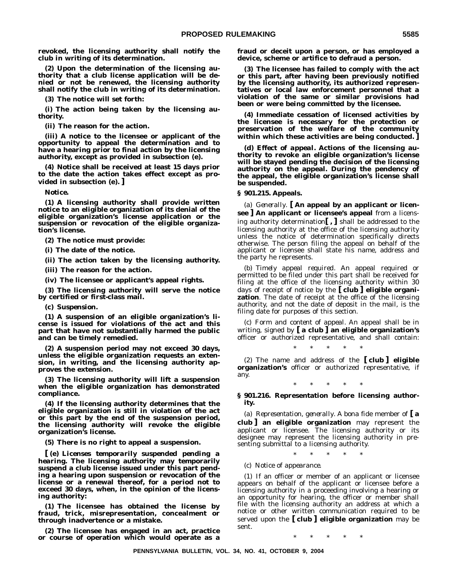**revoked, the licensing authority shall notify the club in writing of its determination.**

**(2) Upon the determination of the licensing authority that a club license application will be denied or not be renewed, the licensing authority shall notify the club in writing of its determination.**

**(3) The notice will set forth:**

**(i) The action being taken by the licensing authority.**

**(ii) The reason for the action.**

**(iii) A notice to the licensee or applicant of the opportunity to appeal the determination and to have a hearing prior to final action by the licensing authority, except as provided in subsection (e).**

**(4) Notice shall be received at least 15 days prior to the date the action takes effect except as provided in subsection (e). ]**

*Notice***.**

**(1) A licensing authority shall provide written notice to an eligible organization of its denial of the eligible organization's license application or the suspension or revocation of the eligible organization's license.**

**(2) The notice must provide:**

**(i) The date of the notice.**

**(ii) The action taken by the licensing authority.**

**(iii) The reason for the action.**

**(iv) The licensee or applicant's appeal rights.**

**(3) The licensing authority will serve the notice by certified or first-class mail.**

**(c)** *Suspension***.**

**(1) A suspension of an eligible organization's license is issued for violations of the act and this part that have not substantially harmed the public and can be timely remedied.**

**(2) A suspension period may not exceed 30 days, unless the eligible organization requests an extension, in writing, and the licensing authority approves the extension.**

**(3) The licensing authority will lift a suspension when the eligible organization has demonstrated compliance.**

**(4) If the licensing authority determines that the eligible organization is still in violation of the act or this part by the end of the suspension period, the licensing authority will revoke the eligible organization's license.**

**(5) There is no right to appeal a suspension.**

**[ (e)** *Licenses temporarily suspended pending a hearing***. The licensing authority may temporarily suspend a club license issued under this part pending a hearing upon suspension or revocation of the license or a renewal thereof, for a period not to exceed 30 days, when, in the opinion of the licensing authority:**

**(1) The licensee has obtained the license by fraud, trick, misrepresentation, concealment or through inadvertence or a mistake.**

**(2) The licensee has engaged in an act, practice or course of operation which would operate as a** **fraud or deceit upon a person, or has employed a device, scheme or artifice to defraud a person.**

**(3) The licensee has failed to comply with the act or this part, after having been previously notified by the licensing authority, its authorized representatives or local law enforcement personnel that a violation of the same or similar provisions had been or were being committed by the licensee.**

**(4) Immediate cessation of licensed activities by the licensee is necessary for the protection or preservation of the welfare of the community within which these activities are being conducted. ]**

**(d)** *Effect of appeal***. Actions of the licensing authority to revoke an eligible organization's license will be stayed pending the decision of the licensing authority on the appeal. During the pendency of the appeal, the eligible organization's license shall be suspended.**

**§ 901.215. Appeals.**

(a) *Generally*. **[ An appeal by an applicant or licensee ] An applicant or licensee's appeal** from a licensing authority determination**[ , ]** shall be addressed to the licensing authority at the office of the licensing authority unless the notice of determination specifically directs otherwise. The person filing the appeal on behalf of the applicant or licensee shall state his name, address and the party he represents.

(b) *Timely appeal required*. An appeal required or permitted to be filed under this part shall be received for filing at the office of the licensing authority within 30 days of receipt of notice by the **[ club ] eligible organization**. The date of receipt at the office of the licensing authority, and not the date of deposit in the mail, is the filing date for purposes of this section.

(c) *Form and content of appeal*. An appeal shall be in writing, signed by **[ a club ] an eligible organization's** officer or authorized representative, and shall contain:

\*\*\*\*\*

(2) The name and address of the **[ club ] eligible organization's** officer or authorized representative, if any.

\*\*\*\*\*

# **§ 901.216. Representation before licensing authority.**

(a) *Representation, generally*. A bona fide member of **[ a club ] an eligible organization** may represent the applicant or licensee. The licensing authority or its designee may represent the licensing authority in presenting submittal to a licensing authority.

\*\*\*\*\*

(c) *Notice of appearance.*

(1) If an officer or member of an applicant or licensee appears on behalf of the applicant or licensee before a licensing authority in a proceeding involving a hearing or an opportunity for hearing, the officer or member shall file with the licensing authority an address at which a notice or other written communication required to be served upon the **[ club ] eligible organization** may be sent.

 $*$  \*

**PENNSYLVANIA BULLETIN, VOL. 34, NO. 41, OCTOBER 9, 2004**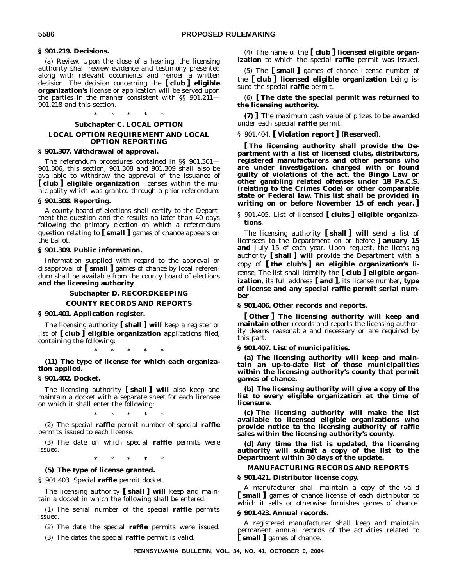#### **§ 901.219. Decisions.**

(a) *Review.* Upon the close of a hearing, the licensing authority shall review evidence and testimony presented along with relevant documents and render a written decision. The decision concerning the **[ club ] eligible organization's** license or application will be served upon the parties in the manner consistent with §§ 901.211— 901.218 and this section.

#### \*\*\*\*\*

#### **Subchapter C. LOCAL OPTION**

# **LOCAL OPTION REQUIREMENT AND LOCAL OPTION REPORTING**

### **§ 901.307. Withdrawal of approval.**

The referendum procedures contained in §§ 901.301— 901.306, this section, 901.308 and 901.309 shall also be available to withdraw the approval of the issuance of **[ club ] eligible organization** licenses within the municipality which was granted through a prior referendum.

## **§ 901.308. Reporting.**

A county board of elections shall certify to the Department the question and the results no later than 40 days following the primary election on which a referendum question relating to **[ small ]** games of chance appears on the ballot.

#### **§ 901.309. Public information.**

Information supplied with regard to the approval or disapproval of **[ small ]** games of chance by local referendum shall be available from the county board of elections **and the licensing authority**.

#### **Subchapter D. RECORDKEEPING**

#### **COUNTY RECORDS AND REPORTS**

#### **§ 901.401. Application register.**

The licensing authority **[ shall ] will** keep a register or list of **[ club ] eligible organization** applications filed, containing the following:

\*\*\*\*\*

**(11) The type of license for which each organization applied.**

# **§ 901.402. Docket.**

The licensing authority **[ shall ] will** also keep and maintain a docket with a separate sheet for each licensee on which it shall enter the following:

\*\*\*\*\*

(2) The special **raffle** permit number of special **raffle** permits issued to each license.

(3) The date on which special **raffle** permits were issued.

\*\*\*\*\*

# **(5) The type of license granted.**

§ 901.403. Special **raffle** permit docket.

The licensing authority **[ shall ] will** keep and maintain a docket in which the following shall be entered:

(1) The serial number of the special **raffle** permits issued.

(2) The date the special **raffle** permits were issued.

(3) The dates the special **raffle** permit is valid.

(4) The name of the **[ club ] licensed eligible organization** to which the special **raffle** permit was issued.

(5) The **[ small ]** games of chance license number of the **[ club ] licensed eligible organization** being issued the special **raffle** permit.

(6) **[ The date the special permit was returned to the licensing authority.**

**(7) ]** The maximum cash value of prizes to be awarded under each special **raffle** permit.

#### § 901.404. **[ Violation report ] (Reserved)**.

**[ The licensing authority shall provide the Department with a list of licensed clubs, distributors, registered manufacturers and other persons who are under investigation, charged with or found guilty of violations of the act, the Bingo Law or other gambling related offenses under 18 Pa.C.S. (relating to the Crimes Code) or other comparable state or Federal law. This list shall be provided in writing on or before November 15 of each year. ]**

§ 901.405. List of licensed **[ clubs ] eligible organizations**.

The licensing authority **[ shall ] will** send a list of licensees to the Department on or before **January 15 and** July 15 of each year. Upon request, the licensing authority **[ shall ] will** provide the Department with a copy of **[ the club's ] an eligible organization's** license. The list shall identify the **[ club ] eligible organization**, its full address **[ and ],** its license number**, type of license and any special raffle permit serial number**.

#### **§ 901.406. Other records and reports.**

**[ Other ] The licensing authority will keep and maintain other** records and reports the licensing authority deems reasonable and necessary or are required by this part.

#### **§ 901.407. List of municipalities.**

**(a) The licensing authority will keep and maintain an up-to-date list of those municipalities within the licensing authority's county that permit games of chance.**

**(b) The licensing authority will give a copy of the list to every eligible organization at the time of licensure.**

**(c) The licensing authority will make the list available to licensed eligible organizations who provide notice to the licensing authority of raffle sales within the licensing authority's county.**

**(d) Any time the list is updated, the licensing authority will submit a copy of the list to the Department within 30 days of the update.**

#### **MANUFACTURING RECORDS AND REPORTS**

#### **§ 901.421. Distributor license copy.**

A manufacturer shall maintain a copy of the valid **[ small ]** games of chance license of each distributor to which it sells or otherwise furnishes games of chance.

## **§ 901.423. Annual records.**

A registered manufacturer shall keep and maintain permanent annual records of the activities related to **[ small ]** games of chance.

**PENNSYLVANIA BULLETIN, VOL. 34, NO. 41, OCTOBER 9, 2004**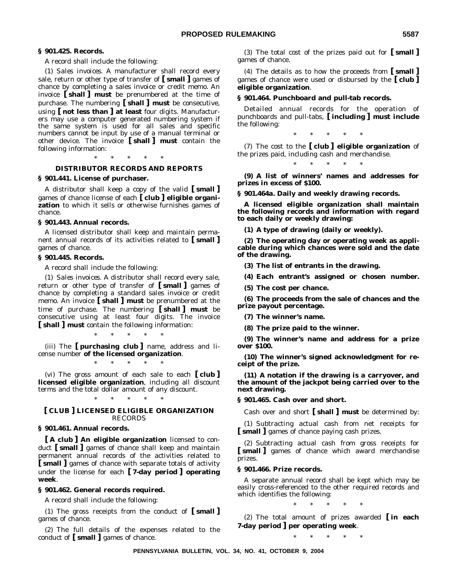## **§ 901.425. Records.**

A record shall include the following:

(1) *Sales invoices*. A manufacturer shall record every sale, return or other type of transfer of **[ small ]** games of chance by completing a sales invoice or credit memo. An invoice **[ shall ] must** be prenumbered at the time of purchase. The numbering **[ shall ] must** be consecutive, using **[ not less than ] at least** four digits. Manufacturers may use a computer generated numbering system if the same system is used for all sales and specific numbers cannot be input by use of a manual terminal or other device. The invoice **[ shall ] must** contain the following information:

\*\*\*\*\*

# **DISTRIBUTOR RECORDS AND REPORTS**

#### **§ 901.441. License of purchaser.**

A distributor shall keep a copy of the valid **[ small ]** games of chance license of each **[ club ] eligible organization** to which it sells or otherwise furnishes games of chance.

#### **§ 901.443. Annual records.**

A licensed distributor shall keep and maintain permanent annual records of its activities related to **[ small ]** games of chance.

### **§ 901.445. Records.**

A record shall include the following:

(1) *Sales invoices*. A distributor shall record every sale, return or other type of transfer of **[ small ]** games of chance by completing a standard sales invoice or credit memo. An invoice **[ shall ] must** be prenumbered at the time of purchase. The numbering **[ shall ] must** be consecutive using at least four digits. The invoice **[ shall ] must** contain the following information:

\*\*\*\*\* (iii) The **[ purchasing club ]** name, address and license number **of the licensed organization**.

\*\*\*\*\*

(vi) The gross amount of each sale to each **[ club ] licensed eligible organization**, including all discount terms and the total dollar amount of any discount.

\*\*\*\*\*

## **[ CLUB ] LICENSED ELIGIBLE ORGANIZATION** RECORDS

#### **§ 901.461. Annual records.**

**[ A club ] An eligible organization** licensed to conduct **[ small ]** games of chance shall keep and maintain permanent annual records of the activities related to **[ small ]** games of chance with separate totals of activity under the license for each **[ 7-day period ] operating week**.

# **§ 901.462. General records required.**

A record shall include the following:

(1) The gross receipts from the conduct of **[ small ]** games of chance.

(2) The full details of the expenses related to the conduct of **[ small ]** games of chance.

(3) The total cost of the prizes paid out for **[ small ]** games of chance.

(4) The details as to how the proceeds from **[ small ]** games of chance were used or disbursed by the **[ club ] eligible organization**.

#### **§ 901.464. Punchboard and pull-tab records.**

Detailed annual records for the operation of punchboards and pull-tabs, **[ including ] must include** the following:

\*\*\*\*\*

(7) The cost to the **[ club ] eligible organization** of the prizes paid, including cash and merchandise.

\*\*\*\*\*

**(9) A list of winners' names and addresses for prizes in excess of \$100.**

**§ 901.464a. Daily and weekly drawing records.**

**A licensed eligible organization shall maintain the following records and information with regard to each daily or weekly drawing:**

**(1) A type of drawing (daily or weekly).**

**(2) The operating day or operating week as applicable during which chances were sold and the date of the drawing.**

**(3) The list of entrants in the drawing.**

**(4) Each entrant's assigned or chosen number.**

**(5) The cost per chance.**

**(6) The proceeds from the sale of chances and the prize payout percentage.**

**(7) The winner's name.**

**(8) The prize paid to the winner.**

**(9) The winner's name and address for a prize over \$100.**

**(10) The winner's signed acknowledgment for receipt of the prize.**

**(11) A notation if the drawing is a carryover, and the amount of the jackpot being carried over to the next drawing.**

**§ 901.465. Cash over and short.**

Cash over and short **[ shall ] must** be determined by:

(1) Subtracting actual cash from net receipts for **[ small ]** games of chance paying cash prizes.

(2) Subtracting actual cash from gross receipts for **[ small ]** games of chance which award merchandise prizes.

#### **§ 901.466. Prize records.**

A separate annual record shall be kept which may be easily cross-referenced to the other required records and which identifies the following:

\*\*\*\*\*

(2) The total amount of prizes awarded **[ in each 7-day period ] per operating week**.

\*\*\*\*\*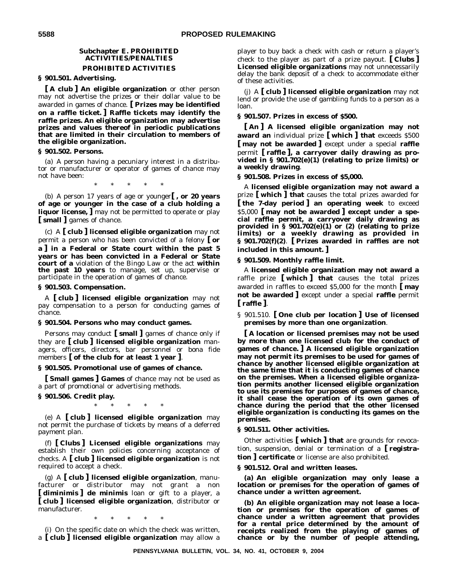# **Subchapter E. PROHIBITED ACTIVITIES/PENALTIES PROHIBITED ACTIVITIES**

# **§ 901.501. Advertising.**

**[ A club ] An eligible organization** or other person may not advertise the prizes or their dollar value to be awarded in games of chance. **[ Prizes may be identified on a raffle ticket. ] Raffle tickets may identify the raffle prizes. An eligible organization may advertise prizes and values thereof in periodic publications that are limited in their circulation to members of the eligible organization.**

### **§ 901.502. Persons.**

(a) A person having a pecuniary interest in a distributor or manufacturer or operator of games of chance may not have been:

\*\*\*\*\*

(b) A person 17 years of age or younger**[ , or 20 years of age or younger in the case of a club holding a liquor license, ]** may not be permitted to operate or play **[ small ]** games of chance.

(c) A **[ club ] licensed eligible organization** may not permit a person who has been convicted of a felony **[ or a ] in a Federal or State court within the past 5 years or has been convicted in a Federal or State court of a** violation of the Bingo Law or the act **within the past 10 years** to manage, set up, supervise or participate in the operation of games of chance.

#### **§ 901.503. Compensation.**

A **[ club ] licensed eligible organization** may not pay compensation to a person for conducting games of chance.

#### **§ 901.504. Persons who may conduct games.**

Persons may conduct **[ small ]** games of chance only if they are **[ club ] licensed eligible organization** managers, officers, directors, bar personnel or bona fide members **[ of the club for at least 1 year ]**.

#### **§ 901.505. Promotional use of games of chance.**

**[ Small games ] Games** of chance may not be used as a part of promotional or advertising methods.

#### **§ 901.506. Credit play.**

\*\*\*\*\*

(e) A **[ club ] licensed eligible organization** may not permit the purchase of tickets by means of a deferred payment plan.

(f) **[ Clubs ] Licensed eligible organizations** may establish their own policies concerning acceptance of checks. A **[ club ] licensed eligible organization** is not required to accept a check.

(g) A **[ club ] licensed eligible organization**, manufacturer or distributor may not grant a non **[ diminimis ] de minimis** loan or gift to a player, a **[ club ] licensed eligible organization**, distributor or manufacturer.

\*\*\*\*\*

(i) On the specific date on which the check was written, a **[ club ] licensed eligible organization** may allow a player to buy back a check with cash or return a player's check to the player as part of a prize payout. **[ Clubs ] Licensed eligible organizations** may not unnecessarily delay the bank deposit of a check to accommodate either of these activities.

(j) A **[ club ] licensed eligible organization** may not lend or provide the use of gambling funds to a person as a loan.

#### **§ 901.507. Prizes in excess of \$500.**

**[ An ] A licensed eligible organization may not award an** individual prize **[ which ] that** exceeds \$500 **[ may not be awarded ]** except under a special **raffle** permit **[ raffle ], a carryover daily drawing as provided in § 901.702(e)(1) (relating to prize limits) or a weekly drawing**.

#### **§ 901.508. Prizes in excess of \$5,000.**

A **licensed eligible organization may not award a** prize **[ which ] that** causes the total prizes awarded for **[ the 7-day period ] an operating week** to exceed \$5,000 **[ may not be awarded ] except under a special raffle permit, a carryover daily drawing as provided in § 901.702(e)(1) or (2) (relating to prize limits) or a weekly drawing as provided in § 901.702(f)(2)**. **[ Prizes awarded in raffles are not included in this amount. ]**

#### **§ 901.509. Monthly raffle limit.**

A **licensed eligible organization may not award a** raffle prize **[ which ] that** causes the total prizes awarded in raffles to exceed \$5,000 for the month **[ may not be awarded ]** except under a special **raffle** permit **[ raffle ]**.

§ 901.510. **[ One club per location ] Use of licensed premises by more than one organization**.

**[ A location or licensed premises may not be used by more than one licensed club for the conduct of games of chance. ] A licensed eligible organization may not permit its premises to be used for games of chance by another licensed eligible organization at the same time that it is conducting games of chance on the premises. When a licensed eligible organization permits another licensed eligible organization to use its premises for purposes of games of chance, it shall cease the operation of its own games of chance during the period that the other licensed eligible organization is conducting its games on the premises.**

## **§ 901.511. Other activities.**

Other activities **[ which ] that** are grounds for revocation, suspension, denial or termination of a **[ registration ] certificate** or license are also prohibited.

#### **§ 901.512. Oral and written leases.**

**(a) An eligible organization may only lease a location or premises for the operation of games of chance under a written agreement.**

**(b) An eligible organization may not lease a location or premises for the operation of games of chance under a written agreement that provides for a rental price determined by the amount of receipts realized from the playing of games of chance or by the number of people attending,**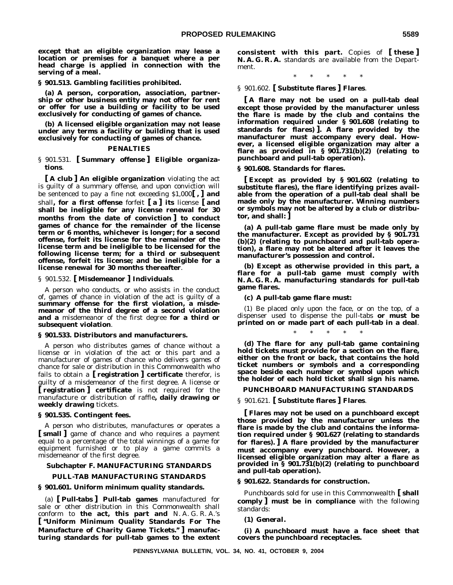**except that an eligible organization may lease a location or premises for a banquet where a per head charge is applied in connection with the serving of a meal.**

**§ 901.513. Gambling facilities prohibited.**

**(a) A person, corporation, association, partnership or other business entity may not offer for rent or offer for use a building or facility to be used exclusively for conducting of games of chance.**

**(b) A licensed eligible organization may not lease under any terms a facility or building that is used exclusively for conducting of games of chance.**

#### **PENALTIES**

§ 901.531. **[ Summary offense ] Eligible organizations**.

**[ A club ] An eligible organization** violating the act is guilty of a summary offense, and upon conviction will be sentenced to pay a fine not exceeding \$1,000**[ , ] and** shall**, for a first offense** forfeit **[ a ] its** license **[ and shall be ineligible for any license renewal for 30 months from the date of conviction ] to conduct games of chance for the remainder of the license term or 6 months, whichever is longer; for a second offense, forfeit its license for the remainder of the license term and be ineligible to be licensed for the following license term; for a third or subsequent offense, forfeit its license; and be ineligible for a license renewal for 30 months thereafter**.

§ 901.532. **[ Misdemeanor ] Individuals**.

A person who conducts, or who assists in the conduct of, games of chance in violation of the act is guilty of a **summary offense for the first violation, a misdemeanor of the third degree of a second violation and a** misdemeanor of the first degree **for a third or subsequent violation**.

#### **§ 901.533. Distributors and manufacturers.**

A person who distributes games of chance without a license or in violation of the act or this part and a manufacturer of games of chance who delivers games of chance for sale or distribution in this Commonwealth who fails to obtain a **[ registration ] certificate** therefor, is guilty of a misdemeanor of the first degree. A license or **[ registration ] certificate** is not required for the manufacture or distribution of raffle**, daily drawing or weekly drawing** tickets.

#### **§ 901.535. Contingent fees.**

A person who distributes, manufactures or operates a **[ small ]** game of chance and who requires a payment equal to a percentage of the total winnings of a game for equipment furnished or to play a game commits a misdemeanor of the first degree.

## **Subchapter F. MANUFACTURING STANDARDS**

#### **PULL-TAB MANUFACTURING STANDARDS**

#### **§ 901.601. Uniform minimum quality standards.**

(a) **[ Pull-tabs ] Pull-tab games** manufactured for sale or other distribution in this Commonwealth shall conform to **the act, this part and** N. A. G. R. A.'s **[ ''Uniform Minimum Quality Standards For The Manufacture of Charity Game Tickets.'' ] manufacturing standards for pull-tab games to the extent** **consistent with this part.** Copies of **[ these ] N. A. G. R. A.** standards are available from the Department.

\*\*\*\*\*

§ 901.602. **[ Substitute flares ] Flares**.

**[ A flare may not be used on a pull-tab deal except those provided by the manufacturer unless the flare is made by the club and contains the information required under § 901.608 (relating to standards for flares) ]. A flare provided by the manufacturer must accompany every deal. However, a licensed eligible organization may alter a flare as provided in § 901.731(b)(2) (relating to punchboard and pull-tab operation).**

#### **§ 901.608. Standards for flares.**

**[ Except as provided by § 901.602 (relating to substitute flares), the flare identifying prizes available from the operation of a pull-tab deal shall be made only by the manufacturer. Winning numbers or symbols may not be altered by a club or distributor, and shall: ]**

**(a) A pull-tab game flare must be made only by the manufacturer. Except as provided by § 901.731 (b)(2) (relating to punchboard and pull-tab operation), a flare may not be altered after it leaves the manufacturer's possession and control.**

**(b) Except as otherwise provided in this part, a flare for a pull-tab game must comply with N. A. G. R. A. manufacturing standards for pull-tab game flares.**

**(c) A pull-tab game flare must:**

(1) Be placed only upon the face, or on the top, of a dispenser used to dispense the pull-tabs **or must be printed on or made part of each pull-tab in a deal**.

\*\*\*\*\*

**(d) The flare for any pull-tab game containing hold tickets must provide for a section on the flare, either on the front or back, that contains the hold ticket numbers or symbols and a corresponding space beside each number or symbol upon which the holder of each hold ticket shall sign his name.**

# **PUNCHBOARD MANUFACTURING STANDARDS**

#### § 901.621. **[ Substitute flares ] Flares**.

**[ Flares may not be used on a punchboard except those provided by the manufacturer unless the flare is made by the club and contains the information required under § 901.627 (relating to standards for flares). ] A flare provided by the manufacturer must accompany every punchboard. However, a licensed eligible organization may alter a flare as provided in § 901.731(b)(2) (relating to punchboard and pull-tab operation).**

#### **§ 901.622. Standards for construction.**

Punchboards sold for use in this Commonwealth **[ shall comply ] must be in compliance** with the following standards:

#### **(1)** *General***.**

**(i) A punchboard must have a face sheet that covers the punchboard receptacles.**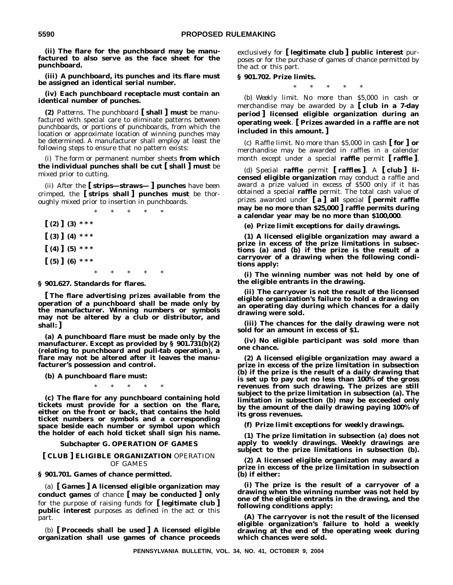**(ii) The flare for the punchboard may be manufactured to also serve as the face sheet for the punchboard.**

**(iii) A punchboard, its punches and its flare must be assigned an identical serial number.**

**(iv) Each punchboard receptacle must contain an identical number of punches.**

**(2)** *Patterns*. The punchboard **[ shall ] must** be manufactured with special care to eliminate patterns between punchboards, or portions of punchboards, from which the location or approximate location of winning punches may be determined. A manufacturer shall employ at least the following steps to ensure that no pattern exists:

(i) The form or permanent number sheets **from which the individual punches shall be cut [ shall ] must** be mixed prior to cutting.

(ii) After the **[ strips—straws— ] punches** have been crimped, the **[ strips shall ] punches must** be thoroughly mixed prior to insertion in punchboards.

\*\*\*\*\*  $(2)$   $(3)$  \* \* \* **[ (3) ] (4) \* \* \* [ (4) ] (5) \* \* \* [ (5) ] (6) \* \* \*** \*\*\*\*\*

**§ 901.627. Standards for flares.**

**[ The flare advertising prizes available from the operation of a punchboard shall be made only by the manufacturer. Winning numbers or symbols may not be altered by a club or distributor, and shall: ]**

**(a) A punchboard flare must be made only by the manufacturer. Except as provided by § 901.731(b)(2) (relating to punchboard and pull-tab operation), a flare may not be altered after it leaves the manufacturer's possession and control.**

**(b) A punchboard flare must:**

\*\*\*\*\*

**(c) The flare for any punchboard containing hold tickets must provide for a section on the flare, either on the front or back, that contains the hold ticket numbers or symbols and a corresponding space beside each number or symbol upon which the holder of each hold ticket shall sign his name.**

#### **Subchapter G. OPERATION OF GAMES**

### **[ CLUB ] ELIGIBLE ORGANIZATION** OPERATION OF GAMES

**§ 901.701. Games of chance permitted.**

(a) **[ Games ] A licensed eligible organization may conduct games** of chance **[ may be conducted ] only** for the purpose of raising funds for **[ legitimate club ] public interest** purposes as defined in the act or this part.

(b) **[ Proceeds shall be used ] A licensed eligible organization shall use games of chance proceeds** exclusively for **[ legitimate club ] public interest** purposes or for the purchase of games of chance permitted by the act or this part.

#### **§ 901.702. Prize limits.**

\*\*\*\*\*

(b) *Weekly limit*. No more than \$5,000 in cash or merchandise may be awarded by a **[ club in a 7-day period ] licensed eligible organization during an operating week**. **[ Prizes awarded in a raffle are not included in this amount. ]**

(c) *Raffle limit*. No more than \$5,000 in cash **[ for ] or** merchandise may be awarded in raffles in a calendar month except under a special **raffle** permit **[ raffle ]**.

(d) *Special raffle permit* **[** *raffles* **]**. A **[ club ] licensed eligible organization** may conduct a raffle and award a prize valued in excess of \$500 only if it has obtained a special **raffle** permit. The total cash value of prizes awarded under **[ a ] all** special **[ permit raffle may be no more than \$25,000 ] raffle permits during a calendar year may be no more than \$100,000**.

**(e)** *Prize limit exceptions for daily drawings***.**

**(1) A licensed eligible organization may award a prize in excess of the prize limitations in subsections (a) and (b) if the prize is the result of a carryover of a drawing when the following conditions apply:**

**(i) The winning number was not held by one of the eligible entrants in the drawing.**

**(ii) The carryover is not the result of the licensed eligible organization's failure to hold a drawing on an operating day during which chances for a daily drawing were sold.**

**(iii) The chances for the daily drawing were not sold for an amount in excess of \$1.**

**(iv) No eligible participant was sold more than one chance.**

**(2) A licensed eligible organization may award a prize in excess of the prize limitation in subsection (b) if the prize is the result of a daily drawing that is set up to pay out no less than 100% of the gross revenues from such drawing. The prizes are still subject to the prize limitation in subsection (a). The limitation in subsection (b) may be exceeded only by the amount of the daily drawing paying 100% of its gross revenues.**

**(f)** *Prize limit exceptions for weekly drawings***.**

**(1) The prize limitation in subsection (a) does not apply to weekly drawings. Weekly drawings are subject to the prize limitations in subsection (b).**

**(2) A licensed eligible organization may award a prize in excess of the prize limitation in subsection (b) if either:**

**(i) The prize is the result of a carryover of a drawing when the winning number was not held by one of the eligible entrants in the drawing, and the following conditions apply:**

**(A) The carryover is not the result of the licensed eligible organization's failure to hold a weekly drawing at the end of the operating week during which chances were sold.**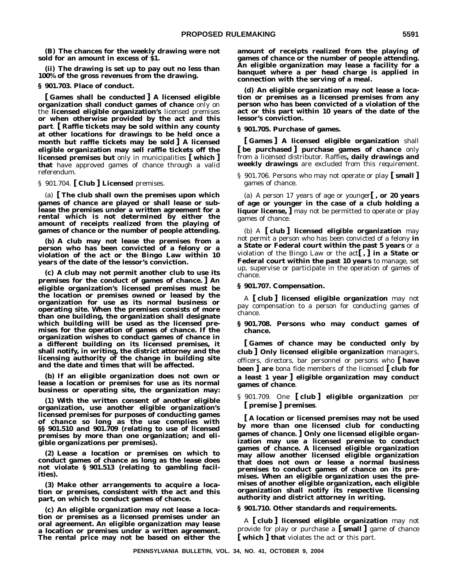**(B) The chances for the weekly drawing were not sold for an amount in excess of \$1.**

**(ii) The drawing is set up to pay out no less than 100% of the gross revenues from the drawing.**

**§ 901.703. Place of conduct.**

**[ Games shall be conducted ] A licensed eligible organization shall conduct games of chance** only on the **licensed eligible organization's** licensed premises **or when otherwise provided by the act and this part**. **[ Raffle tickets may be sold within any county at other locations for drawings to be held once a month but raffle tickets may be sold ] A licensed eligible organization may sell raffle tickets off the licensed premises but** only in municipalities **[ which ] that** have approved games of chance through a valid referendum.

§ 901.704. **[ Club ] Licensed** premises.

(a) **[ The club shall own the premises upon which games of chance are played or shall lease or sublease the premises under a written agreement for a rental which is not determined by either the amount of receipts realized from the playing of games of chance or the number of people attending.**

**(b) A club may not lease the premises from a person who has been convicted of a felony or a violation of the act or the Bingo Law within 10 years of the date of the lessor's conviction.**

**(c) A club may not permit another club to use its premises for the conduct of games of chance. ] An eligible organization's licensed premises must be the location or premises owned or leased by the organization for use as its normal business or operating site. When the premises consists of more than one building, the organization shall designate which building will be used as the licensed premises for the operation of games of chance. If the organization wishes to conduct games of chance in a different building on its licensed premises, it shall notify, in writing, the district attorney and the licensing authority of the change in building site and the date and times that will be affected.**

**(b) If an eligible organization does not own or lease a location or premises for use as its normal business or operating site, the organization may:**

**(1) With the written consent of another eligible organization, use another eligible organization's licensed premises for purposes of conducting games of chance so long as the use complies with §§ 901.510 and 901.709 (relating to use of licensed premises by more than one organization; and eligible organizations per premises).**

**(2) Lease a location or premises on which to conduct games of chance as long as the lease does not violate § 901.513 (relating to gambling facilities).**

**(3) Make other arrangements to acquire a location or premises, consistent with the act and this part, on which to conduct games of chance.**

**(c) An eligible organization may not lease a location or premises as a licensed premises under an oral agreement. An eligible organization may lease a location or premises under a written agreement. The rental price may not be based on either the** **amount of receipts realized from the playing of games of chance or the number of people attending. An eligible organization may lease a facility for a banquet where a per head charge is applied in connection with the serving of a meal.**

**(d) An eligible organization may not lease a location or premises as a licensed premises from any person who has been convicted of a violation of the act or this part within 10 years of the date of the lessor's conviction.**

# **§ 901.705. Purchase of games.**

**[ Games ] A licensed eligible organization** shall **[ be purchased ] purchase games of chance** only from a licensed distributor. Raffles**, daily drawings and weekly drawings** are excluded from this requirement.

§ 901.706. Persons who may not operate or play **[ small ]** games of chance.

(a) A person 17 years of age or younger**[ , or 20 years of age or younger in the case of a club holding a liquor license, ]** may not be permitted to operate or play games of chance.

(b) A **[ club ] licensed eligible organization** may not permit a person who has been convicted of a felony **in a State or Federal court within the past 5 years** or a violation of the Bingo Law or the act**[ , ] in a State or Federal court within the past 10 years** to manage, set up, supervise or participate in the operation of games of chance.

## **§ 901.707. Compensation.**

A **[ club ] licensed eligible organization** may not pay compensation to a person for conducting games of chance.

**§ 901.708. Persons who may conduct games of chance.**

**[ Games of chance may be conducted only by club ] Only licensed eligible organization** managers, officers, directors, bar personnel or persons who **[ have been ] are** bona fide members of the licensed **[ club for a least 1 year ] eligible organization may conduct games of chance**.

§ 901.709. One **[ club ] eligible organization** per **[ premise ] premises**.

**[ A location or licensed premises may not be used by more than one licensed club for conducting games of chance. ] Only one licensed eligible organization may use a licensed premise to conduct games of chance. A licensed eligible organization may allow another licensed eligible organization that does not own or lease a normal business premises to conduct games of chance on its premises. When an eligible organization uses the premises of another eligible organization, each eligible organization shall notify its respective licensing authority and district attorney in writing.**

### **§ 901.710. Other standards and requirements.**

A **[ club ] licensed eligible organization** may not provide for play or purchase a **[ small ]** game of chance **[ which ] that** violates the act or this part.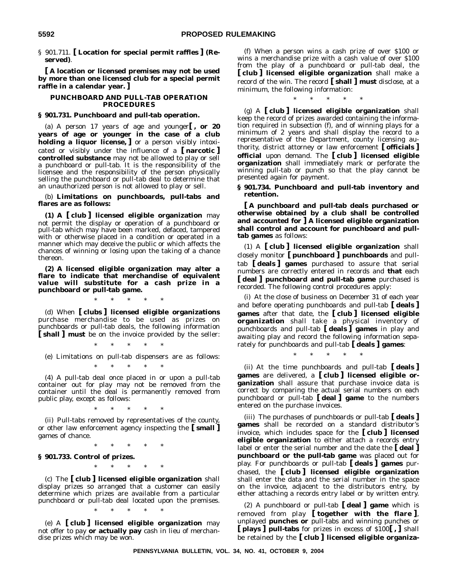§ 901.711. **[ Location for special permit raffles ] (Reserved)**.

**[ A location or licensed premises may not be used by more than one licensed club for a special permit raffle in a calendar year. ]**

## **PUNCHBOARD AND PULL-TAB OPERATION PROCEDURES**

# **§ 901.731. Punchboard and pull-tab operation.**

(a) A person 17 years of age and younger**[ , or 20 years of age or younger in the case of a club holding a liquor license, ]** or a person visibly intoxicated or visibly under the influence of a **[ narcotic ] controlled substance** may not be allowed to play or sell a punchboard or pull-tab. It is the responsibility of the licensee and the responsibility of the person physically selling the punchboard or pull-tab deal to determine that an unauthorized person is not allowed to play or sell.

(b) **Limitations on punchboards, pull-tabs and flares are as follows:**

**(1) A [ club ] licensed eligible organization** may not permit the display or operation of a punchboard or pull-tab which may have been marked, defaced, tampered with or otherwise placed in a condition or operated in a manner which may deceive the public or which affects the chances of winning or losing upon the taking of a chance thereon.

**(2) A licensed eligible organization may alter a flare to indicate that merchandise of equivalent value will substitute for a cash prize in a punchboard or pull-tab game.**

\*\*\*\*\*

(d) When **[ clubs ] licensed eligible organizations** purchase merchandise to be used as prizes on punchboards or pull-tab deals, the following information **[ shall ] must** be on the invoice provided by the seller:

\*\*\*\*\*

(e) Limitations on pull-tab dispensers are as follows: \*\*\*\*\*

(4) A pull-tab deal once placed in or upon a pull-tab container out for play may not be removed from the container until the deal is permanently removed from public play, except as follows:

\*\*\*\*\*

(ii) Pull-tabs removed by representatives of the county, or other law enforcement agency inspecting the **[ small ]** games of chance.

\*\*\*\*\*

**§ 901.733. Control of prizes.**

\*\*\*\*\*

(c) The **[ club ] licensed eligible organization** shall display prizes so arranged that a customer can easily determine which prizes are available from a particular punchboard or pull-tab deal located upon the premises.

(e) A **[ club ] licensed eligible organization** may not offer to pay **or actually pay** cash in lieu of merchandise prizes which may be won.

\*\*\*\*\*

(f) When a person wins a cash prize of over \$100 or wins a merchandise prize with a cash value of over \$100 from the play of a punchboard or pull-tab deal, the **[ club ] licensed eligible organization** shall make a record of the win. The record **[ shall ] must** disclose, at a minimum, the following information:

\*\*\*\*\*

(g) A **[ club ] licensed eligible organization** shall keep the record of prizes awarded containing the information required in subsection (f), and of winning plays for a minimum of 2 years and shall display the record to a representative of the Department, county licensing authority, district attorney or law enforcement **[ officials ] official** upon demand. The **[ club ] licensed eligible organization** shall immediately mark or perforate the winning pull-tab or punch so that the play cannot be presented again for payment.

**§ 901.734. Punchboard and pull-tab inventory and retention.**

**[ A punchboard and pull-tab deals purchased or otherwise obtained by a club shall be controlled and accounted for ] A licensed eligible organization shall control and account for punchboard and pulltab games** as follows:

(1) A **[ club ] licensed eligible organization** shall closely monitor **[ punchboard ] punchboards** and pulltab **[ deals ] games** purchased to assure that serial numbers are correctly entered in records and **that** each **[ deal ] punchboard and pull-tab game** purchased is recorded. The following control procedures apply:

(i) At the close of business on December 31 of each year and before operating punchboards and pull-tab **[ deals ] games** after that date, the **[ club ] licensed eligible organization** shall take a physical inventory of punchboards and pull-tab **[ deals ] games** in play and awaiting play and record the following information separately for punchboards and pull-tab **[ deals ] games**:

\*\*\*\*\*

(ii) At the time punchboards and pull-tab **[ deals ] games** are delivered, a **[ club ] licensed eligible organization** shall assure that purchase invoice data is correct by comparing the actual serial numbers on each punchboard or pull-tab **[ deal ] game** to the numbers entered on the purchase invoices.

(iii) The purchases of punchboards or pull-tab **[ deals ] games** shall be recorded on a standard distributor's invoice, which includes space for the **[ club ] licensed eligible organization** to either attach a records entry label or enter the serial number and the date the **[ deal ] punchboard or the pull-tab game** was placed out for play. For punchboards or pull-tab **[ deals ] games** purchased, the **[ club ] licensed eligible organization** shall enter the data and the serial number in the space on the invoice, adjacent to the distributors entry, by either attaching a records entry label or by written entry.

(2) A punchboard or pull-tab **[ deal ] game** which is removed from play **[ together with the flare ]**, unplayed **punches or** pull-tabs and winning punches or **[ plays ] pull-tabs** for prizes in excess of \$100**[ , ]** shall be retained by the **[ club ] licensed eligible organiza-**

**PENNSYLVANIA BULLETIN, VOL. 34, NO. 41, OCTOBER 9, 2004**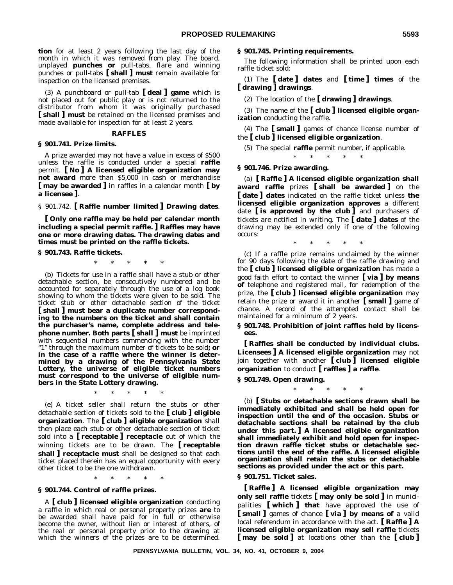**tion** for at least 2 years following the last day of the month in which it was removed from play. The board, unplayed **punches or** pull-tabs, flare and winning punches or pull-tabs **[ shall ] must** remain available for inspection on the licensed premises.

(3) A punchboard or pull-tab **[ deal ] game** which is not placed out for public play or is not returned to the distributor from whom it was originally purchased **[ shall ] must** be retained on the licensed premises and made available for inspection for at least 2 years.

#### **RAFFLES**

#### **§ 901.741. Prize limits.**

A prize awarded may not have a value in excess of \$500 unless the raffle is conducted under a special **raffle** permit. **[ No ] A licensed eligible organization may not award** more than \$5,000 in cash or merchandise **[ may be awarded ]** in raffles in a calendar month **[ by a licensee ]**.

§ 901.742. **[ Raffle number limited ] Drawing dates**.

**[ Only one raffle may be held per calendar month including a special permit raffle. ] Raffles may have one or more drawing dates. The drawing dates and times must be printed on the raffle tickets.**

#### **§ 901.743. Raffle tickets.**

\*\*\*\*\*

(b) Tickets for use in a raffle shall have a stub or other detachable section, be consecutively numbered and be accounted for separately through the use of a log book showing to whom the tickets were given to be sold. The ticket stub or other detachable section of the ticket **[ shall ] must bear a duplicate number corresponding to the numbers on the ticket and shall contain the purchaser's name, complete address and telephone number. Both parts [ shall ] must** be imprinted with sequential numbers commencing with the number "1" through the maximum number of tickets to be sold; or **in the case of a raffle where the winner is determined by a drawing of the Pennsylvania State Lottery, the universe of eligible ticket numbers must correspond to the universe of eligible numbers in the State Lottery drawing.**

\*\*\*\*\*

(e) A ticket seller shall return the stubs or other detachable section of tickets sold to the **[ club ] eligible organization**. The **[ club ] eligible organization** shall then place each stub or other detachable section of ticket sold into a **[ receptable ] receptacle** out of which the winning tickets are to be drawn. The **[ receptable shall ] receptacle must** shall be designed so that each ticket placed therein has an equal opportunity with every other ticket to be the one withdrawn.

\*\*\*\*\*

### **§ 901.744. Control of raffle prizes.**

A **[ club ] licensed eligible organization** conducting a raffle in which real or personal property prizes **are** to be awarded shall have paid for in full or otherwise become the owner, without lien or interest of others, of the real or personal property prior to the drawing at which the winners of the prizes are to be determined.

#### **§ 901.745. Printing requirements.**

The following information shall be printed upon each raffle ticket sold:

(1) The **[ date ] dates** and **[ time ] times** of the **[ drawing ] drawings**.

(2) The location of the **[ drawing ] drawings**.

(3) The name of the **[ club ] licensed eligible organization** conducting the raffle.

(4) The **[ small ]** games of chance license number of the **[ club ] licensed eligible organization**.

(5) The special **raffle** permit number, if applicable.

\*\*\*\*\*

# **§ 901.746. Prize awarding.**

(a) **[ Raffle ] A licensed eligible organization shall award raffle** prizes **[ shall be awarded ]** on the **[ date ] dates** indicated on the raffle ticket unless **the licensed eligible organization approves** a different date **[ is approved by the club ]** and purchasers of tickets are notified in writing. The **[ date ] dates** of the drawing may be extended only if one of the following occurs:

\*\*\*\*\*

(c) If a raffle prize remains unclaimed by the winner for 90 days following the date of the raffle drawing and the **[ club ] licensed eligible organization** has made a good faith effort to contact the winner **[ via ] by means of** telephone and registered mail, for redemption of the prize, the **[ club ] licensed eligible organization** may retain the prize or award it in another **[ small ]** game of chance. A record of the attempted contact shall be maintained for a minimum of 2 years.

**§ 901.748. Prohibition of joint raffles held by licensees.**

**[ Raffles shall be conducted by individual clubs. Licensees ] A licensed eligible organization** may not join together with another **[ club ] licensed eligible organization** to conduct **[ raffles ] a raffle**.

**§ 901.749. Open drawing.**

\*\*\*\*\*

(b) **[ Stubs or detachable sections drawn shall be immediately exhibited and shall be held open for inspection until the end of the occasion. Stubs or detachable sections shall be retained by the club under this part. ] A licensed eligible organization shall immediately exhibit and hold open for inspection drawn raffle ticket stubs or detachable sections until the end of the raffle. A licensed eligible organization shall retain the stubs or detachable sections as provided under the act or this part.**

**§ 901.751. Ticket sales.**

**[ Raffle ] A licensed eligible organization may only sell raffle** tickets **[ may only be sold ]** in municipalities **[ which ] that** have approved the use of **[ small ]** games of chance **[ via ] by means of** a valid local referendum in accordance with the act. **[ Raffle ] A licensed eligible organization may sell raffle** tickets **[ may be sold ]** at locations other than the **[ club ]**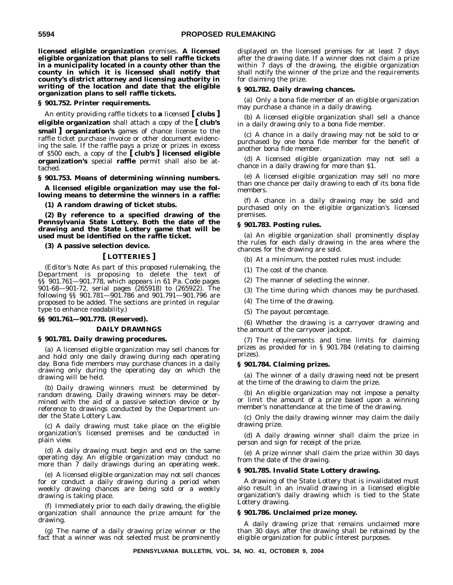**licensed eligible organization** premises. **A licensed eligible organization that plans to sell raffle tickets in a municipality located in a county other than the county in which it is licensed shall notify that county's district attorney and licensing authority in writing of the location and date that the eligible organization plans to sell raffle tickets.**

## **§ 901.752. Printer requirements.**

An entity providing raffle tickets to **a** licensed **[ clubs ] eligible organization** shall attach a copy of the **[ club's small ] organization's** games of chance license to the raffle ticket purchase invoice or other document evidencing the sale. If the raffle pays a prize or prizes in excess of \$500 each, a copy of the **[ club's ] licensed eligible organization's** special **raffle** permit shall also be attached.

# **§ 901.753. Means of determining winning numbers.**

**A licensed eligible organization may use the following means to determine the winners in a raffle:**

**(1) A random drawing of ticket stubs.**

**(2) By reference to a specified drawing of the Pennsylvania State Lottery. Both the date of the drawing and the State Lottery game that will be used must be identified on the raffle ticket.**

# **(3) A passive selection device.**

# **[ LOTTERIES ]**

(*Editor's Note:* As part of this proposed rulemaking, the Department is proposing to delete the text of §§ 901.761—901.778, which appears in 61 Pa. Code pages 901-68—901-72, serial pages (265918) to (265922). The following §§ 901.781—901.786 and 901.791—901.796 are proposed to be added. The sections are printed in regular type to enhance readability.)

# **§§ 901.761—901.778. (Reserved).**

# **DAILY DRAWINGS**

# **§ 901.781. Daily drawing procedures.**

(a) A licensed eligible organization may sell chances for and hold only one daily drawing during each operating day. Bona fide members may purchase chances in a daily drawing only during the operating day on which the drawing will be held.

(b) Daily drawing winners must be determined by random drawing. Daily drawing winners may be determined with the aid of a passive selection device or by reference to drawings conducted by the Department under the State Lottery Law.

(c) A daily drawing must take place on the eligible organization's licensed premises and be conducted in plain view.

(d) A daily drawing must begin and end on the same operating day. An eligible organization may conduct no more than 7 daily drawings during an operating week.

(e) A licensed eligible organization may not sell chances for or conduct a daily drawing during a period when weekly drawing chances are being sold or a weekly drawing is taking place.

(f) Immediately prior to each daily drawing, the eligible organization shall announce the prize amount for the drawing.

(g) The name of a daily drawing prize winner or the fact that a winner was not selected must be prominently displayed on the licensed premises for at least 7 days after the drawing date. If a winner does not claim a prize within 7 days of the drawing, the eligible organization shall notify the winner of the prize and the requirements for claiming the prize.

# **§ 901.782. Daily drawing chances.**

(a) Only a bona fide member of an eligible organization may purchase a chance in a daily drawing.

(b) A licensed eligible organization shall sell a chance in a daily drawing only to a bona fide member.

(c) A chance in a daily drawing may not be sold to or purchased by one bona fide member for the benefit of another bona fide member.

(d) A licensed eligible organization may not sell a chance in a daily drawing for more than \$1.

(e) A licensed eligible organization may sell no more than one chance per daily drawing to each of its bona fide members.

(f) A chance in a daily drawing may be sold and purchased only on the eligible organization's licensed premises.

# **§ 901.783. Posting rules.**

(a) An eligible organization shall prominently display the rules for each daily drawing in the area where the chances for the drawing are sold.

(b) At a minimum, the posted rules must include:

- (1) The cost of the chance.
- (2) The manner of selecting the winner.
- (3) The time during which chances may be purchased.
- (4) The time of the drawing.
- (5) The payout percentage.

(6) Whether the drawing is a carryover drawing and the amount of the carryover jackpot.

(7) The requirements and time limits for claiming prizes as provided for in § 901.784 (relating to claiming prizes).

# **§ 901.784. Claiming prizes.**

(a) The winner of a daily drawing need not be present at the time of the drawing to claim the prize.

(b) An eligible organization may not impose a penalty or limit the amount of a prize based upon a winning member's nonattendance at the time of the drawing.

(c) Only the daily drawing winner may claim the daily drawing prize.

(d) A daily drawing winner shall claim the prize in person and sign for receipt of the prize.

(e) A prize winner shall claim the prize within 30 days from the date of the drawing.

# **§ 901.785. Invalid State Lottery drawing.**

A drawing of the State Lottery that is invalidated must also result in an invalid drawing in a licensed eligible organization's daily drawing which is tied to the State Lottery drawing.

#### **§ 901.786. Unclaimed prize money.**

A daily drawing prize that remains unclaimed more than 30 days after the drawing shall be retained by the eligible organization for public interest purposes.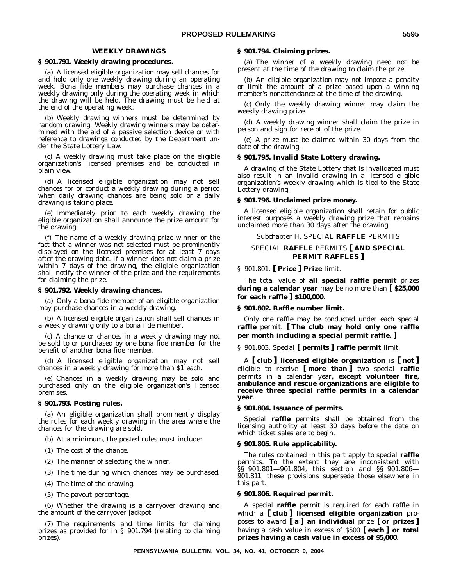# **WEEKLY DRAWINGS**

#### **§ 901.791. Weekly drawing procedures.**

(a) A licensed eligible organization may sell chances for and hold only one weekly drawing during an operating week. Bona fide members may purchase chances in a weekly drawing only during the operating week in which the drawing will be held. The drawing must be held at the end of the operating week.

(b) Weekly drawing winners must be determined by random drawing. Weekly drawing winners may be determined with the aid of a passive selection device or with reference to drawings conducted by the Department under the State Lottery Law.

(c) A weekly drawing must take place on the eligible organization's licensed premises and be conducted in plain view.

(d) A licensed eligible organization may not sell chances for or conduct a weekly drawing during a period when daily drawing chances are being sold or a daily drawing is taking place.

(e) Immediately prior to each weekly drawing the eligible organization shall announce the prize amount for the drawing.

(f) The name of a weekly drawing prize winner or the fact that a winner was not selected must be prominently displayed on the licensed premises for at least 7 days after the drawing date. If a winner does not claim a prize within 7 days of the drawing, the eligible organization shall notify the winner of the prize and the requirements for claiming the prize.

#### **§ 901.792. Weekly drawing chances.**

(a) Only a bona fide member of an eligible organization may purchase chances in a weekly drawing.

(b) A licensed eligible organization shall sell chances in a weekly drawing only to a bona fide member.

(c) A chance or chances in a weekly drawing may not be sold to or purchased by one bona fide member for the benefit of another bona fide member.

(d) A licensed eligible organization may not sell chances in a weekly drawing for more than \$1 each.

(e) Chances in a weekly drawing may be sold and purchased only on the eligible organization's licensed premises.

## **§ 901.793. Posting rules.**

(a) An eligible organization shall prominently display the rules for each weekly drawing in the area where the chances for the drawing are sold.

- (b) At a minimum, the posted rules must include:
- (1) The cost of the chance.
- (2) The manner of selecting the winner.
- (3) The time during which chances may be purchased.
- (4) The time of the drawing.
- (5) The payout percentage.

(6) Whether the drawing is a carryover drawing and the amount of the carryover jackpot.

(7) The requirements and time limits for claiming prizes as provided for in § 901.794 (relating to claiming prizes).

#### **§ 901.794. Claiming prizes.**

(a) The winner of a weekly drawing need not be present at the time of the drawing to claim the prize.

(b) An eligible organization may not impose a penalty or limit the amount of a prize based upon a winning member's nonattendance at the time of the drawing.

(c) Only the weekly drawing winner may claim the weekly drawing prize.

(d) A weekly drawing winner shall claim the prize in person and sign for receipt of the prize.

(e) A prize must be claimed within 30 days from the date of the drawing.

#### **§ 901.795. Invalid State Lottery drawing.**

A drawing of the State Lottery that is invalidated must also result in an invalid drawing in a licensed eligible organization's weekly drawing which is tied to the State Lottery drawing.

#### **§ 901.796. Unclaimed prize money.**

A licensed eligible organization shall retain for public interest purposes a weekly drawing prize that remains unclaimed more than 30 days after the drawing.

#### Subchapter H. SPECIAL **RAFFLE** PERMITS

# SPECIAL **RAFFLE** PERMITS **[ AND SPECIAL PERMIT RAFFLES ]**

# § 901.801. **[ Price ] Prize** limit.

The total value of **all special raffle permit** prizes **during a calendar year** may be no more than **[ \$25,000 for each raffle ] \$100,000**.

# **§ 901.802. Raffle number limit.**

Only one raffle may be conducted under each special **raffle** permit. **[ The club may hold only one raffle per month including a special permit raffle. ]**

§ 901.803. Special **[ permits ] raffle permit** limit.

A **[ club ] licensed eligible organization** is **[ not ]** eligible to receive **[ more than ]** two special **raffle** permits in a calendar year**, except volunteer fire, ambulance and rescue organizations are eligible to receive three special raffle permits in a calendar year**.

#### **§ 901.804. Issuance of permits.**

Special **raffle** permits shall be obtained from the licensing authority at least 30 days before the date on which ticket sales are to begin.

#### **§ 901.805. Rule applicability.**

The rules contained in this part apply to special **raffle** permits. To the extent they are inconsistent with §§ 901.801—901.804, this section and §§ 901.806— 901.811, these provisions supersede those elsewhere in this part.

#### **§ 901.806. Required permit.**

A special **raffle** permit is required for each raffle in which a **[ club ] licensed eligible organization** proposes to award **[ a ] an individual** prize **[ or prizes ]** having a cash value in excess of \$500 **[ each ] or total prizes having a cash value in excess of \$5,000**.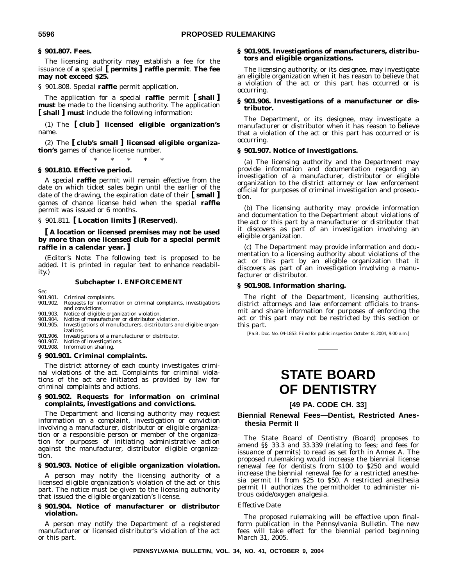# **§ 901.807. Fees.**

The licensing authority may establish a fee for the issuance of **a** special **[ permits ] raffle permit**. **The fee may not exceed \$25.**

§ 901.808. Special **raffle** permit application.

The application for a special **raffle** permit **[ shall ] must** be made to the licensing authority. The application **[ shall ] must** include the following information:

(1) The **[ club ] licensed eligible organization's** name.

(2) The **[ club's small ] licensed eligible organization's** games of chance license number.

\*\*\*\*\*

# **§ 901.810. Effective period.**

A special **raffle** permit will remain effective from the date on which ticket sales begin until the earlier of the date of the drawing, the expiration date of their **[ small ]** games of chance license held when the special **raffle** permit was issued or 6 months.

# § 901.811. **[ Location limits ] (Reserved)**.

**[ A location or licensed premises may not be used by more than one licensed club for a special permit raffle in a calendar year. ]**

(*Editor's Note:* The following text is proposed to be added. It is printed in regular text to enhance readability.)

#### **Subchapter I. ENFORCEMENT**

Sec.<br>901.901.

- 901.901. Criminal complaints.<br>901.902. Requests for informa Requests for information on criminal complaints, investigations and convictions.
- 901.903. Notice of eligible organization violation.<br>901.904. Notice of manufacturer or distributor vi
- 901.904. Notice of manufacturer or distributor violation.<br>901.905. Investigations of manufacturers, distributors an
- Investigations of manufacturers, distributors and eligible organizations.
- 901.906. Investigations of a manufacturer or distributor. 901.907. Notice of investigations.
- 901.908. Information sharing.

#### **§ 901.901. Criminal complaints.**

The district attorney of each county investigates criminal violations of the act. Complaints for criminal violations of the act are initiated as provided by law for criminal complaints and actions.

## **§ 901.902. Requests for information on criminal complaints, investigations and convictions.**

The Department and licensing authority may request information on a complaint, investigation or conviction involving a manufacturer, distributor or eligible organization or a responsible person or member of the organization for purposes of initiating administrative action against the manufacturer, distributor eligible organization.

## **§ 901.903. Notice of eligible organization violation.**

A person may notify the licensing authority of a licensed eligible organization's violation of the act or this part. The notice must be given to the licensing authority that issued the eligible organization's license.

#### **§ 901.904. Notice of manufacturer or distributor violation.**

A person may notify the Department of a registered manufacturer or licensed distributor's violation of the act or this part.

## **§ 901.905. Investigations of manufacturers, distributors and eligible organizations.**

The licensing authority, or its designee, may investigate an eligible organization when it has reason to believe that a violation of the act or this part has occurred or is occurring.

# **§ 901.906. Investigations of a manufacturer or distributor.**

The Department, or its designee, may investigate a manufacturer or distributor when it has reason to believe that a violation of the act or this part has occurred or is occurring.

#### **§ 901.907. Notice of investigations.**

(a) The licensing authority and the Department may provide information and documentation regarding an investigation of a manufacturer, distributor or eligible organization to the district attorney or law enforcement official for purposes of criminal investigation and prosecution.

(b) The licensing authority may provide information and documentation to the Department about violations of the act or this part by a manufacturer or distributor that it discovers as part of an investigation involving an eligible organization.

(c) The Department may provide information and documentation to a licensing authority about violations of the act or this part by an eligible organization that it discovers as part of an investigation involving a manufacturer or distributor.

#### **§ 901.908. Information sharing.**

The right of the Department, licensing authorities, district attorneys and law enforcement officials to transmit and share information for purposes of enforcing the act or this part may not be restricted by this section or this part.

[Pa.B. Doc. No. 04-1853. Filed for public inspection October 8, 2004, 9:00 a.m.]

# **STATE BOARD OF DENTISTRY**

**[49 PA. CODE CH. 33]**

# **Biennial Renewal Fees—Dentist, Restricted Anesthesia Permit II**

The State Board of Dentistry (Board) proposes to amend §§ 33.3 and 33.339 (relating to fees; and fees for issuance of permits) to read as set forth in Annex A. The proposed rulemaking would increase the biennial license renewal fee for dentists from \$100 to \$250 and would increase the biennial renewal fee for a restricted anesthesia permit II from \$25 to \$50. A restricted anesthesia permit II authorizes the permitholder to administer nitrous oxide/oxygen analgesia.

#### *Effective Date*

The proposed rulemaking will be effective upon finalform publication in the *Pennsylvania Bulletin*. The new fees will take effect for the biennial period beginning March 31, 2005.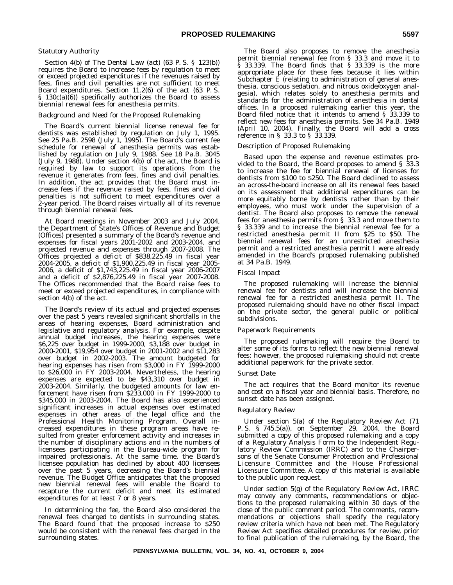# *Statutory Authority*

Section 4(b) of The Dental Law (act) (63 P. S. § 123(b)) requires the Board to increase fees by regulation to meet or exceed projected expenditures if the revenues raised by fees, fines and civil penalties are not sufficient to meet Board expenditures. Section 11.2(6) of the act (63 P. S. § 130c(a)(6)) specifically authorizes the Board to assess biennial renewal fees for anesthesia permits.

#### *Background and Need for the Proposed Rulemaking*

The Board's current biennial license renewal fee for dentists was established by regulation on July 1, 1995. See 25 Pa.B. 2598 (July 1, 1995). The Board's current fee schedule for renewal of anesthesia permits was established by regulation on July 9, 1988. See 18 Pa.B. 3045 (July 9, 1988). Under section 4(b) of the act, the Board is required by law to support its operations from the revenue it generates from fees, fines and civil penalties. In addition, the act provides that the Board must increase fees if the revenue raised by fees, fines and civil penalties is not sufficient to meet expenditures over a 2-year period. The Board raises virtually all of its revenue through biennial renewal fees.

At Board meetings in November 2003 and July 2004, the Department of State's Offices of Revenue and Budget (Offices) presented a summary of the Board's revenue and expenses for fiscal years 2001-2002 and 2003-2004, and projected revenue and expenses through 2007-2008. The Offices projected a deficit of \$838,225.49 in fiscal year 2004-2005, a deficit of \$1,900,225.49 in fiscal year 2005- 2006, a deficit of \$1,743,225.49 in fiscal year 2006-2007 and a deficit of \$2,876,225.49 in fiscal year 2007-2008. The Offices recommended that the Board raise fees to meet or exceed projected expenditures, in compliance with section 4(b) of the act.

The Board's review of its actual and projected expenses over the past 5 years revealed significant shortfalls in the areas of hearing expenses, Board administration and legislative and regulatory analysis. For example, despite annual budget increases, the hearing expenses were \$6,225 over budget in 1999-2000, \$3,188 over budget in 2000-2001, \$19,954 over budget in 2001-2002 and \$11,283 over budget in 2002-2003. The amount budgeted for hearing expenses has risen from \$3,000 in FY 1999-2000 to \$26,000 in FY 2003-2004. Nevertheless, the hearing expenses are expected to be \$43,310 over budget in 2003-2004. Similarly, the budgeted amounts for law enforcement have risen from \$233,000 in FY 1999-2000 to \$345,000 in 2003-2004. The Board has also experienced significant increases in actual expenses over estimated expenses in other areas of the legal office and the Professional Health Monitoring Program. Overall increased expenditures in these program areas have resulted from greater enforcement activity and increases in the number of disciplinary actions and in the numbers of licensees participating in the Bureau-wide program for impaired professionals. At the same time, the Board's licensee population has declined by about 400 licensees over the past 5 years, decreasing the Board's biennial revenue. The Budget Office anticipates that the proposed new biennial renewal fees will enable the Board to recapture the current deficit and meet its estimated expenditures for at least 7 or 8 years.

In determining the fee, the Board also considered the renewal fees charged to dentists in surrounding states. The Board found that the proposed increase to \$250 would be consistent with the renewal fees charged in the surrounding states.

The Board also proposes to remove the anesthesia permit biennial renewal fee from § 33.3 and move it to § 33.339. The Board finds that § 33.339 is the more appropriate place for these fees because it lies within Subchapter E (relating to administration of general anesthesia, conscious sedation, and nitrous oxide/oxygen analgesia), which relates solely to anesthesia permits and standards for the administration of anesthesia in dental offices. In a proposed rulemaking earlier this year, the Board filed notice that it intends to amend § 33.339 to reflect new fees for anesthesia permits. See 34 Pa.B. 1949 (April 10, 2004). Finally, the Board will add a cross reference in § 33.3 to § 33.339.

#### *Description of Proposed Rulemaking*

Based upon the expense and revenue estimates provided to the Board, the Board proposes to amend § 33.3 to increase the fee for biennial renewal of licenses for dentists from \$100 to \$250. The Board declined to assess an across-the-board increase on all its renewal fees based on its assessment that additional expenditures can be more equitably borne by dentists rather than by their employees, who must work under the supervision of a dentist. The Board also proposes to remove the renewal fees for anesthesia permits from § 33.3 and move them to § 33.339 and to increase the biennial renewal fee for a restricted anesthesia permit II from \$25 to \$50. The biennial renewal fees for an unrestricted anesthesia permit and a restricted anesthesia permit I were already amended in the Board's proposed rulemaking published at 34 Pa.B. 1949.

#### *Fiscal Impact*

The proposed rulemaking will increase the biennial renewal fee for dentists and will increase the biennial renewal fee for a restricted anesthesia permit II. The proposed rulemaking should have no other fiscal impact on the private sector, the general public or political subdivisions.

#### *Paperwork Requirements*

The proposed rulemaking will require the Board to alter some of its forms to reflect the new biennial renewal fees; however, the proposed rulemaking should not create additional paperwork for the private sector.

#### *Sunset Date*

The act requires that the Board monitor its revenue and cost on a fiscal year and biennial basis. Therefore, no sunset date has been assigned.

#### *Regulatory Review*

Under section 5(a) of the Regulatory Review Act (71 P. S. § 745.5(a)), on September 29, 2004, the Board submitted a copy of this proposed rulemaking and a copy of a Regulatory Analysis Form to the Independent Regulatory Review Commission (IRRC) and to the Chairpersons of the Senate Consumer Protection and Professional Licensure Committee and the House Professional Licensure Committee. A copy of this material is available to the public upon request.

Under section 5(g) of the Regulatory Review Act, IRRC may convey any comments, recommendations or objections to the proposed rulemaking within 30 days of the close of the public comment period. The comments, recommendations or objections shall specify the regulatory review criteria which have not been met. The Regulatory Review Act specifies detailed procedures for review, prior to final publication of the rulemaking, by the Board, the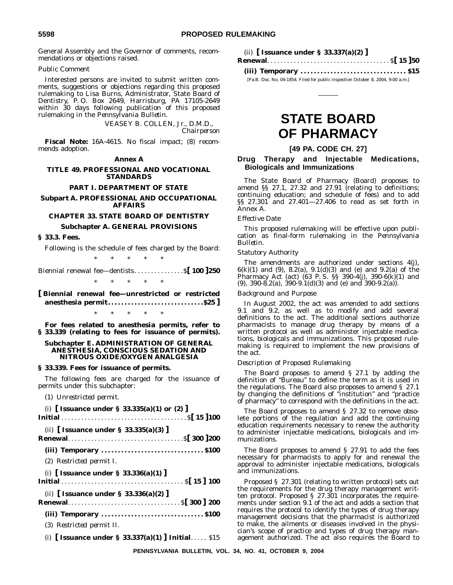General Assembly and the Governor of comments, recommendations or objections raised.

# *Public Comment*

Interested persons are invited to submit written comments, suggestions or objections regarding this proposed rulemaking to Lisa Burns, Administrator, State Board of Dentistry, P. O. Box 2649, Harrisburg, PA 17105-2649 within 30 days following publication of this proposed rulemaking in the *Pennsylvania Bulletin*.

> VEASEY B. COLLEN, Jr., D.M.D., *Chairperson*

**Fiscal Note:** 16A-4615. No fiscal impact; (8) recommends adoption.

# **Annex A**

# **TITLE 49. PROFESSIONAL AND VOCATIONAL STANDARDS**

#### **PART I. DEPARTMENT OF STATE**

# **Subpart A. PROFESSIONAL AND OCCUPATIONAL AFFAIRS**

# **CHAPTER 33. STATE BOARD OF DENTISTRY**

# **Subchapter A. GENERAL PROVISIONS**

#### **§ 33.3. Fees.**

Following is the schedule of fees charged by the Board:

\*\*\*\*\* Biennial renewal fee—dentists. . . . . . . . . . . . . . .\$**[ 100 ]250** \*\*\*\*\*

**[ Biennial renewal fee—unrestricted or restricted anesthesia permit. . . . . . . . . . . . . . . . . . . . . . . . . . . . .\$25 ]** \*\*\*\*\*

**For fees related to anesthesia permits, refer to § 33.339 (relating to fees for issuance of permits).**

# **Subchapter E. ADMINISTRATION OF GENERAL ANESTHESIA, CONSCIOUS SEDATION AND NITROUS OXIDE/OXYGEN ANALGESIA**

#### **§ 33.339. Fees for issuance of permits.**

The following fees are charged for the issuance of permits under this subchapter:

(1) *Unrestricted permit.*

| (i) [Issuance under § 33.335(a)(1) or (2)]         |
|----------------------------------------------------|
|                                                    |
| (ii) Issuance under § 33.335(a)(3)                 |
|                                                    |
| (2) Restricted permit I.                           |
| (i) Issuance under $\S$ 33.336(a)(1)               |
| (ii) [ Issuance under $\S$ 33.336(a)(2) ]          |
|                                                    |
| (3) Restricted permit II.                          |
| (i) [ Issuance under § 33.337(a)(1) ] Initial \$15 |

|  |  | (ii) [ Issuance under $\S$ 33.337(a)(2) ] |  |
|--|--|-------------------------------------------|--|
|  |  |                                           |  |

**(iii) Temporary . . . . . . . . . . . . . . . . . . . . . . . . . . . . . . . . \$15**

[Pa.B. Doc. No. 04-1854. Filed for public inspection October 8, 2004, 9:00 a.m.]

# **STATE BOARD OF PHARMACY**

# **[49 PA. CODE CH. 27]**

# **Drug Therapy and Injectable Medications, Biologicals and Immunizations**

The State Board of Pharmacy (Board) proposes to amend §§ 27.1, 27.32 and 27.91 (relating to definitions; continuing education; and schedule of fees) and to add §§ 27.301 and 27.401—27.406 to read as set forth in Annex A.

# *Effective Date*

This proposed rulemaking will be effective upon publication as final-form rulemaking in the *Pennsylvania Bulletin*.

#### *Statutory Authority*

The amendments are authorized under sections 4(j), 6(k)(1) and (9), 8.2(a), 9.1(d)(3) and (e) and 9.2(a) of the Pharmacy Act (act) (63 P. S. §§ 390-4(j), 390-6(k)(1) and (9), 390-8.2(a), 390-9.1(d)(3) and (e) and 390-9.2(a)).

## *Background and Purpose*

In August 2002, the act was amended to add sections 9.1 and 9.2, as well as to modify and add several definitions to the act. The additional sections authorize pharmacists to manage drug therapy by means of a written protocol as well as administer injectable medications, biologicals and immunizations. This proposed rulemaking is required to implement the new provisions of the act.

# *Description of Proposed Rulemaking*

The Board proposes to amend § 27.1 by adding the definition of ''Bureau'' to define the term as it is used in the regulations. The Board also proposes to amend § 27.1 by changing the definitions of ''institution'' and ''practice of pharmacy'' to correspond with the definitions in the act.

The Board proposes to amend § 27.32 to remove obsolete portions of the regulation and add the continuing education requirements necessary to renew the authority to administer injectable medications, biologicals and immunizations.

The Board proposes to amend § 27.91 to add the fees necessary for pharmacists to apply for and renewal the approval to administer injectable medications, biologicals and immunizations.

Proposed § 27.301 (relating to written protocol) sets out the requirements for the drug therapy management written protocol. Proposed § 27.301 incorporates the requirements under section 9.1 of the act and adds a section that requires the protocol to identify the types of drug therapy management decisions that the pharmacist is authorized to make, the ailments or diseases involved in the physician's scope of practice and types of drug therapy management authorized. The act also requires the Board to

**PENNSYLVANIA BULLETIN, VOL. 34, NO. 41, OCTOBER 9, 2004**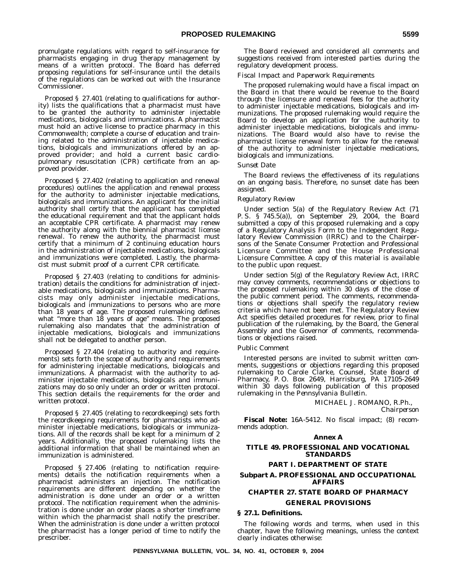promulgate regulations with regard to self-insurance for pharmacists engaging in drug therapy management by means of a written protocol. The Board has deferred proposing regulations for self-insurance until the details of the regulations can be worked out with the Insurance Commissioner.

Proposed § 27.401 (relating to qualifications for authority) lists the qualifications that a pharmacist must have to be granted the authority to administer injectable medications, biologicals and immunizations. A pharmacist must hold an active license to practice pharmacy in this Commonwealth; complete a course of education and training related to the administration of injectable medications, biologicals and immunizations offered by an approved provider; and hold a current basic cardiopulmonary resuscitation (CPR) certificate from an approved provider.

Proposed § 27.402 (relating to application and renewal procedures) outlines the application and renewal process for the authority to administer injectable medications, biologicals and immunizations. An applicant for the initial authority shall certify that the applicant has completed the educational requirement and that the applicant holds an acceptable CPR certificate. A pharmacist may renew the authority along with the biennial pharmacist license renewal. To renew the authority, the pharmacist must certify that a minimum of 2 continuing education hours in the administration of injectable medications, biologicals and immunizations were completed. Lastly, the pharmacist must submit proof of a current CPR certificate.

Proposed § 27.403 (relating to conditions for administration) details the conditions for administration of injectable medications, biologicals and immunizations. Pharmacists may only administer injectable medications, biologicals and immunizations to persons who are more than 18 years of age. The proposed rulemaking defines what "more than 18 years of age" means. The proposed rulemaking also mandates that the administration of injectable medications, biologicals and immunizations shall not be delegated to another person.

Proposed § 27.404 (relating to authority and requirements) sets forth the scope of authority and requirements for administering injectable medications, biologicals and immunizations. A pharmacist with the authority to administer injectable medications, biologicals and immunizations may do so only under an order or written protocol. This section details the requirements for the order and written protocol.

Proposed § 27.405 (relating to recordkeeping) sets forth the recordkeeping requirements for pharmacists who administer injectable medications, biologicals or immunizations. All of the records shall be kept for a minimum of 2 years. Additionally, the proposed rulemaking lists the additional information that shall be maintained when an immunization is administered.

Proposed § 27.406 (relating to notification requirements) details the notification requirements when a pharmacist administers an injection. The notification requirements are different depending on whether the administration is done under an order or a written protocol. The notification requirement when the administration is done under an order places a shorter timeframe within which the pharmacist shall notify the prescriber. When the administration is done under a written protocol the pharmacist has a longer period of time to notify the prescriber.

The Board reviewed and considered all comments and suggestions received from interested parties during the regulatory development process.

#### *Fiscal Impact and Paperwork Requirements*

The proposed rulemaking would have a fiscal impact on the Board in that there would be revenue to the Board through the licensure and renewal fees for the authority to administer injectable medications, biologicals and immunizations. The proposed rulemaking would require the Board to develop an application for the authority to administer injectable medications, biologicals and immunizations. The Board would also have to revise the pharmacist license renewal form to allow for the renewal of the authority to administer injectable medications, biologicals and immunizations.

#### *Sunset Date*

The Board reviews the effectiveness of its regulations on an ongoing basis. Therefore, no sunset date has been assigned.

## *Regulatory Review*

Under section 5(a) of the Regulatory Review Act (71 P. S. § 745.5(a)), on September 29, 2004, the Board submitted a copy of this proposed rulemaking and a copy of a Regulatory Analysis Form to the Independent Regulatory Review Commission (IRRC) and to the Chairpersons of the Senate Consumer Protection and Professional Licensure Committee and the House Professional Licensure Committee. A copy of this material is available to the public upon request.

Under section 5(g) of the Regulatory Review Act, IRRC may convey comments, recommendations or objections to the proposed rulemaking within 30 days of the close of the public comment period. The comments, recommendations or objections shall specify the regulatory review criteria which have not been met. The Regulatory Review Act specifies detailed procedures for review, prior to final publication of the rulemaking, by the Board, the General Assembly and the Governor of comments, recommendations or objections raised.

#### *Public Comment*

Interested persons are invited to submit written comments, suggestions or objections regarding this proposed rulemaking to Carole Clarke, Counsel, State Board of Pharmacy, P. O. Box 2649, Harrisburg, PA 17105-2649 within 30 days following publication of this proposed rulemaking in the *Pennsylvania Bulletin*.

MICHAEL J. ROMANO, R.Ph.,

*Chairperson*

**Fiscal Note:** 16A-5412. No fiscal impact; (8) recommends adoption.

# **Annex A**

## **TITLE 49. PROFESSIONAL AND VOCATIONAL STANDARDS**

#### **PART I. DEPARTMENT OF STATE**

# **Subpart A. PROFESSIONAL AND OCCUPATIONAL AFFAIRS**

# **CHAPTER 27. STATE BOARD OF PHARMACY GENERAL PROVISIONS**

#### **§ 27.1. Definitions.**

The following words and terms, when used in this chapter, have the following meanings, unless the context clearly indicates otherwise: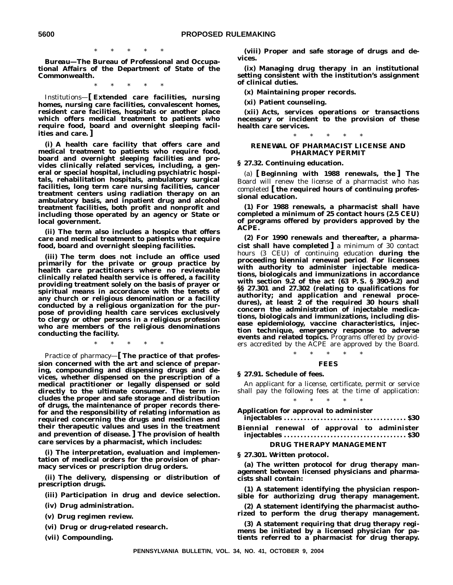\*\*\*\*\*

*Bureau—***The Bureau of Professional and Occupational Affairs of the Department of State of the Commonwealth.**

\*\*\*\*\*

*Institutions—***[ Extended care facilities, nursing homes, nursing care facilities, convalescent homes, resident care facilities, hospitals or another place which offers medical treatment to patients who require food, board and overnight sleeping facilities and care. ]**

**(i) A health care facility that offers care and medical treatment to patients who require food, board and overnight sleeping facilities and provides clinically related services, including, a general or special hospital, including psychiatric hospitals, rehabilitation hospitals, ambulatory surgical facilities, long term care nursing facilities, cancer treatment centers using radiation therapy on an ambulatory basis, and inpatient drug and alcohol treatment facilities, both profit and nonprofit and including those operated by an agency or State or local government.**

**(ii) The term also includes a hospice that offers care and medical treatment to patients who require food, board and overnight sleeping facilities.**

**(iii) The term does not include an office used primarily for the private or group practice by health care practitioners where no reviewable clinically related health service is offered, a facility providing treatment solely on the basis of prayer or spiritual means in accordance with the tenets of any church or religious denomination or a facility conducted by a religious organization for the purpose of providing health care services exclusively to clergy or other persons in a religious profession who are members of the religious denominations conducting the facility.**

\*\*\*\*\*

*Practice of pharmacy—***[ The practice of that profession concerned with the art and science of preparing, compounding and dispensing drugs and devices, whether dispensed on the prescription of a medical practitioner or legally dispensed or sold directly to the ultimate consumer. The term includes the proper and safe storage and distribution of drugs, the maintenance of proper records therefor and the responsibility of relating information as required concerning the drugs and medicines and their therapeutic values and uses in the treatment and prevention of disease. ] The provision of health care services by a pharmacist, which includes:**

**(i) The interpretation, evaluation and implementation of medical orders for the provision of pharmacy services or prescription drug orders.**

**(ii) The delivery, dispensing or distribution of prescription drugs.**

**(iii) Participation in drug and device selection.**

- **(iv) Drug administration.**
- **(v) Drug regimen review.**

**(vi) Drug or drug-related research.**

**(vii) Compounding.**

**(viii) Proper and safe storage of drugs and devices.**

**(ix) Managing drug therapy in an institutional setting consistent with the institution's assignment of clinical duties.**

**(x) Maintaining proper records.**

**(xi) Patient counseling.**

**(xii) Acts, services operations or transactions necessary or incident to the provision of these health care services.**

# \*\*\*\*\* **RENEWAL OF PHARMACIST LICENSE AND PHARMACY PERMIT**

**§ 27.32. Continuing education.**

(a) **[ Beginning with 1988 renewals, the ] The** Board will renew the license of a pharmacist who has completed **[ the required hours of continuing professional education.**

**(1) For 1988 renewals, a pharmacist shall have completed a minimum of 25 contact hours (2.5 CEU) of programs offered by providers approved by the ACPE.**

**(2) For 1990 renewals and thereafter, a pharmacist shall have completed ]** a minimum of 30 contact hours (3 CEU) of continuing education **during the proceeding biennial renewal period**. **For licensees with authority to administer injectable medications, biologicals and immunizations in accordance with section 9.2 of the act (63 P. S. § 390-9.2) and §§ 27.301 and 27.302 (relating to qualifications for authority; and application and renewal procedures), at least 2 of the required 30 hours shall concern the administration of injectable medications, biologicals and immunizations, including disease epidemiology, vaccine characteristics, injection technique, emergency response to adverse** events and related topics. Programs offered by providers accredited by the ACPE are approved by the Board.

# \*\*\*\*\* **FEES**

#### **§ 27.91. Schedule of fees.**

An applicant for a license, certificate, permit or service shall pay the following fees at the time of application: \*\*\*\*\*

# **Application for approval to administer**

**injectables . . . . . . . . . . . . . . . . . . . . . . . . . . . . . . . . . . . . . \$30 Biennial renewal of approval to administer injectables . . . . . . . . . . . . . . . . . . . . . . . . . . . . . . . . . . . . . \$30**

#### **DRUG THERAPY MANAGEMENT**

**§ 27.301. Written protocol.**

**(a) The written protocol for drug therapy management between licensed physicians and pharmacists shall contain:**

**(1) A statement identifying the physician responsible for authorizing drug therapy management.**

**(2) A statement identifying the pharmacist authorized to perform the drug therapy management.**

**(3) A statement requiring that drug therapy regimens be initiated by a licensed physician for patients referred to a pharmacist for drug therapy.**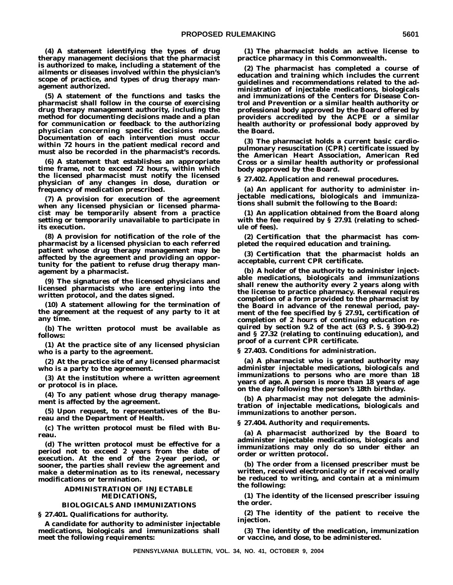**(4) A statement identifying the types of drug therapy management decisions that the pharmacist is authorized to make, including a statement of the ailments or diseases involved within the physician's scope of practice, and types of drug therapy management authorized.**

**(5) A statement of the functions and tasks the pharmacist shall follow in the course of exercising drug therapy management authority, including the method for documenting decisions made and a plan for communication or feedback to the authorizing physician concerning specific decisions made. Documentation of each intervention must occur within 72 hours in the patient medical record and must also be recorded in the pharmacist's records.**

**(6) A statement that establishes an appropriate time frame, not to exceed 72 hours, within which the licensed pharmacist must notify the licensed physician of any changes in dose, duration or frequency of medication prescribed.**

**(7) A provision for execution of the agreement when any licensed physician or licensed pharmacist may be temporarily absent from a practice setting or temporarily unavailable to participate in its execution.**

**(8) A provision for notification of the role of the pharmacist by a licensed physician to each referred patient whose drug therapy management may be affected by the agreement and providing an opportunity for the patient to refuse drug therapy management by a pharmacist.**

**(9) The signatures of the licensed physicians and licensed pharmacists who are entering into the written protocol, and the dates signed.**

**(10) A statement allowing for the termination of the agreement at the request of any party to it at any time.**

**(b) The written protocol must be available as follows:**

**(1) At the practice site of any licensed physician who is a party to the agreement.**

**(2) At the practice site of any licensed pharmacist who is a party to the agreement.**

**(3) At the institution where a written agreement or protocol is in place.**

**(4) To any patient whose drug therapy management is affected by the agreement.**

**(5) Upon request, to representatives of the Bureau and the Department of Health.**

**(c) The written protocol must be filed with Bureau.**

**(d) The written protocol must be effective for a period not to exceed 2 years from the date of execution. At the end of the 2-year period, or sooner, the parties shall review the agreement and make a determination as to its renewal, necessary modifications or termination.**

## **ADMINISTRATION OF INJECTABLE MEDICATIONS,**

#### **BIOLOGICALS AND IMMUNIZATIONS**

**§ 27.401. Qualifications for authority.**

**A candidate for authority to administer injectable medications, biologicals and immunizations shall meet the following requirements:**

**(1) The pharmacist holds an active license to practice pharmacy in this Commonwealth.**

**(2) The pharmacist has completed a course of education and training which includes the current guidelines and recommendations related to the administration of injectable medications, biologicals and immunizations of the Centers for Disease Control and Prevention or a similar health authority or professional body approved by the Board offered by providers accredited by the ACPE or a similar health authority or professional body approved by the Board.**

**(3) The pharmacist holds a current basic cardiopulmonary resuscitation (CPR) certificate issued by the American Heart Association, American Red Cross or a similar health authority or professional body approved by the Board.**

**§ 27.402. Application and renewal procedures.**

**(a) An applicant for authority to administer injectable medications, biologicals and immunizations shall submit the following to the Board:**

**(1) An application obtained from the Board along with the fee required by § 27.91 (relating to schedule of fees).**

**(2) Certification that the pharmacist has completed the required education and training.**

**(3) Certification that the pharmacist holds an acceptable, current CPR certificate.**

**(b) A holder of the authority to administer injectable medications, biologicals and immunizations shall renew the authority every 2 years along with the license to practice pharmacy. Renewal requires completion of a form provided to the pharmacist by the Board in advance of the renewal period, payment of the fee specified by § 27.91, certification of completion of 2 hours of continuing education required by section 9.2 of the act (63 P. S. § 390-9.2) and § 27.32 (relating to continuing education), and proof of a current CPR certificate.**

**§ 27.403. Conditions for administration.**

**(a) A pharmacist who is granted authority may administer injectable medications, biologicals and immunizations to persons who are more than 18 years of age. A person is more than 18 years of age on the day following the person's 18th birthday.**

**(b) A pharmacist may not delegate the administration of injectable medications, biologicals and immunizations to another person.**

**§ 27.404. Authority and requirements.**

**(a) A pharmacist authorized by the Board to administer injectable medications, biologicals and immunizations may only do so under either an order or written protocol.**

**(b) The order from a licensed prescriber must be written, received electronically or if received orally be reduced to writing, and contain at a minimum the following:**

**(1) The identity of the licensed prescriber issuing the order.**

**(2) The identity of the patient to receive the injection.**

**(3) The identity of the medication, immunization or vaccine, and dose, to be administered.**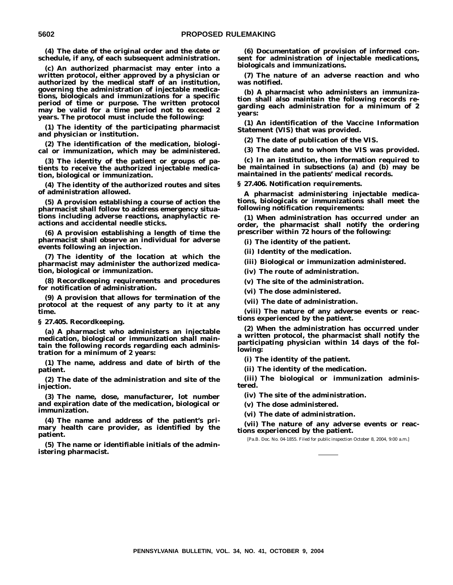**(4) The date of the original order and the date or schedule, if any, of each subsequent administration.**

**(c) An authorized pharmacist may enter into a written protocol, either approved by a physician or authorized by the medical staff of an institution, governing the administration of injectable medications, biologicals and immunizations for a specific period of time or purpose. The written protocol may be valid for a time period not to exceed 2 years. The protocol must include the following:**

**(1) The identity of the participating pharmacist and physician or institution.**

**(2) The identification of the medication, biological or immunization, which may be administered.**

**(3) The identity of the patient or groups of patients to receive the authorized injectable medication, biological or immunization.**

**(4) The identity of the authorized routes and sites of administration allowed.**

**(5) A provision establishing a course of action the pharmacist shall follow to address emergency situations including adverse reactions, anaphylactic reactions and accidental needle sticks.**

**(6) A provision establishing a length of time the pharmacist shall observe an individual for adverse events following an injection.**

**(7) The identity of the location at which the pharmacist may administer the authorized medication, biological or immunization.**

**(8) Recordkeeping requirements and procedures for notification of administration.**

**(9) A provision that allows for termination of the protocol at the request of any party to it at any time.**

**§ 27.405. Recordkeeping.**

**(a) A pharmacist who administers an injectable medication, biological or immunization shall maintain the following records regarding each administration for a minimum of 2 years:**

**(1) The name, address and date of birth of the patient.**

**(2) The date of the administration and site of the injection.**

**(3) The name, dose, manufacturer, lot number and expiration date of the medication, biological or immunization.**

**(4) The name and address of the patient's primary health care provider, as identified by the patient.**

**(5) The name or identifiable initials of the administering pharmacist.**

**(6) Documentation of provision of informed consent for administration of injectable medications, biologicals and immunizations.**

**(7) The nature of an adverse reaction and who was notified.**

**(b) A pharmacist who administers an immunization shall also maintain the following records regarding each administration for a minimum of 2 years:**

**(1) An identification of the Vaccine Information Statement (VIS) that was provided.**

**(2) The date of publication of the VIS.**

**(3) The date and to whom the VIS was provided.**

**(c) In an institution, the information required to be maintained in subsections (a) and (b) may be maintained in the patients' medical records.**

**§ 27.406. Notification requirements.**

**A pharmacist administering injectable medications, biologicals or immunizations shall meet the following notification requirements:**

**(1) When administration has occurred under an order, the pharmacist shall notify the ordering prescriber within 72 hours of the following:**

**(i) The identity of the patient.**

**(ii) Identity of the medication.**

**(iii) Biological or immunization administered.**

**(iv) The route of administration.**

**(v) The site of the administration.**

**(vi) The dose administered.**

**(vii) The date of administration.**

**(viii) The nature of any adverse events or reactions experienced by the patient.**

**(2) When the administration has occurred under a written protocol, the pharmacist shall notify the participating physician within 14 days of the following:**

**(i) The identity of the patient.**

**(ii) The identity of the medication.**

**(iii) The biological or immunization administered.**

**(iv) The site of the administration.**

**(v) The dose administered.**

**(vi) The date of administration.**

**(vii) The nature of any adverse events or reactions experienced by the patient.**

[Pa.B. Doc. No. 04-1855. Filed for public inspection October 8, 2004, 9:00 a.m.]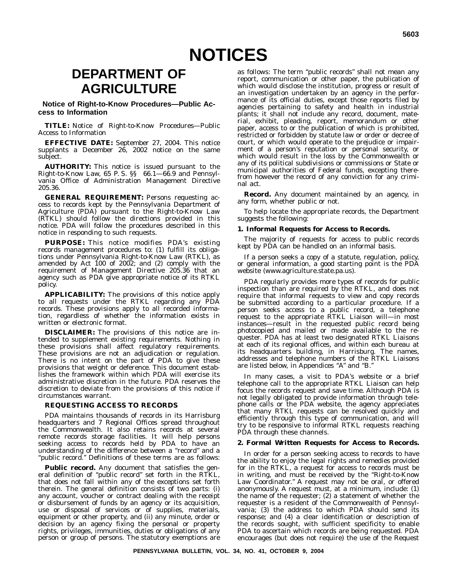# **DEPARTMENT OF AGRICULTURE**

**Notice of Right-to-Know Procedures—Public Access to Information**

**TITLE:** Notice of Right-to-Know Procedures—Public Access to Information

**EFFECTIVE DATE:** September 27, 2004. This notice supplants a December 26, 2002 notice on the same subject.

**AUTHORITY:** This notice is issued pursuant to the Right-to-Know Law, 65 P. S. §§ 66.1—66.9 and Pennsylvania Office of Administration Management Directive 205.36.

**GENERAL REQUIREMENT:** Persons requesting access to records kept by the Pennsylvania Department of Agriculture (PDA) pursuant to the Right-to-Know Law (RTKL) should follow the directions provided in this notice. PDA will follow the procedures described in this notice in responding to such requests.

**PURPOSE:** This notice modifies PDA's existing records management procedures to: (1) fulfill its obligations under Pennsylvania Right-to-Know Law (RTKL), as amended by Act 100 of 2002; and (2) comply with the requirement of Management Directive 205.36 that an agency such as PDA give appropriate notice of its RTKL policy.

**APPLICABILITY:** The provisions of this notice apply to all requests under the RTKL regarding any PDA records. These provisions apply to all recorded information, regardless of whether the information exists in written or electronic format.

**DISCLAIMER:** The provisions of this notice are intended to supplement existing requirements. Nothing in these provisions shall affect regulatory requirements. These provisions are not an adjudication or regulation. There is no intent on the part of PDA to give these provisions that weight or deference. This document establishes the framework within which PDA will exercise its administrative discretion in the future. PDA reserves the discretion to deviate from the provisions of this notice if circumstances warrant.

# **REQUESTING ACCESS TO RECORDS**

PDA maintains thousands of records in its Harrisburg headquarters and 7 Regional Offices spread throughout the Commonwealth. It also retains records at several remote records storage facilities. It will help persons seeking access to records held by PDA to have an understanding of the difference between a ''record'' and a "public record." Definitions of these terms are as follows:

**Public record.** Any document that satisfies the general definition of ''public record'' set forth in the RTKL, that does not fall within any of the exceptions set forth therein. The general definition consists of two parts: (i) any account, voucher or contract dealing with the receipt or disbursement of funds by an agency or its acquisition, use or disposal of services or of supplies, materials, equipment or other property, and (ii) any minute, order or decision by an agency fixing the personal or property rights, privileges, immunities, duties or obligations of any person or group of persons. The statutory exemptions are

as follows: The term ''public records'' shall not mean any report, communication or other paper, the publication of which would disclose the institution, progress or result of an investigation undertaken by an agency in the performance of its official duties, except those reports filed by agencies pertaining to safety and health in industrial plants; it shall not include any record, document, material, exhibit, pleading, report, memorandum or other paper, access to or the publication of which is prohibited, restricted or forbidden by statute law or order or decree of court, or which would operate to the prejudice or impairment of a person's reputation or personal security, or which would result in the loss by the Commonwealth or any of its political subdivisions or commissions or State or municipal authorities of Federal funds, excepting therefrom however the record of any conviction for any criminal act.

**Record.** Any document maintained by an agency, in any form, whether public or not.

To help locate the appropriate records, the Department suggests the following:

#### **1. Informal Requests for Access to Records.**

The majority of requests for access to public records kept by PDA can be handled on an informal basis.

If a person seeks a copy of a statute, regulation, policy, or general information, a good starting point is the PDA website (www.agriculture.state.pa.us).

PDA regularly provides more types of records for public inspection than are required by the RTKL, and does not require that informal requests to view and copy records be submitted according to a particular procedure. If a person seeks access to a public record, a telephone request to the appropriate RTKL Liaison will—in most instances—result in the requested public record being photocopied and mailed or made available to the requester. PDA has at least two designated RTKL Liaisons at each of its regional offices, and within each bureau at its headquarters building, in Harrisburg. The names, addresses and telephone numbers of the RTKL Liaisons are listed below, in Appendices ''A'' and ''B.''

In many cases, a visit to PDA's website or a brief telephone call to the appropriate RTKL Liaison can help focus the records request and save time. Although PDA is not legally obligated to provide information through telephone calls or the PDA website, the agency appreciates that many RTKL requests can be resolved quickly and efficiently through this type of communication, and will try to be responsive to informal RTKL requests reaching PDA through these channels.

#### **2. Formal Written Requests for Access to Records.**

In order for a person seeking access to records to have the ability to enjoy the legal rights and remedies provided for in the RTKL, a request for access to records must be in writing, and must be received by the ''Right-to-Know Law Coordinator.'' A request may not be oral, or offered anonymously. A request must, at a minimum, include: (1) the name of the requester; (2) a statement of whether the requester is a resident of the Commonwealth of Pennsylvania; (3) the address to which PDA should send its response; and (4) a clear identification or description of the records sought, with sufficient specificity to enable PDA to ascertain which records are being requested. PDA encourages (but does not require) the use of the Request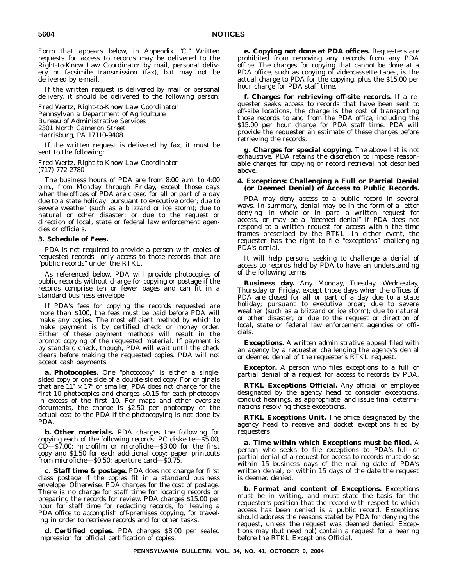Form that appears below, in Appendix "C." Written requests for access to records may be delivered to the Right-to-Know Law Coordinator by mail, personal delivery or facsimile transmission (fax), but may not be delivered by e-mail.

If the written request is delivered by mail or personal delivery, it should be delivered to the following person:

Fred Wertz, Right-to-Know Law Coordinator Pennsylvania Department of Agriculture Bureau of Administrative Services 2301 North Cameron Street Harrisburg, PA 17110-9408

If the written request is delivered by fax, it must be sent to the following:

Fred Wertz, Right-to-Know Law Coordinator (717) 772-2780

The business hours of PDA are from 8:00 a.m. to 4:00 p.m., from Monday through Friday, except those days when the offices of PDA are closed for all or part of a day due to a state holiday; pursuant to executive order; due to severe weather (such as a blizzard or ice storm); due to natural or other disaster; or due to the request or direction of local, state or federal law enforcement agencies or officials.

#### **3. Schedule of Fees.**

PDA is not required to provide a person with copies of requested records—only access to those records that are "public records" under the RTKL.

As referenced below, PDA will provide photocopies of public records without charge for copying or postage if the records comprise ten or fewer pages and can fit in a standard business envelope.

If PDA's fees for copying the records requested are more than \$100, the fees must be paid before PDA will make any copies. The most efficient method by which to make payment is by certified check or money order. Either of these payment methods will result in the prompt copying of the requested material. If payment is by standard check, though, PDA will wait until the check clears before making the requested copies. PDA will not accept cash payments.

a. Photocopies. One "photocopy" is either a singlesided copy or one side of a double-sided copy. For originals that are  $11'' \times 17''$  or smaller, PDA does not charge for the first 10 photocopies and charges \$0.15 for each photocopy in excess of the first 10. For maps and other oversize documents, the charge is \$2.50 per photocopy or the actual cost to the PDA if the photocopying is not done by PDA.

*b.* **Other materials.** PDA charges the following for copying each of the following records: PC diskette—\$5.00;  $CD$ — $$7.00$ ; microfilm or microfiche— $$3.00$  for the first copy and \$1.50 for each additional copy; paper printouts from microfiche—\$0.50; aperture card—\$0.75.

**c. Staff time & postage.** PDA does not charge for first class postage if the copies fit in a standard business envelope. Otherwise, PDA charges for the cost of postage. There is no charge for staff time for locating records or preparing the records for review. PDA charges \$15.00 per hour for staff time for redacting records, for leaving a PDA office to accomplish off-premises copying, for traveling in order to retrieve records and for other tasks.

**d. Certified copies.** PDA charges \$8.00 per sealed impression for official certification of copies.

**e. Copying not done at PDA offices.** Requesters are prohibited from removing any records from any PDA office. The charges for copying that cannot be done at a PDA office, such as copying of videocassette tapes, is the actual charge to PDA for the copying, plus the \$15.00 per hour charge for PDA staff time.

**f. Charges for retrieving off-site records.** If a requester seeks access to records that have been sent to off-site locations, the charge is the cost of transporting those records to and from the PDA office, including the \$15.00 per hour charge for PDA staff time. PDA will provide the requester an estimate of these charges before retrieving the records.

**g. Charges for special copying.** The above list is not exhaustive. PDA retains the discretion to impose reasonable charges for copying or record retrieval not described above.

## **4. Exceptions: Challenging a Full or Partial Denial (or Deemed Denial) of Access to Public Records.**

PDA may deny access to a public record in several ways. In summary, denial may be in the form of a letter denying—in whole or in part—a written request for access, or may be a ''deemed denial'' if PDA does not respond to a written request for access within the time frames prescribed by the RTKL. In either event, the requester has the right to file "exceptions" challenging PDA's denial.

It will help persons seeking to challenge a denial of access to records held by PDA to have an understanding of the following terms:

**Business day.** Any Monday, Tuesday, Wednesday, Thursday or Friday, except those days when the offices of PDA are closed for all or part of a day due to a state holiday; pursuant to executive order; due to severe weather (such as a blizzard or ice storm); due to natural or other disaster; or due to the request or direction of local, state or federal law enforcement agencies or officials.

**Exceptions.** A written administrative appeal filed with an agency by a requester challenging the agency's denial or deemed denial of the requester's RTKL request.

**Exceptor.** A person who files exceptions to a full or partial denial of a request for access to records by PDA.

**RTKL Exceptions Official.** Any official or employee designated by the agency head to consider exceptions, conduct hearings, as appropriate, and issue final determinations resolving those exceptions.

**RTKL Exceptions Unit.** The office designated by the agency head to receive and docket exceptions filed by requesters

**a. Time within which Exceptions must be filed.** A person who seeks to file exceptions to PDA's full or partial denial of a request for access to records must do so within 15 business days of the mailing date of PDA's written denial, or within 15 days of the date the request is deemed denied.

**b. Format and content of Exceptions.** Exceptions must be in writing, and must state the basis for the requester's position that the record with respect to which access has been denied is a public record. Exceptions should address the reasons stated by PDA for denying the request, unless the request was deemed denied. Exceptions may (but need not) contain a request for a hearing before the RTKL Exceptions Official.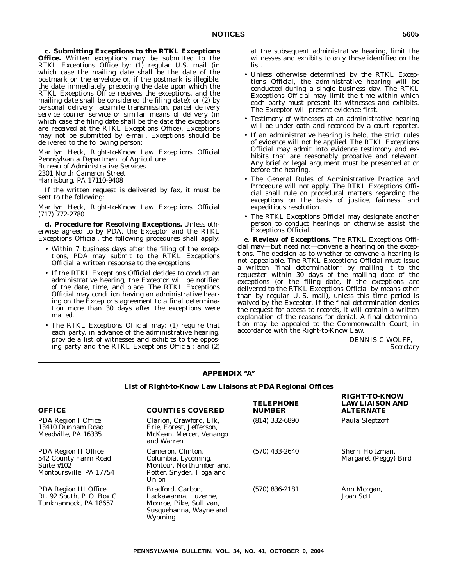**c. Submitting Exceptions to the RTKL Exceptions Office.** Written exceptions may be submitted to the RTKL Exceptions Office by: (1) regular U.S. mail (in which case the mailing date shall be the date of the postmark on the envelope or, if the postmark is illegible, the date immediately preceding the date upon which the RTKL Exceptions Office receives the exceptions, and the mailing date shall be considered the filing date); or (2) by personal delivery, facsimile transmission, parcel delivery service courier service or similar means of delivery (in which case the filing date shall be the date the exceptions are received at the RTKL Exceptions Office). Exceptions may not be submitted by e-mail. Exceptions should be delivered to the following person:

Marilyn Heck, Right-to-Know Law Exceptions Official Pennsylvania Department of Agriculture Bureau of Administrative Services 2301 North Cameron Street Harrisburg, PA 17110-9408

If the written request is delivered by fax, it must be sent to the following:

Marilyn Heck, Right-to-Know Law Exceptions Official (717) 772-2780

**d. Procedure for Resolving Exceptions.** Unless otherwise agreed to by PDA, the Exceptor and the RTKL Exceptions Official, the following procedures shall apply:

- Within 7 business days after the filing of the exceptions, PDA may submit to the RTKL Exceptions Official a written response to the exceptions.
- If the RTKL Exceptions Official decides to conduct an administrative hearing, the Exceptor will be notified of the date, time, and place. The RTKL Exceptions Official may condition having an administrative hearing on the Exceptor's agreement to a final determination more than 30 days after the exceptions were mailed.
- The RTKL Exceptions Official may: (1) require that each party, in advance of the administrative hearing, provide a list of witnesses and exhibits to the opposing party and the RTKL Exceptions Official; and (2)

at the subsequent administrative hearing, limit the witnesses and exhibits to only those identified on the list.

- Unless otherwise determined by the RTKL Exceptions Official, the administrative hearing will be conducted during a single business day. The RTKL Exceptions Official may limit the time within which each party must present its witnesses and exhibits. The Exceptor will present evidence first.
- Testimony of witnesses at an administrative hearing will be under oath and recorded by a court reporter.
- If an administrative hearing is held, the strict rules of evidence will not be applied. The RTKL Exceptions Official may admit into evidence testimony and exhibits that are reasonably probative and relevant. Any brief or legal argument must be presented at or before the hearing.
- The General Rules of Administrative Practice and Procedure will not apply. The RTKL Exceptions Official shall rule on procedural matters regarding the exceptions on the basis of justice, fairness, and expeditious resolution.
- The RTKL Exceptions Official may designate another person to conduct hearings or otherwise assist the Exceptions Official.

e. **Review of Exceptions.** The RTKL Exceptions Official may—but need not—convene a hearing on the exceptions. The decision as to whether to convene a hearing is not appealable. The RTKL Exceptions Official must issue a written ''final determination'' by mailing it to the requester within 30 days of the mailing date of the exceptions (or the filing date, if the exceptions are delivered to the RTKL Exceptions Official by means other than by regular U. S. mail), unless this time period is waived by the Exceptor. If the final determination denies the request for access to records, it will contain a written explanation of the reasons for denial. A final determination may be appealed to the Commonwealth Court, in accordance with the Right-to-Know Law.

> DENNIS C WOLFF, *Secretary*

**RIGHT-TO-KNOW**

# **APPENDIX ''A''**

#### **List of Right-to-Know Law Liaisons at PDA Regional Offices**

| <b>OFFICE</b>                                                                                  | <b>COUNTIES COVERED</b>                                                                                    | <b>TELEPHONE</b><br><b>NUMBER</b> | <b>LAW LIAISON AND</b><br><b>ALTERNATE</b> |
|------------------------------------------------------------------------------------------------|------------------------------------------------------------------------------------------------------------|-----------------------------------|--------------------------------------------|
| <b>PDA Region I Office</b><br>13410 Dunham Road<br>Meadville, PA 16335                         | Clarion, Crawford, Elk,<br>Erie. Forest. Jefferson.<br>McKean, Mercer, Venango<br>and Warren               | $(814)$ 332-6890                  | Paula Sleptzoff                            |
| <b>PDA Region II Office</b><br>542 County Farm Road<br>Suite $#102$<br>Montoursville, PA 17754 | Cameron, Clinton,<br>Columbia, Lycoming,<br>Montour, Northumberland,<br>Potter, Snyder, Tioga and<br>Union | $(570)$ 433-2640                  | Sherri Holtzman.<br>Margaret (Peggy) Bird  |
| <b>PDA Region III Office</b><br>Rt. 92 South, P. O. Box C<br>Tunkhannock, PA 18657             | Bradford. Carbon.<br>Lackawanna, Luzerne,<br>Monroe, Pike, Sullivan,<br>Susquehanna, Wayne and<br>Wyoming  | $(570)$ 836-2181                  | Ann Morgan,<br><b>Joan Sott</b>            |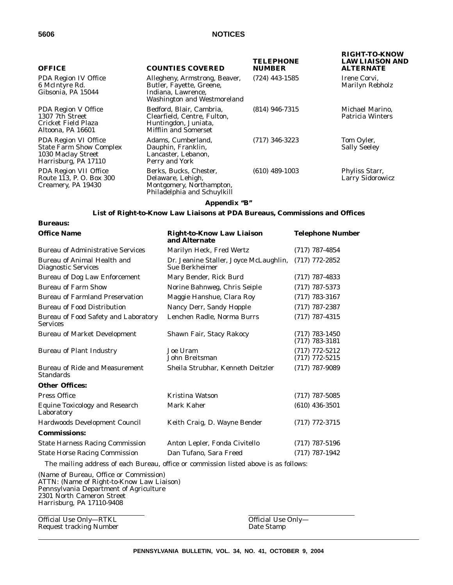**Bureaus:**

| <b>OFFICE</b>                                                                                        | <b>COUNTIES COVERED</b>                                                                                        | <b>TELEPHONE</b><br><b>NUMBER</b> | <b>RIGHT-TO-KNOW</b><br><b>LAW LIAISON AND</b><br><b>ALTERNATE</b> |
|------------------------------------------------------------------------------------------------------|----------------------------------------------------------------------------------------------------------------|-----------------------------------|--------------------------------------------------------------------|
| PDA Region IV Office<br>6 McIntyre Rd.<br>Gibsonia, PA 15044                                         | Allegheny, Armstrong, Beaver,<br>Butler, Fayette, Greene,<br>Indiana, Lawrence,<br>Washington and Westmoreland | $(724)$ 443-1585                  | Irene Corvi.<br>Marilyn Rebholz                                    |
| <b>PDA Region V Office</b><br>1307 7th Street<br>Cricket Field Plaza<br>Altoona, PA 16601            | Bedford, Blair, Cambria,<br>Clearfield, Centre, Fulton,<br>Huntingdon, Juniata,<br><b>Mifflin and Somerset</b> | $(814)$ 946-7315                  | Michael Marino,<br><b>Patricia Winters</b>                         |
| PDA Region VI Office<br><b>State Farm Show Complex</b><br>1030 Maclay Street<br>Harrisburg, PA 17110 | Adams, Cumberland,<br>Dauphin, Franklin,<br>Lancaster, Lebanon,<br>Perry and York                              | $(717)$ 346-3223                  | Tom Oyler,<br><b>Sally Seeley</b>                                  |
| PDA Region VII Office<br>Route 113, P.O. Box 300<br>Creamery, PA 19430                               | Berks, Bucks, Chester,<br>Delaware, Lehigh,<br>Montgomery, Northampton,<br>Philadelphia and Schuylkill         | $(610)$ 489-1003                  | Phyliss Starr,<br><b>Larry Sidorowicz</b>                          |

# **Appendix ''B''**

# **List of Right-to-Know Law Liaisons at PDA Bureaus, Commissions and Offices**

| <b>Office Name</b>                                             | <b>Right-to-Know Law Liaison</b><br>and Alternate                                    | <b>Telephone Number</b>              |
|----------------------------------------------------------------|--------------------------------------------------------------------------------------|--------------------------------------|
| <b>Bureau of Administrative Services</b>                       | Marilyn Heck, Fred Wertz                                                             | $(717)$ 787-4854                     |
| Bureau of Animal Health and<br><b>Diagnostic Services</b>      | Dr. Jeanine Staller, Joyce McLaughlin,<br>Sue Berkheimer                             | $(717)$ 772-2852                     |
| <b>Bureau of Dog Law Enforcement</b>                           | Mary Bender, Rick Burd                                                               | $(717)$ 787-4833                     |
| <b>Bureau of Farm Show</b>                                     | Norine Bahnweg, Chris Seiple                                                         | $(717)$ 787-5373                     |
| <b>Bureau of Farmland Preservation</b>                         | Maggie Hanshue, Clara Roy                                                            | $(717)$ 783-3167                     |
| <b>Bureau of Food Distribution</b>                             | Nancy Derr, Sandy Hopple                                                             | $(717)$ 787-2387                     |
| <b>Bureau of Food Safety and Laboratory</b><br><b>Services</b> | Lenchen Radle, Norma Burrs                                                           | $(717)$ 787-4315                     |
| <b>Bureau of Market Development</b>                            | Shawn Fair, Stacy Rakocy                                                             | $(717)$ 783-1450<br>(717) 783-3181   |
| <b>Bureau of Plant Industry</b>                                | Joe Uram<br>John Breitsman                                                           | $(717)$ 772-5212<br>$(717)$ 772-5215 |
| Bureau of Ride and Measurement<br><b>Standards</b>             | Sheila Strubhar, Kenneth Deitzler                                                    | $(717)$ 787-9089                     |
| <b>Other Offices:</b>                                          |                                                                                      |                                      |
| <b>Press Office</b>                                            | Kristina Watson                                                                      | $(717)$ 787-5085                     |
| <b>Equine Toxicology and Research</b><br>Laboratory            | Mark Kaher                                                                           | $(610)$ 436-3501                     |
| Hardwoods Development Council                                  | Keith Craig, D. Wayne Bender                                                         | $(717)$ 772-3715                     |
| <b>Commissions:</b>                                            |                                                                                      |                                      |
| <b>State Harness Racing Commission</b>                         | Anton Lepler, Fonda Civitello                                                        | $(717)$ 787-5196                     |
| <b>State Horse Racing Commission</b>                           | Dan Tufano, Sara Freed                                                               | $(717)$ 787-1942                     |
|                                                                | The mailing address of each Bureau, office or commission listed above is as follows: |                                      |

(Name of Bureau, Office or Commission) ATTN: (Name of Right-to-Know Law Liaison) Pennsylvania Department of Agriculture 2301 North Cameron Street Harrisburg, PA 17110-9408

Official Use Only—RTKL Cofficial Use Only—Request tracking Number Cofficial Use Only—Request tracking Number Request tracking Number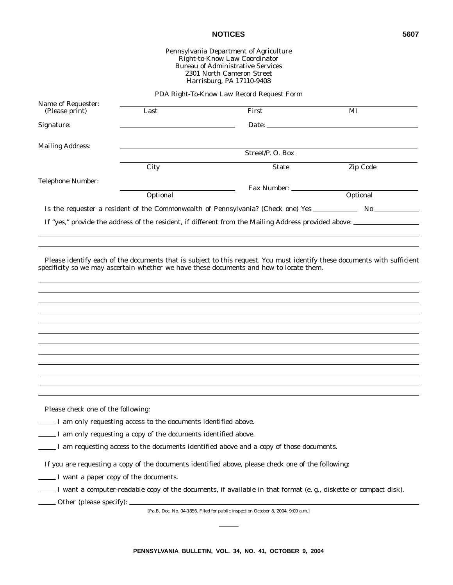# Pennsylvania Department of Agriculture Right-to-Know Law Coordinator Bureau of Administrative Services 2301 North Cameron Street Harrisburg, PA 17110-9408

PDA Right-To-Know Law Record Request Form

| Name of Requester:<br>(Please print) | Last                                                             | First                                                                                                                                                                                                               | MI       |
|--------------------------------------|------------------------------------------------------------------|---------------------------------------------------------------------------------------------------------------------------------------------------------------------------------------------------------------------|----------|
| Signature:                           |                                                                  | Date:                                                                                                                                                                                                               |          |
| <b>Mailing Address:</b>              |                                                                  |                                                                                                                                                                                                                     |          |
|                                      |                                                                  | Street/P.O. Box                                                                                                                                                                                                     |          |
|                                      | City                                                             | <b>State</b>                                                                                                                                                                                                        | Zip Code |
| <b>Telephone Number:</b>             |                                                                  |                                                                                                                                                                                                                     |          |
|                                      | Optional                                                         | Fax Number:                                                                                                                                                                                                         | Optional |
|                                      |                                                                  |                                                                                                                                                                                                                     |          |
|                                      |                                                                  | If "yes," provide the address of the resident, if different from the Mailing Address provided above:                                                                                                                |          |
|                                      |                                                                  |                                                                                                                                                                                                                     |          |
|                                      |                                                                  |                                                                                                                                                                                                                     |          |
|                                      |                                                                  | Please identify each of the documents that is subject to this request. You must identify these documents with sufficient<br>specificity so we may ascertain whether we have these documents and how to locate them. |          |
|                                      |                                                                  |                                                                                                                                                                                                                     |          |
|                                      |                                                                  |                                                                                                                                                                                                                     |          |
|                                      |                                                                  |                                                                                                                                                                                                                     |          |
|                                      |                                                                  |                                                                                                                                                                                                                     |          |
|                                      |                                                                  |                                                                                                                                                                                                                     |          |
|                                      |                                                                  |                                                                                                                                                                                                                     |          |
|                                      |                                                                  |                                                                                                                                                                                                                     |          |
|                                      |                                                                  |                                                                                                                                                                                                                     |          |
|                                      |                                                                  |                                                                                                                                                                                                                     |          |
|                                      |                                                                  |                                                                                                                                                                                                                     |          |
| Please check one of the following:   |                                                                  |                                                                                                                                                                                                                     |          |
|                                      | _ I am only requesting access to the documents identified above. |                                                                                                                                                                                                                     |          |
|                                      | I am only requesting a copy of the documents identified above.   |                                                                                                                                                                                                                     |          |
|                                      |                                                                  | I am requesting access to the documents identified above and a copy of those documents.                                                                                                                             |          |
|                                      |                                                                  | If you are requesting a copy of the documents identified above, please check one of the following:                                                                                                                  |          |

- I want a paper copy of the documents.
- I want a computer-readable copy of the documents, if available in that format (e. g., diskette or compact disk).

Other (please specify):

[Pa.B. Doc. No. 04-1856. Filed for public inspection October 8, 2004, 9:00 a.m.]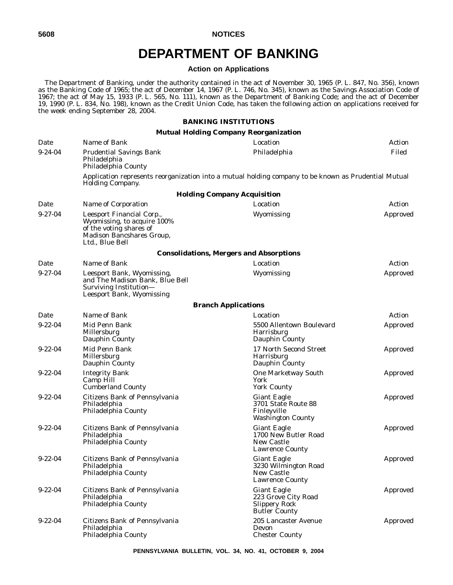# **DEPARTMENT OF BANKING**

# **Action on Applications**

The Department of Banking, under the authority contained in the act of November 30, 1965 (P. L. 847, No. 356), known as the Banking Code of 1965; the act of December 14, 1967 (P. L. 746, No. 345), known as the Savings Association Code of 1967; the act of May 15, 1933 (P. L. 565, No. 111), known as the Department of Banking Code; and the act of December 19, 1990 (P. L. 834, No. 198), known as the Credit Union Code, has taken the following action on applications received for the week ending September 28, 2004.

# **BANKING INSTITUTIONS**

# **Mutual Holding Company Reorganization**

| Date          | Name of Bank                                                                                                                        | Location                                                                                             | Action          |
|---------------|-------------------------------------------------------------------------------------------------------------------------------------|------------------------------------------------------------------------------------------------------|-----------------|
| $9 - 24 - 04$ | <b>Prudential Savings Bank</b><br>Philadelphia<br>Philadelphia County                                                               | Philadelphia                                                                                         | Filed           |
|               | <b>Holding Company.</b>                                                                                                             | Application represents reorganization into a mutual holding company to be known as Prudential Mutual |                 |
|               |                                                                                                                                     | <b>Holding Company Acquisition</b>                                                                   |                 |
| Date          | Name of Corporation                                                                                                                 | Location                                                                                             | Action          |
| $9 - 27 - 04$ | Leesport Financial Corp.,<br>Wyomissing, to acquire 100%<br>of the voting shares of<br>Madison Bancshares Group,<br>Ltd., Blue Bell | Wyomissing                                                                                           | Approved        |
|               |                                                                                                                                     | <b>Consolidations, Mergers and Absorptions</b>                                                       |                 |
| Date          | Name of Bank                                                                                                                        | Location                                                                                             | Action          |
| $9 - 27 - 04$ | Leesport Bank, Wyomissing,<br>and The Madison Bank, Blue Bell<br>Surviving Institution-<br>Leesport Bank, Wyomissing                | Wyomissing                                                                                           | Approved        |
|               |                                                                                                                                     | <b>Branch Applications</b>                                                                           |                 |
| Date          | Name of Bank                                                                                                                        | Location                                                                                             | Action          |
| $9 - 22 - 04$ | Mid Penn Bank<br>Millersburg<br>Dauphin County                                                                                      | 5500 Allentown Boulevard<br><b>Harrisburg</b><br>Dauphin County                                      | <b>Approved</b> |
| $9 - 22 - 04$ | Mid Penn Bank<br>Millersburg<br>Dauphin County                                                                                      | 17 North Second Street<br>Harrisburg<br>Dauphin County                                               | Approved        |
| $9 - 22 - 04$ | <b>Integrity Bank</b><br>Camp Hill<br><b>Cumberland County</b>                                                                      | <b>One Marketway South</b><br>York<br><b>York County</b>                                             | Approved        |
| $9 - 22 - 04$ | Citizens Bank of Pennsylvania<br>Philadelphia<br>Philadelphia County                                                                | <b>Giant Eagle</b><br>3701 State Route 88<br>Finleyville<br><b>Washington County</b>                 | Approved        |
| $9 - 22 - 04$ | Citizens Bank of Pennsylvania<br>Philadelphia<br>Philadelphia County                                                                | <b>Giant Eagle</b><br>1700 New Butler Road<br>New Castle<br><b>Lawrence County</b>                   | Approved        |
| $9 - 22 - 04$ | Citizens Bank of Pennsylvania<br>Philadelphia<br>Philadelphia County                                                                | Giant Eagle<br>3230 Wilmington Road<br>New Castle<br><b>Lawrence County</b>                          | Approved        |
| $9 - 22 - 04$ | Citizens Bank of Pennsylvania<br>Philadelphia<br>Philadelphia County                                                                | <b>Giant Eagle</b><br>223 Grove City Road<br><b>Slippery Rock</b><br><b>Butler County</b>            | Approved        |
| $9 - 22 - 04$ | Citizens Bank of Pennsylvania<br>Philadelphia<br>Philadelphia County                                                                | 205 Lancaster Avenue<br>Devon<br><b>Chester County</b>                                               | Approved        |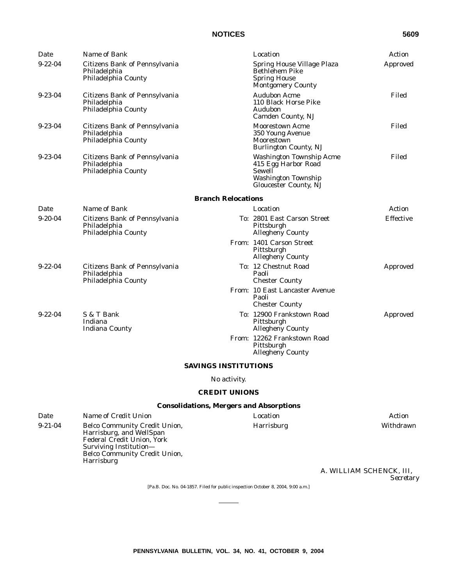| Date          | Name of Bank                                                         |                                                                                                                         | Location                                                                                               | Action           |
|---------------|----------------------------------------------------------------------|-------------------------------------------------------------------------------------------------------------------------|--------------------------------------------------------------------------------------------------------|------------------|
| $9 - 22 - 04$ | Citizens Bank of Pennsylvania<br>Philadelphia<br>Philadelphia County |                                                                                                                         | Spring House Village Plaza<br><b>Bethlehem Pike</b><br><b>Spring House</b><br><b>Montgomery County</b> | Approved         |
| $9 - 23 - 04$ | Citizens Bank of Pennsylvania<br>Philadelphia<br>Philadelphia County |                                                                                                                         | <b>Audubon Acme</b><br>110 Black Horse Pike<br>Audubon<br>Camden County, NJ                            | Filed            |
| $9 - 23 - 04$ | Citizens Bank of Pennsylvania<br>Philadelphia<br>Philadelphia County |                                                                                                                         | <b>Moorestown Acme</b><br>350 Young Avenue<br>Moorestown<br>Burlington County, NJ                      | Filed            |
| $9 - 23 - 04$ | Citizens Bank of Pennsylvania<br>Philadelphia<br>Philadelphia County | <b>Washington Township Acme</b><br>415 Egg Harbor Road<br>Sewell<br><b>Washington Township</b><br>Gloucester County, NJ |                                                                                                        |                  |
|               |                                                                      | <b>Branch Relocations</b>                                                                                               |                                                                                                        |                  |
| Date          | Name of Bank                                                         |                                                                                                                         | Location                                                                                               | Action           |
| $9-20-04$     | Citizens Bank of Pennsylvania<br>Philadelphia<br>Philadelphia County |                                                                                                                         | To: 2801 East Carson Street<br>Pittsburgh<br><b>Allegheny County</b>                                   | <b>Effective</b> |
|               |                                                                      |                                                                                                                         | From: 1401 Carson Street<br>Pittsburgh<br>Allegheny County                                             |                  |
| $9 - 22 - 04$ | Citizens Bank of Pennsylvania<br>Philadelphia<br>Philadelphia County |                                                                                                                         | To: 12 Chestnut Road<br>Paoli<br><b>Chester County</b>                                                 | Approved         |
|               |                                                                      |                                                                                                                         | <i>From:</i> 10 East Lancaster Avenue<br>Paoli<br><b>Chester County</b>                                |                  |
| $9 - 22 - 04$ | S & T Bank<br>Indiana<br><b>Indiana County</b>                       |                                                                                                                         | To: 12900 Frankstown Road<br>Pittsburgh<br><b>Allegheny County</b>                                     | Approved         |
|               |                                                                      |                                                                                                                         | From: 12262 Frankstown Road<br>Pittsburgh<br><b>Allegheny County</b>                                   |                  |
|               |                                                                      | <b>SAVINGS INSTITUTIONS</b>                                                                                             |                                                                                                        |                  |
|               |                                                                      | No activity.                                                                                                            |                                                                                                        |                  |
|               |                                                                      | <b>CREDIT UNIONS</b>                                                                                                    |                                                                                                        |                  |
|               |                                                                      |                                                                                                                         | <b>Consolidations, Mergers and Absorptions</b>                                                         |                  |

*Date Name of Credit Union Location Action* 9-21-04 Belco Community Credit Union, Harrisburg, and WellSpan Federal Credit Union, York Surviving Institution— Belco Community Credit Union, Harrisburg

> A. WILLIAM SCHENCK, III, *Secretary*

Harrisburg Withdrawn

[Pa.B. Doc. No. 04-1857. Filed for public inspection October 8, 2004, 9:00 a.m.]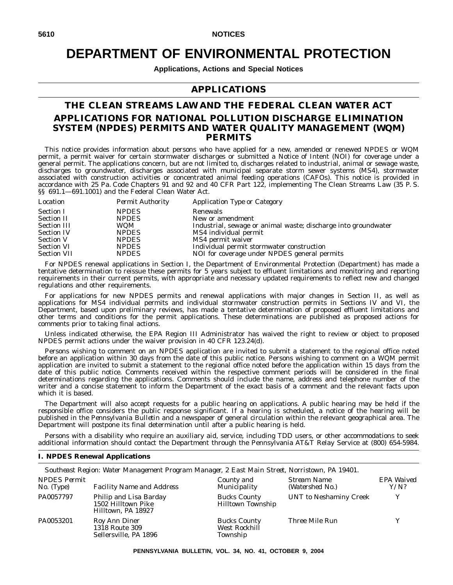# **DEPARTMENT OF ENVIRONMENTAL PROTECTION**

**Applications, Actions and Special Notices**

# **APPLICATIONS**

# **THE CLEAN STREAMS LAW AND THE FEDERAL CLEAN WATER ACT APPLICATIONS FOR NATIONAL POLLUTION DISCHARGE ELIMINATION SYSTEM (NPDES) PERMITS AND WATER QUALITY MANAGEMENT (WQM) PERMITS**

This notice provides information about persons who have applied for a new, amended or renewed NPDES or WQM permit, a permit waiver for certain stormwater discharges or submitted a Notice of Intent (NOI) for coverage under a general permit. The applications concern, but are not limited to, discharges related to industrial, animal or sewage waste, discharges to groundwater, discharges associated with municipal separate storm sewer systems (MS4), stormwater associated with construction activities or concentrated animal feeding operations (CAFOs). This notice is provided in accordance with 25 Pa. Code Chapters 91 and 92 and 40 CFR Part 122, implementing The Clean Streams Law (35 P. S. §§ 691.1-691.1001) and the Federal Clean Water Act.

| <b>Permit Authority</b> | Application Type or Category                                   |
|-------------------------|----------------------------------------------------------------|
| <b>NPDES</b>            | Renewals                                                       |
| <b>NPDES</b>            | New or amendment                                               |
| WQM                     | Industrial, sewage or animal waste; discharge into groundwater |
| <b>NPDES</b>            | MS4 individual permit                                          |
| <b>NPDES</b>            | MS4 permit waiver                                              |
| <b>NPDES</b>            | Individual permit stormwater construction                      |
| <b>NPDES</b>            | NOI for coverage under NPDES general permits                   |
|                         |                                                                |

For NPDES renewal applications in Section I, the Department of Environmental Protection (Department) has made a tentative determination to reissue these permits for 5 years subject to effluent limitations and monitoring and reporting requirements in their current permits, with appropriate and necessary updated requirements to reflect new and changed regulations and other requirements.

For applications for new NPDES permits and renewal applications with major changes in Section II, as well as applications for MS4 individual permits and individual stormwater construction permits in Sections IV and VI, the Department, based upon preliminary reviews, has made a tentative determination of proposed effluent limitations and other terms and conditions for the permit applications. These determinations are published as proposed actions for comments prior to taking final actions.

Unless indicated otherwise, the EPA Region III Administrator has waived the right to review or object to proposed NPDES permit actions under the waiver provision in 40 CFR 123.24(d).

Persons wishing to comment on an NPDES application are invited to submit a statement to the regional office noted before an application within 30 days from the date of this public notice. Persons wishing to comment on a WQM permit application are invited to submit a statement to the regional office noted before the application within 15 days from the date of this public notice. Comments received within the respective comment periods will be considered in the final determinations regarding the applications. Comments should include the name, address and telephone number of the writer and a concise statement to inform the Department of the exact basis of a comment and the relevant facts upon which it is based.

The Department will also accept requests for a public hearing on applications. A public hearing may be held if the responsible office considers the public response significant. If a hearing is scheduled, a notice of the hearing will be published in the *Pennsylvania Bulletin* and a newspaper of general circulation within the relevant geographical area. The Department will postpone its final determination until after a public hearing is held.

Persons with a disability who require an auxiliary aid, service, including TDD users, or other accommodations to seek additional information should contact the Department through the Pennsylvania AT&T Relay Service at (800) 654-5984.

# **I. NPDES Renewal Applications**

|                                     | Southeast Region: Water Management Program Manager, 2 East Main Street, Norristown, PA 19401. |                                                  |                                |                    |
|-------------------------------------|-----------------------------------------------------------------------------------------------|--------------------------------------------------|--------------------------------|--------------------|
| <b>NPDES Permit</b><br>$No.$ (Type) | <b>Facility Name and Address</b>                                                              | County and<br>Municipality                       | Stream Name<br>(Watershed No.) | EPA Waived<br>Y/N? |
| PA0057797                           | Philip and Lisa Barday<br>1502 Hilltown Pike<br>Hilltown, PA 18927                            | <b>Bucks County</b><br><b>Hilltown Township</b>  | <b>UNT</b> to Neshaminy Creek  | Y                  |
| PA0053201                           | Roy Ann Diner<br>1318 Route 309<br>Sellersville, PA 1896                                      | <b>Bucks County</b><br>West Rockhill<br>Township | Three Mile Run                 |                    |

**PENNSYLVANIA BULLETIN, VOL. 34, NO. 41, OCTOBER 9, 2004**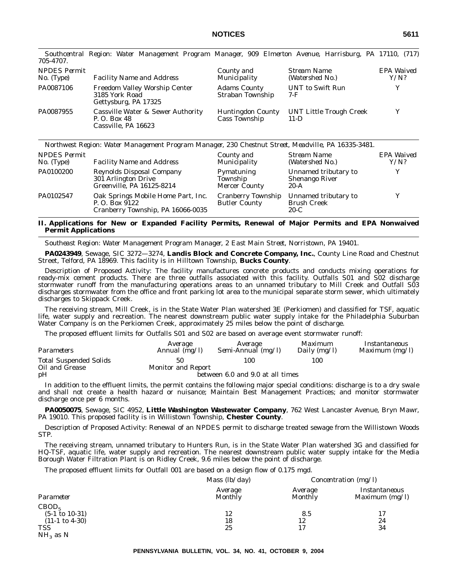| 705-4707.                         |                                                                          |                                           |                                          |                    |
|-----------------------------------|--------------------------------------------------------------------------|-------------------------------------------|------------------------------------------|--------------------|
| <i>NPDES Permit</i><br>No. (Type) | <b>Facility Name and Address</b>                                         | County and<br>Municipality                | Stream Name<br>(Watershed No.)           | EPA Waived<br>Y/N? |
| PA0087106                         | Freedom Valley Worship Center<br>3185 York Road<br>Gettysburg, PA 17325  | <b>Adams County</b><br>Straban Township   | UNT to Swift Run<br>7-F                  | v                  |
| PA0087955                         | Cassville Water & Sewer Authority<br>P. O. Box 48<br>Cassville, PA 16623 | <b>Huntingdon County</b><br>Cass Township | <b>UNT Little Trough Creek</b><br>$11-D$ | v                  |

*Southcentral Region: Water Management Program Manager, 909 Elmerton Avenue, Harrisburg, PA 17110, (717)*

*Northwest Region: Water Management Program Manager, 230 Chestnut Street, Meadville, PA 16335-3481.*

| <b>NPDES Permit</b><br>$No.$ (Type) | <b>Facility Name and Address</b>                                                          | County and<br>Municipality                        | Stream Name<br>(Watershed No.)                          | EPA Waived<br>Y/N? |
|-------------------------------------|-------------------------------------------------------------------------------------------|---------------------------------------------------|---------------------------------------------------------|--------------------|
| PA0100200                           | <b>Reynolds Disposal Company</b><br>301 Arlington Drive<br>Greenville, PA 16125-8214      | Pymatuning<br>Township<br><b>Mercer County</b>    | Unnamed tributary to<br><b>Shenango River</b><br>$20-A$ |                    |
| PA0102547                           | Oak Springs Mobile Home Part, Inc.<br>P. O. Box 9122<br>Cranberry Township, PA 16066-0035 | <b>Cranberry Township</b><br><b>Butler County</b> | Unnamed tributary to<br><b>Brush Creek</b><br>$20-C$    |                    |

# **II. Applications for New or Expanded Facility Permits, Renewal of Major Permits and EPA Nonwaived Permit Applications**

*Southeast Region: Water Management Program Manager, 2 East Main Street, Norristown, PA 19401.*

**PA0243949**, Sewage, SIC 3272—3274, **Landis Block and Concrete Company, Inc.**, County Line Road and Chestnut Street, Telford, PA 18969. This facility is in Hilltown Township, **Bucks County**.

Description of Proposed Activity: The facility manufactures concrete products and conducts mixing operations for ready-mix cement products. There are three outfalls associated with this facility. Outfalls S01 and S02 discharge stormwater runoff from the manufacturing operations areas to an unnamed tributary to Mill Creek and Outfall S03 discharges stormwater from the office and front parking lot area to the municipal separate storm sewer, which ultimately discharges to Skippack Creek.

The receiving stream, Mill Creek, is in the State Water Plan watershed 3E (Perkiomen) and classified for TSF, aquatic life, water supply and recreation. The nearest downstream public water supply intake for the Philadelphia Suburban Water Company is on the Perkiomen Creek, approximately 25 miles below the point of discharge.

The proposed effluent limits for Outfalls S01 and S02 are based on average event stormwater runoff:

| <b>Parameters</b>                               | Average            | Average            | Maximum      | <i>Instantaneous</i> |
|-------------------------------------------------|--------------------|--------------------|--------------|----------------------|
|                                                 | Annual $(mg/l)$    | Semi-Annual (mg/l) | Daily (mg/l) | Maximum $(mg/l)$     |
| <b>Total Suspended Solids</b><br>Oil and Grease | Monitor and Report | 100                | 100          |                      |

pH between 6.0 and 9.0 at all times

In addition to the effluent limits, the permit contains the following major special conditions: discharge is to a dry swale and shall not create a health hazard or nuisance; Maintain Best Management Practices; and monitor stormwater discharge once per 6 months.

**PA0050075**, Sewage, SIC 4952, **Little Washington Wastewater Company**, 762 West Lancaster Avenue, Bryn Mawr, PA 19010. This proposed facility is in Willistown Township, **Chester County**.

Description of Proposed Activity: Renewal of an NPDES permit to discharge treated sewage from the Willistown Woods STP.

The receiving stream, unnamed tributary to Hunters Run, is in the State Water Plan watershed 3G and classified for HQ-TSF, aquatic life, water supply and recreation. The nearest downstream public water supply intake for the Media Borough Water Filtration Plant is on Ridley Creek, 9.6 miles below the point of discharge.

The proposed effluent limits for Outfall 001 are based on a design flow of 0.175 mgd.

|                                                                                                         | <i>Mass</i> $(lb/day)$    | Concentration $(mg/l)$ |                                   |
|---------------------------------------------------------------------------------------------------------|---------------------------|------------------------|-----------------------------------|
| Parameter                                                                                               | Average<br><b>Monthly</b> | Average<br>Monthly     | Instantaneous<br>Maximum $(mg/l)$ |
| CBOD <sub>5</sub><br>$(5-1 \text{ to } 10-31)$<br>$(11-1 \text{ to } 4-30)$<br><b>TSS</b><br>$NH3$ as N | 12<br>18<br>25            | 8.5<br>12              | 24<br>34                          |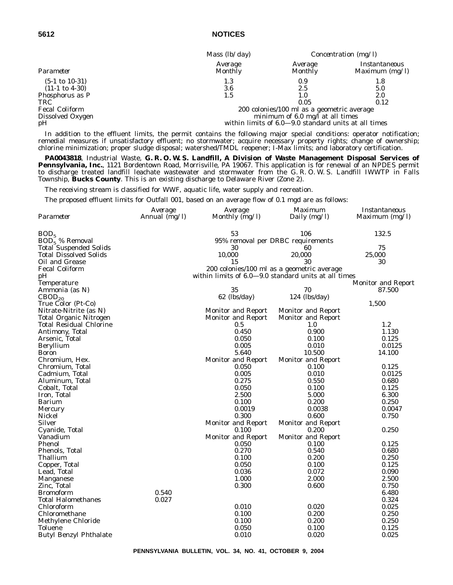|                           | Mass $(lb/day)$                                      | Concentration $(mg/l)$ |                                   |  |
|---------------------------|------------------------------------------------------|------------------------|-----------------------------------|--|
| Parameter                 | Average<br>Monthly                                   | Average<br>Monthly     | Instantaneous<br>Maximum $(mg/l)$ |  |
| $(5-1 \text{ to } 10-31)$ | 1.3                                                  | 0.9                    | 1.8                               |  |
| $(11-1 \text{ to } 4-30)$ | 3.6                                                  | 2.5                    | 5.0                               |  |
| Phosphorus as P           | 1.5                                                  | $1.0\,$                | 2.0                               |  |
| TRC                       |                                                      | 0.05                   | 0.12                              |  |
| <b>Fecal Coliform</b>     | 200 colonies/100 ml as a geometric average           |                        |                                   |  |
| Dissolved Oxygen          | minimum of $6.0$ mg/l at all times                   |                        |                                   |  |
| pH                        | within limits of 6.0–9.0 standard units at all times |                        |                                   |  |

In addition to the effluent limits, the permit contains the following major special conditions: operator notification; remedial measures if unsatisfactory effluent; no stormwater; acquire necessary property rights; change of ownership; chlorine minimization; proper sludge disposal; watershed/TMDL reopener; I-Max limits; and laboratory certification.

**PA0043818**, Industrial Waste, **G. R. O. W. S. Landfill, A Division of Waste Management Disposal Services of Pennsylvania, Inc.**, 1121 Bordentown Road, Morrisville, PA 19067. This application is for renewal of an NPDES permit to discharge treated landfill leachate wastewater and stormwater from the G. R. O. W. S. Landfill IWWTP in Falls Township, **Bucks County**. This is an existing discharge to Delaware River (Zone 2).

The receiving stream is classified for WWF, aquatic life, water supply and recreation.

The proposed effluent limits for Outfall 001, based on an average flow of 0.1 mgd are as follows:

|                                | Average         | Average                                              | Maximum                                    | Instantaneous             |
|--------------------------------|-----------------|------------------------------------------------------|--------------------------------------------|---------------------------|
| Parameter                      | Annual $(mg/l)$ | Monthly $(mg/l)$                                     | Daily (mg/l)                               | Maximum $(mg/l)$          |
|                                |                 |                                                      |                                            |                           |
| BOD <sub>5</sub>               |                 | 53                                                   | 106                                        | 132.5                     |
| $BOD5$ % Removal               |                 |                                                      | 95% removal per DRBC requirements          |                           |
| <b>Total Suspended Solids</b>  |                 | 30                                                   | 60                                         | 75                        |
| <b>Total Dissolved Solids</b>  |                 | 10,000                                               | 20,000                                     | 25,000                    |
| Oil and Grease                 |                 | 15                                                   | 30                                         | 30                        |
| <b>Fecal Coliform</b>          |                 |                                                      | 200 colonies/100 ml as a geometric average |                           |
| рH                             |                 | within limits of 6.0–9.0 standard units at all times |                                            |                           |
| Temperature                    |                 |                                                      |                                            | <b>Monitor and Report</b> |
| Ammonia (as N)                 |                 | 35                                                   | 70                                         | 87.500                    |
| CBOD <sub>20</sub>             |                 | 62 (lbs/day)                                         | $124$ (lbs/day)                            |                           |
| True Color (Pt-Co)             |                 |                                                      |                                            | 1,500                     |
| Nitrate-Nitrite (as N)         |                 | Monitor and Report                                   | <b>Monitor and Report</b>                  |                           |
| <b>Total Organic Nitrogen</b>  |                 | <b>Monitor and Report</b>                            | <b>Monitor and Report</b>                  |                           |
| <b>Total Residual Chlorine</b> |                 | 0.5                                                  | 1.0                                        | 1.2                       |
| Antimony, Total                |                 | 0.450                                                | 0.900                                      | 1.130                     |
| Arsenic, Total                 |                 | 0.050                                                | 0.100                                      | 0.125                     |
| Beryllium                      |                 | 0.005                                                | 0.010                                      | 0.0125                    |
| <b>Boron</b>                   |                 | 5.640                                                | 10.500                                     | 14.100                    |
| Chromium, Hex.                 |                 | Monitor and Report                                   | Monitor and Report                         |                           |
| Chromium, Total                |                 | 0.050                                                | 0.100                                      | 0.125                     |
| Cadmium, Total                 |                 | 0.005                                                | 0.010                                      | 0.0125                    |
| Aluminum, Total                |                 | 0.275                                                | 0.550                                      | 0.680                     |
| Cobalt, Total                  |                 | 0.050                                                | 0.100                                      | 0.125                     |
| Iron, Total                    |                 | 2.500                                                | 5.000                                      | 6.300                     |
| <b>Barium</b>                  |                 | 0.100                                                | 0.200                                      | 0.250                     |
| Mercury                        |                 | 0.0019                                               | 0.0038                                     | 0.0047                    |
| Nickel                         |                 | 0.300                                                | 0.600                                      | 0.750                     |
| <b>Silver</b>                  |                 | Monitor and Report                                   | Monitor and Report                         |                           |
| Cyanide, Total                 |                 | 0.100                                                | 0.200                                      | 0.250                     |
| Vanadium                       |                 | <b>Monitor and Report</b>                            | Monitor and Report                         |                           |
| Phenol                         |                 | 0.050                                                | 0.100                                      | 0.125                     |
| Phenols, Total                 |                 | 0.270                                                | 0.540                                      | 0.680                     |
| Thallium                       |                 | 0.100                                                | 0.200                                      | 0.250                     |
| Copper, Total                  |                 | 0.050                                                | 0.100                                      | 0.125                     |
| Lead, Total                    |                 | 0.036                                                | 0.072                                      | 0.090                     |
| <b>Manganese</b>               |                 | 1.000                                                | 2.000                                      | 2.500                     |
| Zinc, Total                    |                 | 0.300                                                | 0.600                                      | 0.750                     |
| <b>Bromoform</b>               | 0.540           |                                                      |                                            | 6.480                     |
| <b>Total Halomethanes</b>      | 0.027           |                                                      |                                            | 0.324                     |
| Chloroform                     |                 | 0.010                                                | 0.020                                      | 0.025                     |
| Chloromethane                  |                 | 0.100                                                | 0.200                                      | 0.250                     |
| Methylene Chloride             |                 | 0.100                                                | 0.200                                      | 0.250                     |
| <b>Toluene</b>                 |                 | 0.050                                                | 0.100                                      | 0.125                     |
| <b>Butyl Benzyl Phthalate</b>  |                 | 0.010                                                | 0.020                                      | 0.025                     |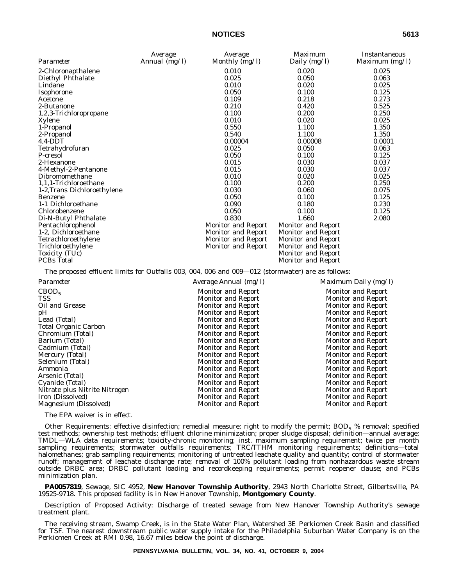|                             | Average       | Average                   | <i>Maximum</i>            | Instantaneous  |
|-----------------------------|---------------|---------------------------|---------------------------|----------------|
| Parameter                   | Annual (mg/l) | Monthly (mg/l)            | Daily (mg/l)              | Maximum (mg/l) |
| 2-Chloronapthalene          |               | 0.010                     | 0.020                     | 0.025          |
| Diethyl Phthalate           |               | 0.025                     | 0.050                     | 0.063          |
| Lindane                     |               | 0.010                     | 0.020                     | 0.025          |
| Isophorone                  |               | 0.050                     | 0.100                     | 0.125          |
| Acetone                     |               | 0.109                     | 0.218                     | 0.273          |
| 2-Butanone                  |               | 0.210                     | 0.420                     | 0.525          |
| 1,2,3-Trichloropropane      |               | 0.100                     | 0.200                     | 0.250          |
| Xylene                      |               | 0.010                     | 0.020                     | 0.025          |
| 1-Propanol                  |               | 0.550                     | 1.100                     | 1.350          |
| 2-Propanol                  |               | 0.540                     | 1.100                     | 1.350          |
| $4,4$ -DDT                  |               | 0.00004                   | 0.00008                   | 0.0001         |
| Tetrahydrofuran             |               | 0.025                     | 0.050                     | 0.063          |
| P-cresol                    |               | 0.050                     | 0.100                     | 0.125          |
| 2-Hexanone                  |               | 0.015                     | 0.030                     | 0.037          |
| 4-Methyl-2-Pentanone        |               | 0.015                     | 0.030                     | 0.037          |
| Dibromomethane              |               | 0.010                     | 0.020                     | 0.025          |
| 1,1,1-Trichloroethane       |               | 0.100                     | 0.200                     | 0.250          |
| 1-2, Trans Dichloroethylene |               | 0.030                     | 0.060                     | 0.075          |
| <b>Benzene</b>              |               | 0.050                     | 0.100                     | 0.125          |
| 1-1 Dichloroethane          |               | 0.090                     | 0.180                     | 0.230          |
| Chlorobenzene               |               | 0.050                     | 0.100                     | 0.125          |
| Di-N-Butyl Phthalate        |               | 0.830                     | 1.660                     | 2.080          |
| Pentachlorophenol           |               | <b>Monitor and Report</b> | <b>Monitor and Report</b> |                |
| 1-2, Dichloroethane         |               | <b>Monitor and Report</b> | <b>Monitor and Report</b> |                |
| Tetrachloroethylene         |               | <b>Monitor and Report</b> | <b>Monitor and Report</b> |                |
| Trichloroethylene           |               | Monitor and Report        | <b>Monitor and Report</b> |                |
| Toxicity (TUc)              |               |                           | <b>Monitor and Report</b> |                |
| <b>PCBs</b> Total           |               |                           | <b>Monitor and Report</b> |                |

The proposed effluent limits for Outfalls 003, 004, 006 and 009—012 (stormwater) are as follows:

| Parameter                     | Average Annual (mg/l)     | Maximum Daily $(mg/l)$    |
|-------------------------------|---------------------------|---------------------------|
| CBOD <sub>5</sub>             | <b>Monitor and Report</b> | <b>Monitor and Report</b> |
| TSS                           | <b>Monitor and Report</b> | <b>Monitor and Report</b> |
| Oil and Grease                | <b>Monitor and Report</b> | Monitor and Report        |
| pН                            | <b>Monitor and Report</b> | <b>Monitor and Report</b> |
| Lead (Total)                  | Monitor and Report        | <b>Monitor and Report</b> |
| Total Organic Carbon          | Monitor and Report        | <b>Monitor and Report</b> |
| Chromium (Total)              | <b>Monitor and Report</b> | <b>Monitor and Report</b> |
| Barium (Total)                | <b>Monitor and Report</b> | <b>Monitor and Report</b> |
| Cadmium (Total)               | <b>Monitor and Report</b> | <b>Monitor and Report</b> |
| Mercury (Total)               | <b>Monitor and Report</b> | <b>Monitor and Report</b> |
| Selenium (Total)              | <b>Monitor and Report</b> | <b>Monitor and Report</b> |
| Ammonia                       | <b>Monitor and Report</b> | <b>Monitor and Report</b> |
| Arsenic (Total)               | <b>Monitor and Report</b> | <b>Monitor and Report</b> |
| Cyanide (Total)               | <b>Monitor and Report</b> | <b>Monitor and Report</b> |
| Nitrate plus Nitrite Nitrogen | <b>Monitor and Report</b> | <b>Monitor and Report</b> |
| Iron (Dissolved)              | <b>Monitor and Report</b> | <b>Monitor and Report</b> |
| Magnesium (Dissolved)         | <b>Monitor and Report</b> | <b>Monitor and Report</b> |

The EPA waiver is in effect.

Other Requirements: effective disinfection; remedial measure; right to modify the permit;  $BOD_5$  % removal; specified test methods; ownership test methods; effluent chlorine minimization; proper sludge disposal; definition—annual average; TMDL—WLA data requirements; toxicity-chronic monitoring; inst. maximum sampling requirement; twice per month sampling requirements; stormwater outfalls requirements; TRC/TTHM monitoring requirements; definitions—total halomethanes; grab sampling requirements; monitoring of untreated leachate quality and quantity; control of stormwater runoff; management of leachate discharge rate; removal of 100% pollutant loading from nonhazardous waste stream outside DRBC area; DRBC pollutant loading and recordkeeping requirements; permit reopener clause; and PCBs minimization plan.

**PA0057819**, Sewage, SIC 4952, **New Hanover Township Authority**, 2943 North Charlotte Street, Gilbertsville, PA 19525-9718. This proposed facility is in New Hanover Township, **Montgomery County**.

Description of Proposed Activity: Discharge of treated sewage from New Hanover Township Authority's sewage treatment plant.

The receiving stream, Swamp Creek, is in the State Water Plan, Watershed 3E Perkiomen Creek Basin and classified for TSF. The nearest downstream public water supply intake for the Philadelphia Suburban Water Company is on the Perkiomen Creek at RMI 0.98, 16.67 miles below the point of discharge.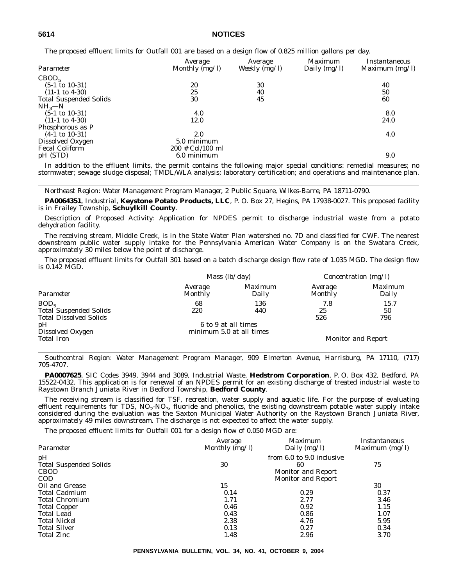The proposed effluent limits for Outfall 001 are based on a design flow of 0.825 million gallons per day.

| Average<br>Monthly (mg/l) | Average<br>Weekly $(mg/l)$ | <i>Maximum</i><br>Daily $(mg/l)$ | Instantaneous<br>Maximum $(mg/l)$ |
|---------------------------|----------------------------|----------------------------------|-----------------------------------|
|                           |                            |                                  |                                   |
| 20                        | 30                         |                                  | 40                                |
| 25                        | 40                         |                                  | 50                                |
| 30                        | 45                         |                                  | 60                                |
|                           |                            |                                  |                                   |
| 4.0                       |                            |                                  | 8.0                               |
| 12.0                      |                            |                                  | 24.0                              |
|                           |                            |                                  |                                   |
| 2.0                       |                            |                                  | 4.0                               |
| 5.0 minimum               |                            |                                  |                                   |
| $200 \#$ Col/100 ml       |                            |                                  |                                   |
| 6.0 minimum               |                            |                                  | 9.0                               |
|                           |                            |                                  |                                   |

In addition to the effluent limits, the permit contains the following major special conditions: remedial measures; no stormwater; sewage sludge disposal; TMDL/WLA analysis; laboratory certification; and operations and maintenance plan.

*Northeast Region: Water Management Program Manager, 2 Public Square, Wilkes-Barre, PA 18711-0790.*

**PA0064351**, Industrial, **Keystone Potato Products, LLC**, P. O. Box 27, Hegins, PA 17938-0027. This proposed facility is in Frailey Township, **Schuylkill County**.

Description of Proposed Activity: Application for NPDES permit to discharge industrial waste from a potato dehydration facility.

The receiving stream, Middle Creek, is in the State Water Plan watershed no. 7D and classified for CWF. The nearest downstream public water supply intake for the Pennsylvania American Water Company is on the Swatara Creek, approximately 30 miles below the point of discharge.

The proposed effluent limits for Outfall 301 based on a batch discharge design flow rate of 1.035 MGD. The design flow is 0.142 MGD.

|                                                                | <i>Mass</i> $(lb/day)$    |                                                 | <i>Concentration</i> ( $mg/l$ ) |                           |
|----------------------------------------------------------------|---------------------------|-------------------------------------------------|---------------------------------|---------------------------|
| Parameter                                                      | Average<br><b>Monthly</b> | Maximum<br>Daily                                | Average<br><b>Monthly</b>       | <i>Maximum</i><br>Daily   |
| BOD <sub>5</sub>                                               | 68                        | 136                                             | 7.8                             | 15.7                      |
| <b>Total Suspended Solids</b><br><b>Total Dissolved Solids</b> | 220                       | 440                                             | 25<br>526                       | 50<br>796                 |
| pH<br>Dissolved Oxygen                                         |                           | 6 to 9 at all times<br>minimum 5.0 at all times |                                 |                           |
| <b>Total Iron</b>                                              |                           |                                                 |                                 | <b>Monitor and Report</b> |

*Southcentral Region: Water Management Program Manager, 909 Elmerton Avenue, Harrisburg, PA 17110, (717) 705-4707.*

**PA0007625**, SIC Codes 3949, 3944 and 3089, Industrial Waste, **Hedstrom Corporation**, P. O. Box 432, Bedford, PA 15522-0432. This application is for renewal of an NPDES permit for an existing discharge of treated industrial waste to Raystown Branch Juniata River in Bedford Township, **Bedford County**.

The receiving stream is classified for TSF, recreation, water supply and aquatic life. For the purpose of evaluating effluent requirements for TDS,  $NO<sub>2</sub>$ -NO<sub>3</sub>, fluoride and phenolics, the existing downstream potable water supply intake considered during the evaluation was the Saxton Municipal Water Authority on the Raystown Branch Juniata River, approximately 49 miles downstream. The discharge is not expected to affect the water supply.

The proposed effluent limits for Outfall 001 for a design flow of 0.050 MGD are:

| Parameter                                                        | Average<br>Monthly (mg/l) | <i>Maximum</i><br>Daily $(mg/l)$                                                          | Instantaneous<br>Maximum (mg/l) |
|------------------------------------------------------------------|---------------------------|-------------------------------------------------------------------------------------------|---------------------------------|
| pH<br><b>Total Suspended Solids</b><br><b>CBOD</b><br><b>COD</b> | 30                        | from 6.0 to 9.0 inclusive<br>60<br><b>Monitor and Report</b><br><b>Monitor and Report</b> | 75                              |
| Oil and Grease                                                   | 15                        |                                                                                           | 30                              |
| <b>Total Cadmium</b>                                             | 0.14                      | 0.29                                                                                      | 0.37                            |
| <b>Total Chromium</b>                                            | 1.71                      | 2.77                                                                                      | 3.46                            |
| <b>Total Copper</b>                                              | 0.46                      | 0.92                                                                                      | 1.15                            |
| Total Lead                                                       | 0.43                      | 0.86                                                                                      | 1.07                            |
| <b>Total Nickel</b>                                              | 2.38                      | 4.76                                                                                      | 5.95                            |
| <b>Total Silver</b>                                              | 0.13                      | 0.27                                                                                      | 0.34                            |
| <b>Total Zinc</b>                                                | 1.48                      | 2.96                                                                                      | 3.70                            |

**PENNSYLVANIA BULLETIN, VOL. 34, NO. 41, OCTOBER 9, 2004**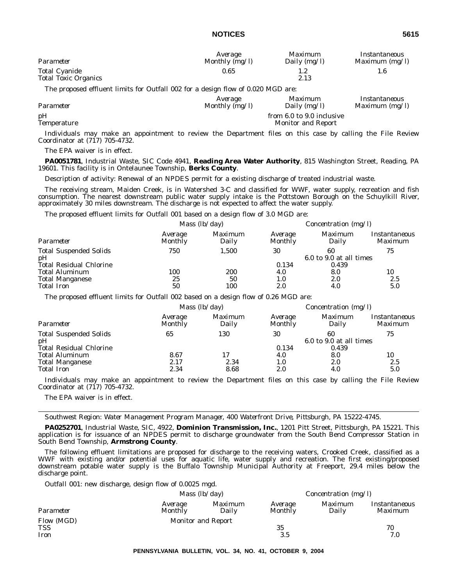| Parameter                                           | Average        | <i>Maximum</i> | Instantaneous  |
|-----------------------------------------------------|----------------|----------------|----------------|
|                                                     | Monthly (mg/l) | Daily $(mg/l)$ | Maximum (mg/l) |
| <b>Total Cyanide</b><br><b>Total Toxic Organics</b> | 0.65           | 2.13           |                |

The proposed effluent limits for Outfall 002 for a design flow of 0.020 MGD are:

| Parameter         | Average          | <i>Maximum</i>                                         | Instantaneous    |
|-------------------|------------------|--------------------------------------------------------|------------------|
|                   | Monthly $(mg/l)$ | Daily $(mg/l)$                                         | Maximum $(mg/l)$ |
| pН<br>Temperature |                  | from 6.0 to 9.0 inclusive<br><b>Monitor and Report</b> |                  |

Individuals may make an appointment to review the Department files on this case by calling the File Review Coordinator at (717) 705-4732.

The EPA waiver is in effect.

**PA0051781**, Industrial Waste, SIC Code 4941, **Reading Area Water Authority**, 815 Washington Street, Reading, PA 19601. This facility is in Ontelaunee Township, **Berks County**.

Description of activity: Renewal of an NPDES permit for a existing discharge of treated industrial waste.

The receiving stream, Maiden Creek, is in Watershed 3-C and classified for WWF, water supply, recreation and fish consumption. The nearest downstream public water supply intake is the Pottstown Borough on the Schuylkill River, approximately 30 miles downstream. The discharge is not expected to affect the water supply.

The proposed effluent limits for Outfall 001 based on a design flow of 3.0 MGD are:

|                                     | <i>Mass</i> $(lb/day)$ |                  | Concentration $(mg/l)$    |                               |                          |
|-------------------------------------|------------------------|------------------|---------------------------|-------------------------------|--------------------------|
| Parameter                           | Average<br>Monthly     | Maximum<br>Daily | Average<br><b>Monthly</b> | <i>Maximum</i><br>Daily       | Instantaneous<br>Maximum |
| <b>Total Suspended Solids</b><br>pH | 750                    | 1.500            | 30                        | 60<br>6.0 to 9.0 at all times | 75                       |
| <b>Total Residual Chlorine</b>      |                        |                  | 0.134                     | 0.439                         |                          |
| <b>Total Aluminum</b>               | 100                    | 200              | 4.0                       | 8.0                           | 10                       |
| <b>Total Manganese</b>              | 25                     | 50               | 1.0                       | 2.0                           | 2.5                      |
| <b>Total Iron</b>                   | 50                     | 100              | 2.0                       | 4.0                           | 5.0                      |

The proposed effluent limits for Outfall 002 based on a design flow of 0.26 MGD are:

|                                     | <i>Mass</i> $(lb/day)$ |                         | Concentration $(mg/l)$    |                               |                          |
|-------------------------------------|------------------------|-------------------------|---------------------------|-------------------------------|--------------------------|
| Parameter                           | Average<br>Monthly     | <i>Maximum</i><br>Daily | Average<br><b>Monthly</b> | Maximum<br>Daily              | Instantaneous<br>Maximum |
| <b>Total Suspended Solids</b><br>pH | 65                     | 130                     | 30                        | 60<br>6.0 to 9.0 at all times | 75                       |
| <b>Total Residual Chlorine</b>      |                        |                         | 0.134                     | 0.439                         |                          |
| <b>Total Aluminum</b>               | 8.67                   |                         | 4.0                       | 8.0                           | 10                       |
| <b>Total Manganese</b>              | 2.17                   | 2.34                    | 1.0                       | 2.0                           | 2.5                      |
| <b>Total Iron</b>                   | 2.34                   | 8.68                    | 2.0                       | 4.0                           | 5.0                      |

Individuals may make an appointment to review the Department files on this case by calling the File Review Coordinator at (717) 705-4732.

The EPA waiver is in effect.

*Southwest Region: Water Management Program Manager, 400 Waterfront Drive, Pittsburgh, PA 15222-4745.*

**PA0252701**, Industrial Waste, SIC, 4922, **Dominion Transmission, Inc.**, 1201 Pitt Street, Pittsburgh, PA 15221. This application is for issuance of an NPDES permit to discharge groundwater from the South Bend Compressor Station in South Bend Township, **Armstrong County**.

The following effluent limitations are proposed for discharge to the receiving waters, Crooked Creek, classified as a WWF with existing and/or potential uses for aquatic life, water supply and recreation. The first existing/proposed downstream potable water supply is the Buffalo Township Municipal Authority at Freeport, 29.4 miles below the discharge point.

*Outfall 001:* new discharge, design flow of 0.0025 mgd.

|                    |                    | <i>Mass</i> $(lb/day)$    |                           | <i>Concentration</i> ( $mg/l$ ) |                                 |  |
|--------------------|--------------------|---------------------------|---------------------------|---------------------------------|---------------------------------|--|
| Parameter          | Average<br>Monthly | Maximum<br>Daily          | Average<br><b>Monthly</b> | Maximum<br>Daily                | Instantaneous<br><i>Maximum</i> |  |
| Flow (MGD)         |                    | <b>Monitor and Report</b> |                           |                                 |                                 |  |
| <b>TSS</b><br>Iron |                    |                           | 35<br>3.5                 |                                 | 70<br>7.0                       |  |
|                    |                    |                           |                           |                                 |                                 |  |

**PENNSYLVANIA BULLETIN, VOL. 34, NO. 41, OCTOBER 9, 2004**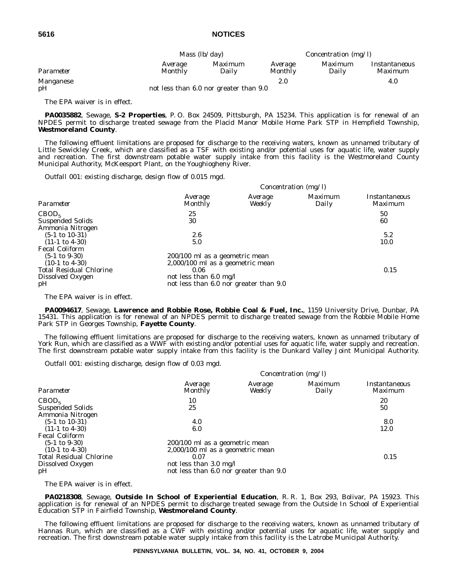|           | Mass $(lb/day)$    |                                        | Concentration $(mg/l)$ |                         |                                 |
|-----------|--------------------|----------------------------------------|------------------------|-------------------------|---------------------------------|
| Parameter | Average<br>Monthly | <i>Maximum</i><br>Dailv                | Average<br>Monthly     | <i>Maximum</i><br>Daily | Instantaneous<br><i>Maximum</i> |
| Manganese |                    |                                        | 2.0                    |                         | 4.0                             |
| pH        |                    | not less than 6.0 nor greater than 9.0 |                        |                         |                                 |

The EPA waiver is in effect.

**PA0035882**, Sewage, **S-2 Properties**, P. O. Box 24509, Pittsburgh, PA 15234. This application is for renewal of an NPDES permit to discharge treated sewage from the Placid Manor Mobile Home Park STP in Hempfield Township, **Westmoreland County**.

The following effluent limitations are proposed for discharge to the receiving waters, known as unnamed tributary of Little Sewickley Creek, which are classified as a TSF with existing and/or potential uses for aquatic life, water supply and recreation. The first downstream potable water supply intake from this facility is the Westmoreland County Municipal Authority, McKeesport Plant, on the Youghiogheny River.

*Outfall 001:* existing discharge, design flow of 0.015 mgd.

|                                                                                                                                            |                                                                                                                                                          |                   | Concentration (mg/l) |                                        |
|--------------------------------------------------------------------------------------------------------------------------------------------|----------------------------------------------------------------------------------------------------------------------------------------------------------|-------------------|----------------------|----------------------------------------|
| Parameter                                                                                                                                  | Average<br>Monthly                                                                                                                                       | Average<br>Weekly | Maximum<br>Daily     | <i>Instantaneous</i><br><i>Maximum</i> |
| CBOD <sub>5</sub><br><b>Suspended Solids</b><br>Ammonia Nitrogen                                                                           | 25<br>30                                                                                                                                                 |                   |                      | 50<br>60                               |
| $(5-1 \text{ to } 10-31)$<br>$(11-1 \text{ to } 4-30)$                                                                                     | $2.6\,$<br>5.0                                                                                                                                           |                   |                      | 5.2<br>10.0                            |
| <b>Fecal Coliform</b><br>$(5-1 \text{ to } 9-30)$<br>$(10-1 \text{ to } 4-30)$<br><b>Total Residual Chlorine</b><br>Dissolved Oxygen<br>pH | 200/100 ml as a geometric mean<br>2,000/100 ml as a geometric mean<br>0.06<br>not less than $6.0 \text{ mg/l}$<br>not less than 6.0 nor greater than 9.0 |                   |                      | 0.15                                   |

The EPA waiver is in effect.

**PA0094617**, Sewage, **Lawrence and Robbie Rose, Robbie Coal & Fuel, Inc.**, 1159 University Drive, Dunbar, PA 15431. This application is for renewal of an NPDES permit to discharge treated sewage from the Robbie Mobile Home Park STP in Georges Township, **Fayette County**.

The following effluent limitations are proposed for discharge to the receiving waters, known as unnamed tributary of York Run, which are classified as a WWF with existing and/or potential uses for aquatic life, water supply and recreation. The first downstream potable water supply intake from this facility is the Dunkard Valley Joint Municipal Authority.

*Outfall 001:* existing discharge, design flow of 0.03 mgd.

|                                                                                                                                            |                                                                                                                                                  |                   | Concentration (mg/l) |                                 |
|--------------------------------------------------------------------------------------------------------------------------------------------|--------------------------------------------------------------------------------------------------------------------------------------------------|-------------------|----------------------|---------------------------------|
| Parameter                                                                                                                                  | Average<br><b>Monthly</b>                                                                                                                        | Average<br>Weekly | Maximum<br>Daily     | <i>Instantaneous</i><br>Maximum |
| CBOD <sub>5</sub><br><b>Suspended Solids</b><br>Ammonia Nitrogen                                                                           | 10<br>25                                                                                                                                         |                   |                      | 20<br>50                        |
| $(5-1 \text{ to } 10-31)$<br>$(11-1 \text{ to } 4-30)$                                                                                     | 4.0<br>6.0                                                                                                                                       |                   |                      | 8.0<br>12.0                     |
| <b>Fecal Coliform</b><br>$(5-1 \text{ to } 9-30)$<br>$(10-1 \text{ to } 4-30)$<br><b>Total Residual Chlorine</b><br>Dissolved Oxygen<br>pH | 200/100 ml as a geometric mean<br>$2,000/100$ ml as a geometric mean<br>0.07<br>not less than 3.0 mg/l<br>not less than 6.0 nor greater than 9.0 |                   |                      | 0.15                            |

The EPA waiver is in effect.

**PA0218308**, Sewage, **Outside In School of Experiential Education**, R. R. 1, Box 293, Bolivar, PA 15923. This application is for renewal of an NPDES permit to discharge treated sewage from the Outside In School of Experiential Education STP in Fairfield Township, **Westmoreland County**.

The following effluent limitations are proposed for discharge to the receiving waters, known as unnamed tributary of Hannas Run, which are classified as a CWF with existing and/or potential uses for aquatic life, water supply and recreation. The first downstream potable water supply intake from this facility is the Latrobe Municipal Authority.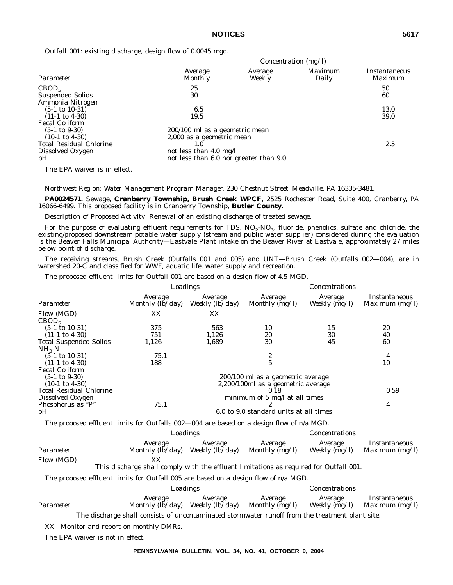*Concentration (mg/l)*

*Outfall 001:* existing discharge, design flow of 0.0045 mgd.

|                                |                                        |                   | $C$ <i>unchu ation <math>(\text{mg}/\textit{I})</math></i> |                          |
|--------------------------------|----------------------------------------|-------------------|------------------------------------------------------------|--------------------------|
| Parameter                      | Average<br>Monthly                     | Average<br>Weekly | Maximum<br>Daily                                           | Instantaneous<br>Maximum |
| CBOD <sub>5</sub>              | 25                                     |                   |                                                            | 50                       |
| <b>Suspended Solids</b>        | 30                                     |                   |                                                            | 60                       |
| Ammonia Nitrogen               |                                        |                   |                                                            |                          |
| $(5-1 \text{ to } 10-31)$      | 6.5                                    |                   |                                                            | 13.0                     |
| $(11-1 \text{ to } 4-30)$      | 19.5                                   |                   |                                                            | 39.0                     |
| <b>Fecal Coliform</b>          |                                        |                   |                                                            |                          |
| $(5-1 \text{ to } 9-30)$       | 200/100 ml as a geometric mean         |                   |                                                            |                          |
| $(10-1 \text{ to } 4-30)$      | 2,000 as a geometric mean              |                   |                                                            |                          |
| <b>Total Residual Chlorine</b> | 1.0                                    |                   |                                                            | 2.5                      |
| Dissolved Oxygen               | not less than 4.0 mg/l                 |                   |                                                            |                          |
| pH                             | not less than 6.0 nor greater than 9.0 |                   |                                                            |                          |
| The EPA waiver is in effect.   |                                        |                   |                                                            |                          |

*Northwest Region: Water Management Program Manager, 230 Chestnut Street, Meadville, PA 16335-3481.*

**PA0024571**, Sewage, **Cranberry Township, Brush Creek WPCF**, 2525 Rochester Road, Suite 400, Cranberry, PA 16066-6499. This proposed facility is in Cranberry Township, **Butler County**.

Description of Proposed Activity: Renewal of an existing discharge of treated sewage.

For the purpose of evaluating effluent requirements for TDS,  $NO<sub>2</sub>$ - $NO<sub>3</sub>$ , fluoride, phenolics, sulfate and chloride, the existing/proposed downstream potable water supply (stream and public water supplier) considered during the evaluation is the Beaver Falls Municipal Authority—Eastvale Plant intake on the Beaver River at Eastvale, approximately 27 miles below point of discharge.

The receiving streams, Brush Creek (Outfalls 001 and 005) and UNT—Brush Creek (Outfalls 002—004), are in watershed 20-C and classified for WWF, aquatic life, water supply and recreation.

The proposed effluent limits for Outfall 001 are based on a design flow of 4.5 MGD.

|                                | Loadings                           |                                    | Concentrations                         |                            |                                 |
|--------------------------------|------------------------------------|------------------------------------|----------------------------------------|----------------------------|---------------------------------|
| Parameter                      | Average<br>Monthly $(lb/day)$      | Average<br>Weekly $(l\bar{b}/day)$ | Average<br>Monthly $\overline{(mg/l)}$ | Average<br>Weekly $(mg/l)$ | Instantaneous<br>Maximum (mg/l) |
| Flow (MGD)                     | XX                                 | XX                                 |                                        |                            |                                 |
| CBOD <sub>5</sub>              |                                    |                                    |                                        |                            |                                 |
| $(5-1 \text{ to } 10-31)$      | 375                                | 563                                | 10                                     | 15                         | 20                              |
| $(11-1 \text{ to } 4-30)$      | 751                                | 1,126                              | 20                                     | 30                         | 40                              |
| <b>Total Suspended Solids</b>  | 1,126                              | 1,689                              | 30                                     | 45                         | 60                              |
| $NH_{3}-N$                     |                                    |                                    |                                        |                            |                                 |
| $(5-1 \text{ to } 10-31)$      | 75.1                               |                                    | 2                                      |                            | 4                               |
| $(11-1 \text{ to } 4-30)$      | 188                                |                                    | $\overline{5}$                         |                            | 10                              |
| <b>Fecal Coliform</b>          |                                    |                                    |                                        |                            |                                 |
| $(5-1 \text{ to } 9-30)$       |                                    |                                    | 200/100 ml as a geometric average      |                            |                                 |
| $(10-1 \text{ to } 4-30)$      | 2,200/100ml as a geometric average |                                    |                                        |                            |                                 |
| <b>Total Residual Chlorine</b> |                                    |                                    | 0.18                                   |                            | 0.59                            |
| Dissolved Oxygen               |                                    |                                    | minimum of 5 mg/l at all times         |                            |                                 |
| Phosphorus as "P"              | 75.1                               |                                    |                                        |                            | 4                               |
| pH                             |                                    |                                    | 6.0 to 9.0 standard units at all times |                            |                                 |

The proposed effluent limits for Outfalls 002—004 are based on a design flow of n/a MGD.

|            | Loadings                    |                            | Concentrations            |                          |                                   |
|------------|-----------------------------|----------------------------|---------------------------|--------------------------|-----------------------------------|
| Parameter  | Average<br>Monthly (lb/day) | Average<br>Weekly (lb/day) | Average<br>Monthly (mg/l) | Average<br>Weekly (mg/l) | Instantaneous<br>Maximum $(mg/l)$ |
| Flow (MGD) |                             |                            |                           |                          |                                   |

This discharge shall comply with the effluent limitations as required for Outfall 001.

The proposed effluent limits for Outfall 005 are based on a design flow of n/a MGD.

|           | Loadings                    |         | Concentrations                            |                          |                                 |
|-----------|-----------------------------|---------|-------------------------------------------|--------------------------|---------------------------------|
| Parameter | Average<br>Monthly (lb/day) | Average | Average<br>Weekly (lb/day) Monthly (mg/l) | Average<br>Weekly (mg/l) | Instantaneous<br>Maximum (mg/l) |
|           |                             |         |                                           |                          |                                 |

The discharge shall consists of uncontaminated stormwater runoff from the treatment plant site.

XX—Monitor and report on monthly DMRs.

The EPA waiver is not in effect.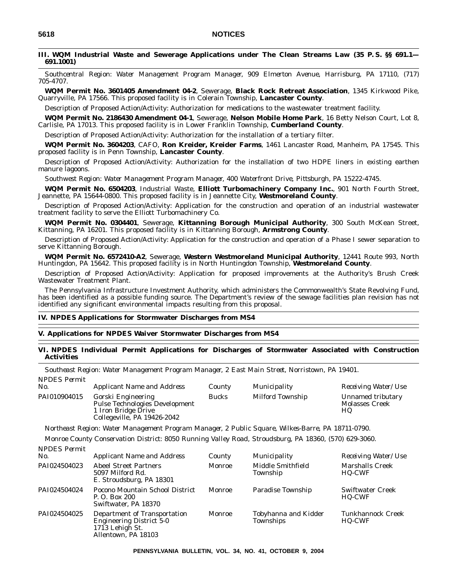# **III. WQM Industrial Waste and Sewerage Applications under The Clean Streams Law (35 P. S. §§ 691.1— 691.1001)**

*Southcentral Region: Water Management Program Manager, 909 Elmerton Avenue, Harrisburg, PA 17110, (717) 705-4707.*

**WQM Permit No. 3601405 Amendment 04-2**, Sewerage, **Black Rock Retreat Association**, 1345 Kirkwood Pike, Quarryville, PA 17566. This proposed facility is in Colerain Township, **Lancaster County**.

Description of Proposed Action/Activity: Authorization for medications to the wastewater treatment facility.

**WQM Permit No. 2186430 Amendment 04-1**, Sewerage, **Nelson Mobile Home Park**, 16 Betty Nelson Court, Lot 8, Carlisle, PA 17013. This proposed facility is in Lower Franklin Township, **Cumberland County**.

Description of Proposed Action/Activity: Authorization for the installation of a tertiary filter.

**WQM Permit No. 3604203**, CAFO, **Ron Kreider, Kreider Farms**, 1461 Lancaster Road, Manheim, PA 17545. This proposed facility is in Penn Township, **Lancaster County**.

Description of Proposed Action/Activity: Authorization for the installation of two HDPE liners in existing earthen manure lagoons.

*Southwest Region: Water Management Program Manager, 400 Waterfront Drive, Pittsburgh, PA 15222-4745.*

**WQM Permit No. 6504203**, Industrial Waste, **Elliott Turbomachinery Company Inc.**, 901 North Fourth Street, Jeannette, PA 15644-0800. This proposed facility is in Jeannette City, **Westmoreland County**.

Description of Proposed Action/Activity: Application for the construction and operation of an industrial wastewater treatment facility to serve the Elliott Turbomachinery Co.

**WQM Permit No. 0304401**, Sewerage, **Kittanning Borough Municipal Authority**, 300 South McKean Street, Kittanning, PA 16201. This proposed facility is in Kittanning Borough, **Armstrong County**.

Description of Proposed Action/Activity: Application for the construction and operation of a Phase I sewer separation to serve Kittanning Borough.

**WQM Permit No. 6572410-A2**, Sewerage, **Western Westmoreland Municipal Authority**, 12441 Route 993, North Huntingdon, PA 15642. This proposed facility is in North Huntingdon Township, **Westmoreland County**.

Description of Proposed Action/Activity: Application for proposed improvements at the Authority's Brush Creek Wastewater Treatment Plant.

The Pennsylvania Infrastructure Investment Authority, which administers the Commonwealth's State Revolving Fund, has been identified as a possible funding source. The Department's review of the sewage facilities plan revision has not identified any significant environmental impacts resulting from this proposal.

## **IV. NPDES Applications for Stormwater Discharges from MS4**

### **V. Applications for NPDES Waiver Stormwater Discharges from MS4**

## **VI. NPDES Individual Permit Applications for Discharges of Stormwater Associated with Construction Activities**

*Southeast Region: Water Management Program Manager, 2 East Main Street, Norristown, PA 19401. NPDES Permit*

| No.          | <b>Applicant Name and Address</b>                                                                                 | County | Municipality     | <i>Receiving Water/Use</i>                |
|--------------|-------------------------------------------------------------------------------------------------------------------|--------|------------------|-------------------------------------------|
| PAI010904015 | Gorski Engineering<br><b>Pulse Technologies Development</b><br>1 Iron Bridge Drive<br>Collegeville, PA 19426-2042 | Bucks  | Milford Township | Unnamed tributary<br>Molasses Creek<br>HQ |

*Northeast Region: Water Management Program Manager, 2 Public Square, Wilkes-Barre, PA 18711-0790.*

*Monroe County Conservation District: 8050 Running Valley Road, Stroudsburg, PA 18360, (570) 629-3060. NPDES Permit*

| No.          | <b>Applicant Name and Address</b>                                                                         | County | Municipality                      | Receiving Water/Use                |
|--------------|-----------------------------------------------------------------------------------------------------------|--------|-----------------------------------|------------------------------------|
| PAI024504023 | <b>Abeel Street Partners</b><br>5097 Milford Rd.<br>E. Stroudsburg, PA 18301                              | Monroe | Middle Smithfield<br>Township     | <b>Marshalls Creek</b><br>HQ-CWF   |
| PAI024504024 | Pocono Mountain School District<br>P. O. Box 200<br>Swiftwater, PA 18370                                  | Monroe | Paradise Township                 | <b>Swiftwater Creek</b><br>HQ-CWF  |
| PAI024504025 | Department of Transportation<br><b>Engineering District 5-0</b><br>1713 Lehigh St.<br>Allentown, PA 18103 | Monroe | Tobyhanna and Kidder<br>Townships | Tunkhannock Creek<br><b>HO-CWF</b> |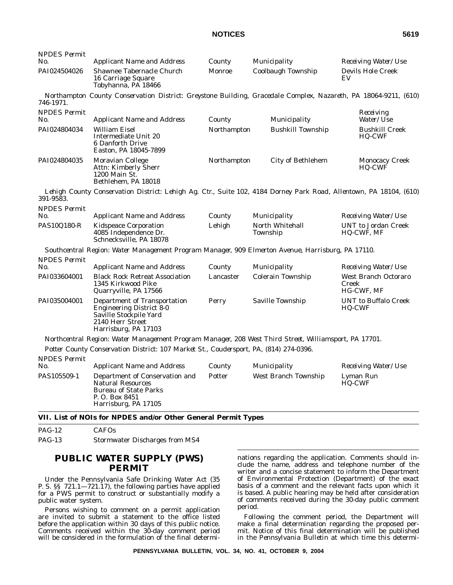|                                                                                                                                       | County                                                    |                             | Receiving Water/Use                                                                                                                                                                                                                                                                                                                                                                                                                                                                                                                                                                        |
|---------------------------------------------------------------------------------------------------------------------------------------|-----------------------------------------------------------|-----------------------------|--------------------------------------------------------------------------------------------------------------------------------------------------------------------------------------------------------------------------------------------------------------------------------------------------------------------------------------------------------------------------------------------------------------------------------------------------------------------------------------------------------------------------------------------------------------------------------------------|
| Shawnee Tabernacle Church<br>16 Carriage Square<br>Tobyhanna, PA 18466                                                                | <b>Monroe</b>                                             | <b>Coolbaugh Township</b>   | <b>Devils Hole Creek</b><br>EV                                                                                                                                                                                                                                                                                                                                                                                                                                                                                                                                                             |
|                                                                                                                                       |                                                           |                             |                                                                                                                                                                                                                                                                                                                                                                                                                                                                                                                                                                                            |
| <b>Applicant Name and Address</b>                                                                                                     | County                                                    | Municipality                | Receiving<br>Water/Use                                                                                                                                                                                                                                                                                                                                                                                                                                                                                                                                                                     |
| <b>William Eisel</b><br>Intermediate Unit 20<br>6 Danforth Drive<br>Easton, PA 18045-7899                                             |                                                           | <b>Bushkill Township</b>    | <b>Bushkill Creek</b><br><b>HQ-CWF</b>                                                                                                                                                                                                                                                                                                                                                                                                                                                                                                                                                     |
| Moravian College<br>Attn: Kimberly Sherr<br>1200 Main St.<br>Bethlehem, PA 18018                                                      |                                                           | <b>City of Bethlehem</b>    | <b>Monocacy Creek</b><br>HQ-CWF                                                                                                                                                                                                                                                                                                                                                                                                                                                                                                                                                            |
|                                                                                                                                       |                                                           |                             |                                                                                                                                                                                                                                                                                                                                                                                                                                                                                                                                                                                            |
| <b>Applicant Name and Address</b>                                                                                                     | County                                                    | Municipality                | <i>Receiving Water/Use</i>                                                                                                                                                                                                                                                                                                                                                                                                                                                                                                                                                                 |
| <b>Kidspeace Corporation</b><br>4085 Independence Dr.<br>Schnecksville, PA 18078                                                      | Lehigh                                                    | North Whitehall<br>Township | UNT to Jordan Creek<br><b>HQ-CWF, MF</b>                                                                                                                                                                                                                                                                                                                                                                                                                                                                                                                                                   |
|                                                                                                                                       |                                                           |                             |                                                                                                                                                                                                                                                                                                                                                                                                                                                                                                                                                                                            |
| <b>Applicant Name and Address</b>                                                                                                     | County                                                    | Municipality                | Receiving Water/Use                                                                                                                                                                                                                                                                                                                                                                                                                                                                                                                                                                        |
| <b>Black Rock Retreat Association</b><br>1345 Kirkwood Pike<br>Quarryville, PA 17566                                                  | Lancaster                                                 | <b>Colerain Township</b>    | West Branch Octoraro<br>Creek<br><b>HG-CWF, MF</b>                                                                                                                                                                                                                                                                                                                                                                                                                                                                                                                                         |
| Department of Transportation<br><b>Engineering District 8-0</b><br>Saville Stockpile Yard<br>2140 Herr Street<br>Harrisburg, PA 17103 | Perry                                                     | Saville Township            | <b>UNT</b> to Buffalo Creek<br><b>HQ-CWF</b>                                                                                                                                                                                                                                                                                                                                                                                                                                                                                                                                               |
|                                                                                                                                       |                                                           |                             |                                                                                                                                                                                                                                                                                                                                                                                                                                                                                                                                                                                            |
|                                                                                                                                       |                                                           |                             |                                                                                                                                                                                                                                                                                                                                                                                                                                                                                                                                                                                            |
| <b>Applicant Name and Address</b>                                                                                                     | County                                                    | Municipality                | <i>Receiving Water/Use</i>                                                                                                                                                                                                                                                                                                                                                                                                                                                                                                                                                                 |
| Department of Conservation and<br><b>Natural Resources</b><br><b>Bureau of State Parks</b><br>P.O. Box 8451                           | Potter                                                    | West Branch Township        | Lyman Run<br>HQ-CWF                                                                                                                                                                                                                                                                                                                                                                                                                                                                                                                                                                        |
|                                                                                                                                       | <b>Applicant Name and Address</b><br>Harrisburg, PA 17105 |                             | Municipality<br>Northampton County Conservation District: Greystone Building, Gracedale Complex, Nazareth, PA 18064-9211, (610)<br>Northampton<br>Northampton<br>Lehigh County Conservation District: Lehigh Ag. Ctr., Suite 102, 4184 Dorney Park Road, Allentown, PA 18104, (610)<br>Southcentral Region: Water Management Program Manager, 909 Elmerton Avenue, Harrisburg, PA 17110.<br>Northcentral Region: Water Management Program Manager, 208 West Third Street, Williamsport, PA 17701.<br>Potter County Conservation District: 107 Market St., Coudersport, PA, (814) 274-0396. |

PAG-12 CAFOs

PAG-13 Stormwater Discharges from MS4

# **PUBLIC WATER SUPPLY (PWS) PERMIT**

Under the Pennsylvania Safe Drinking Water Act (35 P. S. §§ 721.1—721.17), the following parties have applied for a PWS permit to construct or substantially modify a public water system.

Persons wishing to comment on a permit application are invited to submit a statement to the office listed before the application within 30 days of this public notice. Comments received within the 30-day comment period will be considered in the formulation of the final determinations regarding the application. Comments should include the name, address and telephone number of the writer and a concise statement to inform the Department of Environmental Protection (Department) of the exact basis of a comment and the relevant facts upon which it is based. A public hearing may be held after consideration of comments received during the 30-day public comment period.

Following the comment period, the Department will make a final determination regarding the proposed permit. Notice of this final determination will be published in the *Pennsylvania Bulletin* at which time this determi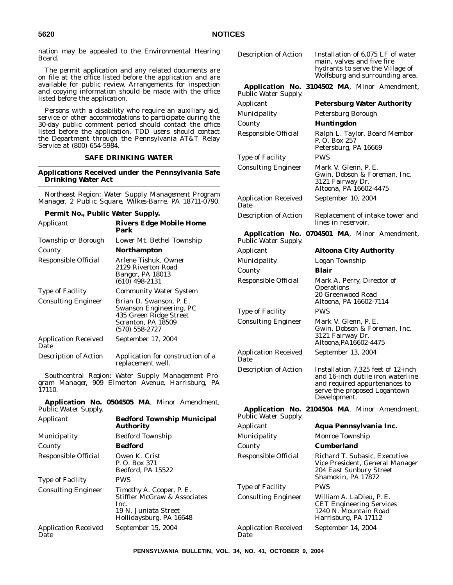nation may be appealed to the Environmental Hearing Board.

The permit application and any related documents are on file at the office listed before the application and are available for public review. Arrangements for inspection and copying information should be made with the office listed before the application.

Persons with a disability who require an auxiliary aid, service or other accommodations to participate during the 30-day public comment period should contact the office listed before the application. TDD users should contact the Department through the Pennsylvania AT&T Relay Service at (800) 654-5984.

## **SAFE DRINKING WATER**

### **Applications Received under the Pennsylvania Safe Drinking Water Act**

*Northeast Region: Water Supply Management Program Manager, 2 Public Square, Wilkes-Barre, PA 18711-0790.*

### **Permit No., Public Water Supply.**

| Applicant                           | <b>Rivers Edge Mobile Home</b><br>Park                                                                                   |
|-------------------------------------|--------------------------------------------------------------------------------------------------------------------------|
| Township or Borough                 | Lower Mt. Bethel Township                                                                                                |
| County                              | <b>Northampton</b>                                                                                                       |
| Responsible Official                | Arlene Tishuk, Owner<br>2129 Riverton Road<br>Bangor, PA 18013<br>$(610)$ 498-2131                                       |
| <b>Type of Facility</b>             | <b>Community Water System</b>                                                                                            |
| <b>Consulting Engineer</b>          | Brian D. Swanson, P. E.<br>Swanson Engineering, PC<br>435 Green Ridge Street<br>Scranton, PA 18509<br>$(570) 558 - 2727$ |
| <b>Application Received</b><br>Date | September 17, 2004                                                                                                       |
| <b>Description of Action</b>        | Application for construction of a<br>replacement well.                                                                   |

*Southcentral Region: Water Supply Management Program Manager, 909 Elmerton Avenue, Harrisburg, PA 17110.*

**Application No. 0504505 MA**, Minor Amendment, Public Water Supply.

| <b>Bedford Township Municipal</b><br>Applicant<br><b>Authority</b> |                                                                                                    | Public Water Supply.                |                                                                                             |  |
|--------------------------------------------------------------------|----------------------------------------------------------------------------------------------------|-------------------------------------|---------------------------------------------------------------------------------------------|--|
|                                                                    |                                                                                                    | Applicant                           | <b>Aqua Pennsylvani</b>                                                                     |  |
| Municipality                                                       | <b>Bedford Township</b>                                                                            | Municipality                        | Monroe Township                                                                             |  |
| County                                                             | <b>Bedford</b>                                                                                     | County                              | <b>Cumberland</b>                                                                           |  |
| <b>Responsible Official</b><br><b>Type of Facility</b>             | Owen K. Crist<br>P. O. Box 371<br>Bedford, PA 15522<br><b>PWS</b>                                  | <b>Responsible Official</b>         | Richard T. Subasic.<br>Vice President, Gen<br>204 East Sunbury S<br>Shamokin, PA 1787.      |  |
| <b>Consulting Engineer</b>                                         | Timothy A. Cooper, P. E.                                                                           | <b>Type of Facility</b>             | <b>PWS</b>                                                                                  |  |
|                                                                    | <b>Stiffler McGraw &amp; Associates</b><br>Inc.<br>19 N. Juniata Street<br>Hollidaysburg, PA 16648 | <b>Consulting Engineer</b>          | William A. LaDieu,<br><b>CET</b> Engineering Se<br>1240 N. Mountain F<br>Harrisburg, PA 171 |  |
| <b>Application Received</b><br>Date                                | September 15, 2004                                                                                 | <b>Application Received</b><br>Date | September 14, 2004                                                                          |  |
|                                                                    |                                                                                                    |                                     |                                                                                             |  |

| <b>Description of Action</b>                          | Installation of 6,075 LF of water<br>main, valves and five fire<br>hydrants to serve the Village of<br>Wolfsburg and surrounding area.                   |
|-------------------------------------------------------|----------------------------------------------------------------------------------------------------------------------------------------------------------|
| Application No.<br><b>Public Water Supply.</b>        | 3104502 MA, Minor Amendment,                                                                                                                             |
| Applicant                                             | <b>Petersburg Water Authority</b>                                                                                                                        |
| Municipality                                          | Petersburg Borough                                                                                                                                       |
| County                                                | <b>Huntingdon</b>                                                                                                                                        |
| Responsible Official                                  | Ralph L. Taylor, Board Membor<br>P.O. Box 257<br>Petersburg, PA 16669                                                                                    |
| <b>Type of Facility</b>                               | <b>PWS</b>                                                                                                                                               |
| <b>Consulting Engineer</b>                            | Mark V. Glenn, P. E.<br>Gwin, Dobson & Foreman, Inc.<br>3121 Fairway Dr.<br>Altoona, PA 16602-4475                                                       |
| <b>Application Received</b><br>Date                   | September 10, 2004                                                                                                                                       |
| <b>Description of Action</b>                          | Replacement of intake tower and<br>lines in reservoir.                                                                                                   |
| <b>Application No.</b><br><b>Public Water Supply.</b> | 0704501 MA, Minor Amendment,                                                                                                                             |
| Applicant                                             | <b>Altoona City Authority</b>                                                                                                                            |
| Municipality                                          | Logan Township                                                                                                                                           |
| County                                                | Blair                                                                                                                                                    |
| Responsible Official                                  | Mark A. Perry, Director of<br><b>Operations</b><br>20 Greenwood Road<br>Altoona, PA 16602-7114                                                           |
| <b>Type of Facility</b>                               | PWS                                                                                                                                                      |
| <b>Consulting Engineer</b>                            | Mark V. Glenn, P. E.<br>Gwin, Dobson & Foreman, Inc.<br>3121 Fairway Dr.<br>Altoona, PA16602-4475                                                        |
| <b>Application Received</b><br>Date                   | September 13, 2004                                                                                                                                       |
| <b>Description of Action</b>                          | Installation 7,325 feet of 12-inch<br>and 16-inch dutile iron waterline<br>and required appurtenances to<br>serve the proposed Logantown<br>Development. |
| Application No.<br><b>Public Water Supply.</b>        | 2104504 MA, Minor Amendment,                                                                                                                             |
| Applicant                                             | Aqua Pennsylvania Inc.                                                                                                                                   |
| Municipality                                          | Monroe Township                                                                                                                                          |
| County                                                | Cumberland                                                                                                                                               |
| Responsible Official                                  | Richard T. Subasic, Executive<br>Vice President, General Manager<br>204 East Sunbury Street<br>Shamokin, PA 17872                                        |
| Type of Facility                                      | PWS                                                                                                                                                      |
| <b>Consulting Engineer</b>                            | William A. LaDieu, P. E.<br><b>CET Engineering Services</b><br>1240 N. Mountain Road<br>Harrisburg, PA 17112                                             |

**PENNSYLVANIA BULLETIN, VOL. 34, NO. 41, OCTOBER 9, 2004**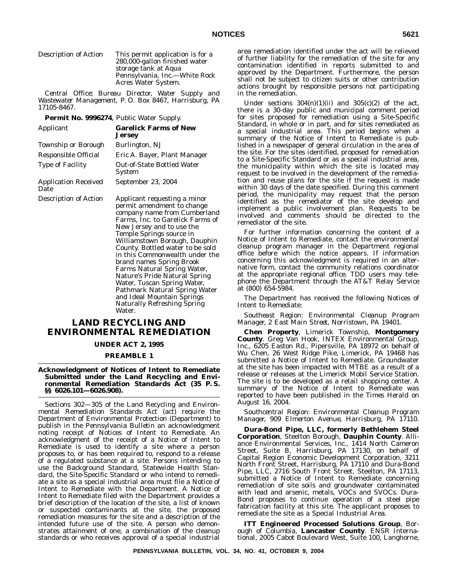## Description of Action This permit application is for a

280,000-gallon finished water storage tank at Aqua Pennsylvania, Inc.—White Rock Acres Water System.

*Central Office: Bureau Director, Water Supply and Wastewater Management, P. O. Box 8467, Harrisburg, PA 17105-8467.*

**Permit No. 9996274**, Public Water Supply.

| Applicant                           | <b>Garelick Farms of New</b><br><b>Jersey</b>              |
|-------------------------------------|------------------------------------------------------------|
| <b>Township or Borough</b>          | Burlington, NJ                                             |
| Responsible Official                | Eric A. Bayer, Plant Manager                               |
| <b>Type of Facility</b>             | <b>Out-of-State Bottled Water</b><br><b>System</b>         |
| <b>Application Received</b><br>Date | September 23, 2004                                         |
| <b>Description of Action</b>        | Applicant requesting a minor<br>permit amendment to change |

company name from Cumberland Farms, Inc. to Garelick Farms of New Jersey and to use the Temple Springs source in Williamstown Borough, Dauphin County. Bottled water to be sold in this Commonwealth under the brand names Spring Brook Farms Natural Spring Water, Nature's Pride Natural Spring Water, Tuscan Spring Water, Pathmark Natural Spring Water and Ideal Mountain Springs Naturally Refreshing Spring Water.

# **LAND RECYCLING AND ENVIRONMENTAL REMEDIATION**

### **UNDER ACT 2, 1995**

### **PREAMBLE 1**

**Acknowledgment of Notices of Intent to Remediate Submitted under the Land Recycling and Environmental Remediation Standards Act (35 P. S. §§ 6026.101—6026.908).**

Sections 302—305 of the Land Recycling and Environmental Remediation Standards Act (act) require the Department of Environmental Protection (Department) to publish in the *Pennsylvania Bulletin* an acknowledgment noting receipt of Notices of Intent to Remediate. An acknowledgment of the receipt of a Notice of Intent to Remediate is used to identify a site where a person proposes to, or has been required to, respond to a release of a regulated substance at a site. Persons intending to use the Background Standard, Statewide Health Standard, the Site-Specific Standard or who intend to remediate a site as a special industrial area must file a Notice of Intent to Remediate with the Department. A Notice of Intent to Remediate filed with the Department provides a brief description of the location of the site, a list of known or suspected contaminants at the site, the proposed remediation measures for the site and a description of the intended future use of the site. A person who demonstrates attainment of one, a combination of the cleanup standards or who receives approval of a special industrial

area remediation identified under the act will be relieved of further liability for the remediation of the site for any contamination identified in reports submitted to and approved by the Department. Furthermore, the person shall not be subject to citizen suits or other contribution actions brought by responsible persons not participating in the remediation.

Under sections  $304(n)(1)(ii)$  and  $305(c)(2)$  of the act, there is a 30-day public and municipal comment period for sites proposed for remediation using a Site-Specific Standard, in whole or in part, and for sites remediated as a special industrial area. This period begins when a summary of the Notice of Intent to Remediate is published in a newspaper of general circulation in the area of the site. For the sites identified, proposed for remediation to a Site-Specific Standard or as a special industrial area, the municipality within which the site is located may request to be involved in the development of the remediation and reuse plans for the site if the request is made within 30 days of the date specified. During this comment period, the municipality may request that the person identified as the remediator of the site develop and implement a public involvement plan. Requests to be involved and comments should be directed to the remediator of the site.

For further information concerning the content of a Notice of Intent to Remediate, contact the environmental cleanup program manager in the Department regional office before which the notice appears. If information concerning this acknowledgment is required in an alternative form, contact the community relations coordinator at the appropriate regional office. TDD users may telephone the Department through the AT&T Relay Service at (800) 654-5984.

The Department has received the following Notices of Intent to Remediate:

*Southeast Region: Environmental Cleanup Program Manager, 2 East Main Street, Norristown, PA 19401.*

**Chen Property**, Limerick Township, **Montgomery County**. Greg Van Hook, INTEX Environmental Group, Inc., 6205 Easton Rd., Pipersville, PA 18972 on behalf of Wu Chen, 26 West Ridge Pike, Limerick, PA 19468 has submitted a Notice of Intent to Remediate. Groundwater at the site has been impacted with MTBE as a result of a release or releases at the Limerick Mobil Service Station. The site is to be developed as a retail shopping center. A summary of the Notice of Intent to Remediate was reported to have been published in the *Times Herald* on August 16, 2004.

*Southcentral Region: Environmental Cleanup Program Manager, 909 Elmerton Avenue, Harrisburg, PA 17110.*

**Dura-Bond Pipe, LLC, formerly Bethlehem Steel Corporation**, Steelton Borough, **Dauphin County**. Alliance Environmental Services, Inc., 1414 North Cameron Street, Suite B, Harrisburg, PA 17130, on behalf of Capital Region Economic Development Corporation, 3211 North Front Street, Harrisburg, PA 17110 and Dura-Bond Pipe, LLC, 2716 South Front Street, Steelton, PA 17113, submitted a Notice of Intent to Remediate concerning remediation of site soils and groundwater contaminated with lead and arsenic, metals, VOCs and SVOCs. Dura-Bond proposes to continue operation of a steel pipe fabrication facility at this site. The applicant proposes to remediate the site as a Special Industrial Area.

**ITT Engineered Processed Solutions Group**, Borough of Columbia, **Lancaster County**. ENSR International, 2005 Cabot Boulevard West, Suite 100, Langhorne,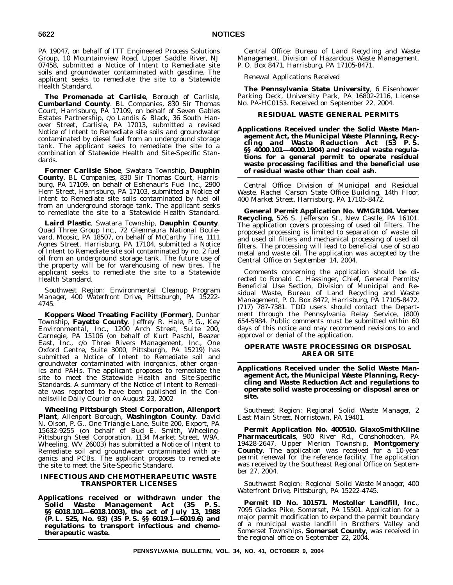PA 19047, on behalf of ITT Engineered Process Solutions Group, 10 Mountainview Road, Upper Saddle River, NJ 07458, submitted a Notice of Intent to Remediate site soils and groundwater contaminated with gasoline. The applicant seeks to remediate the site to a Statewide Health Standard.

**The Promenade at Carlisle**, Borough of Carlisle, **Cumberland County**. BL Companies, 830 Sir Thomas Court, Harrisburg, PA 17109, on behalf of Seven Gables Estates Partnership, c/o Landis & Black, 36 South Hanover Street, Carlisle, PA 17013, submitted a revised Notice of Intent to Remediate site soils and groundwater contaminated by diesel fuel from an underground storage tank. The applicant seeks to remediate the site to a combination of Statewide Health and Site-Specific Standards.

**Former Carlisle Shoe**, Swatara Township, **Dauphin County**. BL Companies, 830 Sir Thomas Court, Harrisburg, PA 17109, on behalf of Eshenaur's Fuel Inc., 2900 Herr Street, Harrisburg, PA 17103, submitted a Notice of Intent to Remediate site soils contaminated by fuel oil from an underground storage tank. The applicant seeks to remediate the site to a Statewide Health Standard.

**Laird Plastic**, Swatara Township, **Dauphin County**. Quad Three Group Inc., 72 Glenmaura National Boulevard, Moosic, PA 18507, on behalf of McCarthy Tire, 1111 Agnes Street, Harrisburg, PA 17104, submitted a Notice of Intent to Remediate site soil contaminated by no. 2 fuel oil from an underground storage tank. The future use of the property will be for warehousing of new tires. The applicant seeks to remediate the site to a Statewide Health Standard.

*Southwest Region: Environmental Cleanup Program Manager, 400 Waterfront Drive, Pittsburgh, PA 15222- 4745.*

**Koppers Wood Treating Facility (Former)**, Dunbar Township, **Fayette County**. Jeffrey R. Hale, P. G., Key Environmental, Inc., 1200 Arch Street, Suite 200, Carnegie, PA 15106 (on behalf of Kurt Paschl, Beazer East, Inc., c/o Three Rivers Management, Inc., One Oxford Centre, Suite 3000, Pittsburgh, PA 15219) has submitted a Notice of Intent to Remediate soil and groundwater contaminated with inorganics, other organics and PAHs. The applicant proposes to remediate the site to meet the Statewide Health and Site-Specific Standards. A summary of the Notice of Intent to Remediate was reported to have been published in the *Connellsville Daily Courier* on August 23, 2002

**Wheeling Pittsburgh Steel Corporation, Allenport Plant**, Allenport Borough, **Washington County**. David N. Olson, P. G., One Triangle Lane, Suite 200, Export, PA 15632-9255 (on behalf of Bud E. Smith, Wheeling-Pittsburgh Steel Corporation, 1134 Market Street, W9A, Wheeling, WV 26003) has submitted a Notice of Intent to Remediate soil and groundwater contaminated with organics and PCBs. The applicant proposes to remediate the site to meet the Site-Specific Standard.

## **INFECTIOUS AND CHEMOTHERAPEUTIC WASTE TRANSPORTER LICENSES**

**Applications received or withdrawn under the Solid Waste Management Act (35 P. S. §§ 6018.101—6018.1003), the act of July 13, 1988 (P. L. 525, No. 93) (35 P. S. §§ 6019.1—6019.6) and regulations to transport infectious and chemotherapeutic waste.**

*Central Office: Bureau of Land Recycling and Waste Management, Division of Hazardous Waste Management, P. O. Box 8471, Harrisburg, PA 17105-8471.*

*Renewal Applications Received*

**The Pennsylvania State University**, 6 Eisenhower Parking Deck, University Park, PA 16802-2116, License No. PA-HC0153. Received on September 22, 2004.

## **RESIDUAL WASTE GENERAL PERMITS**

**Applications Received under the Solid Waste Management Act, the Municipal Waste Planning, Recycling and Waste Reduction Act (53 P. S. §§ 4000.101—4000.1904) and residual waste regulations for a general permit to operate residual waste processing facilities and the beneficial use of residual waste other than coal ash.**

*Central Office: Division of Municipal and Residual Waste, Rachel Carson State Office Building, 14th Floor, 400 Market Street, Harrisburg, PA 17105-8472.*

**General Permit Application No. WMGR104. Vortex Recycling**, 526 S. Jefferson St., New Castle, PA 16101. The application covers processing of used oil filters. The proposed processing is limited to separation of waste oil and used oil filters and mechanical processing of used oil filters. The processing will lead to beneficial use of scrap metal and waste oil. The application was accepted by the Central Office on September 14, 2004.

Comments concerning the application should be directed to Ronald C. Hassinger, Chief, General Permits/ Beneficial Use Section, Division of Municipal and Residual Waste, Bureau of Land Recycling and Waste Management, P. O. Box 8472, Harrisburg, PA 17105-8472, (717) 787-7381. TDD users should contact the Department through the Pennsylvania Relay Service, (800) 654-5984. Public comments must be submitted within 60 days of this notice and may recommend revisions to and approval or denial of the application.

## **OPERATE WASTE PROCESSING OR DISPOSAL AREA OR SITE**

**Applications Received under the Solid Waste Management Act, the Municipal Waste Planning, Recycling and Waste Reduction Act and regulations to operate solid waste processing or disposal area or site.**

*Southeast Region: Regional Solid Waste Manager, 2 East Main Street, Norristown, PA 19401.*

**Permit Application No. 400510. GlaxoSmithKline Pharmaceuticals**, 900 River Rd., Conshohocken, PA 19428-2647, Upper Merion Township, **Montgomery County**. The application was received for a 10-year permit renewal for the reference facility. The application was received by the Southeast Regional Office on September 27, 2004.

*Southwest Region: Regional Solid Waste Manager, 400 Waterfront Drive, Pittsburgh, PA 15222-4745.*

**Permit ID No. 101571. Mostoller Landfill, Inc.**, 7095 Glades Pike, Somerset, PA 15501. Application for a major permit modification to expand the permit boundary of a municipal waste landfill in Brothers Valley and Somerset Townships, **Somerset County**, was received in the regional office on September 22, 2004.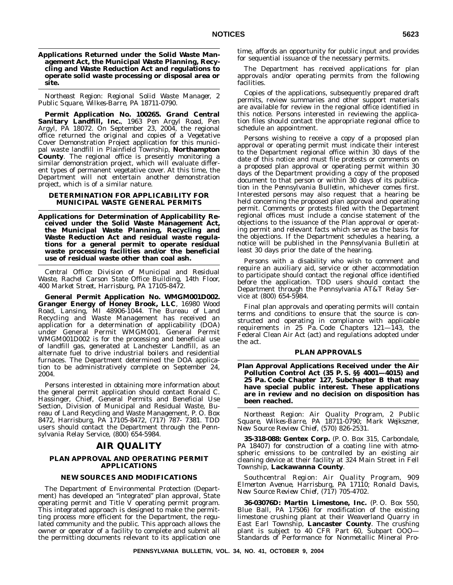**Applications Returned under the Solid Waste Management Act, the Municipal Waste Planning, Recycling and Waste Reduction Act and regulations to operate solid waste processing or disposal area or site.**

*Northeast Region: Regional Solid Waste Manager, 2 Public Square, Wilkes-Barre, PA 18711-0790.*

**Permit Application No. 100265. Grand Central Sanitary Landfill, Inc.**, 1963 Pen Argyl Road, Pen Argyl, PA 18072. On September 23, 2004, the regional office returned the original and copies of a Vegetative Cover Demonstration Project application for this municipal waste landfill in Plainfield Township, **Northampton County**. The regional office is presently monitoring a similar demonstration project, which will evaluate different types of permanent vegetative cover. At this time, the Department will not entertain another demonstration project, which is of a similar nature.

## **DETERMINATION FOR APPLICABILITY FOR MUNICIPAL WASTE GENERAL PERMITS**

**Applications for Determination of Applicability Received under the Solid Waste Management Act, the Municipal Waste Planning, Recycling and Waste Reduction Act and residual waste regulations for a general permit to operate residual waste processing facilities and/or the beneficial use of residual waste other than coal ash.**

*Central Office: Division of Municipal and Residual Waste, Rachel Carson State Office Building, 14th Floor, 400 Market Street, Harrisburg, PA 17105-8472.*

**General Permit Application No. WMGM001D002. Granger Energy of Honey Brook, LLC**, 16980 Wood Road, Lansing, MI 48906-1044. The Bureau of Land Recycling and Waste Management has received an application for a determination of applicability (DOA) under General Permit WMGM001. General Permit WMGM001D002 is for the processing and beneficial use of landfill gas, generated at Lanchester Landfill, as an alternate fuel to drive industrial boilers and residential furnaces. The Department determined the DOA application to be administratively complete on September 24, 2004.

Persons interested in obtaining more information about the general permit application should contact Ronald C. Hassinger, Chief, General Permits and Beneficial Use Section, Division of Municipal and Residual Waste, Bureau of Land Recycling and Waste Management, P. O. Box 8472, Harrisburg, PA 17105-8472, (717) 787- 7381. TDD users should contact the Department through the Pennsylvania Relay Service, (800) 654-5984.

# **AIR QUALITY**

## **PLAN APPROVAL AND OPERATING PERMIT APPLICATIONS**

## **NEW SOURCES AND MODIFICATIONS**

The Department of Environmental Protection (Department) has developed an ''integrated'' plan approval, State operating permit and Title V operating permit program. This integrated approach is designed to make the permitting process more efficient for the Department, the regulated community and the public. This approach allows the owner or operator of a facility to complete and submit all the permitting documents relevant to its application one time, affords an opportunity for public input and provides for sequential issuance of the necessary permits.

The Department has received applications for plan approvals and/or operating permits from the following facilities.

Copies of the applications, subsequently prepared draft permits, review summaries and other support materials are available for review in the regional office identified in this notice. Persons interested in reviewing the application files should contact the appropriate regional office to schedule an appointment.

Persons wishing to receive a copy of a proposed plan approval or operating permit must indicate their interest to the Department regional office within 30 days of the date of this notice and must file protests or comments on a proposed plan approval or operating permit within 30 days of the Department providing a copy of the proposed document to that person or within 30 days of its publication in the *Pennsylvania Bulletin*, whichever comes first. Interested persons may also request that a hearing be held concerning the proposed plan approval and operating permit. Comments or protests filed with the Department regional offices must include a concise statement of the objections to the issuance of the Plan approval or operating permit and relevant facts which serve as the basis for the objections. If the Department schedules a hearing, a notice will be published in the *Pennsylvania Bulletin* at least 30 days prior the date of the hearing.

Persons with a disability who wish to comment and require an auxiliary aid, service or other accommodation to participate should contact the regional office identified before the application. TDD users should contact the Department through the Pennsylvania AT&T Relay Service at (800) 654-5984.

Final plan approvals and operating permits will contain terms and conditions to ensure that the source is constructed and operating in compliance with applicable requirements in 25 Pa. Code Chapters 121—143, the Federal Clean Air Act (act) and regulations adopted under the act.

## **PLAN APPROVALS**

**Plan Approval Applications Received under the Air Pollution Control Act (35 P. S. §§ 4001—4015) and 25 Pa. Code Chapter 127, Subchapter B that may have special public interest. These applications are in review and no decision on disposition has been reached.**

*Northeast Region: Air Quality Program, 2 Public Square, Wilkes-Barre, PA 18711-0790; Mark Wejkszner, New Source Review Chief, (570) 826-2531.*

**35-318-088: Gentex Corp.** (P. O. Box 315, Carbondale, PA 18407) for construction of a coating line with atmospheric emissions to be controlled by an existing air cleaning device at their facility at 324 Main Street in Fell Township, **Lackawanna County**.

*Southcentral Region: Air Quality Program, 909 Elmerton Avenue, Harrisburg, PA 17110; Ronald Davis, New Source Review Chief, (717) 705-4702.*

**36-03076D: Martin Limestone, Inc.** (P. O. Box 550, Blue Ball, PA 17506) for modification of the existing limestone crushing plant at their Weaverland Quarry in East Earl Township, **Lancaster County**. The crushing plant is subject to 40 CFR Part 60, Subpart OOO— Standards of Performance for Nonmetallic Mineral Pro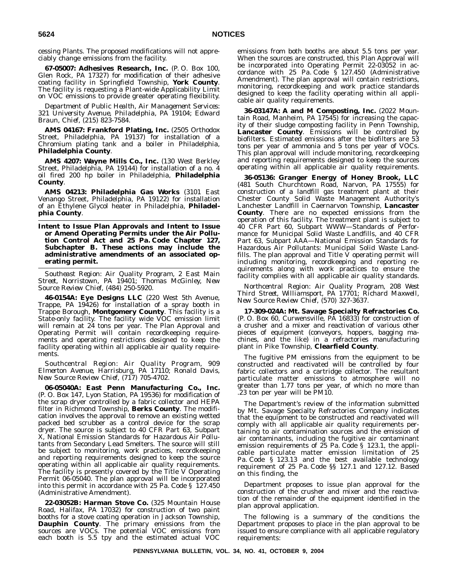cessing Plants. The proposed modifications will not appreciably change emissions from the facility.

**67-05007: Adhesives Research, Inc.** (P. O. Box 100, Glen Rock, PA 17327) for modification of their adhesive coating facility in Springfield Township, **York County**. The facility is requesting a Plant-wide Applicability Limit on VOC emissions to provide greater operating flexibility.

*Department of Public Health, Air Management Services: 321 University Avenue, Philadelphia, PA 19104; Edward Braun, Chief, (215) 823-7584.*

**AMS 04167: Frankford Plating, Inc.** (2505 Orthodox Street, Philadelphia, PA 19137) for installation of a Chromium plating tank and a boiler in Philadelphia, **Philadelphia County**.

**AMS 4207: Wayne Mills Co., Inc.** (130 West Berkley Street, Philadelphia, PA 19144) for installation of a no. 4 oil fired 200 hp boiler in Philadelphia, **Philadelphia County**.

**AMS 04213: Philadelphia Gas Works** (3101 East Venango Street, Philadelphia, PA 19122) for installation of an Ethylene Glycol heater in Philadelphia, **Philadelphia County**.

**Intent to Issue Plan Approvals and Intent to Issue or Amend Operating Permits under the Air Pollution Control Act and 25 Pa. Code Chapter 127, Subchapter B. These actions may include the administrative amendments of an associated operating permit.**

*Southeast Region: Air Quality Program, 2 East Main Street, Norristown, PA 19401; Thomas McGinley, New Source Review Chief, (484) 250-5920.*

**46-0154A: Eye Designs LLC** (220 West 5th Avenue, Trappe, PA 19426) for installation of a spray booth in Trappe Borough, **Montgomery County**. This facility is a State-only facility. The facility wide VOC emission limit will remain at 24 tons per year. The Plan Approval and Operating Permit will contain recordkeeping requirements and operating restrictions designed to keep the facility operating within all applicable air quality requirements.

*Southcentral Region: Air Quality Program, 909 Elmerton Avenue, Harrisburg, PA 17110; Ronald Davis, New Source Review Chief, (717) 705-4702.*

**06-05040A: East Penn Manufacturing Co., Inc.** (P. O. Box 147, Lyon Station, PA 19536) for modification of the scrap dryer controlled by a fabric collector and HEPA filter in Richmond Township, **Berks County**. The modification involves the approval to remove an existing wetted packed bed scrubber as a control device for the scrap dryer. The source is subject to 40 CFR Part 63, Subpart X, National Emission Standards for Hazardous Air Pollutants from Secondary Lead Smelters. The source will still be subject to monitoring, work practices, recordkeeping and reporting requirements designed to keep the source operating within all applicable air quality requirements. The facility is presently covered by the Title  $\vec{V}$  Operating Permit 06-05040. The plan approval will be incorporated into this permit in accordance with 25 Pa. Code § 127.450 (Administrative Amendment).

**22-03052B: Harman Stove Co.** (325 Mountain House Road, Halifax, PA 17032) for construction of two paint booths for a stove coating operation in Jackson Township, **Dauphin County**. The primary emissions from the sources are VOCs. The potential VOC emissions from each booth is 5.5 tpy and the estimated actual VOC emissions from both booths are about 5.5 tons per year. When the sources are constructed, this Plan Approval will be incorporated into Operating Permit 22-03052 in accordance with 25 Pa. Code  $\tilde{\S}$  127.450 (Administrative Amendment). The plan approval will contain restrictions, monitoring, recordkeeping and work practice standards designed to keep the facility operating within all applicable air quality requirements.

**36-03147A: A and M Composting, Inc.** (2022 Mountain Road, Manheim, PA 17545) for increasing the capacity of their sludge composting facility in Penn Township, **Lancaster County**. Emissions will be controlled by biofilters. Estimated emissions after the biofilters are 53 tons per year of ammonia and 5 tons per year of VOCs. This plan approval will include monitoring, recordkeeping and reporting requirements designed to keep the sources operating within all applicable air quality requirements.

**36-05136: Granger Energy of Honey Brook, LLC** (481 South Churchtown Road, Narvon, PA 17555) for construction of a landfill gas treatment plant at their Chester County Solid Waste Management Authority's Lanchester Landfill in Caernarvon Township, **Lancaster County**. There are no expected emissions from the operation of this facility. The treatment plant is subject to 40 CFR Part 60, Subpart WWW—Standards of Performance for Municipal Solid Waste Landfills, and 40 CFR Part 63, Subpart AAA—National Emission Standards for Hazardous Air Pollutants: Municipal Solid Waste Landfills. The plan approval and Title  $\bar{V}$  operating permit will including monitoring, recordkeeping and reporting requirements along with work practices to ensure the facility complies with all applicable air quality standards.

*Northcentral Region: Air Quality Program, 208 West Third Street, Williamsport, PA 17701; Richard Maxwell, New Source Review Chief, (570) 327-3637.*

**17-309-024A: Mt. Savage Specialty Refractories Co.** (P. O. Box 60, Curwensville, PA 16833) for construction of a crusher and a mixer and reactivation of various other pieces of equipment (conveyors, hoppers, bagging machines, and the like) in a refractories manufacturing plant in Pike Township, **Clearfield County**.

The fugitive PM emissions from the equipment to be constructed and reactivated will be controlled by four fabric collectors and a cartridge collector. The resultant particulate matter emissions to atmosphere will no greater than 1.77 tons per year, of which no more than .23 ton per year will be PM10.

The Department's review of the information submitted by Mt. Savage Specialty Refractories Company indicates that the equipment to be constructed and reactivated will comply with all applicable air quality requirements pertaining to air contamination sources and the emission of air contaminants, including the fugitive air contaminant emission requirements of 25 Pa. Code § 123.1, the applicable particulate matter emission limitation of 25 Pa. Code § 123.13 and the best available technology requirement of 25 Pa. Code §§ 127.1 and 127.12. Based on this finding, the

Department proposes to issue plan approval for the construction of the crusher and mixer and the reactivation of the remainder of the equipment identified in the plan approval application.

The following is a summary of the conditions the Department proposes to place in the plan approval to be issued to ensure compliance with all applicable regulatory requirements: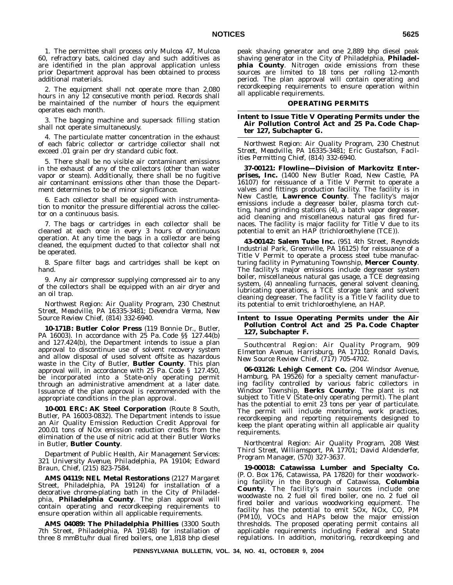1. The permittee shall process only Mulcoa 47, Mulcoa 60, refractory bats, calcined clay and such additives as are identified in the plan approval application unless prior Department approval has been obtained to process additional materials.

2. The equipment shall not operate more than 2,080 hours in any 12 consecutive month period. Records shall be maintained of the number of hours the equipment operates each month.

3. The bagging machine and supersack filling station shall not operate simultaneously.

4. The particulate matter concentration in the exhaust of each fabric collector or cartridge collector shall not exceed .01 grain per dry standard cubic foot.

5. There shall be no visible air contaminant emissions in the exhaust of any of the collectors (other than water vapor or steam). Additionally, there shall be no fugitive air contaminant emissions other than those the Department determines to be of minor significance.

6. Each collector shall be equipped with instrumentation to monitor the pressure differential across the collector on a continuous basis.

7. The bags or cartridges in each collector shall be cleaned at each once in every 3 hours of continuous operation. At any time the bags in a collector are being cleaned, the equipment ducted to that collector shall not be operated.

8. Spare filter bags and cartridges shall be kept on hand.

9. Any air compressor supplying compressed air to any of the collectors shall be equipped with an air dryer and an oil trap.

*Northwest Region: Air Quality Program, 230 Chestnut Street, Meadville, PA 16335-3481; Devendra Verma, New Source Review Chief, (814) 332-6940.*

**10-171B: Butler Color Press** (119 Bonnie Dr., Butler, PA 16003). In accordance with 25 Pa. Code §§ 127.44(b) and 127.424(b), the Department intends to issue a plan approval to discontinue use of solvent recovery system and allow disposal of used solvent offsite as hazardous waste in the City of Butler, **Butler County**. This plan approval will, in accordance with 25 Pa. Code § 127.450, be incorporated into a State-only operating permit through an administrative amendment at a later date. Issuance of the plan approval is recommended with the appropriate conditions in the plan approval.

**10-001 ERC: AK Steel Corporation** (Route 8 South, Butler, PA 16003-0832). The Department intends to issue an Air Quality Emission Reduction Credit Approval for 200.01 tons of NOx emission reduction credits from the elimination of the use of nitric acid at their Butler Works in Butler, **Butler County**.

*Department of Public Health, Air Management Services: 321 University Avenue, Philadelphia, PA 19104; Edward Braun, Chief, (215) 823-7584.*

**AMS 04119: NEL Metal Restorations** (2127 Margaret Street, Philadelphia, PA 19124) for installation of a decorative chrome-plating bath in the City of Philadelphia, **Philadelphia County**. The plan approval will contain operating and recordkeeping requirements to ensure operation within all applicable requirements.

**AMS 04089: The Philadelphia Phillies** (3300 South 7th Street, Philadelphia, PA 19148) for installation of three 8 mmBtu/hr dual fired boilers, one 1,818 bhp diesel

peak shaving generator and one 2,889 bhp diesel peak shaving generator in the City of Philadelphia, **Philadelphia County**. Nitrogen oxide emissions from these sources are limited to 18 tons per rolling 12-month period. The plan approval will contain operating and recordkeeping requirements to ensure operation within all applicable requirements.

#### **OPERATING PERMITS**

## **Intent to Issue Title V Operating Permits under the Air Pollution Control Act and 25 Pa. Code Chapter 127, Subchapter G.**

*Northwest Region: Air Quality Program, 230 Chestnut Street, Meadville, PA 16335-3481; Eric Gustafson, Facilities Permitting Chief, (814) 332-6940.*

**37-00121: Flowline—Division of Markovitz Enterprises, Inc.** (1400 New Butler Road, New Castle, PA 16107) for reissuance of a Title V Permit to operate a valves and fittings production facility. The facility is in New Castle, **Lawrence County**. The facility's major emissions include a degreaser boiler, plasma torch cutting, hand grinding stations (4), a batch vapor degreaser, acid cleaning and miscellaneous natural gas fired furnaces. The facility is major facility for Title V due to its potential to emit an HAP (trichloroethylene (TCE)).

**43-00142: Salem Tube Inc.** (951 4th Street, Reynolds Industrial Park, Greenville, PA 16125) for reissuance of a Title V Permit to operate a process steel tube manufacturing facility in Pymatuning Township, **Mercer County**. The facility's major emissions include degreaser system boiler, miscellaneous natural gas usage, a TCE degreasing system, (4) annealing furnaces, general solvent cleaning, lubricating operations, a TCE storage tank and solvent cleaning degreaser. The facility is a Title V facility due to its potential to emit trichloroethylene, an HAP.

## **Intent to Issue Operating Permits under the Air Pollution Control Act and 25 Pa. Code Chapter 127, Subchapter F.**

*Southcentral Region: Air Quality Program, 909 Elmerton Avenue, Harrisburg, PA 17110; Ronald Davis, New Source Review Chief, (717) 705-4702.*

**06-03126: Lehigh Cement Co.** (204 Windsor Avenue, Hamburg, PA 19526) for a specialty cement manufacturing facility controlled by various fabric collectors in Windsor Township, **Berks County**. The plant is not subject to Title V (State-only operating permit). The plant has the potential to emit 23 tons per year of particulate. The permit will include monitoring, work practices, recordkeeping and reporting requirements designed to keep the plant operating within all applicable air quality requirements.

*Northcentral Region: Air Quality Program, 208 West Third Street, Williamsport, PA 17701; David Aldenderfer, Program Manager, (570) 327-3637.*

**19-00018: Catawissa Lumber and Specialty Co.** (P. O. Box 176, Catawissa, PA 17820) for their woodworking facility in the Borough of Catawissa, **Columbia County**. The facility's main sources include one woodwaste no. 2 fuel oil fired boiler, one no. 2 fuel oil fired boiler and various woodworking equipment. The facility has the potential to emit SOx, NOx, CO, PM (PM10), VOCs and HAPs below the major emission thresholds. The proposed operating permit contains all applicable requirements including Federal and State regulations. In addition, monitoring, recordkeeping and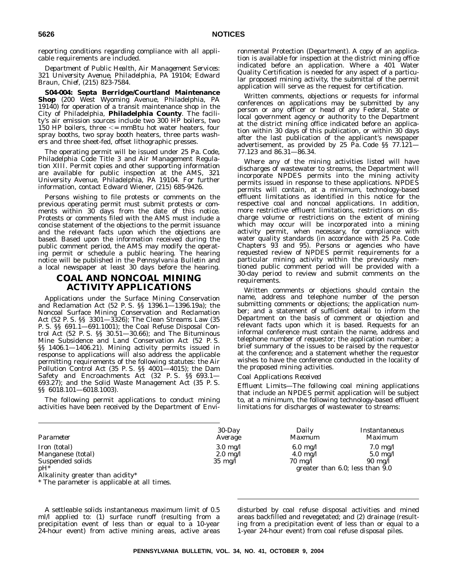reporting conditions regarding compliance with all applicable requirements are included.

*Department of Public Health, Air Management Services: 321 University Avenue, Philadelphia, PA 19104; Edward Braun, Chief, (215) 823-7584.*

**S04-004: Septa Berridge/Courtland Maintenance Shop** (200 West Wyoming Avenue, Philadelphia, PA 19140) for operation of a transit maintenance shop in the City of Philadelphia, **Philadelphia County**. The facility's air emission sources include two 300 HP boilers, two 150 HP boilers, three  $\leq$  mmBtu hot water heaters, four spray booths, two spray booth heaters, three parts washers and three sheet-fed, offset lithographic presses.

The operating permit will be issued under 25 Pa. Code, Philadelphia Code Title 3 and Air Management Regulation XIII. Permit copies and other supporting information are available for public inspection at the AMS, 321 University Avenue, Philadelphia, PA 19104. For further information, contact Edward Wiener, (215) 685-9426.

Persons wishing to file protests or comments on the previous operating permit must submit protests or comments within 30 days from the date of this notice. Protests or comments filed with the AMS must include a concise statement of the objections to the permit issuance and the relevant facts upon which the objections are based. Based upon the information received during the public comment period, the AMS may modify the operating permit or schedule a public hearing. The hearing notice will be published in the *Pennsylvania Bulletin* and a local newspaper at least 30 days before the hearing.

# **COAL AND NONCOAL MINING ACTIVITY APPLICATIONS**

Applications under the Surface Mining Conservation and Reclamation Act (52 P. S. §§ 1396.1—1396.19a); the Noncoal Surface Mining Conservation and Reclamation Act (52 P. S. §§ 3301—3326); The Clean Streams Law (35 P. S. §§ 691.1—691.1001); the Coal Refuse Disposal Control Act (52 P. S. §§ 30.51—30.66); and The Bituminous Mine Subsidence and Land Conservation Act (52 P. S. §§ 1406.1—1406.21). Mining activity permits issued in response to applications will also address the applicable permitting requirements of the following statutes: the Air Pollution Control Act (35 P. S. §§ 4001—4015); the Dam Safety and Encroachments Act (32 P. S. §§ 693.1— 693.27); and the Solid Waste Management Act (35 P. S. §§ 6018.101—6018.1003).

The following permit applications to conduct mining activities have been received by the Department of Environmental Protection (Department). A copy of an application is available for inspection at the district mining office indicated before an application. Where a 401 Water Quality Certification is needed for any aspect of a particular proposed mining activity, the submittal of the permit application will serve as the request for certification.

Written comments, objections or requests for informal conferences on applications may be submitted by any person or any officer or head of any Federal, State or local government agency or authority to the Department at the district mining office indicated before an application within 30 days of this publication, or within 30 days after the last publication of the applicant's newspaper advertisement, as provided by 25 Pa. Code §§ 77.121— 77.123 and 86.31—86.34.

Where any of the mining activities listed will have discharges of wastewater to streams, the Department will incorporate NPDES permits into the mining activity permits issued in response to these applications. NPDES permits will contain, at a minimum, technology-based effluent limitations as identified in this notice for the respective coal and noncoal applications. In addition, more restrictive effluent limitations, restrictions on discharge volume or restrictions on the extent of mining which may occur will be incorporated into a mining activity permit, when necessary, for compliance with water quality standards (in accordance with 25 Pa. Code Chapters 93 and 95). Persons or agencies who have requested review of NPDES permit requirements for a particular mining activity within the previously mentioned public comment period will be provided with a 30-day period to review and submit comments on the requirements.

Written comments or objections should contain the name, address and telephone number of the person submitting comments or objections; the application number; and a statement of sufficient detail to inform the Department on the basis of comment or objection and relevant facts upon which it is based. Requests for an informal conference must contain the name, address and telephone number of requestor; the application number; a brief summary of the issues to be raised by the requestor at the conference; and a statement whether the requestor wishes to have the conference conducted in the locality of the proposed mining activities.

## *Coal Applications Received*

*Effluent Limits*—The following coal mining applications that include an NPDES permit application will be subject to, at a minimum, the following technology-based effluent limitations for discharges of wastewater to streams:

| Parameter                                                                                           | $30$ -Day                                                     | Daily                                                         | Instantaneous                                                                                    |
|-----------------------------------------------------------------------------------------------------|---------------------------------------------------------------|---------------------------------------------------------------|--------------------------------------------------------------------------------------------------|
|                                                                                                     | Average                                                       | <i>Maxmum</i>                                                 | <i>Maximum</i>                                                                                   |
| Iron (total)<br>Manganese (total)<br>Suspended solids<br>$nH^*$<br>Alkalinity greater than acidity* | $3.0 \text{ mg}/l$<br>$2.0 \text{ mg}/l$<br>$35 \text{ mg/l}$ | $6.0 \text{ mg}/l$<br>$4.0 \text{ mg/l}$<br>$70 \text{ mg}/l$ | $7.0 \text{ mg}/l$<br>$5.0 \text{ mg}/l$<br>$90 \text{ mg}/l$<br>greater than 6.0; less than 9.0 |

\* The parameter is applicable at all times.

A settleable solids instantaneous maximum limit of 0.5 ml/l applied to: (1) surface runoff (resulting from a precipitation event of less than or equal to a 10-year 24-hour event) from active mining areas, active areas disturbed by coal refuse disposal activities and mined areas backfilled and revegetated; and (2) drainage (resulting from a precipitation event of less than or equal to a 1-year 24-hour event) from coal refuse disposal piles.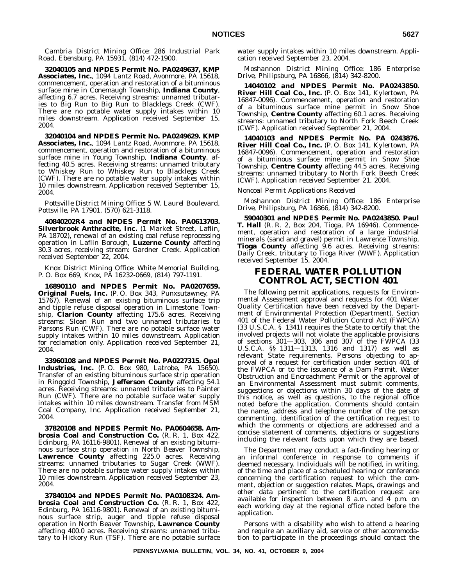*Cambria District Mining Office: 286 Industrial Park Road, Ebensburg, PA 15931, (814) 472-1900.*

**32040105 and NPDES Permit No. PA0249637, KMP Associates, Inc.**, 1094 Lantz Road, Avonmore, PA 15618, commencement, operation and restoration of a bituminous surface mine in Conemaugh Township, **Indiana County**, affecting 6.7 acres. Receiving streams: unnamed tributaries to Big Run to Big Run to Blacklegs Creek (CWF). There are no potable water supply intakes within 10 miles downstream. Application received September 15, 2004.

**32040104 and NPDES Permit No. PA0249629. KMP Associates, Inc.**, 1094 Lantz Road, Avonmore, PA 15618, commencement, operation and restoration of a bituminous surface mine in Young Township, **Indiana County**, affecting 40.5 acres. Receiving streams: unnamed tributary to Whiskey Run to Whiskey Run to Blacklegs Creek (CWF). There are no potable water supply intakes within 10 miles downstream. Application received September 15, 2004.

*Pottsville District Mining Office: 5 W. Laurel Boulevard, Pottsville, PA 17901, (570) 621-3118.*

**40840202R4 and NPDES Permit No. PA0613703. Silverbrook Anthracite, Inc.** (1 Market Street, Laflin, PA 18702), renewal of an existing coal refuse reprocessing operation in Laflin Borough, **Luzerne County** affecting 30.3 acres, receiving stream: Gardner Creek. Application received September 22, 2004.

*Knox District Mining Office: White Memorial Building, P. O. Box 669, Knox, PA 16232-0669, (814) 797-1191.*

**16890110 and NPDES Permit No. PA0207659. Original Fuels, Inc.** (P. O. Box 343, Punxsutawney, PA 15767). Renewal of an existing bituminous surface trip and tipple refuse disposal operation in Limestone Township, **Clarion County** affecting 175.6 acres. Receiving streams: Sloan Run and two unnamed tributaries to Parsons Run (CWF). There are no potable surface water supply intakes within 10 miles downstream. Application for reclamation only. Application received September 21, 2004.

**33960108 and NPDES Permit No. PA0227315. Opal Industries, Inc.** (P. O. Box 980, Latrobe, PA 15650). Transfer of an existing bituminous surface strip operation in Ringgold Township, **Jefferson County** affecting 54.1 acres. Receiving streams: unnamed tributaries to Painter Run (CWF). There are no potable surface water supply intakes within 10 miles downstream. Transfer from MSM Coal Company, Inc. Application received September 21, 2004.

**37820108 and NPDES Permit No. PA0604658. Ambrosia Coal and Construction Co.** (R. R. 1, Box 422, Edinburg, PA 16116-9801). Renewal of an existing bituminous surface strip operation in North Beaver Township, **Lawrence County** affecting 225.0 acres. Receiving streams: unnamed tributaries to Sugar Creek (WWF). There are no potable surface water supply intakes within 10 miles downstream. Application received September 23, 2004.

**37840104 and NPDES Permit No. PA0108324. Ambrosia Coal and Construction Co.** (R. R. 1, Box 422, Edinburg, PA 16116-9801). Renewal of an existing bituminous surface strip, auger and tipple refuse disposal operation in North Beaver Township, **Lawrence County** affecting 400.0 acres. Receiving streams: unnamed tributary to Hickory Run (TSF). There are no potable surface

water supply intakes within 10 miles downstream. Application received September 23, 2004.

*Moshannon District Mining Office: 186 Enterprise Drive, Philipsburg, PA 16866, (814) 342-8200.*

**14040102 and NPDES Permit No. PA0243850. River Hill Coal Co., Inc.** (P. O. Box 141, Kylertown, PA 16847-0096). Commencement, operation and restoration of a bituminous surface mine permit in Snow Shoe Township, **Centre County** affecting 60.1 acres. Receiving streams: unnamed tributary to North Fork Beech Creek (CWF). Application received September 21, 2004.

**14040103 and NPDES Permit No. PA 0243876. River Hill Coal Co., Inc.** (P. O. Box 141, Kylertown, PA 16847-0096). Commencement, operation and restoration of a bituminous surface mine permit in Snow Shoe Township, **Centre County** affecting 44.5 acres. Receiving streams: unnamed tributary to North Fork Beech Creek (CWF). Application received September 21, 2004.

#### *Noncoal Permit Applications Received*

*Moshannon District Mining Office: 186 Enterprise Drive, Philipsburg, PA 16866, (814) 342-8200.*

**59040301 and NPDES Permit No. PA0243850. Paul T. Hall** (R. R. 2, Box 204, Tioga, PA 16946). Commencement, operation and restoration of a large industrial minerals (sand and gravel) permit in Lawrence Township, **Tioga County** affecting 9.6 acres. Receiving streams: Daily Creek, tributary to Tioga River (WWF). Application received September 15, 2004.

# **FEDERAL WATER POLLUTION CONTROL ACT, SECTION 401**

The following permit applications, requests for Environmental Assessment approval and requests for 401 Water Quality Certification have been received by the Department of Environmental Protection (Department). Section 401 of the Federal Water Pollution Control Act (FWPCA) (33 U.S.C.A. § 1341) requires the State to certify that the involved projects will not violate the applicable provisions of sections  $301-303$ ,  $306$  and  $307$  of the FWPCA (33 U.S.C.A. §§ 1311—1313, 1316 and 1317) as well as relevant State requirements. Persons objecting to approval of a request for certification under section 401 of the FWPCA or to the issuance of a Dam Permit, Water Obstruction and Encroachment Permit or the approval of an Environmental Assessment must submit comments, suggestions or objections within 30 days of the date of this notice, as well as questions, to the regional office noted before the application. Comments should contain the name, address and telephone number of the person commenting, identification of the certification request to which the comments or objections are addressed and a concise statement of comments, objections or suggestions including the relevant facts upon which they are based.

The Department may conduct a fact-finding hearing or an informal conference in response to comments if deemed necessary. Individuals will be notified, in writing, of the time and place of a scheduled hearing or conference concerning the certification request to which the comment, objection or suggestion relates. Maps, drawings and other data pertinent to the certification request are available for inspection between  $8$  a.m. and  $4$  p.m. on each working day at the regional office noted before the application.

Persons with a disability who wish to attend a hearing and require an auxiliary aid, service or other accommodation to participate in the proceedings should contact the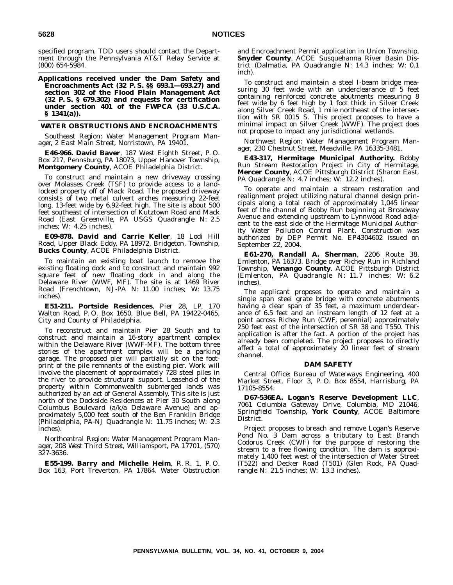specified program. TDD users should contact the Department through the Pennsylvania AT&T Relay Service at (800) 654-5984.

**Applications received under the Dam Safety and Encroachments Act (32 P. S. §§ 693.1—693.27) and section 302 of the Flood Plain Management Act (32 P. S. § 679.302) and requests for certification under section 401 of the FWPCA (33 U.S.C.A. § 1341(a)).**

## **WATER OBSTRUCTIONS AND ENCROACHMENTS**

*Southeast Region: Water Management Program Manager, 2 East Main Street, Norristown, PA 19401.*

**E46-966. David Baver**, 187 West Eighth Street, P. O. Box 217, Pennsburg, PA 18073, Upper Hanover Township, **Montgomery County**, ACOE Philadelphia District.

To construct and maintain a new driveway crossing over Molasses Creek (TSF) to provide access to a landlocked property off of Mack Road. The proposed driveway consists of two metal culvert arches measuring 22-feet long, 13-feet wide by 6.92-feet high. The site is about 500 feet southeast of intersection of Kutztown Road and Mack Road (East Greenville, PA USGS Quadrangle N: 2.5 inches; W: 4.25 inches).

**E09-878. David and Carrie Keller**, 18 Lodi Hill Road, Upper Black Eddy, PA 18972, Bridgeton, Township, **Bucks County**, ACOE Philadelphia District.

To maintain an existing boat launch to remove the existing floating dock and to construct and maintain 992 square feet of new floating dock in and along the Delaware River (WWF, MF). The site is at 1469 River Road (Frenchtown, NJ-PA N: 11.00 inches; W: 13.75 inches).

**E51-211. Portside Residences**, Pier 28, LP, 170 Walton Road, P. O. Box 1650, Blue Bell, PA 19422-0465, City and County of Philadelphia.

To reconstruct and maintain Pier 28 South and to construct and maintain a 16-story apartment complex within the Delaware River (WWF-MF). The bottom three stories of the apartment complex will be a parking garage. The proposed pier will partially sit on the footprint of the pile remnants of the existing pier. Work will involve the placement of approximately 728 steel piles in the river to provide structural support. Leasehold of the property within Commonwealth submerged lands was authorized by an act of General Assembly. This site is just north of the Dockside Residences at Pier 30 South along Columbus Boulevard (a/k/a Delaware Avenue) and approximately 5,000 feet south of the Ben Franklin Bridge (Philadelphia, PA-NJ Quadrangle N: 11.75 inches; W: 2.3 inches).

*Northcentral Region: Water Management Program Manager, 208 West Third Street, Williamsport, PA 17701, (570) 327-3636.*

**E55-199. Barry and Michelle Heim**, R. R. 1, P. O. Box 163, Port Treverton, PA 17864. Water Obstruction and Encroachment Permit application in Union Township, **Snyder County**, ACOE Susquehanna River Basin District (Dalmatia, PA Quadrangle N: 14.3 inches; W: 0.1 inch).

To construct and maintain a steel I-beam bridge measuring 30 feet wide with an underclearance of 5 feet containing reinforced concrete abutments measuring 8 feet wide by 6 feet high by 1 foot thick in Silver Creek along Silver Creek Road, 1 mile northeast of the intersection with SR 0015 S. This project proposes to have a minimal impact on Silver Creek (WWF). The project does not propose to impact any jurisdictional wetlands.

*Northwest Region: Water Management Program Manager, 230 Chestnut Street, Meadville, PA 16335-3481.*

**E43-317, Hermitage Municipal Authority.** Bobby Run Stream Restoration Project in City of Hermitage, **Mercer County**, ACOE Pittsburgh District (Sharon East, PA Quadrangle N: 4.7 inches; W: 12.2 inches).

To operate and maintain a stream restoration and realignment project utilizing natural channel design principals along a total reach of approximately 1,045 linear feet of the channel of Bobby Run beginning at Broadway Avenue and extending upstream to Lynnwood Road adjacent to the east side of the Hermitage Municipal Authority Water Pollution Control Plant. Construction was authorized by DEP Permit No. EP4304602 issued on September 22, 2004.

**E61-270, Randall A. Sherman**, 2206 Route 38, Emlenton, PA 16373. Bridge over Richey Run in Richland Township, **Venango County**. ACOE Pittsburgh District (Emlenton, PA Quadrangle N: 11.7 inches; W: 6.2 inches).

The applicant proposes to operate and maintain a single span steel grate bridge with concrete abutments having a clear span of 35 feet, a maximum underclearance of 6.5 feet and an instream length of 12 feet at a point across Richey Run (CWF, perennial) approximately 250 feet east of the intersection of SR 38 and T550. This application is after the fact. A portion of the project has already been completed. The project proposes to directly affect a total of approximately 20 linear feet of stream channel.

#### **DAM SAFETY**

*Central Office: Bureau of Waterways Engineering, 400 Market Street, Floor 3, P. O. Box 8554, Harrisburg, PA 17105-8554.*

**D67-536EA. Logan's Reserve Development LLC**, 7061 Columbia Gateway Drive, Columbia, MD 21046, Springfield Township, **York County**, ACOE Baltimore District.

Project proposes to breach and remove Logan's Reserve Pond No. 3 Dam across a tributary to East Branch Codorus Creek (CWF) for the purpose of restoring the stream to a free flowing condition. The dam is approximately 1,400 feet west of the intersection of Water Street (T522) and Decker Road (T501) (Glen Rock, PA Quadrangle N: 21.5 inches; W: 13.3 inches).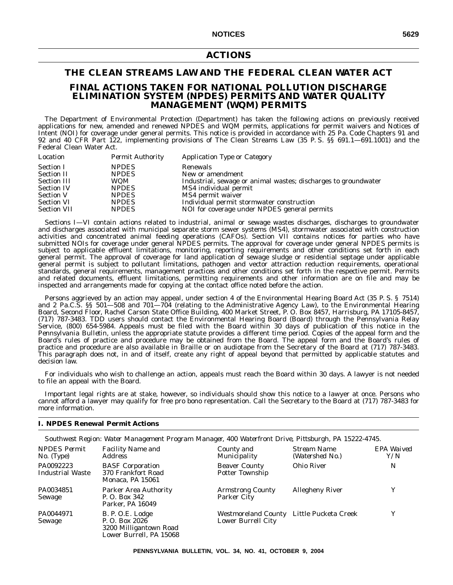# **ACTIONS**

# **THE CLEAN STREAMS LAW AND THE FEDERAL CLEAN WATER ACT FINAL ACTIONS TAKEN FOR NATIONAL POLLUTION DISCHARGE ELIMINATION SYSTEM (NPDES) PERMITS AND WATER QUALITY MANAGEMENT (WQM) PERMITS**

The Department of Environmental Protection (Department) has taken the following actions on previously received applications for new, amended and renewed NPDES and WQM permits, applications for permit waivers and Notices of Intent (NOI) for coverage under general permits. This notice is provided in accordance with 25 Pa. Code Chapters 91 and 92 and 40 CFR Part 122, implementing provisions of The Clean Streams Law (35 P. S. §§ 691.1—691.1001) and the Federal Clean Water Act.

| Industrial, sewage or animal wastes; discharges to groundwater |
|----------------------------------------------------------------|
|                                                                |
|                                                                |
| Individual permit stormwater construction                      |
| NOI for coverage under NPDES general permits                   |
|                                                                |

Sections I—VI contain actions related to industrial, animal or sewage wastes discharges, discharges to groundwater and discharges associated with municipal separate storm sewer systems (MS4), stormwater associated with construction activities and concentrated animal feeding operations (CAFOs). Section VII contains notices for parties who have submitted NOIs for coverage under general NPDES permits. The approval for coverage under general NPDES permits is subject to applicable effluent limitations, monitoring, reporting requirements and other conditions set forth in each general permit. The approval of coverage for land application of sewage sludge or residential septage under applicable general permit is subject to pollutant limitations, pathogen and vector attraction reduction requirements, operational standards, general requirements, management practices and other conditions set forth in the respective permit. Permits and related documents, effluent limitations, permitting requirements and other information are on file and may be inspected and arrangements made for copying at the contact office noted before the action.

Persons aggrieved by an action may appeal, under section 4 of the Environmental Hearing Board Act (35 P. S. § 7514) and 2 Pa.C.S. §§ 501—508 and 701—704 (relating to the Administrative Agency Law), to the Environmental Hearing Board, Second Floor, Rachel Carson State Office Building, 400 Market Street, P. O. Box 8457, Harrisburg, PA 17105-8457, (717) 787-3483. TDD users should contact the Environmental Hearing Board (Board) through the Pennsylvania Relay Service, (800) 654-5984. Appeals must be filed with the Board within 30 days of publication of this notice in the *Pennsylvania Bulletin*, unless the appropriate statute provides a different time period. Copies of the appeal form and the Board's rules of practice and procedure may be obtained from the Board. The appeal form and the Board's rules of practice and procedure are also available in Braille or on audiotape from the Secretary of the Board at (717) 787-3483. This paragraph does not, in and of itself, create any right of appeal beyond that permitted by applicable statutes and decision law.

For individuals who wish to challenge an action, appeals must reach the Board within 30 days. A lawyer is not needed to file an appeal with the Board.

Important legal rights are at stake, however, so individuals should show this notice to a lawyer at once. Persons who cannot afford a lawyer may qualify for free pro bono representation. Call the Secretary to the Board at (717) 787-3483 for more information.

# **I. NPDES Renewal Permit Actions**

*Southwest Region: Water Management Program Manager, 400 Waterfront Drive, Pittsburgh, PA 15222-4745.*

| <b>NPDES</b> Permit<br>$No.$ (Type)  | <b>Facility Name and</b><br><i>Address</i>                                              | County and<br>Municipality                                     | Stream Name<br>(Watershed No.) | EPA Waived<br>Y/N |
|--------------------------------------|-----------------------------------------------------------------------------------------|----------------------------------------------------------------|--------------------------------|-------------------|
| PA0092223<br><b>Industrial Waste</b> | <b>BASF</b> Corporation<br>370 Frankfort Road<br>Monaca, PA 15061                       | <b>Beaver County</b><br>Potter Township                        | <b>Ohio River</b>              | N                 |
| PA0034851<br>Sewage                  | Parker Area Authority<br>P. O. Box 342<br>Parker, PA 16049                              | <b>Armstrong County</b><br>Parker City                         | <b>Allegheny River</b>         | v                 |
| PA0044971<br>Sewage                  | B. P. O.E. Lodge<br>P. O. Box 2026<br>3200 Milligantown Road<br>Lower Burrell, PA 15068 | Westmoreland County Little Pucketa Creek<br>Lower Burrell City |                                | Y                 |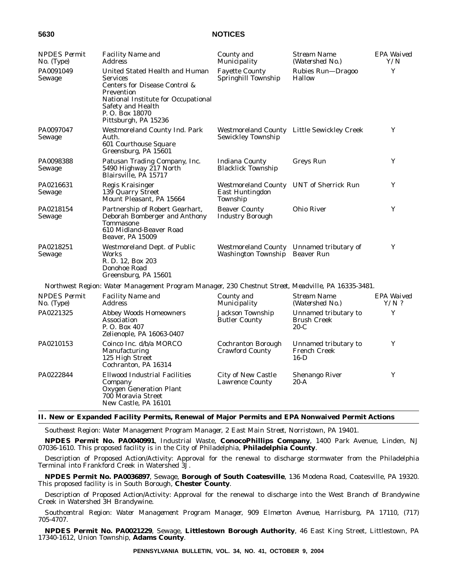| <b>NPDES</b> Permit<br>$No.$ (Type) | <b>Facility Name and</b><br>Address                                                                                                                                                                     | County and<br>Municipality                                                 | Stream Name<br>(Watershed No.)                        | EPA Waived<br>Y/N     |
|-------------------------------------|---------------------------------------------------------------------------------------------------------------------------------------------------------------------------------------------------------|----------------------------------------------------------------------------|-------------------------------------------------------|-----------------------|
| PA0091049<br>Sewage                 | United Stated Health and Human<br><b>Services</b><br>Centers for Disease Control &<br>Prevention<br>National Institute for Occupational<br>Safety and Health<br>P. O. Box 18070<br>Pittsburgh, PA 15236 | <b>Fayette County</b><br>Springhill Township                               | Rubies Run-Dragoo<br><b>Hallow</b>                    | Y                     |
| PA0097047<br>Sewage                 | <b>Westmoreland County Ind. Park</b><br>Auth.<br>601 Courthouse Square<br>Greensburg, PA 15601                                                                                                          | Sewickley Township                                                         | Westmoreland County Little Sewickley Creek            | Y                     |
| PA0098388<br>Sewage                 | Patusan Trading Company, Inc.<br>5490 Highway 217 North<br>Blairsville, PÅ 15717                                                                                                                        | <b>Indiana County</b><br><b>Blacklick Township</b>                         | <b>Greys Run</b>                                      | Y                     |
| PA0216631<br>Sewage                 | Regis Kraisinger<br>139 Quarry Street<br>Mount Pleasant, PA 15664                                                                                                                                       | <b>Westmoreland County</b><br><b>East Huntingdon</b><br>Township           | <b>UNT</b> of Sherrick Run                            | Y                     |
| PA0218154<br>Sewage                 | Partnership of Robert Gearhart,<br>Deborah Bomberger and Anthony<br><b>Tommasone</b><br>610 Midland-Beaver Road<br>Beaver, PA 15009                                                                     | <b>Beaver County</b><br><b>Industry Borough</b>                            | <b>Ohio River</b>                                     | Y                     |
| PA0218251<br>Sewage                 | <b>Westmoreland Dept. of Public</b><br>Works<br>R. D. 12, Box 203<br>Donohoe Road<br>Greensburg, PA 15601                                                                                               | Westmoreland County Unnamed tributary of<br>Washington Township Beaver Run |                                                       | Y                     |
|                                     | Northwest Region: Water Management Program Manager, 230 Chestnut Street, Meadville, PA 16335-3481.                                                                                                      |                                                                            |                                                       |                       |
| <b>NPDES</b> Permit<br>No. (Type)   | <b>Facility Name and</b><br><i>Address</i>                                                                                                                                                              | County and<br>Municipality                                                 | Stream Name<br>(Watershed No.)                        | EPA Waived<br>$Y/N$ ? |
| PA0221325                           | <b>Abbey Woods Homeowners</b><br>Association<br>P. O. Box 407<br>Zelienople, PA 16063-0407                                                                                                              | Jackson Township<br><b>Butler County</b>                                   | Unnamed tributary to<br><b>Brush Creek</b><br>$20-C$  | Y                     |
| PA0210153                           | Coinco Inc. d/b/a MORCO<br><b>Manufacturing</b><br>125 High Street<br>Cochranton, PA 16314                                                                                                              | Cochranton Borough<br><b>Crawford County</b>                               | Unnamed tributary to<br><b>French Creek</b><br>$16-D$ | Y                     |
| PA0222844                           | <b>Ellwood Industrial Facilities</b><br>Company<br><b>Oxygen Generation Plant</b><br>700 Moravia Street<br>New Castle, PA 16101                                                                         | City of New Castle<br><b>Lawrence County</b>                               | <b>Shenango River</b><br>20-A                         | Y                     |

## **II. New or Expanded Facility Permits, Renewal of Major Permits and EPA Nonwaived Permit Actions**

*Southeast Region: Water Management Program Manager, 2 East Main Street, Norristown, PA 19401.*

**NPDES Permit No. PA0040991**, Industrial Waste, **ConocoPhillips Company**, 1400 Park Avenue, Linden, NJ 07036-1610. This proposed facility is in the City of Philadelphia, **Philadelphia County**.

Description of Proposed Action/Activity: Approval for the renewal to discharge stormwater from the Philadelphia Terminal into Frankford Creek in Watershed 3J.

**NPDES Permit No. PA0036897**, Sewage, **Borough of South Coatesville**, 136 Modena Road, Coatesville, PA 19320. This proposed facility is in South Borough, **Chester County**.

Description of Proposed Action/Activity: Approval for the renewal to discharge into the West Branch of Brandywine Creek in Watershed 3H Brandywine.

*Southcentral Region: Water Management Program Manager, 909 Elmerton Avenue, Harrisburg, PA 17110, (717) 705-4707.*

**NPDES Permit No. PA0021229**, Sewage, **Littlestown Borough Authority**, 46 East King Street, Littlestown, PA 17340-1612, Union Township, **Adams County**.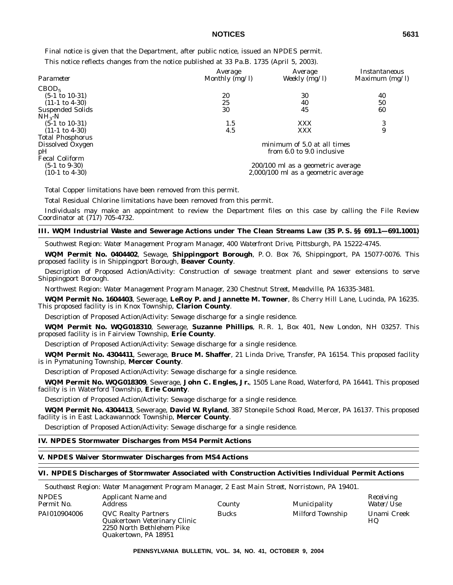Final notice is given that the Department, after public notice, issued an NPDES permit.

This notice reflects changes from the notice published at 33 Pa.B. 1735 (April 5, 2003).

|                           | Average        | Average                             | Instantaneous    |
|---------------------------|----------------|-------------------------------------|------------------|
| Parameter                 | Monthly (mg/l) | Weekly $(mg/l)$                     | Maximum $(mg/l)$ |
| CBOD <sub>5</sub>         |                |                                     |                  |
| $(5-1 \text{ to } 10-31)$ | 20             | 30                                  | 40               |
| $(11-1 \text{ to } 4-30)$ | 25             | 40                                  | 50               |
| Suspended Solids          | 30             | 45                                  | 60               |
| $NH2-N$                   |                |                                     |                  |
| $(5-1 \text{ to } 10-31)$ | 1.5            | <b>XXX</b>                          | 3                |
| $(11-1 \text{ to } 4-30)$ | 4.5            | XXX                                 | 9                |
| <b>Total Phosphorus</b>   |                |                                     |                  |
| Dissolved Oxygen          |                | minimum of 5.0 at all times         |                  |
| pH                        |                | from 6.0 to 9.0 inclusive           |                  |
| <b>Fecal Coliform</b>     |                |                                     |                  |
| $(5-1 \text{ to } 9-30)$  |                | 200/100 ml as a geometric average   |                  |
| $(10-1 \text{ to } 4-30)$ |                | 2,000/100 ml as a geometric average |                  |
|                           |                |                                     |                  |

Total Copper limitations have been removed from this permit.

Total Residual Chlorine limitations have been removed from this permit.

Individuals may make an appointment to review the Department files on this case by calling the File Review Coordinator at (717) 705-4732.

## **III. WQM Industrial Waste and Sewerage Actions under The Clean Streams Law (35 P. S. §§ 691.1—691.1001)**

*Southwest Region: Water Management Program Manager, 400 Waterfront Drive, Pittsburgh, PA 15222-4745.*

**WQM Permit No. 0404402**, Sewage, **Shippingport Borough**, P. O. Box 76, Shippingport, PA 15077-0076. This proposed facility is in Shippingport Borough, **Beaver County**.

Description of Proposed Action/Activity: Construction of sewage treatment plant and sewer extensions to serve Shippingport Borough.

*Northwest Region: Water Management Program Manager, 230 Chestnut Street, Meadville, PA 16335-3481.*

**WQM Permit No. 1604403**, Sewerage, **LeRoy P. and Jannette M. Towner**, 8s Cherry Hill Lane, Lucinda, PA 16235. This proposed facility is in Knox Township, **Clarion County**.

Description of Proposed Action/Activity: Sewage discharge for a single residence.

**WQM Permit No. WQG018310**, Sewerage, **Suzanne Phillips**, R. R. 1, Box 401, New London, NH 03257. This proposed facility is in Fairview Township, **Erie County**.

Description of Proposed Action/Activity: Sewage discharge for a single residence.

**WQM Permit No. 4304411**, Sewerage, **Bruce M. Shaffer**, 21 Linda Drive, Transfer, PA 16154. This proposed facility is in Pymatuning Township, **Mercer County**.

Description of Proposed Action/Activity: Sewage discharge for a single residence.

**WQM Permit No. WQG018309**, Sewerage, **John C. Engles, Jr.**, 1505 Lane Road, Waterford, PA 16441. This proposed facility is in Waterford Township, **Erie County**.

Description of Proposed Action/Activity: Sewage discharge for a single residence.

**WQM Permit No. 4304413**, Sewerage, **David W. Ryland**, 387 Stonepile School Road, Mercer, PA 16137. This proposed facility is in East Lackawannock Township, **Mercer County**.

Description of Proposed Action/Activity: Sewage discharge for a single residence.

# **IV. NPDES Stormwater Discharges from MS4 Permit Actions**

## **V. NPDES Waiver Stormwater Discharges from MS4 Actions**

#### **VI. NPDES Discharges of Stormwater Associated with Construction Activities Individual Permit Actions**

*Southeast Region: Water Management Program Manager, 2 East Main Street, Norristown, PA 19401.*

| <b>NPDES</b><br>Permit No. | Applicant Name and<br>Address                                                                                   | County       | Municipality     | Receiving<br><i>Water/Use</i> |
|----------------------------|-----------------------------------------------------------------------------------------------------------------|--------------|------------------|-------------------------------|
| PAI010904006               | <b>QVC Realty Partners</b><br>Quakertown Veterinary Clinic<br>2250 North Bethlehem Pike<br>Quakertown, PA 18951 | <b>Bucks</b> | Milford Township | Unami Creek<br>HQ             |

**PENNSYLVANIA BULLETIN, VOL. 34, NO. 41, OCTOBER 9, 2004**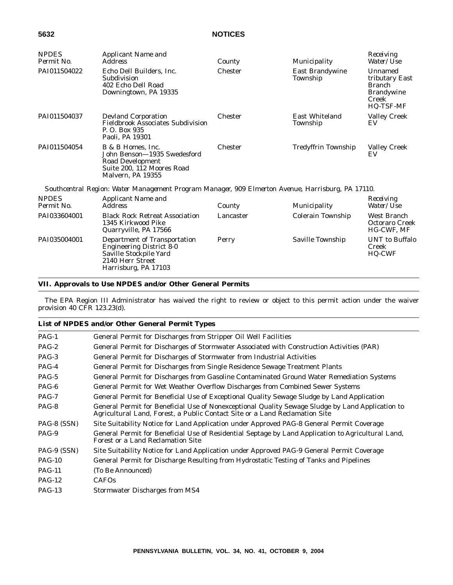| <b>NPDES</b><br>Permit No. | <b>Applicant Name and</b><br><b>Address</b>                                                                                           | County         | Municipality                       | Receiving<br>Water/Use                                                                |
|----------------------------|---------------------------------------------------------------------------------------------------------------------------------------|----------------|------------------------------------|---------------------------------------------------------------------------------------|
| PAI011504022               | Echo Dell Builders, Inc.<br>Subdivision<br>402 Echo Dell Road<br>Downingtown, PA 19335                                                | Chester        | <b>East Brandywine</b><br>Township | Unnamed<br>tributary East<br><b>Branch</b><br><b>Brandywine</b><br>Creek<br>HQ-TSF-MF |
| PAI011504037               | <b>Devland Corporation</b><br><b>Fieldbrook Associates Subdivision</b><br>P. O. Box 935<br>Paoli, PA 19301                            | Chester        | East Whiteland<br>Township         | <b>Valley Creek</b><br>EV                                                             |
| PAI011504054               | B & B Homes, Inc.<br>John Benson-1935 Swedesford<br>Road Development<br>Suite 200, 112 Moores Road<br>Malvern, PA 19355               | <b>Chester</b> | <b>Tredyffrin Township</b>         | <b>Valley Creek</b><br>EV                                                             |
|                            | Southcentral Region: Water Management Program Manager, 909 Elmerton Avenue, Harrisburg, PA 17110.                                     |                |                                    |                                                                                       |
| <b>NPDES</b><br>Permit No. | Applicant Name and<br><b>Address</b>                                                                                                  | County         | Municipality                       | Receiving<br>Water/Use                                                                |
| PAI033604001               | <b>Black Rock Retreat Association</b><br>1345 Kirkwood Pike<br>Quarryville, PA 17566                                                  | Lancaster      | Colerain Township                  | West Branch<br><b>Octoraro Creek</b><br>HG-CWF, MF                                    |
| PAI035004001               | Department of Transportation<br><b>Engineering District 8-0</b><br>Saville Stockpile Yard<br>2140 Herr Street<br>Harrisburg, PA 17103 | Perry          | Saville Township                   | <b>UNT</b> to Buffalo<br>Creek<br>HQ-CWF                                              |

# **VII. Approvals to Use NPDES and/or Other General Permits**

The EPA Region III Administrator has waived the right to review or object to this permit action under the waiver provision 40 CFR 123.23(d).

|             | List of NPDES and/or Other General Permit Types                                                                                                                                 |
|-------------|---------------------------------------------------------------------------------------------------------------------------------------------------------------------------------|
| $PAG-1$     | General Permit for Discharges from Stripper Oil Well Facilities                                                                                                                 |
| $PAG-2$     | General Permit for Discharges of Stormwater Associated with Construction Activities (PAR)                                                                                       |
| $PAG-3$     | General Permit for Discharges of Stormwater from Industrial Activities                                                                                                          |
| $PAG-4$     | General Permit for Discharges from Single Residence Sewage Treatment Plants                                                                                                     |
| PAG-5       | General Permit for Discharges from Gasoline Contaminated Ground Water Remediation Systems                                                                                       |
| $PAG-6$     | General Permit for Wet Weather Overflow Discharges from Combined Sewer Systems                                                                                                  |
| $PAG-7$     | General Permit for Beneficial Use of Exceptional Quality Sewage Sludge by Land Application                                                                                      |
| PAG-8       | General Permit for Beneficial Use of Nonexceptional Quality Sewage Sludge by Land Application to<br>Agricultural Land, Forest, a Public Contact Site or a Land Reclamation Site |
| PAG-8 (SSN) | Site Suitability Notice for Land Application under Approved PAG-8 General Permit Coverage                                                                                       |
| PAG-9       | General Permit for Beneficial Use of Residential Septage by Land Application to Agricultural Land,<br>Forest or a Land Reclamation Site                                         |
| PAG-9 (SSN) | Site Suitability Notice for Land Application under Approved PAG-9 General Permit Coverage                                                                                       |
| $PAG-10$    | General Permit for Discharge Resulting from Hydrostatic Testing of Tanks and Pipelines                                                                                          |
| $PAG-11$    | (To Be Announced)                                                                                                                                                               |
| $PAG-12$    | <b>CAFOs</b>                                                                                                                                                                    |
| $PAG-13$    | <b>Stormwater Discharges from MS4</b>                                                                                                                                           |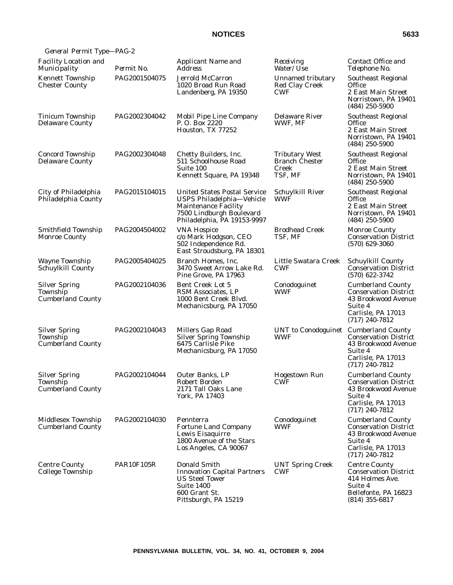| General Permit Type-PAG-2                                    |                   |                                                                                                                                                            |                                                                                                                                                            |                                                                                                                                      |
|--------------------------------------------------------------|-------------------|------------------------------------------------------------------------------------------------------------------------------------------------------------|------------------------------------------------------------------------------------------------------------------------------------------------------------|--------------------------------------------------------------------------------------------------------------------------------------|
| <b>Facility Location and</b><br>Municipality                 | Permit No.        | Applicant Name and<br>Address                                                                                                                              | Receiving<br><i>Water/Use</i>                                                                                                                              | Contact Office and<br>Telephone No.                                                                                                  |
| <b>Kennett Township</b><br><b>Chester County</b>             | PAG2001504075     | <b>Jerrold McCarron</b><br>1020 Broad Run Road<br>Landenberg, PA 19350                                                                                     | <b>Unnamed tributary</b><br>Southeast Regional<br>Office<br>Red Clay Creek<br><b>CWF</b><br>2 East Main Street<br>Norristown, PA 19401<br>$(484)$ 250-5900 |                                                                                                                                      |
| Tinicum Township<br><b>Delaware County</b>                   | PAG2002304042     | Mobil Pipe Line Company<br>P.O. Box 2220<br>Houston, TX 77252                                                                                              | <b>Delaware River</b><br>WWF, MF                                                                                                                           | Southeast Regional<br>Office<br>2 East Main Street<br>Norristown, PA 19401<br>$(484)$ 250-5900                                       |
| <b>Concord Township</b><br><b>Delaware County</b>            | PAG2002304048     | Chetty Builders, Inc.<br>511 Schoolhouse Road<br>Suite 100<br>Kennett Square, PA 19348                                                                     | <b>Tributary West</b><br><b>Branch Chester</b><br>Creek<br>TSF, MF                                                                                         | <b>Southeast Regional</b><br>Office<br>2 East Main Street<br>Norristown, PA 19401<br>$(484)$ 250-5900                                |
| City of Philadelphia<br>Philadelphia County                  | PAG2015104015     | <b>United States Postal Service</b><br>USPS Philadelphia-Vehicle<br><b>Maintenance Facility</b><br>7500 Lindburgh Boulevard<br>Philadelphia, PA 19153-9997 | Schuylkill River<br><b>WWF</b>                                                                                                                             | Southeast Regional<br>Office<br>2 East Main Street<br>Norristown, PA 19401<br>$(484)$ 250-5900                                       |
| Smithfield Township<br><b>Monroe County</b>                  | PAG2004504002     | <b>VNA Hospice</b><br>c/o Mark Hodgson, CEO<br>502 Independence Rd.<br>East Stroudsburg, PA 18301                                                          | <b>Brodhead Creek</b><br>TSF, MF                                                                                                                           | <b>Monroe County</b><br><b>Conservation District</b><br>$(570)$ 629-3060                                                             |
| <b>Wayne Township</b><br>Schuylkill County                   | PAG2005404025     | Branch Homes, Inc.<br>3470 Sweet Arrow Lake Rd.<br>Pine Grove, PA 17963                                                                                    | Little Swatara Creek<br><b>CWF</b>                                                                                                                         | <b>Schuylkill County</b><br><b>Conservation District</b><br>$(570)$ 622-3742                                                         |
| <b>Silver Spring</b><br>Township<br><b>Cumberland County</b> | PAG2002104036     | Bent Creek Lot 5<br>RSM Associates, LP<br>1000 Bent Creek Blvd.<br>Mechanicsburg, PA 17050                                                                 | Conodoguinet<br><b>WWF</b>                                                                                                                                 | <b>Cumberland County</b><br><b>Conservation District</b><br>43 Brookwood Avenue<br>Suite 4<br>Carlisle, PA 17013<br>$(717)$ 240-7812 |
| <b>Silver Spring</b><br>Township<br><b>Cumberland County</b> | PAG2002104043     | <b>Millers Gap Road</b><br><b>Silver Spring Township</b><br>6475 Carlisle Pike<br>Mechanicsburg, PA 17050                                                  | UNT to Conodoguinet Cumberland County<br><b>WWF</b>                                                                                                        | <b>Conservation District</b><br>43 Brookwood Avenue<br>Suite 4<br>Carlisle, PA 17013<br>$(717)$ 240-7812                             |
| <b>Silver Spring</b><br>Township<br><b>Cumberland County</b> | PAG2002104044     | Outer Banks. LP<br>Robert Borden<br>2171 Tall Oaks Lane<br>York, PA 17403                                                                                  | Hogestown Run<br><b>CWF</b>                                                                                                                                | <b>Cumberland County</b><br><b>Conservation District</b><br>43 Brookwood Avenue<br>Suite 4<br>Carlisle, PA 17013<br>$(717)$ 240-7812 |
| Middlesex Township<br><b>Cumberland County</b>               | PAG2002104030     | Pennterra<br><b>Fortune Land Company</b><br>Lewis Eisaquirre<br>1800 Avenue of the Stars<br>Los Angeles, CA 90067                                          | Conodoguinet<br><b>WWF</b>                                                                                                                                 | <b>Cumberland County</b><br><b>Conservation District</b><br>43 Brookwood Avenue<br>Suite 4<br>Carlisle, PA 17013<br>$(717)$ 240-7812 |
| <b>Centre County</b><br>College Township                     | <b>PAR10F105R</b> | Donald Smith<br><b>Innovation Capital Partners</b><br><b>US Steel Tower</b><br><b>Suite 1400</b><br>600 Grant St.<br>Pittsburgh, PA 15219                  | <b>UNT Spring Creek</b><br><b>CWF</b>                                                                                                                      | <b>Centre County</b><br><b>Conservation District</b><br>414 Holmes Ave.<br>Suite 4<br>Bellefonte, PA 16823<br>$(814)$ 355-6817       |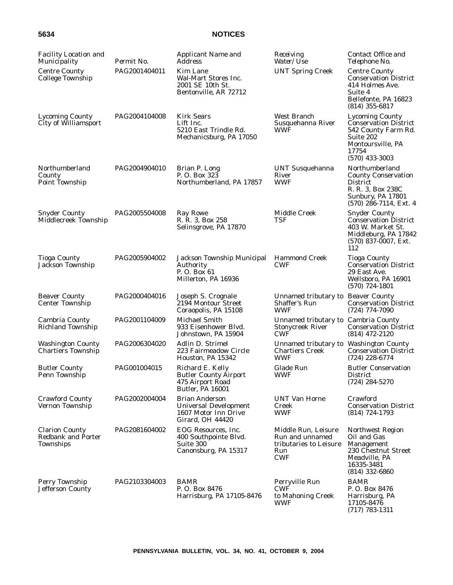| <b>Facility Location and</b><br>Municipality                    | Permit No.    | Applicant Name and<br><b>Address</b>                                                                     | Receiving<br>Water/Use                                                                | Contact Office and<br>Telephone No.                                                                                                          |
|-----------------------------------------------------------------|---------------|----------------------------------------------------------------------------------------------------------|---------------------------------------------------------------------------------------|----------------------------------------------------------------------------------------------------------------------------------------------|
| <b>Centre County</b><br><b>College Township</b>                 | PAG2001404011 | Kim Lane<br>Wal-Mart Stores Inc.<br>2001 SE 10th St.<br>Bentonville, AR 72712                            | <b>UNT Spring Creek</b>                                                               | <b>Centre County</b><br><b>Conservation District</b><br>414 Holmes Ave.<br>Suite 4<br>Bellefonte, PA 16823<br>$(814)$ 355-6817               |
| <b>Lycoming County</b><br>City of Williamsport                  | PAG2004104008 | <b>Kirk Sears</b><br>Lift Inc.<br>5210 East Trindle Rd.<br>Mechanicsburg, PA 17050                       | West Branch<br>Susquehanna River<br><b>WWF</b>                                        | <b>Lycoming County</b><br><b>Conservation District</b><br>542 County Farm Rd.<br>Suite 202<br>Montoursville, PA<br>17754<br>$(570)$ 433-3003 |
| Northumberland<br>County<br>Point Township                      | PAG2004904010 | Brian P. Long<br>P.O. Box 323<br>Northumberland, PA 17857                                                | <b>UNT Susquehanna</b><br>River<br><b>WWF</b>                                         | Northumberland<br><b>County Conservation</b><br><b>District</b><br>R. R. 3, Box 238C<br>Sunbury, PA 17801<br>$(570)$ 286-7114, Ext. 4        |
| <b>Snyder County</b><br>Middlecreek Township                    | PAG2005504008 | <b>Ray Rowe</b><br>R. R. 3, Box 258<br>Selinsgrove, PA 17870                                             | <b>Middle Creek</b><br>TSF                                                            | <b>Snyder County</b><br><b>Conservation District</b><br>403 W. Market St.<br>Middleburg, PA 17842<br>$(570)$ 837-0007, Ext.<br>112           |
| <b>Tioga County</b><br>Jackson Township                         | PAG2005904002 | Jackson Township Municipal<br>Authority<br>P.O. Box 61<br>Millerton, PA 16936                            | <b>Hammond Creek</b><br><b>CWF</b>                                                    | <b>Tioga County</b><br><b>Conservation District</b><br>29 East Ave.<br>Wellsboro, PA 16901<br>$(570)$ 724-1801                               |
| <b>Beaver County</b><br><b>Center Township</b>                  | PAG2000404016 | Joseph S. Crognale<br>2194 Montour Street<br>Coraopolis, PA 15108                                        | Unnamed tributary to Beaver County<br>Shaffer's Run<br>WWF                            | <b>Conservation District</b><br>$(724)$ 774-7090                                                                                             |
| Cambria County<br><b>Richland Township</b>                      | PAG2001104009 | Michael Smith<br>933 Eisenhower Blvd.<br>Johnstown, PA 15904                                             | Unnamed tributary to Cambria County<br><b>Stonycreek River</b><br><b>CWF</b>          | <b>Conservation District</b><br>$(814)$ 472-2120                                                                                             |
| <b>Washington County</b><br><b>Chartiers Township</b>           | PAG2006304020 | <b>Adlin D. Strimel</b><br>223 Fairmeadow Circle<br>Houston, PA 15342                                    | Unnamed tributary to Washington County<br><b>Chartiers Creek</b><br><b>WWF</b>        | <b>Conservation District</b><br>$(724)$ 228-6774                                                                                             |
| <b>Butler County</b><br>Penn Township                           | PAG001004015  | Richard E. Kelly<br><b>Butler County Airport</b><br>475 Airport Road<br><b>Butler, PA 16001</b>          | Glade Run<br><b>WWF</b>                                                               | <b>Butler Conservation</b><br><b>District</b><br>$(724)$ 284-5270                                                                            |
| <b>Crawford County</b><br>Vernon Township                       | PAG2002004004 | <b>Brian Anderson</b><br><b>Universal Development</b><br>1607 Motor Inn Drive<br><b>Girard. OH 44420</b> | <b>UNT Van Horne</b><br>Creek<br><b>WWF</b>                                           | Crawford<br><b>Conservation District</b><br>$(814)$ 724-1793                                                                                 |
| <b>Clarion County</b><br><b>Redbank and Porter</b><br>Townships | PAG2081604002 | EOG Resources, Inc.<br>400 Southpointe Blvd.<br>Suite 300<br>Canonsburg, PA 15317                        | Middle Run, Leisure<br>Run and unnamed<br>tributaries to Leisure<br>Run<br><b>CWF</b> | Northwest Region<br>Oil and Gas<br>Management<br>230 Chestnut Street<br>Meadville, PA<br>16335-3481<br>$(814)$ 332-6860                      |
| Perry Township<br><b>Jefferson County</b>                       | PAG2103304003 | <b>BAMR</b><br>P.O. Box 8476<br>Harrisburg, PA 17105-8476                                                | Perryville Run<br><b>CWF</b><br>to Mahoning Creek<br><b>WWF</b>                       | <b>BAMR</b><br>P.O. Box 8476<br>Harrisburg, PA<br>17105-8476<br>$(717) 783 - 1311$                                                           |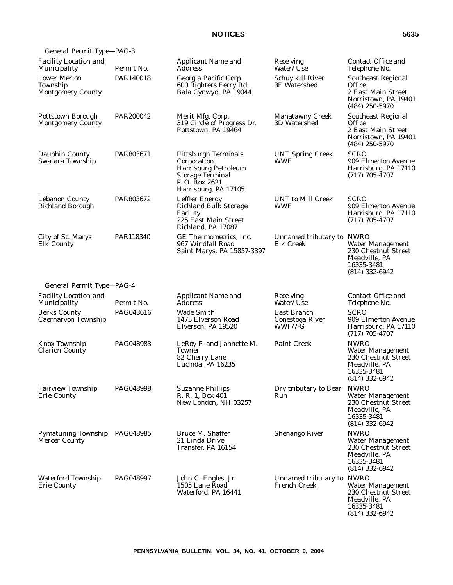| General Permit Type-PAG-3                                   |                  |                                                                                                                                               |                                             |                                                                                                                  |
|-------------------------------------------------------------|------------------|-----------------------------------------------------------------------------------------------------------------------------------------------|---------------------------------------------|------------------------------------------------------------------------------------------------------------------|
| <b>Facility Location and</b><br>Municipality                | Permit No.       | Applicant Name and<br>Address                                                                                                                 | Receiving<br>Water/Use                      | Contact Office and<br>Telephone No.                                                                              |
| <b>Lower Merion</b><br>Township<br><b>Montgomery County</b> | PAR140018        | Georgia Pacific Corp.<br>600 Righters Ferry Rd.<br>Bala Cynwyd, PA 19044                                                                      | Schuylkill River<br>3F Watershed            | <b>Southeast Regional</b><br>Office<br>2 East Main Street<br>Norristown, PA 19401<br>$(484)$ 250-5970            |
| Pottstown Borough<br><b>Montgomery County</b>               | PAR200042        | Merit Mfg. Corp.<br>319 Circle of Progress Dr.<br>Pottstown, PA 19464                                                                         | <b>Manatawny Creek</b><br>3D Watershed      | <b>Southeast Regional</b><br>Office<br>2 East Main Street<br>Norristown, PA 19401<br>$(484)$ 250-5970            |
| Dauphin County<br>Swatara Township                          | PAR803671        | <b>Pittsburgh Terminals</b><br>Corporation<br><b>Harrisburg Petroleum</b><br><b>Storage Terminal</b><br>P.O. Box 2621<br>Harrisburg, PA 17105 | <b>UNT Spring Creek</b><br>WWF              | <b>SCRO</b><br>909 Elmerton Avenue<br>Harrisburg, PA 17110<br>$(717)$ 705-4707                                   |
| <b>Lebanon County</b><br><b>Richland Borough</b>            | PAR803672        | <b>Leffler Energy</b><br><b>Richland Bulk Storage</b><br>Facility<br>225 East Main Street<br>Richland, PA 17087                               | <b>UNT</b> to Mill Creek<br>WWF             | <b>SCRO</b><br>909 Elmerton Avenue<br>Harrisburg, PA 17110<br>$(717)$ 705-4707                                   |
| City of St. Marys<br><b>Elk County</b>                      | PAR118340        | GE Thermometrics, Inc.<br>967 Windfall Road<br>Saint Marys, PA 15857-3397                                                                     | Unnamed tributary to NWRO<br>Elk Creek      | <b>Water Management</b><br>230 Chestnut Street<br>Meadville, PA<br>16335-3481<br>$(814)$ 332-6942                |
| General Permit Type-PAG-4                                   |                  |                                                                                                                                               |                                             |                                                                                                                  |
| <b>Facility Location and</b><br>Municipality                | Permit No.       | Applicant Name and<br><b>Address</b>                                                                                                          | Receiving<br>Water/ <i>Use</i>              | Contact Office and<br>Telephone No.                                                                              |
| <b>Berks County</b><br>Caernarvon Township                  | PAG043616        | <b>Wade Smith</b><br>1475 Elverson Road<br>Elverson, PA 19520                                                                                 | East Branch<br>Conestoga River<br>$WWF/7-G$ | <b>SCRO</b><br>909 Elmerton Avenue<br>Harrisburg, PA 17110<br>$(717) 705 - 4707$                                 |
| Knox Township<br><b>Clarion County</b>                      | PAG048983        | LeRoy P. and Jannette M.<br><b>Towner</b><br>82 Cherry Lane<br>Lucinda, PA 16235                                                              | Paint Creek                                 | <b>NWRO</b><br><b>Water Management</b><br>230 Chestnut Street<br>Meadville, PA<br>16335-3481<br>(814) 332-6942   |
| <b>Fairview Township</b><br><b>Erie County</b>              | <b>PAG048998</b> | <b>Suzanne Phillips</b><br>R. R. 1, Box 401<br>New London, NH 03257                                                                           | Dry tributary to Bear<br>Run                | <b>NWRO</b><br><b>Water Management</b><br>230 Chestnut Street<br>Meadville, PA<br>16335-3481<br>$(814)$ 332-6942 |
| Pymatuning Township PAG048985<br><b>Mercer County</b>       |                  | Bruce M. Shaffer<br>21 Linda Drive<br>Transfer, PA 16154                                                                                      | <b>Shenango River</b>                       | <b>NWRO</b><br><b>Water Management</b><br>230 Chestnut Street<br>Meadville, PA<br>16335-3481<br>$(814)$ 332-6942 |
| <b>Waterford Township</b><br><b>Erie County</b>             | PAG048997        | John C. Engles, Jr.<br>1505 Lane Road<br>Waterford, PA 16441                                                                                  | Unnamed tributary to NWRO<br>French Creek   | <b>Water Management</b><br>230 Chestnut Street<br>Meadville, PA<br>16335-3481<br>(814) 332-6942                  |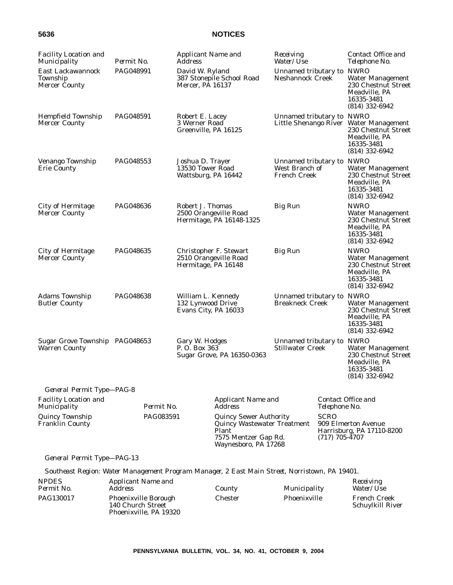| <b>Facility Location and</b><br>Municipality           | Permit No. | Applicant Name and<br><b>Address</b>                                                                                         |                                             | Receiving<br>Water/Use                                             |                                                                                                           | Contact Office and<br>Telephone No.                                                                              |
|--------------------------------------------------------|------------|------------------------------------------------------------------------------------------------------------------------------|---------------------------------------------|--------------------------------------------------------------------|-----------------------------------------------------------------------------------------------------------|------------------------------------------------------------------------------------------------------------------|
| East Lackawannock<br>Township<br>Mercer County         | PAG048991  | David W. Ryland<br>387 Stonepile School Road<br><b>Mercer, PA 16137</b>                                                      |                                             | Unnamed tributary to NWRO<br><b>Neshannock Creek</b>               |                                                                                                           | <b>Water Management</b><br>230 Chestnut Street<br>Meadville, PA<br>16335-3481<br>$(814)$ 332-6942                |
| <b>Hempfield Township</b><br><b>Mercer County</b>      | PAG048591  | Robert E. Lacey<br>3 Werner Road<br>Greenville, PA 16125                                                                     |                                             | Unnamed tributary to NWRO<br>Little Shenango River                 |                                                                                                           | <b>Water Management</b><br>230 Chestnut Street<br>Meadville, PA<br>16335-3481<br>$(814)$ 332-6942                |
| Venango Township<br><b>Erie County</b>                 | PAG048553  | Joshua D. Trayer<br>13530 Tower Road<br>Wattsburg, PA 16442                                                                  |                                             | Unnamed tributary to NWRO<br>West Branch of<br><b>French Creek</b> |                                                                                                           | <b>Water Management</b><br>230 Chestnut Street<br>Meadville, PA<br>16335-3481<br>$(814)$ 332-6942                |
| <b>City of Hermitage</b><br><b>Mercer County</b>       | PAG048636  | Robert J. Thomas<br><b>Big Run</b><br>2500 Orangeville Road<br>Hermitage, PA 16148-1325                                      |                                             |                                                                    | <b>NWRO</b><br>Water Management<br>230 Chestnut Street<br>Meadville, PA<br>16335-3481<br>$(814)$ 332-6942 |                                                                                                                  |
| <b>City of Hermitage</b><br><b>Mercer County</b>       | PAG048635  | 2510 Orangeville Road<br>Hermitage, PA 16148                                                                                 | Christopher F. Stewart                      | <b>Big Run</b>                                                     |                                                                                                           | <b>NWRO</b><br><b>Water Management</b><br>230 Chestnut Street<br>Meadville, PA<br>16335-3481<br>$(814)$ 332-6942 |
| <b>Adams Township</b><br><b>Butler County</b>          | PAG048638  | William L. Kennedy<br>132 Lynwood Drive<br>Evans City, PA 16033                                                              |                                             | Unnamed tributary to NWRO<br><b>Breakneck Creek</b>                |                                                                                                           | <b>Water Management</b><br>230 Chestnut Street<br>Meadville, PA<br>16335-3481<br>$(814)$ 332-6942                |
| Sugar Grove Township PAG048653<br><b>Warren County</b> |            | Gary W. Hodges<br>P.O. Box 363<br>Sugar Grove, PA 16350-0363                                                                 |                                             | Unnamed tributary to NWRO<br><b>Stillwater Creek</b>               |                                                                                                           | <b>Water Management</b><br>230 Chestnut Street<br>Meadville, PA<br>16335-3481<br>$(814)$ 332-6942                |
| General Permit Type-PAG-8                              |            |                                                                                                                              |                                             |                                                                    |                                                                                                           |                                                                                                                  |
| <b>Facility Location and</b><br>Municipality           | Permit No. |                                                                                                                              | <b>Applicant Name and</b><br><i>Address</i> |                                                                    | Telephone No.                                                                                             | Contact Office and                                                                                               |
| Quincy Township<br><b>Franklin County</b>              | PAG083591  | <b>Quincy Sewer Authority</b><br><b>Quincy Wastewater Treatment</b><br>Plant<br>7575 Mentzer Gap Rd.<br>Waynesboro, PA 17268 |                                             |                                                                    | <b>SCRO</b><br>$(717)$ 705-4707                                                                           | 909 Elmerton Avenue<br>Harrisburg, PA 17110-8200                                                                 |
| General Permit Type-PAG-13                             |            |                                                                                                                              |                                             |                                                                    |                                                                                                           |                                                                                                                  |

*Southeast Region: Water Management Program Manager, 2 East Main Street, Norristown, PA 19401.*

| <b>NPDES</b><br>Permit No. | Applicant Name and<br>Address                                              | County  | Municipality | Receiving<br><i>Water/Use</i>           |
|----------------------------|----------------------------------------------------------------------------|---------|--------------|-----------------------------------------|
| PAG130017                  | <b>Phoenixville Borough</b><br>140 Church Street<br>Phoenixville, PA 19320 | Chester | Phoenixville | <b>French Creek</b><br>Schuylkill River |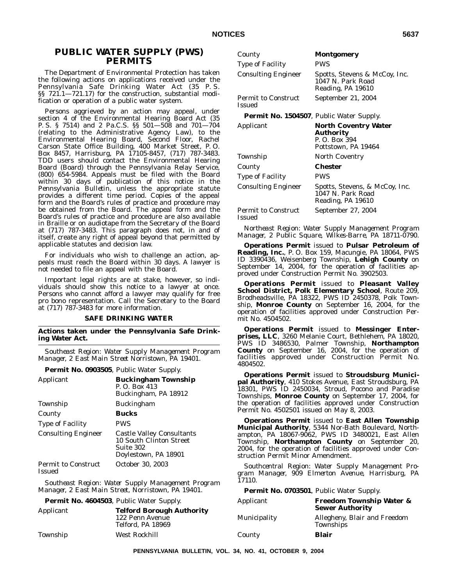# **PUBLIC WATER SUPPLY (PWS) PERMITS**

The Department of Environmental Protection has taken the following actions on applications received under the Pennsylvania Safe Drinking Water Act (35 P. S. §§ 721.1—721.17) for the construction, substantial modification or operation of a public water system.

Persons aggrieved by an action may appeal, under section 4 of the Environmental Hearing Board Act (35 P. S. § 7514) and 2 Pa.C.S. §§ 501—508 and 701—704 (relating to the Administrative Agency Law), to the Environmental Hearing Board, Second Floor, Rachel Carson State Office Building, 400 Market Street, P. O. Box 8457, Harrisburg, PA 17105-8457, (717) 787-3483. TDD users should contact the Environmental Hearing Board (Board) through the Pennsylvania Relay Service, (800) 654-5984. Appeals must be filed with the Board within 30 days of publication of this notice in the *Pennsylvania Bulletin*, unless the appropriate statute provides a different time period. Copies of the appeal form and the Board's rules of practice and procedure may be obtained from the Board. The appeal form and the Board's rules of practice and procedure are also available in Braille or on audiotape from the Secretary of the Board at (717) 787-3483. This paragraph does not, in and of itself, create any right of appeal beyond that permitted by applicable statutes and decision law.

For individuals who wish to challenge an action, appeals must reach the Board within 30 days. A lawyer is not needed to file an appeal with the Board.

Important legal rights are at stake, however, so individuals should show this notice to a lawyer at once. Persons who cannot afford a lawyer may qualify for free pro bono representation. Call the Secretary to the Board at (717) 787-3483 for more information.

## **SAFE DRINKING WATER**

**Actions taken under the Pennsylvania Safe Drinking Water Act.**

*Southeast Region: Water Supply Management Program Manager, 2 East Main Street Norristown, PA 19401.*

**Permit No. 0903505**, Public Water Supply.

| Applicant                                   | <b>Buckingham Township</b><br>P. O. Box 413<br>Buckingham, PA 18912                              |
|---------------------------------------------|--------------------------------------------------------------------------------------------------|
| Township                                    | Buckingham                                                                                       |
| County                                      | Bucks                                                                                            |
| <b>Type of Facility</b>                     | <b>PWS</b>                                                                                       |
| <b>Consulting Engineer</b>                  | <b>Castle Valley Consultants</b><br>10 South Clinton Street<br>Suite 302<br>Doylestown, PA 18901 |
| <b>Permit to Construct</b><br><b>Issued</b> | October 30, 2003                                                                                 |

*Southeast Region: Water Supply Management Program Manager, 2 East Main Street, Norristown, PA 19401.*

**Permit No. 4604503**, Public Water Supply.

| Applicant | <b>Telford Borough Authority</b><br>122 Penn Avenue<br>Telford, PA 18969 |
|-----------|--------------------------------------------------------------------------|
| Township  | West Rockhill                                                            |

| County                                           | Montgomery                                                                       |
|--------------------------------------------------|----------------------------------------------------------------------------------|
| <b>Type of Facility</b>                          | <b>PWS</b>                                                                       |
| <b>Consulting Engineer</b>                       | Spotts, Stevens & McCoy, Inc.<br>1047 N. Park Road<br>Reading, PA 19610          |
| <b>Permit to Construct</b><br>Issued             | September 21, 2004                                                               |
| <b>Permit No. 1504507</b> , Public Water Supply. |                                                                                  |
| Applicant                                        | <b>North Coventry Water</b><br>Authority<br>P. O. Box 394<br>Pottstown, PA 19464 |
| Township                                         | <b>North Coventry</b>                                                            |
| County                                           | Chester                                                                          |
| <b>Type of Facility</b>                          | PWS                                                                              |
| <b>Consulting Engineer</b>                       | Spotts, Stevens, & McCoy, Inc.<br>1047 N. Park Road<br>Reading, PA 19610         |
| <b>Permit to Construct</b><br>Issued             | September 27, 2004                                                               |

*Northeast Region: Water Supply Management Program Manager, 2 Public Square, Wilkes-Barre, PA 18711-0790.*

**Operations Permit** issued to **Pulsar Petroleum of Reading, Inc.**, P. O. Box 159, Macungie, PA 18064, PWS ID 3390436, Weisenberg Township, **Lehigh County** on September 14, 2004, for the operation of facilities approved under Construction Permit No. 3902503.

**Operations Permit** issued to **Pleasant Valley School District, Polk Elementary School**, Route 209, Brodheadsville, PA 18322, PWS ID 2450378, Polk Township, **Monroe County** on September 16, 2004, for the operation of facilities approved under Construction Permit No. 4504502.

**Operations Permit** issued to **Messinger Enterprises, LLC**, 3260 Melanie Court, Bethlehem, PA 18020, PWS ID 3486530, Palmer Township, **Northampton County** on September 16, 2004, for the operation of facilities approved under Construction Permit No. 4804502.

**Operations Permit** issued to **Stroudsburg Municipal Authority**, 410 Stokes Avenue, East Stroudsburg, PA 18301, PWS ID 2450034, Stroud, Pocono and Paradise Townships, **Monroe County** on September 17, 2004, for the operation of facilities approved under Construction Permit No. 4502501 issued on May 8, 2003.

**Operations Permit** issued to **East Allen Township Municipal Authority**, 5344 Nor-Bath Boulevard, Northampton, PA 18067-9062, PWS ID 3480021, East Allen Township, **Northampton County** on September 20, 2004, for the operation of facilities approved under Construction Permit Minor Amendment.

*Southcentral Region: Water Supply Management Program Manager, 909 Elmerton Avenue, Harrisburg, PA 17110.*

| <b>Permit No. 0703501</b> , Public Water Supply. |                                                               |
|--------------------------------------------------|---------------------------------------------------------------|
| Applicant                                        | <b>Freedom Township Water &amp;</b><br><b>Sewer Authority</b> |
| Municipality                                     | Allegheny, Blair and Freedom<br>Townships                     |
| County                                           | Blair                                                         |

**PENNSYLVANIA BULLETIN, VOL. 34, NO. 41, OCTOBER 9, 2004**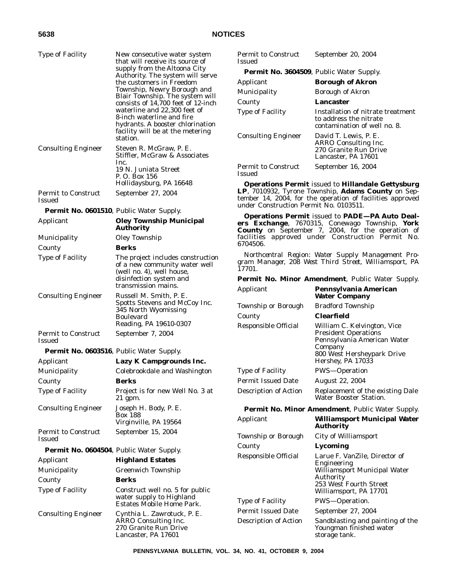| <b>Type of Facility</b>                          | New consecutive water system<br>that will receive its source of                                          | <b>Permit to Construct</b><br><b>Issued</b>                                                                                                               | September 20, 2004                                                                                                                                                  |
|--------------------------------------------------|----------------------------------------------------------------------------------------------------------|-----------------------------------------------------------------------------------------------------------------------------------------------------------|---------------------------------------------------------------------------------------------------------------------------------------------------------------------|
|                                                  | supply from the Altoona City<br>Authority. The system will serve                                         | <b>Permit No. 3604509</b> , Public Water Supply.                                                                                                          |                                                                                                                                                                     |
|                                                  | the customers in Freedom                                                                                 | Applicant                                                                                                                                                 | <b>Borough of Akron</b>                                                                                                                                             |
|                                                  | Township, Newry Borough and                                                                              | Municipality                                                                                                                                              | <b>Borough of Akron</b>                                                                                                                                             |
|                                                  | Blair Township. The system will<br>consists of 14,700 feet of 12-inch                                    | County                                                                                                                                                    | <b>Lancaster</b>                                                                                                                                                    |
|                                                  | waterline and 22,300 feet of<br>8-inch waterline and fire<br>hydrants. A booster chlorination            | <b>Type of Facility</b>                                                                                                                                   | Installation of nitrate treatment<br>to address the nitrate<br>contamination of well no. 8.                                                                         |
| <b>Consulting Engineer</b>                       | facility will be at the metering<br>station.<br>Steven R. McGraw, P. E.<br>Stiffler, McGraw & Associates | <b>Consulting Engineer</b>                                                                                                                                | David T. Lewis, P. E.<br>ARRO Consulting Inc.<br>270 Granite Run Drive<br>Lancaster, PA 17601                                                                       |
|                                                  | Inc.<br>19 N. Juniata Street<br>P. O. Box 156                                                            | Permit to Construct<br><b>Issued</b>                                                                                                                      | September 16, 2004                                                                                                                                                  |
|                                                  | Hollidaysburg, PA 16648                                                                                  |                                                                                                                                                           | <b>Operations Permit issued to Hillandale Gettysburg</b>                                                                                                            |
| Permit to Construct<br><b>Issued</b>             | September 27, 2004                                                                                       | LP, 7010932, Tyrone Township, Adams County on Sep-<br>tember 14, 2004, for the operation of facilities approved<br>under Construction Permit No. 0103511. |                                                                                                                                                                     |
| <b>Permit No. 0601510</b> , Public Water Supply. |                                                                                                          |                                                                                                                                                           |                                                                                                                                                                     |
| Applicant                                        | <b>Oley Township Municipal</b><br><b>Authority</b>                                                       |                                                                                                                                                           | <b>Operations Permit issued to PADE-PA Auto Deal-</b><br>ers Exchange, 7670315, Conewago Township, York<br><b>County</b> on September 7, 2004, for the operation of |
| Municipality                                     | Oley Township                                                                                            |                                                                                                                                                           | facilities approved under Construction Permit No.                                                                                                                   |
| County                                           | <b>Berks</b>                                                                                             | 6704506.                                                                                                                                                  |                                                                                                                                                                     |
| <b>Type of Facility</b>                          | The project includes construction<br>of a new community water well<br>(well no. 4), well house,          | Northcentral Region: Water Supply Management Pro-<br>gram Manager, 208 West Third Street, Williamsport, PA<br>17701.                                      |                                                                                                                                                                     |
|                                                  | disinfection system and                                                                                  |                                                                                                                                                           | <b>Permit No. Minor Amendment, Public Water Supply.</b>                                                                                                             |
|                                                  | transmission mains.                                                                                      | Applicant                                                                                                                                                 | Pennsylvania American                                                                                                                                               |
| <b>Consulting Engineer</b>                       | Russell M. Smith, P. E.<br>Spotts Stevens and McCoy Inc.                                                 |                                                                                                                                                           | <b>Water Company</b>                                                                                                                                                |
|                                                  | 345 North Wyomissing                                                                                     | Township or Borough                                                                                                                                       | <b>Bradford Township</b><br><b>Clearfield</b>                                                                                                                       |
|                                                  | <b>Boulevard</b><br>Reading, PA 19610-0307                                                               | County                                                                                                                                                    |                                                                                                                                                                     |
| Permit to Construct<br><b>Issued</b>             | September 7, 2004                                                                                        | Responsible Official                                                                                                                                      | William C. Kelvington, Vice<br><b>President Operations</b><br>Pennsylvania American Water                                                                           |
| <b>Permit No. 0603516, Public Water Supply.</b>  |                                                                                                          |                                                                                                                                                           | Company<br>800 West Hersheypark Drive                                                                                                                               |
| Applicant                                        | Lazy K Campgrounds Inc.                                                                                  |                                                                                                                                                           | Hershey, PA 17033                                                                                                                                                   |
| Municipality                                     | Colebrookdale and Washington                                                                             | <b>Type of Facility</b>                                                                                                                                   | PWS-Operation                                                                                                                                                       |
| County                                           | <b>Berks</b>                                                                                             | <b>Permit Issued Date</b>                                                                                                                                 | August 22, 2004                                                                                                                                                     |
| <b>Type of Facility</b>                          | Project is for new Well No. 3 at<br>21 gpm.                                                              | <b>Description of Action</b>                                                                                                                              | Replacement of the existing Dale<br>Water Booster Station.                                                                                                          |
| <b>Consulting Engineer</b>                       | Joseph H. Body, P. E.                                                                                    |                                                                                                                                                           | Permit No. Minor Amendment, Public Water Supply.                                                                                                                    |
|                                                  | <b>Box 188</b><br>Virginville, PA 19564                                                                  | Applicant                                                                                                                                                 | <b>Williamsport Municipal Water</b><br><b>Authority</b>                                                                                                             |
| <b>Permit to Construct</b><br><b>Issued</b>      | September 15, 2004                                                                                       | <b>Township or Borough</b>                                                                                                                                | <b>City of Williamsport</b>                                                                                                                                         |
| <b>Permit No. 0604504, Public Water Supply.</b>  |                                                                                                          | County                                                                                                                                                    | Lycoming                                                                                                                                                            |
| Applicant                                        | <b>Highland Estates</b>                                                                                  | Responsible Official                                                                                                                                      | Larue F. VanZile, Director of                                                                                                                                       |
| Municipality                                     | Greenwich Township                                                                                       |                                                                                                                                                           | Engineering<br>Williamsport Municipal Water                                                                                                                         |
| County<br><b>Type of Facility</b>                | <b>Berks</b>                                                                                             |                                                                                                                                                           | <b>Authority</b><br>253 West Fourth Street                                                                                                                          |
|                                                  | Construct well no. 5 for public<br>water supply to Highland                                              |                                                                                                                                                           | Williamsport, PA 17701                                                                                                                                              |
|                                                  | <b>Estates Mobile Home Park.</b>                                                                         | <b>Type of Facility</b>                                                                                                                                   | PWS-Operation.                                                                                                                                                      |
| <b>Consulting Engineer</b>                       | Cynthia L. Zawrotuck, P. E.                                                                              | <b>Permit Issued Date</b>                                                                                                                                 | September 27, 2004                                                                                                                                                  |
|                                                  | ARRO Consulting Inc.<br>270 Granite Run Drive<br>Lancaster, PA 17601                                     | <b>Description of Action</b>                                                                                                                              | Sandblasting and painting of the<br>Youngman finished water<br>storage tank.                                                                                        |

**PENNSYLVANIA BULLETIN, VOL. 34, NO. 41, OCTOBER 9, 2004**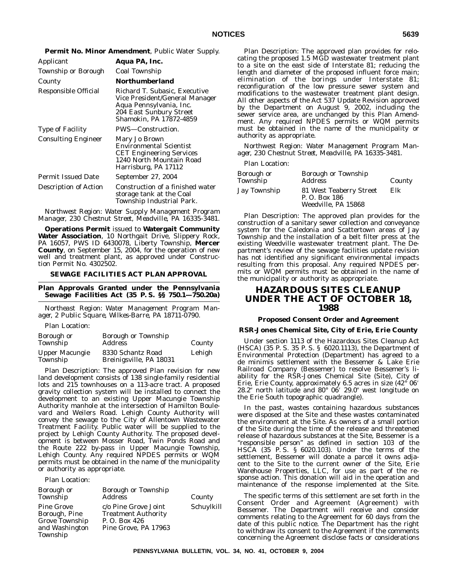| Applicant                    | Aqua PA, Inc.                                                                                                                                    |
|------------------------------|--------------------------------------------------------------------------------------------------------------------------------------------------|
| Township or Borough          | Coal Township                                                                                                                                    |
| County                       | Northumberland                                                                                                                                   |
| Responsible Official         | Richard T. Subasic, Executive<br>Vice President/General Manager<br>Aqua Pennsylvania, Inc.<br>204 East Sunbury Street<br>Shamokin. PA 17872-4859 |
| <b>Type of Facility</b>      | PWS-Construction.                                                                                                                                |
| <b>Consulting Engineer</b>   | Mary Jo Brown<br><b>Environmental Scientist</b><br><b>CET Engineering Services</b><br>1240 North Mountain Road<br>Harrisburg, PA 17112           |
| <b>Permit Issued Date</b>    | September 27, 2004                                                                                                                               |
| <b>Description of Action</b> | Construction of a finished water<br>storage tank at the Coal<br>Township Industrial Park.                                                        |

**Permit No. Minor Amendment**, Public Water Supply.

*Northwest Region: Water Supply Management Program Manager, 230 Chestnut Street, Meadville, PA 16335-3481.*

**Operations Permit** issued to **Watergait Community Water Association**, 10 Northgait Drive, Slippery Rock, PA 16057, PWS ID 6430078, Liberty Township, **Mercer County**, on September 15, 2004, for the operation of new well and treatment plant, as approved under Construction Permit No. 4302502.

#### **SEWAGE FACILITIES ACT PLAN APPROVAL**

**Plan Approvals Granted under the Pennsylvania Sewage Facilities Act (35 P. S. §§ 750.1—750.20a)**

*Northeast Region: Water Management Program Manager, 2 Public Square, Wilkes-Barre, PA 18711-0790.*

Plan Location:

| Borough or<br>Township            | <b>Borough or Township</b><br><b>Address</b> | County |
|-----------------------------------|----------------------------------------------|--------|
| <b>Upper Macungie</b><br>Township | 8330 Schantz Road<br>Breinigsville, PA 18031 | Lehigh |

Plan Description: The approved Plan revision for new land development consists of 138 single-family residential lots and 215 townhouses on a 113-acre tract. A proposed gravity collection system will be installed to connect the development to an existing Upper Macungie Township Authority manhole at the intersection of Hamilton Boulevard and Weilers Road. Lehigh County Authority will convey the sewage to the City of Allentown Wastewater Treatment Facility. Public water will be supplied to the project by Lehigh County Authority. The proposed development is between Mosser Road, Twin Ponds Road and the Route 222 by-pass in Upper Macungie Township, Lehigh County. Any required NPDES permits or WQM permits must be obtained in the name of the municipality or authority as appropriate.

Plan Location:

| <b>Borough or</b><br>Township                                                      | Borough or Township<br><b>Address</b>                                                      | County     |
|------------------------------------------------------------------------------------|--------------------------------------------------------------------------------------------|------------|
| <b>Pine Grove</b><br>Borough, Pine<br>Grove Township<br>and Washington<br>Township | c/o Pine Grove Joint<br><b>Treatment Authority</b><br>P.O. Box 426<br>Pine Grove, PA 17963 | Schuylkill |

Plan Description: The approved plan provides for relocating the proposed 1.5 MGD wastewater treatment plant to a site on the east side of Interstate 81; reducing the length and diameter of the proposed influent force main; elimination of the borings under Interstate 81; reconfiguration of the low pressure sewer system and modifications to the wastewater treatment plant design. All other aspects of the Act 537 Update Revision approved by the Department on August 9, 2002, including the sewer service area, are unchanged by this Plan Amendment. Any required NPDES permits or WQM permits must be obtained in the name of the municipality or authority as appropriate.

*Northwest Region: Water Management Program Manager, 230 Chestnut Street, Meadville, PA 16335-3481.*

### Plan Location:

| Borough or<br>Township | <b>Borough or Township</b><br><i>Address</i>                    | County |
|------------------------|-----------------------------------------------------------------|--------|
| Jay Township           | 81 West Teaberry Street<br>P. O. Box 186<br>Weedville. PA 15868 | Elk    |

Plan Description: The approved plan provides for the construction of a sanitary sewer collection and conveyance system for the Caledonia and Scattertown areas of Jay Township and the installation of a belt filter press at the existing Weedville wastewater treatment plant. The Department's review of the sewage facilities update revision has not identified any significant environmental impacts resulting from this proposal. Any required NPDES permits or WQM permits must be obtained in the name of the municipality or authority as appropriate.

# **HAZARDOUS SITES CLEANUP UNDER THE ACT OF OCTOBER 18, 1988**

## **Proposed Consent Order and Agreement**

#### **RSR-Jones Chemical Site, City of Erie, Erie County**

Under section 1113 of the Hazardous Sites Cleanup Act (HSCA) (35 P. S. 35 P. S. § 6020.1113), the Department of Environmental Protection (Department) has agreed to a de minimis settlement with the Bessemer & Lake Erie Railroad Company (Bessemer) to resolve Bessemer's liability for the RSR-Jones Chemical Site (Site), City of Erie, Erie County, approximately 6.5 acres in size (42° 06- 28.2" north latitude and 80° 06' 29.0" west longitude on the Erie South topographic quadrangle).

In the past, wastes containing hazardous substances were disposed at the Site and these wastes contaminated the environment at the Site. As owners of a small portion of the Site during the time of the release and threatened release of hazardous substances at the Site, Bessemer is a ''responsible person'' as defined in section 103 of the HSCA (35 P. S. § 6020.103). Under the terms of the settlement, Bessemer will donate a parcel it owns adjacent to the Site to the current owner of the Site, Erie Warehouse Properties, LLC, for use as part of the response action. This donation will aid in the operation and maintenance of the response implemented at the Site.

The specific terms of this settlement are set forth in the Consent Order and Agreement (Agreement) with Bessemer. The Department will receive and consider comments relating to the Agreement for 60 days from the date of this public notice. The Department has the right to withdraw its consent to the Agreement if the comments concerning the Agreement disclose facts or considerations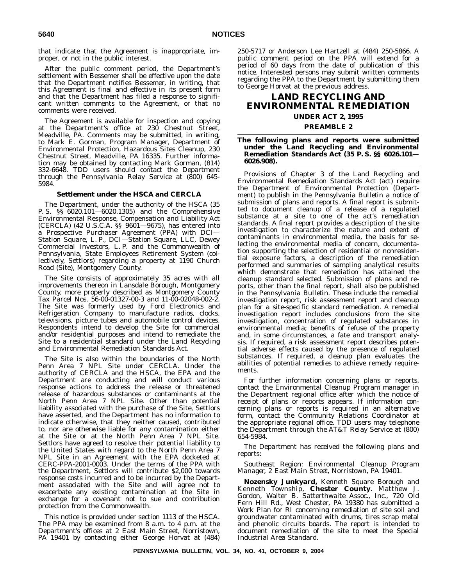that indicate that the Agreement is inappropriate, improper, or not in the public interest.

After the public comment period, the Department's settlement with Bessemer shall be effective upon the date that the Department notifies Bessemer, in writing, that this Agreement is final and effective in its present form and that the Department has filed a response to significant written comments to the Agreement, or that no comments were received.

The Agreement is available for inspection and copying at the Department's office at 230 Chestnut Street, Meadville, PA. Comments may be submitted, in writing, to Mark E. Gorman, Program Manager, Department of Environmental Protection, Hazardous Sites Cleanup, 230 Chestnut Street, Meadville, PA 16335. Further information may be obtained by contacting Mark Gorman, (814) 332-6648. TDD users should contact the Department through the Pennsylvania Relay Service at (800) 645- 5984.

### **Settlement under the HSCA and CERCLA**

The Department, under the authority of the HSCA (35 P. S. §§ 6020.101—6020.1305) and the Comprehensive Environmental Response, Compensation and Liability Act (CERCLA) (42 U.S.C.A. §§ 9601—9675), has entered into a Prospective Purchaser Agreement (PPA) with DCI— Station Square, L. P., DCI—Station Square, LLC, Dewey Commercial Investors, L. P. and the Commonwealth of Pennsylvania, State Employees Retirement System (collectively, Settlors) regarding a property at 1190 Church Road (Site), Montgomery County.

The Site consists of approximately 35 acres with all improvements thereon in Lansdale Borough, Montgomery County, more properly described as Montgomery County Tax Parcel Nos. 56-00-01327-00-3 and 11-00-02048-002-2. The Site was formerly used by Ford Electronics and Refrigeration Company to manufacture radios, clocks, televisions, picture tubes and automobile control devices. Respondents intend to develop the Site for commercial and/or residential purposes and intend to remediate the Site to a residential standard under the Land Recycling and Environmental Remediation Standards Act.

The Site is also within the boundaries of the North Penn Area 7 NPL Site under CERCLA. Under the authority of CERCLA and the HSCA, the EPA and the Department are conducting and will conduct various response actions to address the release or threatened release of hazardous substances or contaminants at the North Penn Area 7 NPL Site. Other than potential liability associated with the purchase of the Site, Settlors have asserted, and the Department has no information to indicate otherwise, that they neither caused, contributed to, nor are otherwise liable for any contamination either at the Site or at the North Penn Area 7 NPL Site. Settlors have agreed to resolve their potential liability to the United States with regard to the North Penn Area 7 NPL Site in an Agreement with the EPA docketed at CERC-PPA-2001-0003. Under the terms of the PPA with the Department, Settlors will contribute \$2,000 towards response costs incurred and to be incurred by the Department associated with the Site and will agree not to exacerbate any existing contamination at the Site in exchange for a covenant not to sue and contribution protection from the Commonwealth.

This notice is provided under section 1113 of the HSCA. The PPA may be examined from 8 a.m. to 4 p.m. at the Department's offices at 2 East Main Street, Norristown, PA 19401 by contacting either George Horvat at (484) 250-5717 or Anderson Lee Hartzell at (484) 250-5866. A public comment period on the PPA will extend for a period of 60 days from the date of publication of this notice. Interested persons may submit written comments regarding the PPA to the Department by submitting them to George Horvat at the previous address.

# **LAND RECYCLING AND ENVIRONMENTAL REMEDIATION**

## **UNDER ACT 2, 1995**

#### **PREAMBLE 2**

## **The following plans and reports were submitted under the Land Recycling and Environmental Remediation Standards Act (35 P. S. §§ 6026.101— 6026.908).**

Provisions of Chapter 3 of the Land Recycling and Environmental Remediation Standards Act (act) require the Department of Environmental Protection (Department) to publish in the *Pennsylvania Bulletin* a notice of submission of plans and reports. A final report is submitted to document cleanup of a release of a regulated substance at a site to one of the act's remediation standards. A final report provides a description of the site investigation to characterize the nature and extent of contaminants in environmental media, the basis for selecting the environmental media of concern, documentation supporting the selection of residential or nonresidential exposure factors, a description of the remediation performed and summaries of sampling analytical results which demonstrate that remediation has attained the cleanup standard selected. Submission of plans and reports, other than the final report, shall also be published in the *Pennsylvania Bulletin*. These include the remedial investigation report, risk assessment report and cleanup plan for a site-specific standard remediation. A remedial investigation report includes conclusions from the site investigation, concentration of regulated substances in environmental media; benefits of refuse of the property and, in some circumstances, a fate and transport analysis. If required, a risk assessment report describes potential adverse effects caused by the presence of regulated substances. If required, a cleanup plan evaluates the abilities of potential remedies to achieve remedy requirements.

For further information concerning plans or reports, contact the Environmental Cleanup Program manager in the Department regional office after which the notice of receipt of plans or reports appears. If information concerning plans or reports is required in an alternative form, contact the Community Relations Coordinator at the appropriate regional office. TDD users may telephone the Department through the AT&T Relay Service at (800) 654-5984.

The Department has received the following plans and reports:

## *Southeast Region: Environmental Cleanup Program Manager, 2 East Main Street, Norristown, PA 19401.*

**Nozensky Junkyard,** Kenneth Square Borough and Kenneth Township, **Chester County**. Matthew J. Gordon, Walter B. Satterthwaite Assoc., Inc., 720 Old Fern Hill Rd., West Chester, PA 19380 has submitted a Work Plan for RI concerning remediation of site soil and groundwater contaminated with drums, tires scrap metal and phenolic circuits boards. The report is intended to document remediation of the site to meet the Special Industrial Area Standard.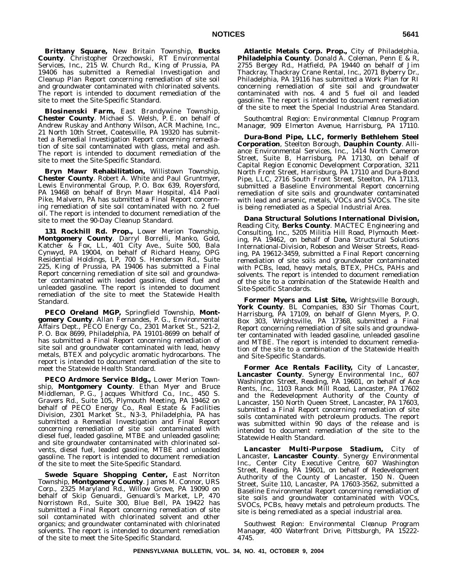**Brittany Square,** New Britain Township, **Bucks County**. Christopher Orzechowski, RT Environmental Services, Inc., 215 W. Church Rd., King of Prussia, PA 19406 has submitted a Remedial Investigation and Cleanup Plan Report concerning remediation of site soil and groundwater contaminated with chlorinated solvents. The report is intended to document remediation of the site to meet the Site-Specific Standard.

**Blosinenski Farm,** East Brandywine Township, **Chester County**. Michael S. Welsh, P. E. on behalf of Andrew Ruskay and Anthony Wilson, ACR Machine, Inc., 21 North 10th Street, Coatesville, PA 19320 has submitted a Remedial Investigation Report concerning remediation of site soil contaminated with glass, metal and ash. The report is intended to document remediation of the site to meet the Site-Specific Standard.

**Bryn Mawr Rehabilitation,** Willistown Township, **Chester County**. Robert A. White and Paul Gruntmyer, Lewis Environmental Group, P. O. Box 639, Royersford, PA 19468 on behalf of Bryn Mawr Hospital, 414 Paoli Pike, Malvern, PA has submitted a Final Report concerning remediation of site soil contaminated with no. 2 fuel oil. The report is intended to document remediation of the site to meet the 90-Day Cleanup Standard.

**131 Rockhill Rd. Prop.,** Lower Merion Township, **Montgomery County**. Darryl Borrelli, Manko, Gold, Katcher & Fox, LL, 401 City Ave., Suite 500, Bala Cynwyd, PA 19004, on behalf of Richard Heany, OPG Residential Holdings, LP, 700 S. Henderson Rd., Suite 225, King of Prussia, PA 19406 has submitted a Final Report concerning remediation of site soil and groundwater contaminated with leaded gasoline, diesel fuel and unleaded gasoline. The report is intended to document remediation of the site to meet the Statewide Health Standard.

**PECO Oreland MGP,** Springfield Township, **Montgomery County**. Allan Fernandes, P. G., Environmental Affairs Dept., PECO Energy Co., 2301 Market St., S21-2, P. O. Box 8699, Philadelphia, PA 19101-8699 on behalf of has submitted a Final Report concerning remediation of site soil and groundwater contaminated with lead, heavy metals, BTEX and polycyclic aromatic hydrocarbons. The report is intended to document remediation of the site to meet the Statewide Health Standard.

**PECO Ardmore Service Bldg.,** Lower Merion Township, **Montgomery County**. Ethan Myer and Bruce Middleman, P. G., Jacques Whitford Co., Inc., 450 S. Gravers Rd., Suite 105, Plymouth Meeting, PA 19462 on behalf of PECO Energy Co., Real Estate & Facilities Division, 2301 Market St., N3-3, Philadelphia, PA has submitted a Remedial Investigation and Final Report concerning remediation of site soil contaminated with diesel fuel, leaded gasoline, MTBE and unleaded gasoline; and site groundwater contaminated with chlorinated solvents, diesel fuel, leaded gasoline, MTBE and unleaded gasoline. The report is intended to document remediation of the site to meet the Site-Specific Standard.

**Swede Square Shopping Center,** East Norriton Township, **Montgomery County**. James M. Connor, URS Corp., 2325 Maryland Rd., Willow Grove, PA 19090 on behalf of Skip Genuardi, Genuardi's Market, LP, 470 Norristown Rd., Suite 300, Blue Bell, PA 19422 has submitted a Final Report concerning remediation of site soil contaminated with chlorinated solvent and other organics; and groundwater contaminated with chlorinated solvents. The report is intended to document remediation of the site to meet the Site-Specific Standard.

**Atlantic Metals Corp. Prop.,** City of Philadelphia, Philadelphia County. Donald A. Coleman, Penn E<sup>'</sup>& R, 2755 Bergey Rd., Hatfield, PA 19440 on behalf of Jim Thackray, Thackray Crane Rental, Inc., 2071 Byberry Dr., Philadelphia, PA 19116 has submitted a Work Plan for RI concerning remediation of site soil and groundwater contaminated with nos. 4 and 5 fuel oil and leaded gasoline. The report is intended to document remediation of the site to meet the Special Industrial Area Standard.

*Southcentral Region: Environmental Cleanup Program Manager, 909 Elmerton Avenue, Harrisburg, PA 17110.*

**Dura-Bond Pipe, LLC, formerly Bethlehem Steel Corporation**, Steelton Borough, **Dauphin County**. Alliance Environmental Services, Inc., 1414 North Cameron Street, Suite B, Harrisburg, PA 17130, on behalf of Capital Region Economic Development Corporation, 3211 North Front Street, Harrisburg, PA 17110 and Dura-Bond Pipe, LLC, 2716 South Front Street, Steelton, PA 17113, submitted a Baseline Environmental Report concerning remediation of site soils and groundwater contaminated with lead and arsenic, metals, VOCs and SVOCs. The site is being remediated as a Special Industrial Area.

**Dana Structural Solutions International Division,** Reading City, **Berks County**. MACTEC Engineering and Consulting, Inc., 5205 Militia Hill Road, Plymouth Meeting, PA 19462, on behalf of Dana Structural Solutions International-Division, Robeson and Weiser Streets, Reading, PA 19612-3459, submitted a Final Report concerning remediation of site soils and groundwater contaminated with PCBs, lead, heavy metals, BTEX, PHCs, PAHs and solvents. The report is intended to document remediation of the site to a combination of the Statewide Health and Site-Specific Standards.

**Former Myers and List Site,** Wrightsville Borough, **York County**. BL Companies, 830 Sir Thomas Court, Harrisburg, PA 17109, on behalf of Glenn Myers, P. O. Box 303, Wrightsville, PA 17368, submitted a Final Report concerning remediation of site soils and groundwater contaminated with leaded gasoline, unleaded gasoline and MTBE. The report is intended to document remediation of the site to a combination of the Statewide Health and Site-Specific Standards.

**Former Ace Rentals Facility,** City of Lancaster, **Lancaster County**. Synergy Environmental Inc., 607 Washington Street, Reading, PA 19601, on behalf of Ace Rents, Inc., 1103 Ranck Mill Road, Lancaster, PA 17602 and the Redevelopment Authority of the County of Lancaster, 150 North Queen Street, Lancaster, PA 17603, submitted a Final Report concerning remediation of site soils contaminated with petroleum products. The report was submitted within 90 days of the release and is intended to document remediation of the site to the Statewide Health Standard.

**Lancaster Multi-Purpose Stadium,** City of Lancaster, **Lancaster County**. Synergy Environmental Inc., Center City Executive Centre, 607 Washington Street, Reading, PA 19601, on behalf of Redevelopment Authority of the County of Lancaster, 150 N. Queen Street, Suite 110, Lancaster, PA 17603-3562, submitted a Baseline Environmental Report concerning remediation of site soils and groundwater contaminated with VOCs, SVOCs, PCBs, heavy metals and petroleum products. The site is being remediated as a special industrial area.

*Southwest Region: Environmental Cleanup Program Manager, 400 Waterfront Drive, Pittsburgh, PA 15222- 4745.*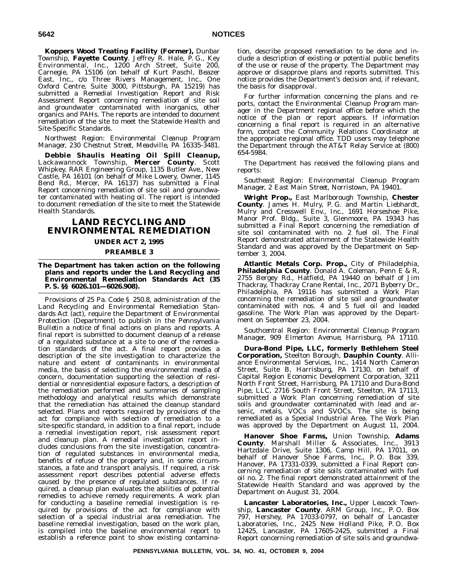**Koppers Wood Treating Facility (Former),** Dunbar Township, **Fayette County**. Jeffrey R. Hale, P. G., Key Environmental, Inc., 1200 Arch Street, Suite 200, Carnegie, PA 15106 (on behalf of Kurt Paschl, Beazer East, Inc., c/o Three Rivers Management, Inc., One Oxford Centre, Suite 3000, Pittsburgh, PA 15219) has submitted a Remedial Investigation Report and Risk Assessment Report concerning remediation of site soil and groundwater contaminated with inorganics, other organics and PAHs. The reports are intended to document remediation of the site to meet the Statewide Health and Site-Specific Standards.

*Northwest Region: Environmental Cleanup Program Manager, 230 Chestnut Street, Meadville, PA 16335-3481.*

**Debbie Shaulis Heating Oil Spill Cleanup,** Lackawannock Township, **Mercer County**. Scott Whipkey, RAR Engineering Group, 1135 Butler Ave., New Castle, PA 16101 (on behalf of Mike Lowery, Owner, 1145 Bend Rd., Mercer, PA 16137) has submitted a Final Report concerning remediation of site soil and groundwater contaminated with heating oil. The report is intended to document remediation of the site to meet the Statewide Health Standards.

# **LAND RECYCLING AND ENVIRONMENTAL REMEDIATION**

**UNDER ACT 2, 1995 PREAMBLE 3**

**The Department has taken action on the following plans and reports under the Land Recycling and Environmental Remediation Standards Act (35 P. S. §§ 6026.101—6026.908).**

Provisions of 25 Pa. Code § 250.8, administration of the Land Recycling and Environmental Remediation Standards Act (act), require the Department of Environmental Protection (Department) to publish in the *Pennsylvania Bulletin* a notice of final actions on plans and reports. A final report is submitted to document cleanup of a release of a regulated substance at a site to one of the remediation standards of the act. A final report provides a description of the site investigation to characterize the nature and extent of contaminants in environmental media, the basis of selecting the environmental media of concern, documentation supporting the selection of residential or nonresidential exposure factors, a description of the remediation performed and summaries of sampling methodology and analytical results which demonstrate that the remediation has attained the cleanup standard selected. Plans and reports required by provisions of the act for compliance with selection of remediation to a site-specific standard, in addition to a final report, include a remedial investigation report, risk assessment report and cleanup plan. A remedial investigation report includes conclusions from the site investigation, concentration of regulated substances in environmental media, benefits of refuse of the property and, in some circumstances, a fate and transport analysis. If required, a risk assessment report describes potential adverse effects caused by the presence of regulated substances. If required, a cleanup plan evaluates the abilities of potential remedies to achieve remedy requirements. A work plan for conducting a baseline remedial investigation is required by provisions of the act for compliance with selection of a special industrial area remediation. The baseline remedial investigation, based on the work plan, is compiled into the baseline environmental report to establish a reference point to show existing contamination, describe proposed remediation to be done and include a description of existing or potential public benefits of the use or reuse of the property. The Department may approve or disapprove plans and reports submitted. This notice provides the Department's decision and, if relevant, the basis for disapproval.

For further information concerning the plans and reports, contact the Environmental Cleanup Program manager in the Department regional office before which the notice of the plan or report appears. If information concerning a final report is required in an alternative form, contact the Community Relations Coordinator at the appropriate regional office. TDD users may telephone the Department through the AT&T Relay Service at (800) 654-5984.

The Department has received the following plans and reports:

*Southeast Region: Environmental Cleanup Program Manager, 2 East Main Street, Norristown, PA 19401.*

**Wright Prop.,** East Marlborough Township, **Chester County**. James H. Mulry, P. G. and Martin Liebhardt, Mulry and Cresswell Env., Inc., 1691 Horseshoe Pike, Manor Prof. Bldg., Suite 3, Glenmoore, PA 19343 has submitted a Final Report concerning the remediation of site soil contaminated with no. 2 fuel oil. The Final Report demonstrated attainment of the Statewide Health Standard and was approved by the Department on September 3, 2004.

**Atlantic Metals Corp. Prop.,** City of Philadelphia, **Philadelphia County**. Donald A. Coleman, Penn E & R, 2755 Bergey Rd., Hatfield, PA 19440 on behalf of Jim Thackray, Thackray Crane Rental, Inc., 2071 Byberry Dr., Philadelphia, PA 19116 has submitted a Work Plan concerning the remediation of site soil and groundwater contaminated with nos. 4 and 5 fuel oil and leaded gasoline. The Work Plan was approved by the Department on September 23, 2004.

*Southcentral Region: Environmental Cleanup Program Manager, 909 Elmerton Avenue, Harrisburg, PA 17110.*

**Dura-Bond Pipe, LLC, formerly Bethlehem Steel Corporation,** Steelton Borough, **Dauphin County**. Alliance Environmental Services, Inc., 1414 North Cameron Street, Suite B, Harrisburg, PA 17130, on behalf of Capital Region Economic Development Corporation, 3211 North Front Street, Harrisburg, PA 17110 and Dura-Bond Pipe, LLC, 2716 South Front Street, Steelton, PA 17113, submitted a Work Plan concerning remediation of site soils and groundwater contaminated with lead and arsenic, metals, VOCs and SVOCs. The site is being remediated as a Special Industrial Area. The Work Plan was approved by the Department on August 11, 2004.

**Hanover Shoe Farms,** Union Township, **Adams County**. Marshall Miller & Associates, Inc., 3913 Hartzdale Drive, Suite 1306, Camp Hill, PA 17011, on behalf of Hanover Shoe Farms, Inc., P. O. Box 339, Hanover, PA 17331-0339, submitted a Final Report concerning remediation of site soils contaminated with fuel oil no. 2. The final report demonstrated attainment of the Statewide Health Standard and was approved by the Department on August 31, 2004.

**Lancaster Laboratories, Inc.,** Upper Leacock Township, **Lancaster County**. ARM Group, Inc., P. O. Box 797, Hershey, PA 17033-0797, on behalf of Lancaster Laboratories, Inc., 2425 New Holland Pike, P. O. Box 12425, Lancaster, PA 17605-2425, submitted a Final Report concerning remediation of site soils and groundwa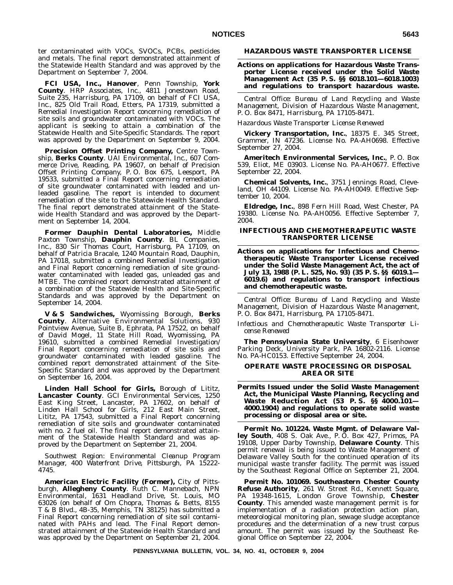ter contaminated with VOCs, SVOCs, PCBs, pesticides and metals. The final report demonstrated attainment of the Statewide Health Standard and was approved by the Department on September 7, 2004.

**FCI USA, Inc., Hanover**, Penn Township, **York County**. HRP Associates, Inc., 4811 Jonestown Road, Suite 235, Harrisburg, PA 17109, on behalf of FCI USA, Inc., 825 Old Trail Road, Etters, PA 17319, submitted a Remedial Investigation Report concerning remediation of site soils and groundwater contaminated with VOCs. The applicant is seeking to attain a combination of the Statewide Health and Site-Specific Standards. The report was approved by the Department on September 9, 2004.

**Precision Offset Printing Company,** Centre Township, **Berks County**. UAI Environmental, Inc., 607 Commerce Drive, Reading, PA 19607, on behalf of Precision Offset Printing Company, P. O. Box 675, Leesport, PA 19533, submitted a Final Report concerning remediation of site groundwater contaminated with leaded and unleaded gasoline. The report is intended to document remediation of the site to the Statewide Health Standard. The final report demonstrated attainment of the Statewide Health Standard and was approved by the Department on September 14, 2004.

**Former Dauphin Dental Laboratories,** Middle Paxton Township, **Dauphin County**. BL Companies, Inc., 830 Sir Thomas Court, Harrisburg, PA 17109, on behalf of Patricia Bracale, 1240 Mountain Road, Dauphin, PA 17018, submitted a combined Remedial Investigation and Final Report concerning remediation of site groundwater contaminated with leaded gas, unleaded gas and MTBE. The combined report demonstrated attainment of a combination of the Statewide Health and Site-Specific Standards and was approved by the Department on September 14, 2004.

**V & S Sandwiches,** Wyomissing Borough, **Berks County**. Alternative Environmental Solutions, 930 Pointview Avenue, Suite B, Ephrata, PA 17522, on behalf of David Mogel, 11 State Hill Road, Wyomissing, PA 19610, submitted a combined Remedial Investigation/ Final Report concerning remediation of site soils and groundwater contaminated with leaded gasoline. The combined report demonstrated attainment of the Site-Specific Standard and was approved by the Department on September 16, 2004.

**Linden Hall School for Girls,** Borough of Lititz, **Lancaster County**. GCI Environmental Services, 1250 East King Street, Lancaster, PA 17602, on behalf of Linden Hall School for Girls, 212 East Main Street, Lititz, PA 17543, submitted a Final Report concerning remediation of site soils and groundwater contaminated with no. 2 fuel oil. The final report demonstrated attainment of the Statewide Health Standard and was approved by the Department on September 21, 2004.

*Southwest Region: Environmental Cleanup Program Manager, 400 Waterfront Drive, Pittsburgh, PA 15222- 4745.*

**American Electric Facility (Former),** City of Pittsburgh, **Allegheny County**. Ruth C. Mannebach, NPN Environmental, 1631 Headland Drive, St. Louis, MO 63026 (on behalf of Om Chopra, Thomas & Betts, 8155 T & B Blvd., 4B-35, Memphis, TN 38125) has submitted a Final Report concerning remediation of site soil contaminated with PAHs and lead. The Final Report demonstrated attainment of the Statewide Health Standard and was approved by the Department on September 21, 2004.

# **HAZARDOUS WASTE TRANSPORTER LICENSE**

## **Actions on applications for Hazardous Waste Transporter License received under the Solid Waste Management Act (35 P. S. §§ 6018.101—6018.1003) and regulations to transport hazardous waste.**

*Central Office: Bureau of Land Recycling and Waste Management, Division of Hazardous Waste Management, P. O. Box 8471, Harrisburg, PA 17105-8471.*

*Hazardous Waste Transporter License Renewed*

**Vickery Transportation, Inc.**, 18375 E. 345 Street, Grammer, IN 47236. License No. PA-AH0698. Effective September 27, 2004.

**Ameritech Environmental Services, Inc.**, P. O. Box 539, Eliot, ME 03903. License No. PA-AH0677. Effective September 22, 2004.

**Chemical Solvents, Inc.**, 3751 Jennings Road, Cleveland, OH 44109. License No. PA-AH0049. Effective September 10, 2004.

**Eldredge, Inc.**, 898 Fern Hill Road, West Chester, PA 19380. License No. PA-AH0056. Effective September 7, 2004.

## **INFECTIOUS AND CHEMOTHERAPEUTIC WASTE TRANSPORTER LICENSE**

**Actions on applications for Infectious and Chemotherapeutic Waste Transporter License received under the Solid Waste Management Act, the act of July 13, 1988 (P. L. 525, No. 93) (35 P. S. §§ 6019.1— 6019.6) and regulations to transport infectious and chemotherapeutic waste.**

*Central Office: Bureau of Land Recycling and Waste Management, Division of Hazardous Waste Management, P. O. Box 8471, Harrisburg, PA 17105-8471.*

*Infectious and Chemotherapeutic Waste Transporter License Renewed*

**The Pennsylvania State University**, 6 Eisenhower Parking Deck, University Park, PA 16802-2116. License No. PA-HC0153. Effective September 24, 2004.

#### **OPERATE WASTE PROCESSING OR DISPOSAL AREA OR SITE**

**Permits Issued under the Solid Waste Management Act, the Municipal Waste Planning, Recycling and Waste Reduction Act (53 P. S. §§ 4000.101— 4000.1904) and regulations to operate solid waste processing or disposal area or site.**

**Permit No. 101224. Waste Mgmt. of Delaware Valley South**, 408 S. Oak Ave., P. O. Box 427, Primos, PA 19108, Upper Darby Township, **Delaware County**. This permit renewal is being issued to Waste Management of Delaware Valley South for the continued operation of its municipal waste transfer facility. The permit was issued by the Southeast Regional Office on September 21, 2004.

**Permit No. 101069. Southeastern Chester County Refuse Authority**, 261 W. Street Rd., Kennett Square, PA 19348-1615, London Grove Township, **Chester County**. This amended waste management permit is for implementation of a radiation protection action plan, meteorological monitoring plan, sewage sludge acceptance procedures and the determination of a new trust corpus amount. The permit was issued by the Southeast Regional Office on September 22, 2004.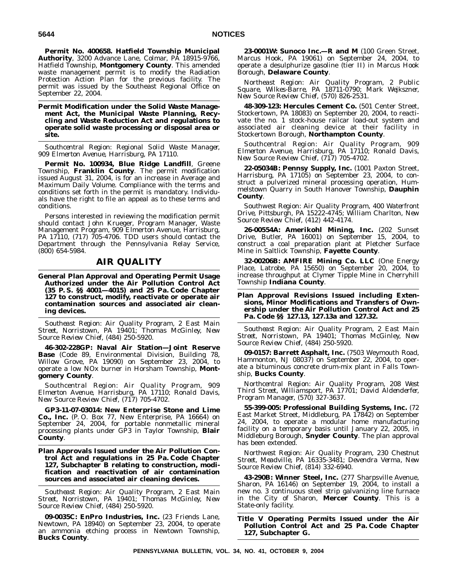**Permit No. 400658. Hatfield Township Municipal Authority**, 3200 Advance Lane, Colmar, PA 18915-9766, Hatfield Township, **Montgomery County**. This amended waste management permit is to modify the Radiation Protection Action Plan for the previous facility. The permit was issued by the Southeast Regional Office on September 22, 2004.

**Permit Modification under the Solid Waste Management Act, the Municipal Waste Planning, Recycling and Waste Reduction Act and regulations to operate solid waste processing or disposal area or site.**

*Southcentral Region: Regional Solid Waste Manager, 909 Elmerton Avenue, Harrisburg, PA 17110.*

**Permit No. 100934, Blue Ridge Landfill**, Greene Township, **Franklin County**. The permit modification issued August 31, 2004, is for an increase in Average and Maximum Daily Volume. Compliance with the terms and conditions set forth in the permit is mandatory. Individuals have the right to file an appeal as to these terms and conditions.

Persons interested in reviewing the modification permit should contact John Krueger, Program Manager, Waste Management Program, 909 Elmerton Avenue, Harrisburg, PA 17110, (717) 705-4706. TDD users should contact the Department through the Pennsylvania Relay Service, (800) 654-5984.

# **AIR QUALITY**

**General Plan Approval and Operating Permit Usage Authorized under the Air Pollution Control Act (35 P. S. §§ 4001—4015) and 25 Pa. Code Chapter 127 to construct, modify, reactivate or operate air contamination sources and associated air cleaning devices.**

*Southeast Region: Air Quality Program, 2 East Main Street, Norristown, PA 19401; Thomas McGinley, New Source Review Chief, (484) 250-5920.*

**46-302-228GP: Naval Air Station—Joint Reserve Base** (Code 89, Environmental Division, Building 78, Willow Grove, PA 19090) on September 23, 2004, to operate a low NOx burner in Horsham Township, **Montgomery County**.

*Southcentral Region: Air Quality Program, 909 Elmerton Avenue, Harrisburg, PA 17110; Ronald Davis, New Source Review Chief, (717) 705-4702.*

**GP3-11-07-03014: New Enterprise Stone and Lime Co., Inc.** (P. O. Box 77, New Enterprise, PA 16664) on September 24, 2004, for portable nonmetallic mineral processing plants under GP3 in Taylor Township, **Blair County**.

**Plan Approvals Issued under the Air Pollution Control Act and regulations in 25 Pa. Code Chapter 127, Subchapter B relating to construction, modification and reactivation of air contamination sources and associated air cleaning devices.**

*Southeast Region: Air Quality Program, 2 East Main Street, Norristown, PA 19401; Thomas McGinley, New Source Review Chief, (484) 250-5920.*

**09-0035C: EnPro Industries, Inc.** (23 Friends Lane, Newtown, PA 18940) on September 23, 2004, to operate an ammonia etching process in Newtown Township, **Bucks County**.

**23-0001W: Sunoco Inc.—R and M** (100 Green Street, Marcus Hook, PA 19061) on September 24, 2004, to operate a desulphurize gasoline (tier II) in Marcus Hook Borough, **Delaware County**.

*Northeast Region: Air Quality Program, 2 Public Square, Wilkes-Barre, PA 18711-0790; Mark Wejkszner, New Source Review Chief, (570) 826-2531.*

**48-309-123: Hercules Cement Co.** (501 Center Street, Stockertown, PA 18083) on September 20, 2004, to reactivate the no. 1 stock-house railcar load-out system and associated air cleaning device at their facility in Stockertown Borough, **Northampton County**.

*Southcentral Region: Air Quality Program, 909 Elmerton Avenue, Harrisburg, PA 17110; Ronald Davis, New Source Review Chief, (717) 705-4702.*

**22-05034B: Pennsy Supply, Inc.** (1001 Paxton Street, Harrisburg, PA 17105) on September 23, 2004, to construct a pulverized mineral processing operation, Hummelstown Quarry in South Hanover Township, **Dauphin County**.

*Southwest Region: Air Quality Program, 400 Waterfront Drive, Pittsburgh, PA 15222-4745; William Charlton, New Source Review Chief, (412) 442-4174.*

**26-00554A: Amerikohl Mining, Inc.** (202 Sunset Drive, Butler, PA 16001) on September 15, 2004, to construct a coal preparation plant at Pletcher Surface Mine in Saltlick Township, **Fayette County**.

**32-00206B: AMFIRE Mining Co. LLC** (One Energy Place, Latrobe, PA 15650) on September 20, 2004, to increase throughput at Clymer Tipple Mine in Cherryhill Township **Indiana County**.

## **Plan Approval Revisions Issued including Extensions, Minor Modifications and Transfers of Ownership under the Air Pollution Control Act and 25 Pa. Code §§ 127.13, 127.13a and 127.32.**

*Southeast Region: Air Quality Program, 2 East Main Street, Norristown, PA 19401; Thomas McGinley, New Source Review Chief, (484) 250-5920.*

**09-0157: Barrett Asphalt, Inc.** (7503 Weymouth Road, Hammonton, NJ 08037) on September 22, 2004, to operate a bituminous concrete drum-mix plant in Falls Township, **Bucks County**.

*Northcentral Region: Air Quality Program, 208 West Third Street, Williamsport, PA 17701; David Aldenderfer, Program Manager, (570) 327-3637.*

**55-399-005: Professional Building Systems, Inc.** (72 East Market Street, Middleburg, PA 17842) on September 24, 2004, to operate a modular home manufacturing facility on a temporary basis until January 22, 2005, in Middleburg Borough, **Snyder County**. The plan approval has been extended.

*Northwest Region: Air Quality Program, 230 Chestnut Street, Meadville, PA 16335-3481; Devendra Verma, New Source Review Chief, (814) 332-6940.*

**43-290B: Winner Steel, Inc.** (277 Sharpsville Avenue, Sharon, PA 16146) on September 19, 2004, to install a new no. 3 continuous steel strip galvanizing line furnace in the City of Sharon, **Mercer County**. This is a State-only facility.

**Title V Operating Permits Issued under the Air Pollution Control Act and 25 Pa. Code Chapter 127, Subchapter G.**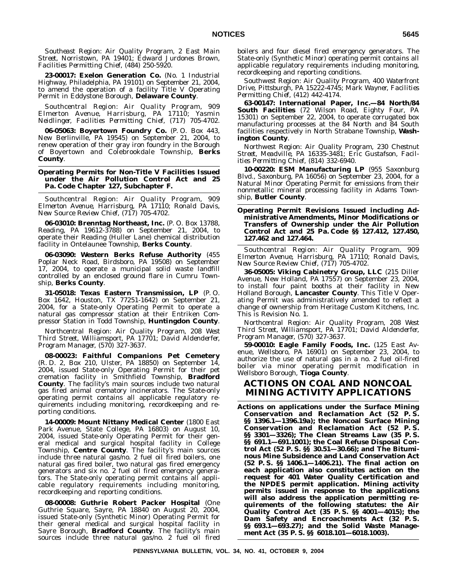*Southeast Region: Air Quality Program, 2 East Main Street, Norristown, PA 19401; Edward Jurdones Brown, Facilities Permitting Chief, (484) 250-5920.*

**23-00017: Exelon Generation Co.** (No. 1 Industrial Highway, Philadelphia, PA 19101) on September 21, 2004, to amend the operation of a facility Title V Operating Permit in Eddystone Borough, **Delaware County**.

*Southcentral Region: Air Quality Program, 909 Elmerton Avenue, Harrisburg, PA 17110; Yasmin Neidlinger, Facilities Permitting Chief, (717) 705-4702.*

**06-05063: Boyertown Foundry Co.** (P. O. Box 443, New Berlinville, PA 19545) on September 21, 2004, to renew operation of their gray iron foundry in the Borough of Boyertown and Colebrookdale Township, **Berks County**.

## **Operating Permits for Non-Title V Facilities Issued under the Air Pollution Control Act and 25 Pa. Code Chapter 127, Subchapter F.**

*Southcentral Region: Air Quality Program, 909 Elmerton Avenue, Harrisburg, PA 17110; Ronald Davis, New Source Review Chief, (717) 705-4702.*

**06-03010: Brenntag Northeast, Inc.** (P. O. Box 13788, Reading, PA 19612-3788) on September 21, 2004, to operate their Reading (Huller Lane) chemical distribution facility in Ontelaunee Township, **Berks County**.

**06-03090: Western Berks Refuse Authority** (455 Poplar Neck Road, Birdsboro, PA 19508) on September 17, 2004, to operate a municipal solid waste landfill controlled by an enclosed ground flare in Cumru Township, **Berks County**.

**31-05018: Texas Eastern Transmission, LP** (P. O. Box 1642, Houston, TX 77251-1642) on September 21, 2004, for a State-only Operating Permit to operate a natural gas compressor station at their Entriken Compressor Station in Todd Township, **Huntingdon County**.

*Northcentral Region: Air Quality Program, 208 West Third Street, Williamsport, PA 17701; David Aldenderfer, Program Manager, (570) 327-3637.*

**08-00023: Faithful Companions Pet Cemetery** (R. D. 2, Box 210, Ulster, PA 18850) on September 14, 2004, issued State-only Operating Permit for their pet cremation facility in Smithfield Township, **Bradford County**. The facility's main sources include two natural gas fired animal crematory incinerators. The State-only operating permit contains all applicable regulatory requirements including monitoring, recordkeeping and reporting conditions.

**14-00009: Mount Nittany Medical Center** (1800 East Park Avenue, State College, PA 16803) on August 10, 2004, issued State-only Operating Permit for their general medical and surgical hospital facility in College Township, **Centre County**. The facility's main sources include three natural gas/no. 2 fuel oil fired boilers, one natural gas fired boiler, two natural gas fired emergency generators and six no. 2 fuel oil fired emergency generators. The State-only operating permit contains all applicable regulatory requirements including monitoring, recordkeeping and reporting conditions.

**08-00008: Guthrie Robert Packer Hospital** (One Guthrie Square, Sayre, PA 18840 on August 20, 2004, issued State-only (Synthetic Minor) Operating Permit for their general medical and surgical hospital facility in Sayre Borough, **Bradford County**. The facility's main sources include three natural gas/no. 2 fuel oil fired

boilers and four diesel fired emergency generators. The State-only (Synthetic Minor) operating permit contains all applicable regulatory requirements including monitoring, recordkeeping and reporting conditions.

*Southwest Region: Air Quality Program, 400 Waterfront Drive, Pittsburgh, PA 15222-4745; Mark Wayner, Facilities Permitting Chief, (412) 442-4174.*

**63-00147: International Paper, Inc.—84 North/84 South Facilities** (72 Wilson Road, Eighty Four, PA 15301) on September 22, 2004, to operate corrugated box manufacturing processes at the 84 North and 84 South facilities respectively in North Strabane Township, **Washington County**.

*Northwest Region: Air Quality Program, 230 Chestnut Street, Meadville, PA 16335-3481; Eric Gustafson, Facilities Permitting Chief, (814) 332-6940.*

**10-00220: ESM Manufacturing LP** (955 Saxonburg Blvd., Saxonburg, PA 16056) on September 23, 2004, for a Natural Minor Operating Permit for emissions from their nonmetallic mineral processing facility in Adams Township, **Butler County**.

## **Operating Permit Revisions Issued including Administrative Amendments, Minor Modifications or Transfers of Ownership under the Air Pollution Control Act and 25 Pa. Code §§ 127.412, 127.450, 127.462 and 127.464.**

*Southcentral Region: Air Quality Program, 909 Elmerton Avenue, Harrisburg, PA 17110; Ronald Davis, New Source Review Chief, (717) 705-4702.*

**36-05005: Viking Cabinetry Group, LLC** (215 Diller Avenue, New Holland, PA 17557) on September 23, 2004, to install four paint booths at their facility in New Holland Borough, **Lancaster County**. This Title V Operating Permit was administratively amended to reflect a change of ownership from Heritage Custom Kitchens, Inc. This is Revision No. 1.

*Northcentral Region: Air Quality Program, 208 West Third Street, Williamsport, PA 17701; David Aldenderfer, Program Manager, (570) 327-3637.*

**59-00010: Eagle Family Foods, Inc.** (125 East Avenue, Wellsboro, PA 16901) on September 23, 2004, to authorize the use of natural gas in a no. 2 fuel oil-fired boiler via minor operating permit modification in Wellsboro Borough, **Tioga County**.

# **ACTIONS ON COAL AND NONCOAL MINING ACTIVITY APPLICATIONS**

**Actions on applications under the Surface Mining Conservation and Reclamation Act (52 P. S. §§ 1396.1—1396.19a); the Noncoal Surface Mining Conservation and Reclamation Act (52 P. S. §§ 3301—3326); The Clean Streams Law (35 P. S. §§ 691.1—691.1001); the Coal Refuse Disposal Control Act (52 P. S. §§ 30.51—30.66); and The Bituminous Mine Subsidence and Land Conservation Act (52 P. S. §§ 1406.1—1406.21). The final action on each application also constitutes action on the request for 401 Water Quality Certification and the NPDES permit application. Mining activity permits issued in response to the applications will also address the application permitting requirements of the following statutes: the Air Quality Control Act (35 P. S. §§ 4001—4015); the Dam Safety and Encroachments Act (32 P. S. §§ 693.1—693.27); and the Solid Waste Management Act (35 P. S. §§ 6018.101—6018.1003).**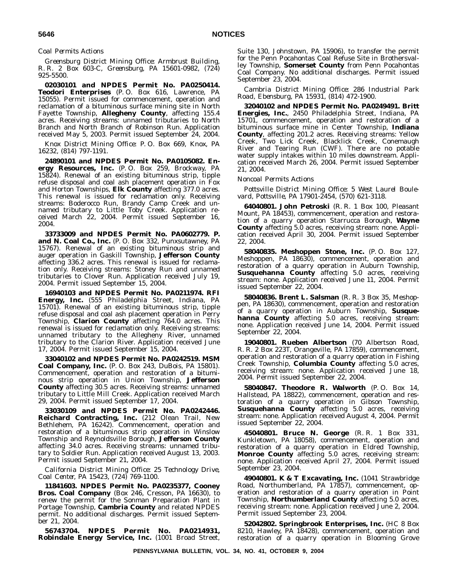## *Coal Permits Actions*

*Greensburg District Mining Office: Armbrust Building, R. R. 2 Box 603-C, Greensburg, PA 15601-0982, (724) 925-5500.*

**02030101 and NPDES Permit No. PA0250414. Teodori Enterprises** (P. O. Box 616, Lawrence, PA 15055). Permit issued for commencement, operation and reclamation of a bituminous surface mining site in North Fayette Township, **Allegheny County**, affecting 155.4 acres. Receiving streams: unnamed tributaries to North Branch and North Branch of Robinson Run. Application received May 5, 2003. Permit issued September 24, 2004.

*Knox District Mining Office: P. O. Box 669, Knox, PA 16232, (814) 797-1191.*

**24890101 and NPDES Permit No. PA0105082. Energy Resources, Inc.** (P. O. Box 259, Brockway, PA 15824). Renewal of an existing bituminous strip, tipple refuse disposal and coal ash placement operation in Fox and Horton Townships, **Elk County** affecting 377.0 acres. This renewal is issued for reclamation only. Receiving streams: Boderocco Run, Brandy Camp Creek and unnamed tributary to Little Toby Creek. Application received March 22, 2004. Permit issued September 16, 2004.

**33733009 and NPDES Permit No. PA0602779. P. and N. Coal Co., Inc.** (P. O. Box 332, Punxsutawney, PA 15767). Renewal of an existing bituminous strip and auger operation in Gaskill Township, **Jefferson County** affecting 336.2 acres. This renewal is issued for reclamation only. Receiving streams: Stoney Run and unnamed tributaries to Clover Run. Application received July 19, 2004. Permit issued September 15, 2004.

**16940103 and NPDES Permit No. PA0211974. RFI Energy, Inc.** (555 Philadelphia Street, Indiana, PA 15701). Renewal of an existing bituminous strip, tipple refuse disposal and coal ash placement operation in Perry Township, **Clarion County** affecting 764.0 acres. This renewal is issued for reclamation only. Receiving streams: unnamed tributary to the Allegheny River, unnamed tributary to the Clarion River. Application received June 17, 2004. Permit issued September 15, 2004.

**33040102 and NPDES Permit No. PA0242519. MSM Coal Company, Inc.** (P. O. Box 243, DuBois, PA 15801). Commencement, operation and restoration of a bituminous strip operation in Union Township, **Jefferson County** affecting 30.5 acres. Receiving streams: unnamed tributary to Little Mill Creek. Application received March 29, 2004. Permit issued September 17, 2004.

**33030109 and NPDES Permit No. PA0242446. Reichard Contracting, Inc.** (212 Olean Trail, New Bethlehem, PA 16242). Commencement, operation and restoration of a bituminous strip operation in Winslow Township and Reynoldsville Borough, **Jefferson County** affecting 34.0 acres. Receiving streams: unnamed tributary to Soldier Run. Application received August 13, 2003. Permit issued September 21, 2004.

*California District Mining Office: 25 Technology Drive, Coal Center, PA 15423, (724) 769-1100.*

**11841603. NPDES Permit No. PA0235377, Cooney Bros. Coal Company** (Box 246, Cresson, PA 16630), to renew the permit for the Sonman Preparation Plant in Portage Township, **Cambria County** and related NPDES permit. No additional discharges. Permit issued September 21, 2004.

**56743704. NPDES Permit No. PA0214931, Robindale Energy Service, Inc.** (1001 Broad Street, Suite 130, Johnstown, PA 15906), to transfer the permit for the Penn Pocahontas Coal Refuse Site in Brothersvalley Township, **Somerset County** from Penn Pocahontas Coal Company. No additional discharges. Permit issued September 23, 2004.

*Cambria District Mining Office: 286 Industrial Park Road, Ebensburg, PA 15931, (814) 472-1900.*

**32040102 and NPDES Permit No. PA0249491. Britt Energies, Inc.**, 2450 Philadelphia Street, Indiana, PA 15701, commencement, operation and restoration of a bituminous surface mine in Center Township, **Indiana County**, affecting 201.2 acres. Receiving streams: Yellow Creek, Two Lick Creek, Blacklick Creek, Conemaugh River and Tearing Run (CWF). There are no potable water supply intakes within 10 miles downstream. Application received March 26, 2004. Permit issued September 21, 2004.

### *Noncoal Permits Actions*

*Pottsville District Mining Office: 5 West Laurel Boulevard, Pottsville, PA 17901-2454, (570) 621-3118.*

**64040801. John Petroski** (R. R. 1 Box 100, Pleasant Mount, PA 18453), commencement, operation and restoration of a quarry operation Starrucca Borough, **Wayne County** affecting 5.0 acres, receiving stream: none. Application received April 30, 2004. Permit issued September 22, 2004.

**58040835. Meshoppen Stone, Inc.** (P. O. Box 127, Meshoppen, PA 18630), commencement, operation and restoration of a quarry operation in Auburn Township, **Susquehanna County** affecting 5.0 acres, receiving stream: none. Application received June 11, 2004. Permit issued September 22, 2004.

**58040836. Brent L. Salsman** (R. R. 3 Box 35, Meshoppen, PA 18630), commencement, operation and restoration of a quarry operation in Auburn Township, **Susquehanna County** affecting 5.0 acres, receiving stream: none. Application received June 14, 2004. Permit issued September 22, 2004.

**19040801. Rueben Albertson** (70 Albertson Road, R. R. 2 Box 223T, Orangeville, PA 17859), commencement, operation and restoration of a quarry operation in Fishing Creek Township, **Columbia County** affecting 5.0 acres, receiving stream: none. Application received June 18, 2004. Permit issued September 22, 2004.

**58040847. Theodore R. Walworth** (P. O. Box 14, Hallstead, PA 18822), commencement, operation and restoration of a quarry operation in Gibson Township, **Susquehanna County** affecting 5.0 acres, receiving stream: none. Application received August 4, 2004. Permit issued September 22, 2004.

**45040801. Bruce N. George** (R. R. 1 Box 331, Kunkletown, PA 18058), commencement, operation and restoration of a quarry operation in Eldred Township, **Monroe County** affecting 5.0 acres, receiving stream: none. Application received April 27, 2004. Permit issued September 23, 2004.

**49040801. K & T Excavating, Inc.** (1041 Strawbridge Road, Northumberland, PA 17857), commencement, operation and restoration of a quarry operation in Point Township, **Northumberland County** affecting 5.0 acres, receiving stream: none. Application received June 2, 2004. Permit issued September 23, 2004.

**52042802. Springbrook Enterprises, Inc.** (HC 8 Box 8210, Hawley, PA 18428), commencement, operation and restoration of a quarry operation in Blooming Grove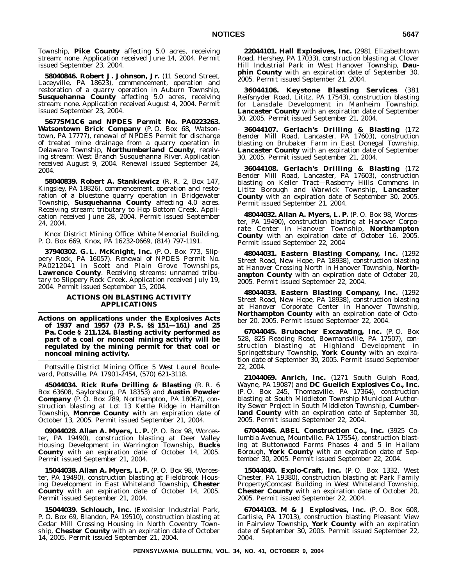Township, **Pike County** affecting 5.0 acres, receiving stream: none. Application received June 14, 2004. Permit issued September 23, 2004.

**58040846. Robert J. Johnson, Jr.** (11 Second Street, Laceyville, PA 18623), commencement, operation and restoration of a quarry operation in Auburn Township, **Susquehanna County** affecting 5.0 acres, receiving stream: none. Application received August 4, 2004. Permit issued September 23, 2004.

**5677SM1C6 and NPDES Permit No. PA0223263. Watsontown Brick Company** (P. O. Box 68, Watsontown, PA 17777), renewal of NPDES Permit for discharge of treated mine drainage from a quarry operation in Delaware Township, **Northumberland County**, receiving stream: West Branch Susquehanna River. Application received August 9, 2004. Renewal issued September 24, 2004.

**58040839. Robert A. Stankiewicz** (R. R. 2, Box 147, Kingsley, PA 18826), commencement, operation and restoration of a bluestone quarry operation in Bridgewater Township, **Susquehanna County** affecting 4.0 acres. Receiving stream: tributary to Hop Bottom Creek. Application received June 28, 2004. Permit issued September 24, 2004.

*Knox District Mining Office: White Memorial Building, P. O. Box 669, Knox, PA 16232-0669, (814) 797-1191.*

**37940302. G. L. McKnight, Inc.** (P. O. Box 773, Slippery Rock, PA 16057). Renewal of NPDES Permit No. PA0212041 in Scott and Plain Grove Townships, **Lawrence County**. Receiving streams: unnamed tributary to Slippery Rock Creek. Application received July 19, 2004. Permit issued September 15, 2004.

## **ACTIONS ON BLASTING ACTIVITY APPLICATIONS**

**Actions on applications under the Explosives Acts of 1937 and 1957 (73 P. S. §§ 151—161) and 25 Pa. Code § 211.124. Blasting activity performed as part of a coal or noncoal mining activity will be regulated by the mining permit for that coal or noncoal mining activity.**

*Pottsville District Mining Office: 5 West Laurel Boulevard, Pottsville, PA 17901-2454, (570) 621-3118.*

**45044034. Rick Rufe Drilling & Blasting** (R. R. 6 Box 63608, Saylorsburg, PA 18353) and **Austin Powder Company** (P. O. Box 289, Northampton, PA 18067), construction blasting at Lot 13 Kettle Ridge in Hamilton Township, **Monroe County** with an expiration date of October 13, 2005. Permit issued September 21, 2004.

**09044028. Allan A. Myers, L. P.** (P. O. Box 98, Worcester, PA 19490), construction blasting at Deer Valley Housing Development in Warrington Township, **Bucks County** with an expiration date of October 14, 2005. Permit issued September 21, 2004.

**15044038. Allan A. Myers, L. P.** (P. O. Box 98, Worcester, PA 19490), construction blasting at Fieldbrook Housing Development in East Whiteland Township, **Chester County** with an expiration date of October 14, 2005. Permit issued September 21, 2004.

**15044039. Schlouch, Inc.** (Excelsior Industrial Park, P. O. Box 69, Blandon, PA 19510), construction blasting at Cedar Mill Crossing Housing in North Coventry Township, **Chester County** with an expiration date of October 14, 2005. Permit issued September 21, 2004.

**22044101. Hall Explosives, Inc.** (2981 Elizabethtown Road, Hershey, PA 17033), construction blasting at Clover Hill Industrial Park in West Hanover Township, **Dauphin County** with an expiration date of September 30, 2005. Permit issued September 21, 2004.

**36044106. Keystone Blasting Services** (381 Reifsnyder Road, Lititz, PA 17543), construction blasting for Lansdale Development in Manheim Township, **Lancaster County** with an expiration date of September 30, 2005. Permit issued September 21, 2004.

**36044107. Gerlach's Drilling & Blasting** (172 Bender Mill Road, Lancaster, PA 17603), construction blasting on Brubaker Farm in East Donegal Township, **Lancaster County** with an expiration date of September 30, 2005. Permit issued September 21, 2004.

**36044108. Gerlach's Drilling & Blasting** (172 Bender Mill Road, Lancaster, PA 17603), construction blasting on Keller Tract—Rasberry Hills Commons in Lititz Borough and Warwick Township, **Lancaster County** with an expiration date of September 30, 2005. Permit issued September 21, 2004.

**48044032. Allan A. Myers, L. P.** (P. O. Box 98, Worcester, PA 19490), construction blasting at Hanover Corporate Center in Hanover Township, **Northampton County** with an expiration date of October 16, 2005. Permit issued September 22, 2004

**48044031. Eastern Blasting Company, Inc.** (1292 Street Road, New Hope, PA 18938), construction blasting at Hanover Crossing North in Hanover Township, **Northampton County** with an expiration date of October 20, 2005. Permit issued September 22, 2004.

**48044033. Eastern Blasting Company, Inc.** (1292 Street Road, New Hope, PA 18938), construction blasting at Hanover Corporate Center in Hanover Township, **Northampton County** with an expiration date of October 20, 2005. Permit issued September 22, 2004.

**67044045. Brubacher Excavating, Inc.** (P. O. Box 528, 825 Reading Road, Bowmansville, PA 17507), construction blasting at Highland Development in Springettsbury Township, **York County** with an expiration date of September 30, 2005. Permit issued September 22, 2004.

**21044069. Anrich, Inc.** (1271 South Gulph Road, Wayne, PA 19087) and **DC Guelich Explosives Co., Inc.** (P. O. Box 245, Thomasville, PA 17364), construction blasting at South Middleton Township Municipal Authority Sewer Project in South Middleton Township, **Cumberland County** with an expiration date of September 30, 2005. Permit issued September 22, 2004.

**67044046. ABEL Construction Co., Inc.** (3925 Columbia Avenue, Mountville, PA 17554), construction blasting at Buttonwood Farms Phases 4 and 5 in Hallam Borough, **York County** with an expiration date of September 30, 2005. Permit issued September 22, 2004.

**15044040. Explo-Craft, Inc.** (P. O. Box 1332, West Chester, PA 19380), construction blasting at Park Family Property/Comcast Building in West Whiteland Township, **Chester County** with an expiration date of October 20, 2005. Permit issued September 22, 2004.

**67044103. M & J Explosives, Inc.** (P. O. Box 608, Carlisle, PA 17013), construction blasting Pleasant View in Fairview Township, **York County** with an expiration date of September 30, 2005. Permit issued September 22, 2004.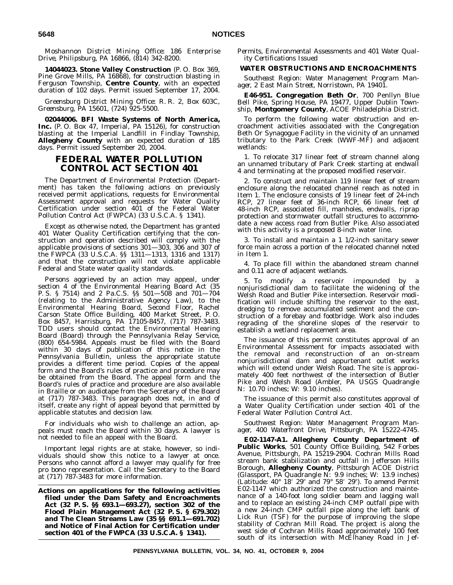*Moshannon District Mining Office: 186 Enterprise Drive, Philipsburg, PA 16866, (814) 342-8200.*

**14044023. Stone Valley Construction** (P. O. Box 369, Pine Grove Mills, PA 16868), for construction blasting in Ferguson Township, **Centre County**, with an expected duration of 102 days. Permit issued September 17, 2004.

*Greensburg District Mining Office: R. R. 2, Box 603C, Greensburg, PA 15601, (724) 925-5500.*

**02044006. BFI Waste Systems of North America, Inc.** (P. O. Box 47, Imperial, PA 15126), for construction blasting at the Imperial Landfill in Findlay Township, **Allegheny County** with an expected duration of 185 days. Permit issued September 20, 2004.

# **FEDERAL WATER POLLUTION CONTROL ACT SECTION 401**

The Department of Environmental Protection (Department) has taken the following actions on previously received permit applications, requests for Environmental Assessment approval and requests for Water Quality Certification under section 401 of the Federal Water Pollution Control Act (FWPCA) (33 U.S.C.A. § 1341).

Except as otherwise noted, the Department has granted 401 Water Quality Certification certifying that the construction and operation described will comply with the applicable provisions of sections 301—303, 306 and 307 of the FWPCA (33 U.S.C.A. §§ 1311—1313, 1316 and 1317) and that the construction will not violate applicable Federal and State water quality standards.

Persons aggrieved by an action may appeal, under section 4 of the Environmental Hearing Board Act (35 P. S. § 7514) and 2 Pa.C.S. §§ 501—508 and 701—704 (relating to the Administrative Agency Law), to the Environmental Hearing Board, Second Floor, Rachel Carson State Office Building, 400 Market Street, P. O. Box 8457, Harrisburg, PA 17105-8457, (717) 787-3483. TDD users should contact the Environmental Hearing Board (Board) through the Pennsylvania Relay Service, (800) 654-5984. Appeals must be filed with the Board within 30 days of publication of this notice in the *Pennsylvania Bulletin*, unless the appropriate statute provides a different time period. Copies of the appeal form and the Board's rules of practice and procedure may be obtained from the Board. The appeal form and the Board's rules of practice and procedure are also available in Braille or on audiotape from the Secretary of the Board at (717) 787-3483. This paragraph does not, in and of itself, create any right of appeal beyond that permitted by applicable statutes and decision law.

For individuals who wish to challenge an action, appeals must reach the Board within 30 days. A lawyer is not needed to file an appeal with the Board.

Important legal rights are at stake, however, so individuals should show this notice to a lawyer at once. Persons who cannot afford a lawyer may qualify for free pro bono representation. Call the Secretary to the Board at (717) 787-3483 for more information.

**Actions on applications for the following activities filed under the Dam Safety and Encroachments Act (32 P. S. §§ 693.1—693.27), section 302 of the Flood Plain Management Act (32 P. S. § 679.302) and The Clean Streams Law (35 §§ 691.1—691.702) and Notice of Final Action for Certification under section 401 of the FWPCA (33 U.S.C.A. § 1341).**

*Permits, Environmental Assessments and 401 Water Quality Certifications Issued*

## **WATER OBSTRUCTIONS AND ENCROACHMENTS**

*Southeast Region: Water Management Program Manager, 2 East Main Street, Norristown, PA 19401.*

**E46-951. Congregation Beth Or**, 700 Penllyn Blue Bell Pike, Spring House, PA 19477, Upper Dublin Township, **Montgomery County**, ACOE Philadelphia District.

To perform the following water obstruction and encroachment activities associated with the Congregation Beth Or Synagogue Facility in the vicinity of an unnamed tributary to the Park Creek (WWF-MF) and adjacent wetlands:

1. To relocate 317 linear feet of stream channel along an unnamed tributary of Park Creek starting at endwall 4 and terminating at the proposed modified reservoir.

2. To construct and maintain 119 linear feet of stream enclosure along the relocated channel reach as noted in Item 1. The enclosure consists of 19 linear feet of 24-inch RCP, 27 linear feet of 36-inch RCP, 66 linear feet of 48-inch RCP, associated fill, manholes, endwalls, riprap protection and stormwater outfall structures to accommodate a new access road from Butler Pike. Also associated with this activity is a proposed 8-inch water line.

3. To install and maintain a 1 1/2-inch sanitary sewer force main across a portion of the relocated channel noted in Item 1.

4. To place fill within the abandoned stream channel and 0.11 acre of adjacent wetlands.

5. To modify a reservoir impounded by a nonjurisdictional dam to facilitate the widening of the Welsh Road and Butler Pike intersection. Reservoir modification will include shifting the reservoir to the east, dredging to remove accumulated sediment and the construction of a forebay and footbridge. Work also includes regrading of the shoreline slopes of the reservoir to establish a wetland replacement area.

The issuance of this permit constitutes approval of an Environmental Assessment for impacts associated with the removal and reconstruction of an on-stream nonjurisdictional dam and appurtenant outlet works which will extend under Welsh Road. The site is approximately 400 feet northwest of the intersection of Butler Pike and Welsh Road (Ambler, PA USGS Quadrangle N: 10.70 inches; W: 9.10 inches).

The issuance of this permit also constitutes approval of a Water Quality Certification under section 401 of the Federal Water Pollution Control Act.

*Southwest Region: Water Management Program Manager, 400 Waterfront Drive, Pittsburgh, PA 15222-4745.*

**E02-1147-A1. Allegheny County Department of** Public Works, 501 County Office Building, 542 Forbes Avenue, Pittsburgh, PA 15219-2904. Cochran Mills Road stream bank stabilization and outfall in Jefferson Hills Borough, **Allegheny County**, Pittsburgh ACOE District (Glassport, PA Quadrangle N: 9.9 inches; W: 13.9 inches) (Latitude: 40° 18' 29" and 79° 58' 29"). To amend Permit E02-1147 which authorized the construction and maintenance of a 140-foot long soldier beam and lagging wall and to replace an existing 24-inch CMP outfall pipe with a new 24-inch CMP outfall pipe along the left bank of Lick Run (TSF) for the purpose of improving the slope stability of Cochran Mill Road. The project is along the west side of Cochran Mills Road approximately 100 feet south of its intersection with McElhaney Road in Jef-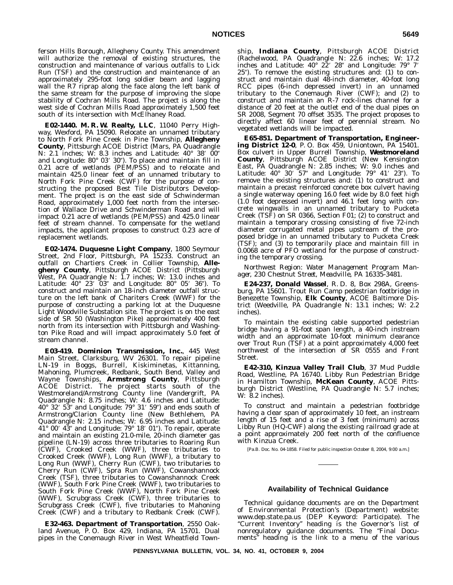ferson Hills Borough, Allegheny County. This amendment will authorize the removal of existing structures, the construction and maintenance of various outfalls to Lick Run (TSF) and the construction and maintenance of an approximately 295-foot long soldier beam and lagging wall the R7 riprap along the face along the left bank of the same stream for the purpose of improving the slope stability of Cochran Mills Road. The project is along the west side of Cochran Mills Road approximately 1,500 feet south of its intersection with McElhaney Road.

**E02-1440. M. R. W. Realty, LLC**, 11040 Perry Highway, Wexford, PA 15090. Relocate an unnamed tributary to North Fork Pine Creek in Pine Township, **Allegheny County**, Pittsburgh ACOE District (Mars, PA Quadrangle N: 2.1 inches; W: 8.3 inches and Latitude: 40° 38′ 00″ and Longitude: 80° 03' 30"). To place and maintain fill in 0.21 acre of wetlands (PEM/PSS) and to relocate and maintain 425.0 linear feet of an unnamed tributary to North Fork Pine Creek (CWF) for the purpose of constructing the proposed Best Tile Distributors Development. The project is on the east side of Schwinderman Road, approximately 1,000 feet north from the intersection of Wallace Drive and Schwinderman Road and will impact 0.21 acre of wetlands (PEM/PSS) and 425.0 linear feet of stream channel. To compensate for the wetland impacts, the applicant proposes to construct 0.23 acre of replacement wetlands.

**E02-1474. Duquesne Light Company**, 1800 Seymour Street, 2nd Floor, Pittsburgh, PA 15233. Construct an outfall on Chartiers Creek in Collier Township, **Allegheny County**, Pittsburgh ACOE District (Pittsburgh West, PA Quadrangle N: 1.7 inches; W: 13.0 inches and Latitude: 40° 23′ 03″ and Longitude: 80° 05′ 36″). To construct and maintain an 18-inch diameter outfall structure on the left bank of Chariters Creek (WWF) for the purpose of constructing a parking lot at the Duquesne Light Woodville Substation site. The project is on the east side of SR 50 (Washington Pike) approximately 400 feet north from its intersection with Pittsburgh and Washington Pike Road and will impact approximately 5.0 feet of stream channel.

**E03-419. Dominion Transmission, Inc.**, 445 West Main Street, Clarksburg, WV 26301. To repair pipeline LN-19 in Boggs, Burrell, Kiskiminetas, Kittanning, Mahoning, Plumcreek, Redbank, South Bend, Valley and Wayne Townships, **Armstrong County**, Pittsburgh ACOE District. The project starts south of the Westmoreland/Armstrong County line (Vandergrift, PA Quadrangle N: 8.75 inches; W: 4.6 inches and Latitude: 40° 32′ 53″ and Longitude: 79° 31′ 59″) and ends south of Armstrong/Clarion County line (New Bethlehem, PA Quadrangle N: 2.15 inches; W: 6.95 inches and Latitude:  $41^{\circ}$  00'  $43''$  and Longitude:  $79^{\circ}$  18' 01"). To repair, operate and maintain an existing 21.0-mile, 20-inch diameter gas pipeline (LN-19) across three tributaries to Roaring Run (CWF), Crooked Creek (WWF), three tributaries to Crooked Creek (WWF), Long Run (WWF), a tributary to Long Run (WWF), Cherry Run (CWF), two tributaries to Cherry Run (CWF), Spra Run (WWF), Cowanshannock Creek (TSF), three tributaries to Cowanshannock Creek (WWF), South Fork Pine Creek (WWF), two tributaries to South Fork Pine Creek (WWF), North Fork Pine Creek (WWF), Scrubgrass Creek (CWF), three tributaries to Scrubgrass Creek (CWF), five tributaries to Mahoning Creek (CWF) and a tributary to Redbank Creek (CWF).

**E32-463. Department of Transportation**, 2550 Oakland Avenue, P. O. Box 429, Indiana, PA 15701. Dual pipes in the Conemaugh River in West Wheatfield Township, **Indiana County**, Pittsburgh ACOE District (Rachelwood, PA Quadrangle N: 22.6 inches; W: 17.2 inches and Latitude:  $40^{\circ}$   $22'$   $28''$  and Longitude:  $79^{\circ}$   $7'$ 25). To remove the existing structures and: (1) to construct and maintain dual 48-inch diameter, 40-foot long RCC pipes (6-inch depressed invert) in an unnamed tributary to the Conemaugh River (CWF); and (2) to construct and maintain an R-7 rock-lines channel for a distance of 20 feet at the outlet end of the dual pipes on SR 2008, Segment 70 offset 3535. The project proposes to directly affect 60 linear feet of perennial stream. No vegetated wetlands will be impacted.

**E65-851. Department of Transportation, Engineering District 12-0**, P. O. Box 459, Uniontown, PA 15401. Box culvert in Upper Burrell Township, **Westmoreland County**, Pittsburgh ACOE District (New Kensington East, PA Quadrangle N: 2.85 inches; W: 9.0 inches and Latitude:  $40^{\circ}$   $30'$   $57''$  and Longitude:  $79^{\circ}$   $41'$   $23'$ ). To remove the existing structures and: (1) to construct and maintain a precast reinforced concrete box culvert having a single waterway opening 16.0 feet wide by 8.0 feet high (1.0 foot depressed invert) and 46.1 feet long with concrete wingwalls in an unnamed tributary to Pucketa Creek (TSF) on SR 0366, Section F01; (2) to construct and maintain a temporary crossing consisting of five 72-inch diameter corrugated metal pipes upstream of the proposed bridge in an unnamed tributary to Pucketa Creek (TSF); and (3) to temporarily place and maintain fill in 0.0068 acre of PFO wetland for the purpose of constructing the temporary crossing.

*Northwest Region: Water Management Program Manager, 230 Chestnut Street, Meadville, PA 16335-3481.*

**E24-237, Donald Wassel**, R. D. 8, Box 298A, Greensburg, PA 15601. Trout Run Camp pedestrian footbridge in Benezette Township, **Elk County**, ACOE Baltimore District (Weedville, PA Quadrangle N: 13.1 inches; W: 2.2 inches).

To maintain the existing cable supported pedestrian bridge having a 91-foot span length, a 40-inch instream width and an approximate 10-foot minimum clearance over Trout Run (TSF) at a point approximately 4,000 feet northwest of the intersection of SR 0555 and Front Street.

**E42-310, Kinzua Valley Trail Club**, 37 Mud Puddle Road, Westline, PA 16740. Libby Run Pedestrian Bridge in Hamilton Township, **McKean County**, ACOE Pittsburgh District (Westline, PA Quadrangle N: 5.7 inches; W: 8.2 inches).

To construct and maintain a pedestrian footbridge having a clear span of approximately 10 feet, an instream length of 15 feet and a rise of 3 feet (minimum) across Libby Run (HQ-CWF) along the existing railroad grade at a point approximately 200 feet north of the confluence with Kinzua Creek.

[Pa.B. Doc. No. 04-1858. Filed for public inspection October 8, 2004, 9:00 a.m.]

### **Availability of Technical Guidance**

Technical guidance documents are on the Department of Environmental Protection's (Department) website: www.dep.state.pa.us (DEP Keyword: Participate). The ''Current Inventory'' heading is the Governor's list of nonregulatory guidance documents. The ''Final Documents'' heading is the link to a menu of the various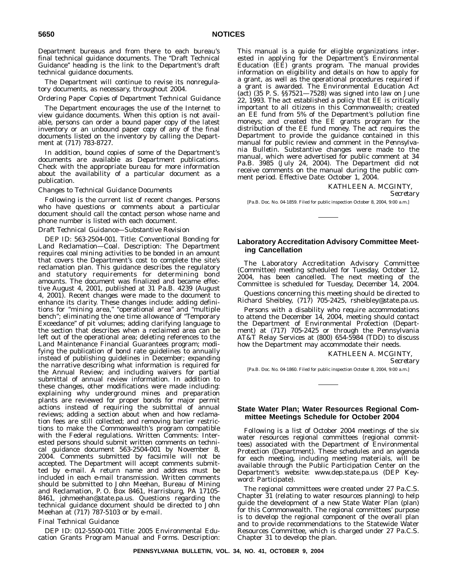Department bureaus and from there to each bureau's final technical guidance documents. The ''Draft Technical Guidance'' heading is the link to the Department's draft technical guidance documents.

The Department will continue to revise its nonregulatory documents, as necessary, throughout 2004.

### *Ordering Paper Copies of Department Technical Guidance*

The Department encourages the use of the Internet to view guidance documents. When this option is not available, persons can order a bound paper copy of the latest inventory or an unbound paper copy of any of the final documents listed on the inventory by calling the Department at (717) 783-8727.

In addition, bound copies of some of the Department's documents are available as Department publications. Check with the appropriate bureau for more information about the availability of a particular document as a publication.

### *Changes to Technical Guidance Documents*

Following is the current list of recent changes. Persons who have questions or comments about a particular document should call the contact person whose name and phone number is listed with each document.

## *Draft Technical Guidance—Substantive Revision*

DEP ID: 563-2504-001. Title: Conventional Bonding for Land Reclamation—Coal. Description: The Department requires coal mining activities to be bonded in an amount that covers the Department's cost to complete the site's reclamation plan. This guidance describes the regulatory and statutory requirements for determining bond amounts. The document was finalized and became effective August 4, 2001, published at 31 Pa.B. 4239 (August 4, 2001). Recent changes were made to the document to enhance its clarity. These changes include: adding definitions for "mining area," "operational area" and "multiple bench''; eliminating the one time allowance of ''Temporary Exceedance'' of pit volumes; adding clarifying language to the section that describes when a reclaimed area can be left out of the operational area; deleting references to the Land Maintenance Financial Guarantees program; modifying the publication of bond rate guidelines to annually instead of publishing guidelines in December; expanding the narrative describing what information is required for the Annual Review; and including waivers for partial submittal of annual review information. In addition to these changes, other modifications were made including: explaining why underground mines and preparation plants are reviewed for proper bonds for major permit actions instead of requiring the submittal of annual reviews; adding a section about when and how reclamation fees are still collected; and removing barrier restrictions to make the Commonwealth's program compatible with the Federal regulations. Written Comments: Interested persons should submit written comments on technical guidance document 563-2504-001 by November 8, 2004. Comments submitted by facsimile will not be accepted. The Department will accept comments submitted by e-mail. A return name and address must be included in each e-mail transmission. Written comments should be submitted to John Meehan, Bureau of Mining and Reclamation, P. O. Box 8461, Harrisburg, PA 17105- 8461, johmeehan@state.pa.us. Questions regarding the technical guidance document should be directed to John Meehan at (717) 787-5103 or by e-mail.

### *Final Technical Guidance*

DEP ID: 012-5500-001 Title: 2005 Environmental Education Grants Program Manual and Forms. Description: This manual is a guide for eligible organizations interested in applying for the Department's Environmental Education (EE) grants program. The manual provides information on eligibility and details on how to apply for a grant, as well as the operational procedures required if a grant is awarded. The Environmental Education Act (act) (35 P. S. §§7521—7528) was signed into law on June 22, 1993. The act established a policy that EE is critically important to all citizens in this Commonwealth; created an EE fund from 5% of the Department's pollution fine moneys; and created the EE grants program for the distribution of the EE fund money. The act requires the Department to provide the guidance contained in this manual for public review and comment in the *Pennsylvania Bulletin*. Substantive changes were made to the manual, which were advertised for public comment at 34 Pa.B. 3985 (July 24, 2004). The Department did not receive comments on the manual during the public comment period. Effective Date: October 1, 2004.

### KATHLEEN A. MCGINTY,

*Secretary*

[Pa.B. Doc. No. 04-1859. Filed for public inspection October 8, 2004, 9:00 a.m.]

## **Laboratory Accreditation Advisory Committee Meeting Cancellation**

The Laboratory Accreditation Advisory Committee (Committee) meeting scheduled for Tuesday, October 12, 2004, has been cancelled. The next meeting of the Committee is scheduled for Tuesday, December 14, 2004.

Questions concerning this meeting should be directed to Richard Sheibley, (717) 705-2425, rsheibley@state.pa.us.

Persons with a disability who require accommodations to attend the December 14, 2004, meeting should contact the Department of Environmental Protection (Department) at (717) 705-2425 or through the Pennsylvania AT&T Relay Services at (800) 654-5984 (TDD) to discuss how the Department may accommodate their needs.

> KATHLEEN A. MCGINTY, *Secretary*

[Pa.B. Doc. No. 04-1860. Filed for public inspection October 8, 2004, 9:00 a.m.]

### **State Water Plan; Water Resources Regional Committee Meetings Schedule for October 2004**

Following is a list of October 2004 meetings of the six water resources regional committees (regional committees) associated with the Department of Environmental Protection (Department). These schedules and an agenda for each meeting, including meeting materials, will be available through the Public Participation Center on the Department's website: www.dep.state.pa.us (DEP Keyword: Participate).

The regional committees were created under 27 Pa.C.S. Chapter 31 (relating to water resources planning) to help guide the development of a new State Water Plan (plan) for this Commonwealth. The regional committees' purpose is to develop the regional component of the overall plan and to provide recommendations to the Statewide Water Resources Committee, which is charged under 27 Pa.C.S. Chapter 31 to develop the plan.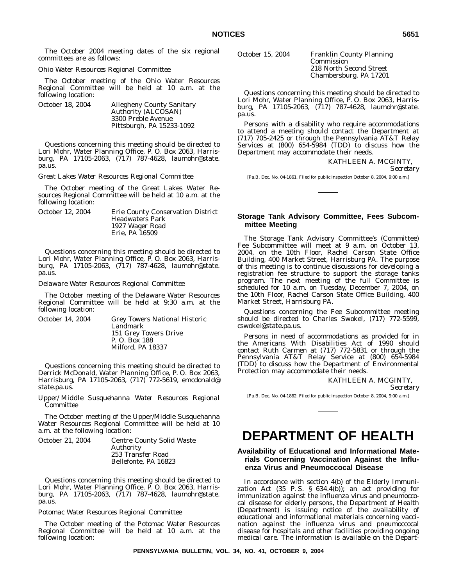The October 2004 meeting dates of the six regional committees are as follows:

### *Ohio Water Resources Regional Committee*

The October meeting of the Ohio Water Resources Regional Committee will be held at 10 a.m. at the following location:

| October 18. 2004 | <b>Allegheny County Sanitary</b> |
|------------------|----------------------------------|
|                  | Authority (ALCOSAN)              |
|                  | 3300 Preble Avenue               |
|                  | Pittsburgh, PA 15233-1092        |

Questions concerning this meeting should be directed to Lori Mohr, Water Planning Office, P. O. Box 2063, Harrisburg, PA 17105-2063, (717) 787-4628, laumohr@state. pa.us.

*Great Lakes Water Resources Regional Committee*

The October meeting of the Great Lakes Water Resources Regional Committee will be held at 10 a.m. at the following location:

| October 12, 2004 | Erie County Conservation District |
|------------------|-----------------------------------|
|                  | <b>Headwaters Park</b>            |
|                  | 1927 Wager Road                   |
|                  | Erie, PA 16509                    |

Questions concerning this meeting should be directed to Lori Mohr, Water Planning Office, P. O. Box 2063, Harrisburg, PA 17105-2063, (717) 787-4628, laumohr@state. pa.us.

### *Delaware Water Resources Regional Committee*

The October meeting of the Delaware Water Resources Regional Committee will be held at 9:30 a.m. at the following location:

| October 14. 2004 | <b>Grey Towers National Historic</b> |
|------------------|--------------------------------------|
|                  | Landmark                             |
|                  | 151 Grey Towers Drive                |
|                  | P. O. Box 188                        |
|                  | Milford, PA 18337                    |

Questions concerning this meeting should be directed to Derrick McDonald, Water Planning Office, P. O. Box 2063, Harrisburg, PA 17105-2063, (717) 772-5619, emcdonald@ state.pa.us.

*Upper/Middle Susquehanna Water Resources Regional Committee*

The October meeting of the Upper/Middle Susquehanna Water Resources Regional Committee will be held at 10 a.m. at the following location:

| October 21. 2004 | <b>Centre County Solid Waste</b> |
|------------------|----------------------------------|
|                  | <b>Authority</b>                 |
|                  | 253 Transfer Road                |
|                  | Bellefonte, PA 16823             |

Questions concerning this meeting should be directed to Lori Mohr, Water Planning Office, P. O. Box 2063, Harrisburg, PA 17105-2063, (717) 787-4628, laumohr@state. pa.us.

### *Potomac Water Resources Regional Committee*

The October meeting of the Potomac Water Resources Regional Committee will be held at 10 a.m. at the following location:

October 15, 2004 Franklin County Planning

Commission 218 North Second Street Chambersburg, PA 17201

Questions concerning this meeting should be directed to Lori Mohr, Water Planning Office, P. O. Box 2063, Harrisburg, PA 17105-2063, (717) 787-4628, laumohr@state. pa.us.

Persons with a disability who require accommodations to attend a meeting should contact the Department at (717) 705-2425 or through the Pennsylvania AT&T Relay Services at (800) 654-5984 (TDD) to discuss how the Department may accommodate their needs.

KATHLEEN A. MCGINTY,

*Secretary*

[Pa.B. Doc. No. 04-1861. Filed for public inspection October 8, 2004, 9:00 a.m.]

## **Storage Tank Advisory Committee, Fees Subcommittee Meeting**

The Storage Tank Advisory Committee's (Committee) Fee Subcommittee will meet at 9 a.m. on October 13, 2004, on the 10th Floor, Rachel Carson State Office Building, 400 Market Street, Harrisburg PA. The purpose of this meeting is to continue discussions for developing a registration fee structure to support the storage tanks program. The next meeting of the full Committee is scheduled for 10 a.m. on Tuesday, December 7, 2004, on the 10th Floor, Rachel Carson State Office Building, 400 Market Street, Harrisburg PA.

Questions concerning the Fee Subcommittee meeting should be directed to Charles Swokel, (717) 772-5599, cswokel@state.pa.us.

Persons in need of accommodations as provided for in the Americans With Disabilities Act of 1990 should contact Ruth Carmen at (717) 772-5831 or through the Pennsylvania AT&T Relay Service at (800) 654-5984 (TDD) to discuss how the Department of Environmental Protection may accommodate their needs.

KATHLEEN A. MCGINTY,

*Secretary*

[Pa.B. Doc. No. 04-1862. Filed for public inspection October 8, 2004, 9:00 a.m.]

# **DEPARTMENT OF HEALTH**

# **Availability of Educational and Informational Materials Concerning Vaccination Against the Influenza Virus and Pneumoccocal Disease**

In accordance with section 4(b) of the Elderly Immunization Act  $(35 \text{ P.S. } \text{§ } 634.4(b))$ ; an act providing for immunization against the influenza virus and pneumoccocal disease for elderly persons, the Department of Health (Department) is issuing notice of the availability of educational and informational materials concerning vaccination against the influenza virus and pneumoccocal disease for hospitals and other facilities providing ongoing medical care. The information is available on the Depart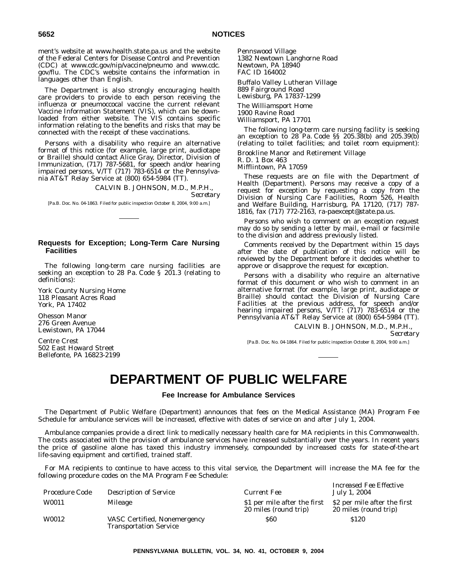ment's website at www.health.state.pa.us and the website of the Federal Centers for Disease Control and Prevention (CDC) at www.cdc.gov/nip/vaccine/pneumo and www.cdc. gov/flu. The CDC's website contains the information in languages other than English.

The Department is also strongly encouraging health care providers to provide to each person receiving the influenza or pneumoccocal vaccine the current relevant Vaccine Information Statement (VIS), which can be downloaded from either website. The VIS contains specific information relating to the benefits and risks that may be connected with the receipt of these vaccinations.

Persons with a disability who require an alternative format of this notice (for example, large print, audiotape or Braille) should contact Alice Gray, Director, Division of Immunization, (717) 787-5681, for speech and/or hearing impaired persons, V/TT (717) 783-6514 or the Pennsylvania AT&T Relay Service at (800) 654-5984 (TT).

## CALVIN B. JOHNSON, M.D., M.P.H.,

*Secretary*

[Pa.B. Doc. No. 04-1863. Filed for public inspection October 8, 2004, 9:00 a.m.]

## **Requests for Exception; Long-Term Care Nursing Facilities**

The following long-term care nursing facilities are seeking an exception to 28 Pa. Code § 201.3 (relating to definitions):

York County Nursing Home 118 Pleasant Acres Road York, PA 17402

Ohesson Manor 276 Green Avenue Lewistown, PA 17044

Centre Crest 502 East Howard Street Bellefonte, PA 16823-2199 Pennswood Village 1382 Newtown Langhorne Road Newtown, PA 18940 FAC ID 164002

Buffalo Valley Lutheran Village 889 Fairground Road Lewisburg, PA 17837-1299

The Williamsport Home 1900 Ravine Road Williamsport, PA 17701

The following long-term care nursing facility is seeking an exception to 28 Pa. Code §§ 205.38(b) and 205.39(b) (relating to toilet facilities; and toilet room equipment):

Brookline Manor and Retirement Village

R. D. 1 Box 463

Mifflintown, PA 17059

These requests are on file with the Department of Health (Department). Persons may receive a copy of a request for exception by requesting a copy from the Division of Nursing Care Facilities, Room 526, Health and Welfare Building, Harrisburg, PA 17120, (717) 787- 1816, fax (717) 772-2163, ra-paexcept@state.pa.us.

Persons who wish to comment on an exception request may do so by sending a letter by mail, e-mail or facsimile to the division and address previously listed.

Comments received by the Department within 15 days after the date of publication of this notice will be reviewed by the Department before it decides whether to approve or disapprove the request for exception.

Persons with a disability who require an alternative format of this document or who wish to comment in an alternative format (for example, large print, audiotape or Braille) should contact the Division of Nursing Care Facilities at the previous address, for speech and/or hearing impaired persons, V/TT: (717) 783-6514 or the Pennsylvania AT&T Relay Service at (800) 654-5984 (TT).

> CALVIN B. JOHNSON, M.D., M.P.H., *Secretary*

> > *Increased Fee Effective*

[Pa.B. Doc. No. 04-1864. Filed for public inspection October 8, 2004, 9:00 a.m.]

# **DEPARTMENT OF PUBLIC WELFARE**

**Fee Increase for Ambulance Services**

The Department of Public Welfare (Department) announces that fees on the Medical Assistance (MA) Program Fee Schedule for ambulance services will be increased, effective with dates of service on and after July 1, 2004.

Ambulance companies provide a direct link to medically necessary health care for MA recipients in this Commonwealth. The costs associated with the provision of ambulance services have increased substantially over the years. In recent years the price of gasoline alone has taxed this industry immensely, compounded by increased costs for state-of-the-art life-saving equipment and certified, trained staff.

For MA recipients to continue to have access to this vital service, the Department will increase the MA fee for the following procedure codes on the MA Program Fee Schedule:

| Procedure Code | <b>Description of Service</b>                                 | Current Fee                                           | питеазей гее Енесите<br>July 1, 2004                  |
|----------------|---------------------------------------------------------------|-------------------------------------------------------|-------------------------------------------------------|
| W0011          | Mileage                                                       | \$1 per mile after the first<br>20 miles (round trip) | \$2 per mile after the first<br>20 miles (round trip) |
| W0012          | VASC Certified, Nonemergency<br><b>Transportation Service</b> | <b>S60</b>                                            | \$120                                                 |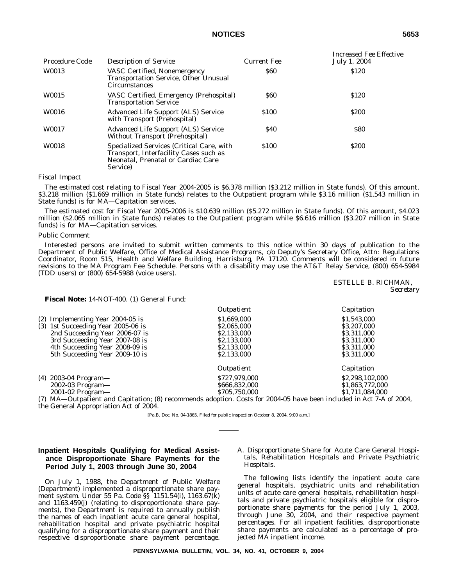# **NOTICES 5653**

| Procedure Code | <b>Description of Service</b>                                                                                                         | Current Fee | Increased Fee Effective<br>July 1, 2004 |
|----------------|---------------------------------------------------------------------------------------------------------------------------------------|-------------|-----------------------------------------|
| W0013          | VASC Certified, Nonemergency<br><b>Transportation Service, Other Unusual</b><br><b>Circumstances</b>                                  | <b>S60</b>  | \$120                                   |
| W0015          | VASC Certified, Emergency (Prehospital)<br><b>Transportation Service</b>                                                              | <b>S60</b>  | \$120                                   |
| W0016          | <b>Advanced Life Support (ALS) Service</b><br>with Transport (Prehospital)                                                            | \$100       | <b>S200</b>                             |
| W0017          | <b>Advanced Life Support (ALS) Service</b><br>Without Transport (Prehospital)                                                         | <b>S40</b>  | <b>S80</b>                              |
| W0018          | Specialized Services (Critical Care, with<br>Transport, Interfacility Cases such as<br>Neonatal, Prenatal or Cardiac Care<br>Service) | \$100       | <b>S200</b>                             |

### *Fiscal Impact*

The estimated cost relating to Fiscal Year 2004-2005 is \$6.378 million (\$3.212 million in State funds). Of this amount, \$3.218 million (\$1.669 million in State funds) relates to the Outpatient program while \$3.16 million (\$1.543 million in State funds) is for MA—Capitation services.

The estimated cost for Fiscal Year 2005-2006 is \$10.639 million (\$5.272 million in State funds). Of this amount, \$4.023 million (\$2.065 million in State funds) relates to the Outpatient program while \$6.616 million (\$3.207 million in State funds) is for MA—Capitation services.

### *Public Comment*

Interested persons are invited to submit written comments to this notice within 30 days of publication to the Department of Public Welfare, Office of Medical Assistance Programs, c/o Deputy's Secretary Office, Attn: Regulations Coordinator, Room 515, Health and Welfare Building, Harrisburg, PA 17120. Comments will be considered in future revisions to the MA Program Fee Schedule. Persons with a disability may use the AT&T Relay Service, (800) 654-5984 (TDD users) or  $(800)$  654-5988 (voice users).

> ESTELLE B. RICHMAN, *Secretary*

## **Fiscal Note:** 14-NOT-400. (1) General Fund;

|                                    | Outpatient                                                                                                         | Capitation      |
|------------------------------------|--------------------------------------------------------------------------------------------------------------------|-----------------|
| $(2)$ Implementing Year 2004-05 is | \$1,669,000                                                                                                        | \$1,543,000     |
| (3) 1st Succeeding Year 2005-06 is | \$2,065,000                                                                                                        | \$3,207,000     |
| 2nd Succeeding Year 2006-07 is     | \$2,133,000                                                                                                        | \$3,311,000     |
| 3rd Succeeding Year 2007-08 is     | \$2,133,000                                                                                                        | \$3,311,000     |
| 4th Succeeding Year 2008-09 is     | \$2,133,000                                                                                                        | \$3,311,000     |
| 5th Succeeding Year 2009-10 is     | \$2,133,000                                                                                                        | \$3,311,000     |
|                                    | Outpatient                                                                                                         | Capitation      |
| (4) 2003-04 Program-               | \$727,979,000                                                                                                      | \$2,298,102,000 |
| $2002-03$ Program-                 | \$666,832,000                                                                                                      | \$1,863,772,000 |
| $2001 - 02$ Program-               | \$705,750,000                                                                                                      | \$1,711,084,000 |
|                                    | (7) MA—Outnatient and Canitation: (8) recommends adontion. Costs for 2004-05 have been included in Act 7-A of 2004 |                 |

recommends adoption. Costs for 2004-05 have been included in Act 7-A of 2004, the General Appropriation Act of 2004.

[Pa.B. Doc. No. 04-1865. Filed for public inspection October 8, 2004, 9:00 a.m.]

# **Inpatient Hospitals Qualifying for Medical Assistance Disproportionate Share Payments for the Period July 1, 2003 through June 30, 2004**

On July 1, 1988, the Department of Public Welfare (Department) implemented a disproportionate share payment system. Under 55 Pa. Code §§ 1151.54(i), 1163.67(k) and 1163.459(j) (relating to disproportionate share payments), the Department is required to annually publish the names of each inpatient acute care general hospital, rehabilitation hospital and private psychiatric hospital qualifying for a disproportionate share payment and their respective disproportionate share payment percentage.

### A. *Disproportionate Share for Acute Care General Hospitals, Rehabilitation Hospitals and Private Psychiatric Hospitals.*

The following lists identify the inpatient acute care general hospitals, psychiatric units and rehabilitation units of acute care general hospitals, rehabilitation hospitals and private psychiatric hospitals eligible for disproportionate share payments for the period July 1, 2003, through June 30, 2004, and their respective payment percentages. For all inpatient facilities, disproportionate share payments are calculated as a percentage of projected MA inpatient income.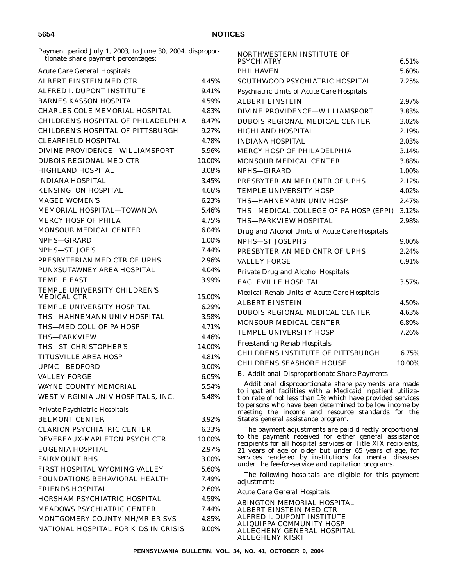Payment period July 1, 2003, to June 30, 2004, disproportionate share payment percentages:

| Acute Care General Hospitals             |          |
|------------------------------------------|----------|
| ALBERT EINSTEIN MED CTR                  | 4.45%    |
| ALFRED L DUPONT INSTITUTE                | 9.41%    |
| <b>BARNES KASSON HOSPITAL</b>            | 4.59%    |
| CHARLES COLE MEMORIAL HOSPITAL           | 4.83%    |
| CHILDREN'S HOSPITAL OF PHILADELPHIA      | 8.47%    |
| <b>CHILDREN'S HOSPITAL OF PITTSBURGH</b> | 9.27%    |
| <b>CLEARFIELD HOSPITAL</b>               | 4.78%    |
| DIVINE PROVIDENCE-WILLIAMSPORT           | $5.96\%$ |
| <b>DUBOIS REGIONAL MED CTR</b>           | 10.00%   |
| <b>HIGHLAND HOSPITAL</b>                 | 3.08%    |
| <b>INDIANA HOSPITAL</b>                  | 3.45%    |
| <b>KENSINGTON HOSPITAL</b>               | 4.66%    |
| <b>MAGEE WOMEN'S</b>                     | 6.23%    |
| MEMORIAL HOSPITAL-TOWANDA                | 5.46%    |
| <b>MERCY HOSP OF PHILA</b>               | 4.75%    |
| <b>MONSOUR MEDICAL CENTER</b>            | 6.04%    |
| NPHS-GIRARD                              | 1.00%    |
| NPHS-ST. JOE'S                           | 7.44%    |
| PRESBYTERIAN MED CTR OF UPHS             | 2.96%    |
| PUNXSUTAWNEY AREA HOSPITAL               | 4.04%    |
| <b>TEMPLE EAST</b>                       | 3.99%    |
| TEMPLE UNIVERSITY CHILDREN'S             |          |
| <b>MEDICAL CTR</b>                       | 15.00%   |
| <b>TEMPLE UNIVERSITY HOSPITAL</b>        | 6.29%    |
| THS—HAHNEMANN UNIV HOSPITAL              | 3.58%    |
| THS-MED COLL OF PA HOSP                  | 4.71%    |
| THS-PARKVIEW                             | 4.46%    |
| THS-ST. CHRISTOPHER'S                    | 14.00%   |
| <b>TITUSVILLE AREA HOSP</b>              | 4.81%    |
| UPMC-BEDFORD                             | 9.00%    |
| <b>VALLEY FORGE</b>                      | 6.05%    |
| <b>WAYNE COUNTY MEMORIAL</b>             | 5.54%    |
| WEST VIRGINIA UNIV HOSPITALS, INC.       | 5.48%    |
| Private Psychiatric Hospitals            |          |
| <b>BELMONT CENTER</b>                    | 3.92%    |
| <b>CLARION PSYCHIATRIC CENTER</b>        | $6.33\%$ |
| DEVEREAUX-MAPLETON PSYCH CTR             | 10.00%   |
| <b>EUGENIA HOSPITAL</b>                  | 2.97%    |
| <b>FAIRMOUNT BHS</b>                     | 3.00%    |
| FIRST HOSPITAL WYOMING VALLEY            | 5.60%    |
| FOUNDATIONS BEHAVIORAL HEALTH            | 7.49%    |
| <b>FRIENDS HOSPITAL</b>                  | 2.60%    |
| HORSHAM PSYCHIATRIC HOSPITAL             | 4.59%    |
| MEADOWS PSYCHIATRIC CENTER               | 7.44%    |
| MONTGOMERY COUNTY MH/MR ER SVS           | 4.85%    |
| NATIONAL HOSPITAL FOR KIDS IN CRISIS     | 9.00%    |
|                                          |          |

| NORTHWESTERN INSTITUTE OF                      |        |
|------------------------------------------------|--------|
| <b>PSYCHIATRY</b>                              | 6.51%  |
| <b>PHILHAVEN</b>                               | 5.60%  |
| SOUTHWOOD PSYCHIATRIC HOSPITAL                 | 7.25%  |
| Psychiatric Units of Acute Care Hospitals      |        |
| <b>ALBERT EINSTEIN</b>                         | 2.97%  |
| DIVINE PROVIDENCE-WILLIAMSPORT                 | 3.83%  |
| <b>DUBOIS REGIONAL MEDICAL CENTER</b>          | 3.02%  |
| <b>HIGHLAND HOSPITAL</b>                       | 2.19%  |
| <b>INDIANA HOSPITAL</b>                        | 2.03%  |
| <b>MERCY HOSP OF PHILADELPHIA</b>              | 3.14%  |
| MONSOUR MEDICAL CENTER                         | 3.88%  |
| NPHS-GIRARD                                    | 1.00%  |
| PRESBYTERIAN MED CNTR OF UPHS                  | 2.12%  |
| <b>TEMPLE UNIVERSITY HOSP</b>                  | 4.02%  |
| THS—HAHNEMANN UNIV HOSP                        | 2.47%  |
| THS—MEDICAL COLLEGE OF PA HOSP (EPPI)          | 3.12%  |
| THS-PARKVIEW HOSPITAL                          | 2.98%  |
| Drug and Alcohol Units of Acute Care Hospitals |        |
| <b>NPHS-ST JOSEPHS</b>                         | 9.00%  |
| PRESBYTERIAN MED CNTR OF UPHS                  | 2.24%  |
| <b>VALLEY FORGE</b>                            | 6.91%  |
| Private Drug and Alcohol Hospitals             |        |
| <b>EAGLEVILLE HOSPITAL</b>                     | 3.57%  |
| Medical Rehab Units of Acute Care Hospitals    |        |
| <b>ALBERT EINSTEIN</b>                         | 4.50%  |
| DUBOIS REGIONAL MEDICAL CENTER                 | 4.63%  |
| MONSOUR MEDICAL CENTER                         | 6.89%  |
| <b>TEMPLE UNIVERSITY HOSP</b>                  | 7.26%  |
| Freestanding Rehab Hospitals                   |        |
| CHILDRENS INSTITUTE OF PITTSBURGH              | 6.75%  |
| <b>CHILDRENS SEASHORE HOUSE</b>                | 10.00% |
|                                                |        |

### B. *Additional Disproportionate Share Payments*

Additional disproportionate share payments are made to inpatient facilities with a Medicaid inpatient utilization rate of not less than 1% which have provided services to persons who have been determined to be low income by meeting the income and resource standards for the State's general assistance program.

The payment adjustments are paid directly proportional to the payment received for either general assistance recipients for all hospital services or Title XIX recipients, 21 years of age or older but under 65 years of age, for services rendered by institutions for mental diseases under the fee-for-service and capitation programs.

The following hospitals are eligible for this payment adjustment:

*Acute Care General Hospitals*

ABINGTON MEMORIAL HOSPITAL ALBERT EINSTEIN MED CTR ALFRED I. DUPONT INSTITUTE ALIQUIPPA COMMUNITY HOSP ALLEGHENY GENERAL HOSPITAL ALLEGHENY KISKI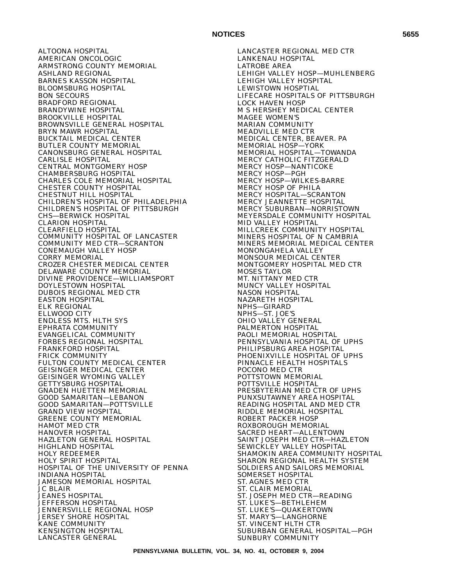ALTOONA HOSPITAL AMERICAN ONCOLOGIC ARMSTRONG COUNTY MEMORIAL ASHLAND REGIONAL BARNES KASSON HOSPITAL BLOOMSBURG HOSPITAL BON SECOURS BRADFORD REGIONAL BRANDYWINE HOSPITAL BROOKVILLE HOSPITAL BROWNSVILLE GENERAL HOSPITAL BRYN MAWR HOSPITAL BUCKTAIL MEDICAL CENTER BUTLER COUNTY MEMORIAL CANONSBURG GENERAL HOSPITAL CARLISLE HOSPITAL CENTRAL MONTGOMERY HOSP CHAMBERSBURG HOSPITAL CHARLES COLE MEMORIAL HOSPITAL CHESTER COUNTY HOSPITAL CHESTNUT HILL HOSPITAL CHILDREN'S HOSPITAL OF PHILADELPHIA CHILDREN'S HOSPITAL OF PITTSBURGH CHS—BERWICK HOSPITAL CLARION HOSPITAL CLEARFIELD HOSPITAL COMMUNITY HOSPITAL OF LANCASTER COMMUNITY MED CTR—SCRANTON CONEMAUGH VALLEY HOSP CORRY MEMORIAL CROZER CHESTER MEDICAL CENTER DELAWARE COUNTY MEMORIAL DIVINE PROVIDENCE—WILLIAMSPORT DOYLESTOWN HOSPITAL DUBOIS REGIONAL MED CTR EASTON HOSPITAL ELK REGIONAL ELLWOOD CITY ENDLESS MTS. HLTH SYS EPHRATA COMMUNITY EVANGELICAL COMMUNITY FORBES REGIONAL HOSPITAL FRANKFORD HOSPITAL FRICK COMMUNITY FULTON COUNTY MEDICAL CENTER GEISINGER MEDICAL CENTER GEISINGER WYOMING VALLEY GETTYSBURG HOSPITAL GNADEN HUETTEN MEMORIAL GOOD SAMARITAN—LEBANON GOOD SAMARITAN—POTTSVILLE GRAND VIEW HOSPITAL GREENE COUNTY MEMORIAL HAMOT MED CTR HANOVER HOSPITAL HAZLETON GENERAL HOSPITAL HIGHLAND HOSPITAL HOLY REDEEMER HOLY SPIRIT HOSPITAL HOSPITAL OF THE UNIVERSITY OF PENNA INDIANA HOSPITAL JAMESON MEMORIAL HOSPITAL JC BLAIR JEANES HOSPITAL JEFFERSON HOSPITAL JENNERSVILLE REGIONAL HOSP JERSEY SHORE HOSPITAL KANE COMMUNITY KENSINGTON HOSPITAL LANCASTER GENERAL

LANCASTER REGIONAL MED CTR LANKENAU HOSPITAL LATROBE AREA LEHIGH VALLEY HOSP—MUHLENBERG LEHIGH VALLEY HOSPITAL LEWISTOWN HOSPTIAL LIFECARE HOSPITALS OF PITTSBURGH LOCK HAVEN HOSP M S HERSHEY MEDICAL CENTER MAGEE WOMEN'S MARIAN COMMUNITY MEADVILLE MED CTR MEDICAL CENTER, BEAVER. PA MEMORIAL HOSP—YORK MEMORIAL HOSPITAL—TOWANDA MERCY CATHOLIC FITZGERALD MERCY HOSP—NANTICOKE MERCY HOSP—PGH MERCY HOSP—WILKES-BARRE MERCY HOSP OF PHILA MERCY HOSPITAL—SCRANTON MERCY JEANNETTE HOSPITAL MERCY SUBURBAN—NORRISTOWN MEYERSDALE COMMUNITY HOSPITAL MID VALLEY HOSPITAL MILLCREEK COMMUNITY HOSPITAL MINERS HOSPITAL OF N CAMBRIA MINERS MEMORIAL MEDICAL CENTER MONONGAHELA VALLEY MONSOUR MEDICAL CENTER MONTGOMERY HOSPITAL MED CTR MOSES TAYLOR MT. NITTANY MED CTR MUNCY VALLEY HOSPITAL NASON HOSPITAL NAZARETH HOSPITAL NPHS—GIRARD NPHS—ST. JOE'S OHIO VALLEY GENERAL PALMERTON HOSPITAL PAOLI MEMORIAL HOSPITAL PENNSYLVANIA HOSPITAL OF UPHS PHILIPSBURG AREA HOSPITAL PHOENIXVILLE HOSPITAL OF UPHS PINNACLE HEALTH HOSPITALS POCONO MED CTR POTTSTOWN MEMORIAL POTTSVILLE HOSPITAL PRESBYTERIAN MED CTR OF UPHS PUNXSUTAWNEY AREA HOSPITAL READING HOSPITAL AND MED CTR RIDDLE MEMORIAL HOSPITAL ROBERT PACKER HOSP ROXBOROUGH MEMORIAL SACRED HEART—ALLENTOWN SAINT JOSEPH MED CTR—HAZLETON SEWICKLEY VALLEY HOSPITAL SHAMOKIN AREA COMMUNITY HOSPITAL SHARON REGIONAL HEALTH SYSTEM SOLDIERS AND SAILORS MEMORIAL SOMERSET HOSPITAL ST. AGNES MED CTR ST. CLAIR MEMORIAL ST. JOSEPH MED CTR—READING ST. LUKE'S—BETHLEHEM ST. LUKE'S—QUAKERTOWN ST. MARY'S—LANGHORNE ST. VINCENT HLTH CTR SUBURBAN GENERAL HOSPITAL—PGH SUNBURY COMMUNITY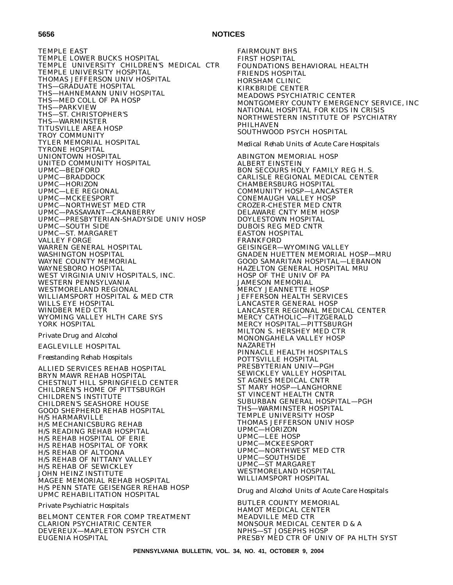## **5656 NOTICES**

TEMPLE EAST TEMPLE LOWER BUCKS HOSPITAL TEMPLE UNIVERSITY CHILDREN'S MEDICAL CTR TEMPLE UNIVERSITY HOSPITAL THOMAS JEFFERSON UNIV HOSPITAL THS—GRADUATE HOSPITAL THS—HAHNEMANN UNIV HOSPITAL THS—MED COLL OF PA HOSP THS—PARKVIEW THS—ST. CHRISTOPHER'S THS—WARMINSTER TITUSVILLE AREA HOSP TROY COMMUNITY TYLER MEMORIAL HOSPITAL TYRONE HOSPITAL UNIONTOWN HOSPITAL UNITED COMMUNITY HOSPITAL UPMC—BEDFORD UPMC—BRADDOCK UPMC—HORIZON UPMC—LEE REGIONAL UPMC—MCKEESPORT UPMC—NORTHWEST MED CTR UPMC—PASSAVANT—CRANBERRY UPMC—PRESBYTERIAN-SHADYSIDE UNIV HOSP UPMC—SOUTH SIDE UPMC—ST. MARGARET VALLEY FORGE WARREN GENERAL HOSPITAL WASHINGTON HOSPITAL WAYNE COUNTY MEMORIAL WAYNESBORO HOSPITAL WEST VIRGINIA UNIV HOSPITALS, INC. WESTERN PENNSYLVANIA WESTMORELAND REGIONAL WILLIAMSPORT HOSPITAL & MED CTR WILLS EYE HOSPITAL WINDBER MED CTR WYOMING VALLEY HLTH CARE SYS YORK HOSPITAL

# *Private Drug and Alcohol*

EAGLEVILLE HOSPITAL

## *Freestanding Rehab Hospitals*

ALLIED SERVICES REHAB HOSPITAL BRYN MAWR REHAB HOSPITAL CHESTNUT HILL SPRINGFIELD CENTER CHILDREN'S HOME OF PITTSBURGH CHILDREN'S INSTITUTE CHILDREN'S SEASHORE HOUSE GOOD SHEPHERD REHAB HOSPITAL H/S HARMARVILLE H/S MECHANICSBURG REHAB H/S READING REHAB HOSPITAL H/S REHAB HOSPITAL OF ERIE H/S REHAB HOSPITAL OF YORK H/S REHAB OF ALTOONA H/S REHAB OF NITTANY VALLEY H/S REHAB OF SEWICKLEY JOHN HEINZ INSTITUTE MAGEE MEMORIAL REHAB HOSPITAL H/S PENN STATE GEISENGER REHAB HOSP UPMC REHABILITATION HOSPITAL

*Private Psychiatric Hospitals*

BELMONT CENTER FOR COMP TREATMENT CLARION PSYCHIATRIC CENTER DEVEREUX—MAPLETON PSYCH CTR EUGENIA HOSPITAL

FAIRMOUNT BHS FIRST HOSPITAL FOUNDATIONS BEHAVIORAL HEALTH FRIENDS HOSPITAL HORSHAM CLINIC KIRKBRIDE CENTER MEADOWS PSYCHIATRIC CENTER MONTGOMERY COUNTY EMERGENCY SERVICE, INC NATIONAL HOSPITAL FOR KIDS IN CRISIS NORTHWESTERN INSTITUTE OF PSYCHIATRY PHILHAVEN SOUTHWOOD PSYCH HOSPITAL

### *Medical Rehab Units of Acute Care Hospitals*

ABINGTON MEMORIAL HOSP ALBERT EINSTEIN BON SECOURS HOLY FAMILY REG H. S. CARLISLE REGIONAL MEDICAL CENTER CHAMBERSBURG HOSPITAL COMMUNITY HOSP—LANCASTER CONEMAUGH VALLEY HOSP CROZER-CHESTER MED CNTR DELAWARE CNTY MEM HOSP DOYLESTOWN HOSPITAL DUBOIS REG MED CNTR EASTON HOSPITAL FRANKFORD GEISINGER—WYOMING VALLEY GNADEN HUETTEN MEMORIAL HOSP—MRU GOOD SAMARITAN HOSPITAL—LEBANON HAZELTON GENERAL HOSPITAL MRU HOSP OF THE UNIV OF PA JAMESON MEMORIAL MERCY JEANNETTE HOSP JEFFERSON HEALTH SERVICES LANCASTER GENERAL HOSP LANCASTER REGIONAL MEDICAL CENTER MERCY CATHOLIC—FITZGERALD MERCY HOSPITAL—PITTSBURGH MILTON S. HERSHEY MED CTR MONONGAHELA VALLEY HOSP NAZARETH PINNACLE HEALTH HOSPITALS POTTSVILLE HOSPITAL PRESBYTERIAN UNIV—PGH SEWICKLEY VALLEY HOSPITAL ST AGNES MEDICAL CNTR ST MARY HOSP—LANGHORNE ST VINCENT HEALTH CNTR SUBURBAN GENERAL HOSPITAL—PGH THS—WARMINSTER HOSPITAL TEMPLE UNIVERSITY HOSP THOMAS JEFFERSON UNIV HOSP UPMC—HORIZON UPMC—LEE HOSP UPMC—MCKEESPORT UPMC—NORTHWEST MED CTR UPMC—SOUTHSIDE UPMC—ST MARGARET WESTMORELAND HOSPITAL WILLIAMSPORT HOSPITAL

*Drug and Alcohol Units of Acute Care Hospitals*

BUTLER COUNTY MEMORIAL HAMOT MEDICAL CENTER MEADVILLE MED CTR MONSOUR MEDICAL CENTER D & A NPHS—ST JOSEPHS HOSP PRESBY MED CTR OF UNIV OF PA HLTH SYST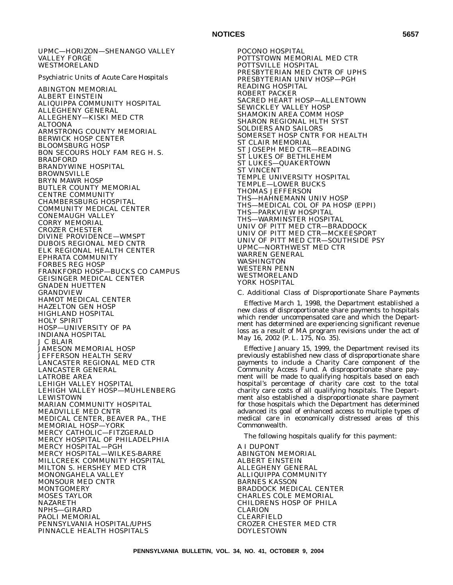### UPMC—HORIZON—SHENANGO VALLEY VALLEY FORGE WESTMORELAND

### *Psychiatric Units of Acute Care Hospitals*

ABINGTON MEMORIAL ALBERT EINSTEIN ALIQUIPPA COMMUNITY HOSPITAL ALLEGHENY GENERAL ALLEGHENY—KISKI MED CTR ALTOONA ARMSTRONG COUNTY MEMORIAL BERWICK HOSP CENTER BLOOMSBURG HOSP BON SECOURS HOLY FAM REG H. S. BRADFORD BRANDYWINE HOSPITAL BROWNSVILLE BRYN MAWR HOSP BUTLER COUNTY MEMORIAL CENTRE COMMUNITY CHAMBERSBURG HOSPITAL COMMUNITY MEDICAL CENTER CONEMAUGH VALLEY CORRY MEMORIAL CROZER CHESTER DIVINE PROVIDENCE—WMSPT DUBOIS REGIONAL MED CNTR ELK REGIONAL HEALTH CENTER EPHRATA COMMUNITY FORBES REG HOSP FRANKFORD HOSP—BUCKS CO CAMPUS GEISINGER MEDICAL CENTER GNADEN HUETTEN GRANDVIEW HAMOT MEDICAL CENTER HAZELTON GEN HOSP HIGHLAND HOSPITAL HOLY SPIRIT HOSP—UNIVERSITY OF PA INDIANA HOSPITAL J C BLAIR JAMESON MEMORIAL HOSP JEFFERSON HEALTH SERV LANCASTER REGIONAL MED CTR LANCASTER GENERAL LATROBE AREA LEHIGH VALLEY HOSPITAL LEHIGH VALLEY HOSP—MUHLENBERG LEWISTOWN MARIAN COMMUNITY HOSPITAL MEADVILLE MED CNTR MEDICAL CENTER, BEAVER PA., THE MEMORIAL HOSP—YORK MERCY CATHOLIC—FITZGERALD MERCY HOSPITAL OF PHILADELPHIA MERCY HOSPITAL—PGH MERCY HOSPITAL—WILKES-BARRE MILLCREEK COMMUNITY HOSPITAL MILTON S. HERSHEY MED CTR MONONGAHELA VALLEY MONSOUR MED CNTR MONTGOMERY MOSES TAYLOR NAZARETH NPHS—GIRARD PAOLI MEMORIAL PENNSYLVANIA HOSPITAL/UPHS PINNACLE HEALTH HOSPITALS

POCONO HOSPITAL POTTSTOWN MEMORIAL MED CTR POTTSVILLE HOSPITAL PRESBYTERIAN MED CNTR OF UPHS PRESBYTERIAN UNIV HOSP—PGH READING HOSPITAL ROBERT PACKER SACRED HEART HOSP—ALLENTOWN SEWICKLEY VALLEY HOSP SHAMOKIN AREA COMM HOSP SHARON REGIONAL HLTH SYST SOLDIERS AND SAILORS SOMERSET HOSP CNTR FOR HEALTH ST CLAIR MEMORIAL ST JOSEPH MED CTR—READING ST LUKES OF BETHLEHEM ST LUKES—QUAKERTOWN ST VINCENT TEMPLE UNIVERSITY HOSPITAL TEMPLE—LOWER BUCKS THOMAS JEFFERSON THS—HAHNEMANN UNIV HOSP THS—MEDICAL COL OF PA HOSP (EPPI) THS—PARKVIEW HOSPITAL THS—WARMINSTER HOSPITAL UNIV OF PITT MED CTR—BRADDOCK UNIV OF PITT MED CTR—MCKEESPORT UNIV OF PITT MED CTR—SOUTHSIDE PSY UPMC—NORTHWEST MED CTR WARREN GENERAL WASHINGTON WESTERN PENN WESTMORELAND YORK HOSPITAL

### C. *Additional Class of Disproportionate Share Payments*

Effective March 1, 1998, the Department established a new class of disproportionate share payments to hospitals which render uncompensated care and which the Department has determined are experiencing significant revenue loss as a result of MA program revisions under the act of May 16, 2002 (P. L. 175, No. 35).

Effective January 15, 1999, the Department revised its previously established new class of disproportionate share payments to include a Charity Care component of the Community Access Fund. A disproportionate share payment will be made to qualifying hospitals based on each hospital's percentage of charity care cost to the total charity care costs of all qualifying hospitals. The Department also established a disproportionate share payment for those hospitals which the Department has determined advanced its goal of enhanced access to multiple types of medical care in economically distressed areas of this Commonwealth.

The following hospitals qualify for this payment:

A I DUPONT ABINGTON MEMORIAL ALBERT EINSTEIN ALLEGHENY GENERAL ALLIQUIPPA COMMUNITY BARNES KASSON BRADDOCK MEDICAL CENTER CHARLES COLE MEMORIAL CHILDRENS HOSP OF PHILA CLARION CLEARFIELD CROZER CHESTER MED CTR DOYLESTOWN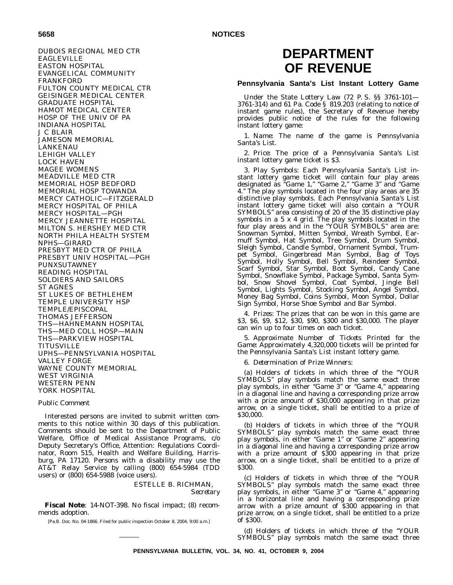**5658 NOTICES**

DUBOIS REGIONAL MED CTR EAGLEVILLE EASTON HOSPITAL EVANGELICAL COMMUNITY FRANKFORD FULTON COUNTY MEDICAL CTR GEISINGER MEDICAL CENTER GRADUATE HOSPITAL HAMOT MEDICAL CENTER HOSP OF THE UNIV OF PA INDIANA HOSPITAL J C BLAIR JAMESON MEMORIAL LANKENAU LEHIGH VALLEY LOCK HAVEN MAGEE WOMENS MEADVILLE MED CTR MEMORIAL HOSP BEDFORD MEMORIAL HOSP TOWANDA MERCY CATHOLIC—FITZGERALD MERCY HOSPITAL OF PHILA MERCY HOSPITAL—PGH MERCY JEANNETTE HOSPITAL MILTON S. HERSHEY MED CTR NORTH PHILA HEALTH SYSTEM NPHS—GIRARD PRESBYT MED CTR OF PHILA PRESBYT UNIV HOSPITAL—PGH PUNXSUTAWNEY READING HOSPITAL SOLDIERS AND SAILORS ST AGNES ST LUKES OF BETHLEHEM TEMPLE UNIVERSITY HSP TEMPLE/EPISCOPAL THOMAS JEFFERSON THS—HAHNEMANN HOSPITAL THS—MED COLL HOSP—MAIN THS—PARKVIEW HOSPITAL **TITUSVILLE** UPHS—PENNSYLVANIA HOSPITAL VALLEY FORGE WAYNE COUNTY MEMORIAL WEST VIRGINIA WESTERN PENN YORK HOSPITAL

### *Public Comment*

Interested persons are invited to submit written comments to this notice within 30 days of this publication. Comments should be sent to the Department of Public Welfare, Office of Medical Assistance Programs, c/o Deputy Secretary's Office, Attention: Regulations Coordinator, Room 515, Health and Welfare Building, Harrisburg, PA 17120. Persons with a disability may use the AT&T Relay Service by calling (800) 654-5984 (TDD users) or (800) 654-5988 (voice users).

> ESTELLE B. RICHMAN, *Secretary*

**Fiscal Note**: 14-NOT-398. No fiscal impact; (8) recommends adoption.

[Pa.B. Doc. No. 04-1866. Filed for public inspection October 8, 2004, 9:00 a.m.]

# **DEPARTMENT OF REVENUE**

## **Pennsylvania Santa's List Instant Lottery Game**

Under the State Lottery Law (72 P. S. §§ 3761-101— 3761-314) and 61 Pa. Code § 819.203 (relating to notice of instant game rules), the Secretary of Revenue hereby provides public notice of the rules for the following instant lottery game:

1. *Name:* The name of the game is Pennsylvania Santa's List.

2. *Price:* The price of a Pennsylvania Santa's List instant lottery game ticket is \$3.

3. *Play Symbols:* Each Pennsylvania Santa's List instant lottery game ticket will contain four play areas designated as ''Game 1,'' ''Game 2,'' ''Game 3'' and ''Game 4.'' The play symbols located in the four play areas are 35 distinctive play symbols. Each Pennsylvania Santa's List instant lottery game ticket will also contain a ''YOUR SYMBOLS'' area consisting of 20 of the 35 distinctive play symbols in a 5 x 4 grid. The play symbols located in the four play areas and in the "YOUR SYMBOLS" area are: Snowman Symbol, Mitten Symbol, Wreath Symbol, Earmuff Symbol, Hat Symbol, Tree Symbol, Drum Symbol, Sleigh Symbol, Candle Symbol, Ornament Symbol, Trumpet Symbol, Gingerbread Man Symbol, Bag of Toys Symbol, Holly Symbol, Bell Symbol, Reindeer Symbol, Scarf Symbol, Star Symbol, Boot Symbol, Candy Cane Symbol, Snowflake Symbol, Package Symbol, Santa Symbol, Snow Shovel Symbol, Coat Symbol, Jingle Bell Symbol, Lights Symbol, Stocking Symbol, Angel Symbol, Money Bag Symbol, Coins Symbol, Moon Symbol, Dollar Sign Symbol, Horse Shoe Symbol and Bar Symbol.

4. *Prizes:* The prizes that can be won in this game are \$3, \$6, \$9, \$12, \$30, \$90, \$300 and \$30,000. The player can win up to four times on each ticket.

5. *Approximate Number of Tickets Printed for the Game:* Approximately 4,320,000 tickets will be printed for the Pennsylvania Santa's List instant lottery game.

6. *Determination of Prize Winners:*

(a) Holders of tickets in which three of the ''YOUR SYMBOLS'' play symbols match the same exact three play symbols, in either ''Game 3'' or ''Game 4,'' appearing in a diagonal line and having a corresponding prize arrow with a prize amount of \$30,000 appearing in that prize arrow, on a single ticket, shall be entitled to a prize of \$30,000.

(b) Holders of tickets in which three of the ''YOUR SYMBOLS'' play symbols match the same exact three play symbols, in either "Game 1" or "Game 2" appearing in a diagonal line and having a corresponding prize arrow with a prize amount of \$300 appearing in that prize arrow, on a single ticket, shall be entitled to a prize of \$300.

(c) Holders of tickets in which three of the ''YOUR SYMBOLS'' play symbols match the same exact three play symbols, in either ''Game 3'' or ''Game 4,'' appearing in a horizontal line and having a corresponding prize arrow with a prize amount of \$300 appearing in that prize arrow, on a single ticket, shall be entitled to a prize of \$300.

(d) Holders of tickets in which three of the ''YOUR SYMBOLS'' play symbols match the same exact three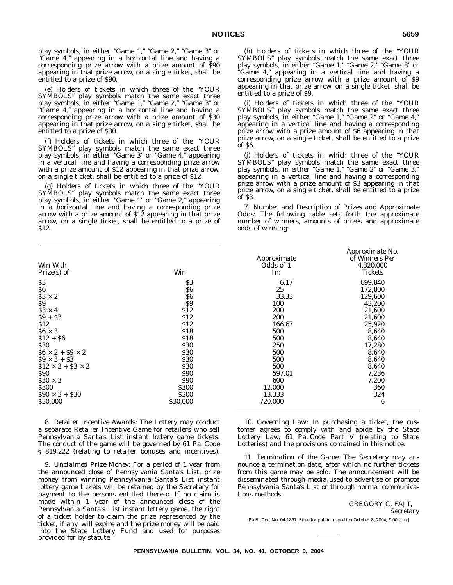play symbols, in either "Game 1," "Game 2," "Game 3" or "Game 4," appearing in a horizontal line and having a corresponding prize arrow with a prize amount of \$90 appearing in that prize arrow, on a single ticket, shall be entitled to a prize of \$90.

(e) Holders of tickets in which three of the ''YOUR SYMBOLS'' play symbols match the same exact three play symbols, in either "Game 1," "Game 2," "Game 3" or "Game 4," appearing in a horizontal line and having a corresponding prize arrow with a prize amount of \$30 appearing in that prize arrow, on a single ticket, shall be entitled to a prize of \$30.

(f) Holders of tickets in which three of the ''YOUR SYMBOLS'' play symbols match the same exact three play symbols, in either ''Game 3'' or ''Game 4,'' appearing in a vertical line and having a corresponding prize arrow with a prize amount of \$12 appearing in that prize arrow, on a single ticket, shall be entitled to a prize of \$12.

(g) Holders of tickets in which three of the ''YOUR SYMBOLS'' play symbols match the same exact three play symbols, in either "Game 1" or "Game 2," appearing in a horizontal line and having a corresponding prize arrow with a prize amount of \$12 appearing in that prize arrow, on a single ticket, shall be entitled to a prize of \$12.

|                              |              | Approximate | r r<br>of Winners |
|------------------------------|--------------|-------------|-------------------|
| Win With                     |              | Odds of 1   | 4,320,00          |
| $Prize(s)$ of:               | Win:         | In:         | <b>Tickets</b>    |
| \$3                          | \$3          | 6.17        | 699,840           |
| \$6                          | \$6          | 25          | 172,800           |
| $$3 \times 2$                | \$6          | 33.33       | 129,600           |
| \$9                          | \$9          | 100         | 43,200            |
| $$3 \times 4$                | \$12         | 200         | 21,600            |
| $$9 + $3$                    | \$12         | 200         | 21,600            |
| \$12                         | \$12         | 166.67      | 25,920            |
| $$6 \times 3$                | \$18         | 500         | 8,640             |
| $$12 + $6$                   | \$18         | 500         | 8,640             |
| <b>S30</b>                   | <b>\$30</b>  | 250         | 17,280            |
| $$6 \times 2 + $9 \times 2$$ | <b>\$30</b>  | 500         | 8,640             |
| $$9 \times 3 + $3$           | <b>\$30</b>  | 500         | 8,640             |
| $$12 \times 2 + $3 \times 2$ | <b>\$30</b>  | 500         | 8,640             |
| <b>\$90</b>                  | <b>S90</b>   | 597.01      | 7,236             |
| $$30 \times 3$               | <b>S90</b>   | 600         | 7,200             |
| <b>\$300</b>                 | <b>\$300</b> | 12,000      | 360               |
| $$90 \times 3 + $30$         | <b>S300</b>  | 13,333      | 324               |
| \$30,000                     | \$30,000     | 720,000     | 6                 |

8. *Retailer Incentive Awards:* The Lottery may conduct a separate Retailer Incentive Game for retailers who sell Pennsylvania Santa's List instant lottery game tickets. The conduct of the game will be governed by 61 Pa. Code § 819.222 (relating to retailer bonuses and incentives).

9. *Unclaimed Prize Money:* For a period of 1 year from the announced close of Pennsylvania Santa's List, prize money from winning Pennsylvania Santa's List instant lottery game tickets will be retained by the Secretary for payment to the persons entitled thereto. If no claim is made within 1 year of the announced close of the Pennsylvania Santa's List instant lottery game, the right of a ticket holder to claim the prize represented by the ticket, if any, will expire and the prize money will be paid into the State Lottery Fund and used for purposes provided for by statute.

(h) Holders of tickets in which three of the ''YOUR SYMBOLS'' play symbols match the same exact three play symbols, in either "Game 1," "Game 2," "Game 3" or ''Game 4,'' appearing in a vertical line and having a corresponding prize arrow with a prize amount of \$9 appearing in that prize arrow, on a single ticket, shall be entitled to a prize of \$9.

(i) Holders of tickets in which three of the ''YOUR SYMBOLS'' play symbols match the same exact three play symbols, in either "Game 1," "Game 2" or "Game 4," appearing in a vertical line and having a corresponding prize arrow with a prize amount of \$6 appearing in that prize arrow, on a single ticket, shall be entitled to a prize of \$6.

(j) Holders of tickets in which three of the ''YOUR SYMBOLS'' play symbols match the same exact three play symbols, in either "Game 1," "Game 2" or "Game 3," appearing in a vertical line and having a corresponding prize arrow with a prize amount of \$3 appearing in that prize arrow, on a single ticket, shall be entitled to a prize of \$3.

7. *Number and Description of Prizes and Approximate Odds:* The following table sets forth the approximate number of winners, amounts of prizes and approximate odds of winning:

|                    | <i>Approximate No.</i>  |
|--------------------|-------------------------|
| <i>Approximate</i> | of Winners Per          |
| Odds of 1          | <i><b>4,320,000</b></i> |
| In:                | Tickets                 |
| 6.17               | 699,840                 |
| 25                 | 172,800                 |
| 33.33              | 129.600                 |
| 100                | 43,200                  |
| 200                | 21,600                  |
| 200                | 21.600                  |
| 166.67             | 25,920                  |
| 500                | 8.640                   |
| 500                | 8,640                   |
| 250                | 17,280                  |
| 500                | 8.640                   |
| 500                | 8,640                   |
| 500                | 8.640                   |
| 597.01             | 7,236                   |
| 600                | 7,200                   |
| 12,000             | 360                     |
| 13,333             | 324                     |
| 720.000            | 6                       |

10. *Governing Law:* In purchasing a ticket, the customer agrees to comply with and abide by the State Lottery Law, 61 Pa. Code Part V (relating to State Lotteries) and the provisions contained in this notice.

11. *Termination of the Game:* The Secretary may announce a termination date, after which no further tickets from this game may be sold. The announcement will be disseminated through media used to advertise or promote Pennsylvania Santa's List or through normal communications methods.

> GREGORY C. FAJT, *Secretary*

[Pa.B. Doc. No. 04-1867. Filed for public inspection October 8, 2004, 9:00 a.m.]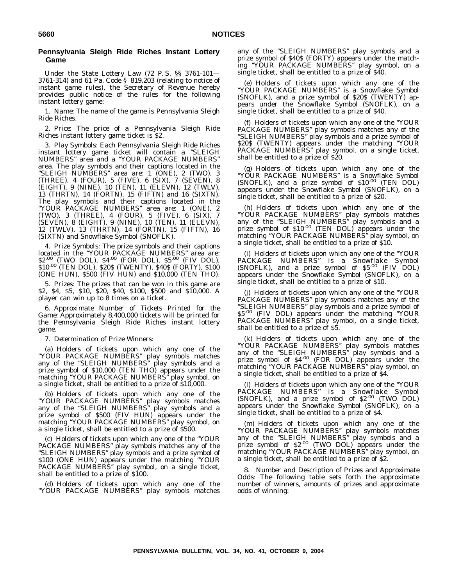## **Pennsylvania Sleigh Ride Riches Instant Lottery Game**

Under the State Lottery Law (72 P. S. §§ 3761-101— 3761-314) and 61 Pa. Code § 819.203 (relating to notice of instant game rules), the Secretary of Revenue hereby provides public notice of the rules for the following instant lottery game:

1. *Name:* The name of the game is Pennsylvania Sleigh Ride Riches.

2. *Price:* The price of a Pennsylvania Sleigh Ride Riches instant lottery game ticket is \$2.

3. *Play Symbols:* Each Pennsylvania Sleigh Ride Riches instant lottery game ticket will contain a "SLEIGH NUMBERS'' area and a ''YOUR PACKAGE NUMBERS'' area. The play symbols and their captions located in the ''SLEIGH NUMBERS'' area are: 1 (ONE), 2 (TWO), 3 (THREE), 4 (FOUR), 5 (FIVE), 6 (SIX), 7 (SEVEN), 8 (EIGHT), 9 (NINE), 10 (TEN), 11 (ELEVN), 12 (TWLV), 13 (THRTN), 14 (FORTN), 15 (FIFTN) and 16 (SIXTN). The play symbols and their captions located in the ''YOUR PACKAGE NUMBERS'' area are: 1 (ONE), 2 (TWO), 3 (THREE), 4 (FOUR), 5 (FIVE), 6 (SIX), 7 (SEVEN), 8 (EIGHT), 9 (NINE), 10 (TEN), 11 (ELEVN), 12 (TWLV), 13 (THRTN), 14 (FORTN), 15 (FIFTN), 16 (SIXTN) and Snowflake Symbol (SNOFLK).

4. *Prize Symbols:* The prize symbols and their captions located in the "YOUR PACKAGE NUMBERS" area are:<br>\$2<sup>.00</sup> (TWO DOL), \$4<sup>.00</sup> (FOR DOL), \$5<sup>.00</sup> (FIV DOL), \$10.00 (TEN DOL), \$20\$ (TWENTY), \$40\$ (FORTY), \$100 (ONE HUN), \$500 (FIV HUN) and \$10,000 (TEN THO).

5. *Prizes:* The prizes that can be won in this game are \$2, \$4, \$5, \$10, \$20, \$40, \$100, \$500 and \$10,000. A player can win up to 8 times on a ticket.

6. *Approximate Number of Tickets Printed for the Game:* Approximately 8,400,000 tickets will be printed for the Pennsylvania Sleigh Ride Riches instant lottery game.

7. *Determination of Prize Winners:*

(a) Holders of tickets upon which any one of the ''YOUR PACKAGE NUMBERS'' play symbols matches any of the ''SLEIGH NUMBERS'' play symbols and a prize symbol of \$10,000 (TEN THO) appears under the matching ''YOUR PACKAGE NUMBERS'' play symbol, on a single ticket, shall be entitled to a prize of \$10,000.

(b) Holders of tickets upon which any one of the ''YOUR PACKAGE NUMBERS'' play symbols matches any of the ''SLEIGH NUMBERS'' play symbols and a prize symbol of \$500 (FIV HUN) appears under the matching "YOUR PACKAGE NUMBERS" play symbol, on a single ticket, shall be entitled to a prize of \$500.

(c) Holders of tickets upon which any one of the ''YOUR PACKAGE NUMBERS'' play symbols matches any of the ''SLEIGH NUMBERS'' play symbols and a prize symbol of \$100 (ONE HUN) appears under the matching ''YOUR PACKAGE NUMBERS'' play symbol, on a single ticket, shall be entitled to a prize of \$100.

(d) Holders of tickets upon which any one of the ''YOUR PACKAGE NUMBERS'' play symbols matches any of the ''SLEIGH NUMBERS'' play symbols and a prize symbol of \$40\$ (FORTY) appears under the matching ''YOUR PACKAGE NUMBERS'' play symbol, on a single ticket, shall be entitled to a prize of \$40.

(e) Holders of tickets upon which any one of the ''YOUR PACKAGE NUMBERS'' is a Snowflake Symbol (SNOFLK), and a prize symbol of \$20\$ (TWENTY) appears under the Snowflake Symbol (SNOFLK), on a single ticket, shall be entitled to a prize of \$40.

(f) Holders of tickets upon which any one of the ''YOUR PACKAGE NUMBERS'' play symbols matches any of the ''SLEIGH NUMBERS'' play symbols and a prize symbol of \$20\$ (TWENTY) appears under the matching ''YOUR PACKAGE NUMBERS'' play symbol, on a single ticket, shall be entitled to a prize of \$20.

(g) Holders of tickets upon which any one of the ''YOUR PACKAGE NUMBERS'' is a Snowflake Symbol (SNOFLK), and a prize symbol of \$10.00 (TEN DOL) appears under the Snowflake Symbol (SNOFLK), on a single ticket, shall be entitled to a prize of \$20.

(h) Holders of tickets upon which any one of the ''YOUR PACKAGE NUMBERS'' play symbols matches any of the "SLEIGH NUMBERS" play symbols and a<br>prize symbol of \$10<sup>.00</sup> (TEN DOL) appears under the matching ''YOUR PACKAGE NUMBERS'' play symbol, on a single ticket, shall be entitled to a prize of \$10.

(i) Holders of tickets upon which any one of the ''YOUR PACKAGE NUMBERS'' is a Snowflake Symbol (SNOFLK), and a prize symbol of \$5.00 (FIV DOL) appears under the Snowflake Symbol (SNOFLK), on a single ticket, shall be entitled to a prize of \$10.

(j) Holders of tickets upon which any one of the ''YOUR PACKAGE NUMBERS'' play symbols matches any of the ''SLEIGH NUMBERS'' play symbols and a prize symbol of \$5.00 (FIV DOL) appears under the matching ''YOUR PACKAGE NUMBERS'' play symbol, on a single ticket, shall be entitled to a prize of \$5.

(k) Holders of tickets upon which any one of the ''YOUR PACKAGE NUMBERS'' play symbols matches any of the ''SLEIGH NUMBERS'' play symbols and a prize symbol of \$4.00 (FOR DOL) appears under the matching ''YOUR PACKAGE NUMBERS'' play symbol, on a single ticket, shall be entitled to a prize of \$4.

(l) Holders of tickets upon which any one of the ''YOUR PACKAGE NUMBERS'' is a Snowflake Symbol (SNOFLK), and a prize symbol of \$2.00 (TWO DOL) appears under the Snowflake Symbol (SNOFLK), on a single ticket, shall be entitled to a prize of \$4.

(m) Holders of tickets upon which any one of the ''YOUR PACKAGE NUMBERS'' play symbols matches any of the "SLEIGH NUMBERS" play symbols and a<br>prize symbol of \$2<sup>.00</sup> (TWO DOL) appears under the matching ''YOUR PACKAGE NUMBERS'' play symbol, on a single ticket, shall be entitled to a prize of \$2.

8. *Number and Description of Prizes and Approximate Odds:* The following table sets forth the approximate number of winners, amounts of prizes and approximate odds of winning: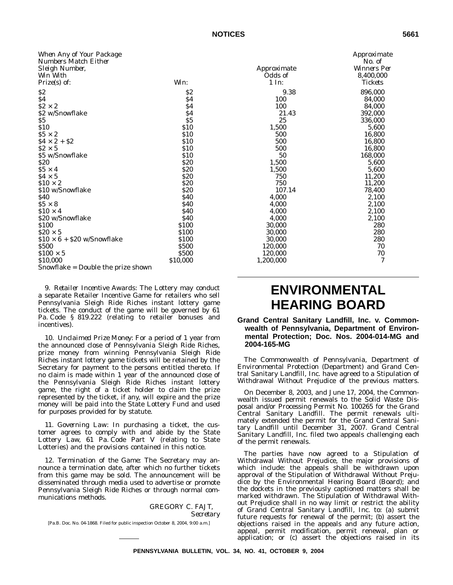| When Any of Your Package           |              |             | Approxim         |
|------------------------------------|--------------|-------------|------------------|
| Numbers Match Either               |              |             | No. of           |
| Sleigh Number,                     |              | Approximate | <i>Winners F</i> |
| Win With                           |              | Odds of     | 8,400,00         |
| Prize(s) of:                       | Win:         | 1 In:       | <b>Tickets</b>   |
| \$2                                | \$2          | 9.38        | 896,000          |
| \$4                                | \$4          | 100         | 84,000           |
| $$2 \times 2$$                     | \$4          | 100         | 84,000           |
| \$2 w/Snowflake                    | \$4          | 21.43       | 392,000          |
| \$5                                | \$5          | 25          | 336,000          |
| \$10                               | \$10         | 1,500       | 5,600            |
| $$5 \times 2$                      | \$10         | 500         | 16,800           |
| $$4 \times 2 + $2$$                | \$10         | 500         | 16,800           |
| $$2 \times 5$                      | <b>\$10</b>  | 500         | 16,800           |
| \$5 w/Snowflake                    | \$10         | 50          | 168,000          |
| \$20                               | \$20         | 1,500       | 5,600            |
| $$5 \times 4$                      | \$20         | 1,500       | 5,600            |
| $$4 \times 5$                      | \$20         | 750         | 11,200           |
| $$10 \times 2$                     | \$20         | 750         | 11,200           |
| \$10 w/Snowflake                   | \$20         | 107.14      | 78,400           |
| \$40                               | \$40         | 4,000       | 2,100            |
| $$5 \times 8$                      | <b>\$40</b>  | 4,000       | 2,100            |
| $$10 \times 4$                     | \$40         | 4,000       | 2,100            |
| \$20 w/Snowflake                   | <b>S40</b>   | 4.000       | 2,100            |
| \$100                              | \$100        | 30,000      | 280              |
| $$20 \times 5$                     | \$100        | 30,000      | 280              |
| $$10 \times 6 + $20$ w/Snowflake   | \$100        | 30,000      | 280              |
| \$500                              | <b>\$500</b> | 120,000     | 70               |
| $$100 \times 5$                    | <b>\$500</b> | 120,000     | 70               |
| \$10,000                           | \$10,000     | 1,200,000   | 7                |
| Snowflake = Double the prize shown |              |             |                  |

9. *Retailer Incentive Awards:* The Lottery may conduct a separate Retailer Incentive Game for retailers who sell Pennsylvania Sleigh Ride Riches instant lottery game tickets. The conduct of the game will be governed by 61 Pa. Code § 819.222 (relating to retailer bonuses and incentives).

10. *Unclaimed Prize Money:* For a period of 1 year from the announced close of Pennsylvania Sleigh Ride Riches, prize money from winning Pennsylvania Sleigh Ride Riches instant lottery game tickets will be retained by the Secretary for payment to the persons entitled thereto. If no claim is made within 1 year of the announced close of the Pennsylvania Sleigh Ride Riches instant lottery game, the right of a ticket holder to claim the prize represented by the ticket, if any, will expire and the prize money will be paid into the State Lottery Fund and used for purposes provided for by statute.

11. *Governing Law:* In purchasing a ticket, the customer agrees to comply with and abide by the State Lottery Law, 61 Pa. Code Part V (relating to State Lotteries) and the provisions contained in this notice.

12. *Termination of the Game:* The Secretary may announce a termination date, after which no further tickets from this game may be sold. The announcement will be disseminated through media used to advertise or promote Pennsylvania Sleigh Ride Riches or through normal communications methods.

> GREGORY C. FAJT, *Secretary*

[Pa.B. Doc. No. 04-1868. Filed for public inspection October 8, 2004, 9:00 a.m.]

*Approximate Approximate No. of Winners Per 8,400,000 Tickets*

# **ENVIRONMENTAL HEARING BOARD**

## **Grand Central Sanitary Landfill, Inc. v. Commonwealth of Pennsylvania, Department of Environmental Protection; Doc. Nos. 2004-014-MG and 2004-165-MG**

The Commonwealth of Pennsylvania, Department of Environmental Protection (Department) and Grand Central Sanitary Landfill, Inc. have agreed to a Stipulation of Withdrawal Without Prejudice of the previous matters.

On December 8, 2003, and June 17, 2004, the Commonwealth issued permit renewals to the Solid Waste Disposal and/or Processing Permit No. 100265 for the Grand Central Sanitary Landfill. The permit renewals ultimately extended the permit for the Grand Central Sanitary Landfill until December 31, 2007. Grand Central Sanitary Landfill, Inc. filed two appeals challenging each of the permit renewals.

The parties have now agreed to a Stipulation of Withdrawal Without Prejudice, the major provisions of which include: the appeals shall be withdrawn upon approval of the Stipulation of Withdrawal Without Prejudice by the Environmental Hearing Board (Board); and the dockets in the previously captioned matters shall be marked withdrawn. The Stipulation of Withdrawal Without Prejudice shall in no way limit or restrict the ability of Grand Central Sanitary Landfill, Inc. to: (a) submit future requests for renewal of the permit; (b) assert the objections raised in the appeals and any future action, appeal, permit modification, permit renewal, plan or application; or (c) assert the objections raised in its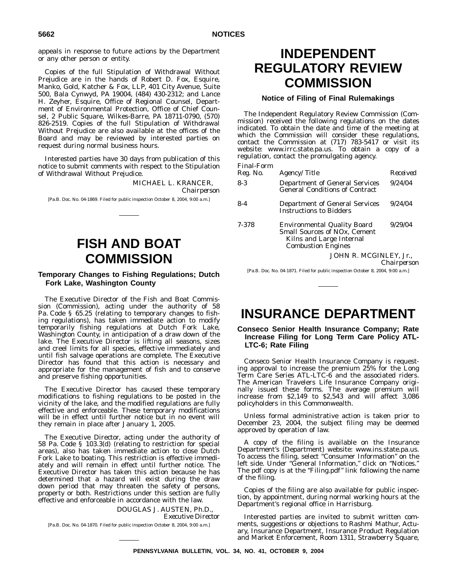appeals in response to future actions by the Department or any other person or entity.

Copies of the full Stipulation of Withdrawal Without Prejudice are in the hands of Robert D. Fox, Esquire, Manko, Gold, Katcher & Fox, LLP, 401 City Avenue, Suite 500, Bala Cynwyd, PA 19004, (484) 430-2312; and Lance H. Zeyher, Esquire, Office of Regional Counsel, Department of Environmental Protection, Office of Chief Counsel, 2 Public Square, Wilkes-Barre, PA 18711-0790, (570) 826-2519. Copies of the full Stipulation of Withdrawal Without Prejudice are also available at the offices of the Board and may be reviewed by interested parties on request during normal business hours.

Interested parties have 30 days from publication of this notice to submit comments with respect to the Stipulation of Withdrawal Without Prejudice.

> MICHAEL L. KRANCER, *Chairperson*

[Pa.B. Doc. No. 04-1869. Filed for public inspection October 8, 2004, 9:00 a.m.]

# **FISH AND BOAT COMMISSION**

## **Temporary Changes to Fishing Regulations; Dutch Fork Lake, Washington County**

The Executive Director of the Fish and Boat Commission (Commission), acting under the authority of 58 Pa. Code § 65.25 (relating to temporary changes to fishing regulations), has taken immediate action to modify temporarily fishing regulations at Dutch Fork Lake, Washington County, in anticipation of a draw down of the lake. The Executive Director is lifting all seasons, sizes and creel limits for all species, effective immediately and until fish salvage operations are complete. The Executive Director has found that this action is necessary and appropriate for the management of fish and to conserve and preserve fishing opportunities.

The Executive Director has caused these temporary modifications to fishing regulations to be posted in the vicinity of the lake, and the modified regulations are fully effective and enforceable. These temporary modifications will be in effect until further notice but in no event will they remain in place after January 1, 2005.

The Executive Director, acting under the authority of 58 Pa. Code § 103.3(d) (relating to restriction for special areas), also has taken immediate action to close Dutch Fork Lake to boating. This restriction is effective immediately and will remain in effect until further notice. The Executive Director has taken this action because he has determined that a hazard will exist during the draw down period that may threaten the safety of persons, property or both. Restrictions under this section are fully effective and enforceable in accordance with the law.

> DOUGLAS J. AUSTEN, Ph.D., *Executive Director*

[Pa.B. Doc. No. 04-1870. Filed for public inspection October 8, 2004, 9:00 a.m.]

# **INDEPENDENT REGULATORY REVIEW COMMISSION**

# **Notice of Filing of Final Rulemakings**

The Independent Regulatory Review Commission (Commission) received the following regulations on the dates indicated. To obtain the date and time of the meeting at which the Commission will consider these regulations, contact the Commission at (717) 783-5417 or visit its website: www.irrc.state.pa.us. To obtain a copy of a regulation, contact the promulgating agency.

| <b>Final-Form</b> | <i>Agency/Title</i>                                                                                                         | Received    |
|-------------------|-----------------------------------------------------------------------------------------------------------------------------|-------------|
| Reg. No.          |                                                                                                                             |             |
| $8-3$             | <b>Department of General Services</b><br><b>General Conditions of Contract</b>                                              | 9/24/04     |
| 8-4               | <b>Department of General Services</b><br><b>Instructions to Bidders</b>                                                     | 9/24/04     |
| 7-378             | <b>Environmental Quality Board</b><br>Small Sources of NOx, Cement<br>Kilns and Large Internal<br><b>Combustion Engines</b> | 9/29/04     |
|                   | JOHN R. MCGINLEY, Jr.,                                                                                                      |             |
|                   |                                                                                                                             | Chairperson |

[Pa.B. Doc. No. 04-1871. Filed for public inspection October 8, 2004, 9:00 a.m.]

# **INSURANCE DEPARTMENT**

# **Conseco Senior Health Insurance Company; Rate Increase Filing for Long Term Care Policy ATL-LTC-6; Rate Filing**

Conseco Senior Health Insurance Company is requesting approval to increase the premium 25% for the Long Term Care Series ATL-LTC-6 and the associated riders. The American Travelers Life Insurance Company originally issued these forms. The average premium will increase from \$2,149 to \$2,543 and will affect 3,086 policyholders in this Commonwealth.

Unless formal administrative action is taken prior to December 23, 2004, the subject filing may be deemed approved by operation of law.

A copy of the filing is available on the Insurance Department's (Department) website: www.ins.state.pa.us. To access the filing, select ''Consumer Information'' on the left side. Under "General Information," click on "Notices.' The pdf copy is at the "Filing.pdf" link following the name of the filing.

Copies of the filing are also available for public inspection, by appointment, during normal working hours at the Department's regional office in Harrisburg.

Interested parties are invited to submit written comments, suggestions or objections to Rashmi Mathur, Actuary, Insurance Department, Insurance Product Regulation and Market Enforcement, Room 1311, Strawberry Square,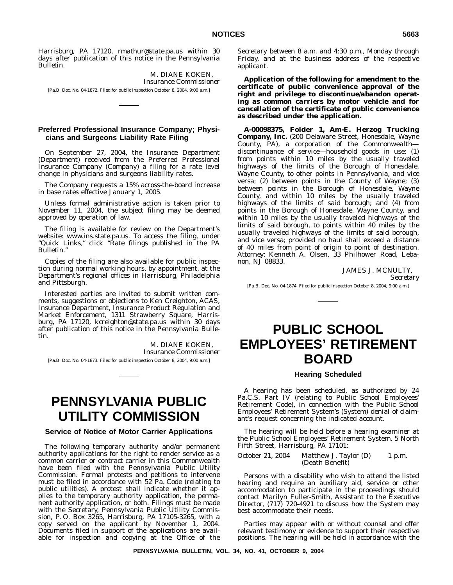Harrisburg, PA 17120, rmathur@state.pa.us within 30 days after publication of this notice in the *Pennsylvania Bulletin*.

M. DIANE KOKEN, *Insurance Commissioner* [Pa.B. Doc. No. 04-1872. Filed for public inspection October 8, 2004, 9:00 a.m.]

## **Preferred Professional Insurance Company; Physicians and Surgeons Liability Rate Filing**

On September 27, 2004, the Insurance Department (Department) received from the Preferred Professional Insurance Company (Company) a filing for a rate level change in physicians and surgeons liability rates.

The Company requests a 15% across-the-board increase in base rates effective January 1, 2005.

Unless formal administrative action is taken prior to November 11, 2004, the subject filing may be deemed approved by operation of law.

The filing is available for review on the Department's website: www.ins.state.pa.us. To access the filing, under ''Quick Links,'' click ''Rate filings published in the PA Bulletin.''

Copies of the filing are also available for public inspection during normal working hours, by appointment, at the Department's regional offices in Harrisburg, Philadelphia and Pittsburgh.

Interested parties are invited to submit written comments, suggestions or objections to Ken Creighton, ACAS, Insurance Department, Insurance Product Regulation and Market Enforcement, 1311 Strawberry Square, Harrisburg, PA 17120, kcreighton@state.pa.us within 30 days after publication of this notice in the *Pennsylvania Bulletin*.

> M. DIANE KOKEN, *Insurance Commissioner*

[Pa.B. Doc. No. 04-1873. Filed for public inspection October 8, 2004, 9:00 a.m.]

# **PENNSYLVANIA PUBLIC UTILITY COMMISSION**

### **Service of Notice of Motor Carrier Applications**

The following temporary authority and/or permanent authority applications for the right to render service as a common carrier or contract carrier in this Commonwealth have been filed with the Pennsylvania Public Utility Commission. Formal protests and petitions to intervene must be filed in accordance with 52 Pa. Code (relating to public utilities). A protest shall indicate whether it applies to the temporary authority application, the permanent authority application, or both. Filings must be made with the Secretary, Pennsylvania Public Utility Commission, P. O. Box 3265, Harrisburg, PA 17105-3265, with a copy served on the applicant by November 1, 2004. Documents filed in support of the applications are available for inspection and copying at the Office of the

Secretary between 8 a.m. and 4:30 p.m., Monday through Friday, and at the business address of the respective applicant.

**Application of the following for** *amendment* **to the certificate of public convenience approval of the right and privilege to** *discontinue/abandon* **operating as** *common carriers* **by motor vehicle and for** *cancellation* **of the certificate of public convenience as described under the application.**

**A-00098375, Folder 1, Am-E. Herzog Trucking Company, Inc.** (200 Delaware Street, Honesdale, Wayne County, PA), a corporation of the Commonwealth discontinuance of service—household goods in use: (1) from points within 10 miles by the usually traveled highways of the limits of the Borough of Honesdale, Wayne County, to other points in Pennsylvania, and vice versa; (2) between points in the County of Wayne; (3) between points in the Borough of Honesdale, Wayne County, and within 10 miles by the usually traveled highways of the limits of said borough; and (4) from points in the Borough of Honesdale, Wayne County, and within 10 miles by the usually traveled highways of the limits of said borough, to points within 40 miles by the usually traveled highways of the limits of said borough, and vice versa; provided no haul shall exceed a distance of 40 miles from point of origin to point of destination. *Attorney*: Kenneth A. Olsen, 33 Philhower Road, Lebanon, NJ 08833.

> JAMES J. MCNULTY, *Secretary*

[Pa.B. Doc. No. 04-1874. Filed for public inspection October 8, 2004, 9:00 a.m.]

# **PUBLIC SCHOOL EMPLOYEES' RETIREMENT BOARD**

### **Hearing Scheduled**

A hearing has been scheduled, as authorized by 24 Pa.C.S. Part IV (relating to Public School Employees' Retirement Code), in connection with the Public School Employees' Retirement System's (System) denial of claimant's request concerning the indicated account.

The hearing will be held before a hearing examiner at the Public School Employees' Retirement System, 5 North Fifth Street, Harrisburg, PA 17101:

October 21, 2004 Matthew J. Taylor (D) (Death Benefit) 1 p.m.

Persons with a disability who wish to attend the listed hearing and require an auxiliary aid, service or other accommodation to participate in the proceedings should contact Marilyn Fuller-Smith, Assistant to the Executive Director, (717) 720-4921 to discuss how the System may best accommodate their needs.

Parties may appear with or without counsel and offer relevant testimony or evidence to support their respective positions. The hearing will be held in accordance with the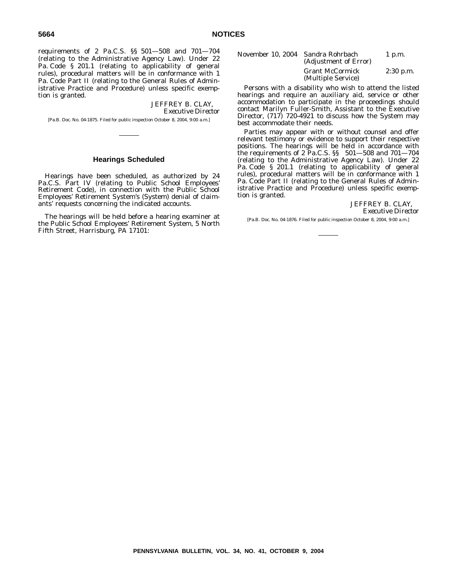requirements of 2 Pa.C.S. §§ 501—508 and 701—704 (relating to the Administrative Agency Law). Under 22 Pa. Code § 201.1 (relating to applicability of general rules), procedural matters will be in conformance with 1 Pa. Code Part II (relating to the General Rules of Administrative Practice and Procedure) unless specific exemption is granted.

> JEFFREY B. CLAY, *Executive Director*

[Pa.B. Doc. No. 04-1875. Filed for public inspection October 8, 2004, 9:00 a.m.]

### **Hearings Scheduled**

Hearings have been scheduled, as authorized by 24 Pa.C.S. Part IV (relating to Public School Employees' Retirement Code), in connection with the Public School Employees' Retirement System's (System) denial of claimants' requests concerning the indicated accounts.

The hearings will be held before a hearing examiner at the Public School Employees' Retirement System, 5 North Fifth Street, Harrisburg, PA 17101:

| November 10, 2004  Sandra Rohrbach | (Adjustment of Error)                        | $1$ p.m.    |
|------------------------------------|----------------------------------------------|-------------|
|                                    | <b>Grant McCormick</b><br>(Multiple Service) | $2:30$ p.m. |

Persons with a disability who wish to attend the listed hearings and require an auxiliary aid, service or other accommodation to participate in the proceedings should contact Marilyn Fuller-Smith, Assistant to the Executive Director, (717) 720-4921 to discuss how the System may best accommodate their needs.

Parties may appear with or without counsel and offer relevant testimony or evidence to support their respective positions. The hearings will be held in accordance with the requirements of 2 Pa.C.S. §§ 501—508 and 701—704 (relating to the Administrative Agency Law). Under 22 Pa. Code § 201.1 (relating to applicability of general rules), procedural matters will be in conformance with 1 Pa. Code Part II (relating to the General Rules of Administrative Practice and Procedure) unless specific exemption is granted.

> JEFFREY B. CLAY, *Executive Director*

[Pa.B. Doc. No. 04-1876. Filed for public inspection October 8, 2004, 9:00 a.m.]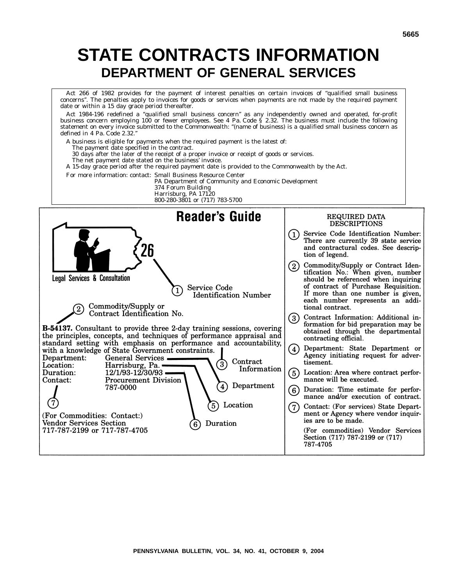# **STATE CONTRACTS INFORMATION DEPARTMENT OF GENERAL SERVICES**

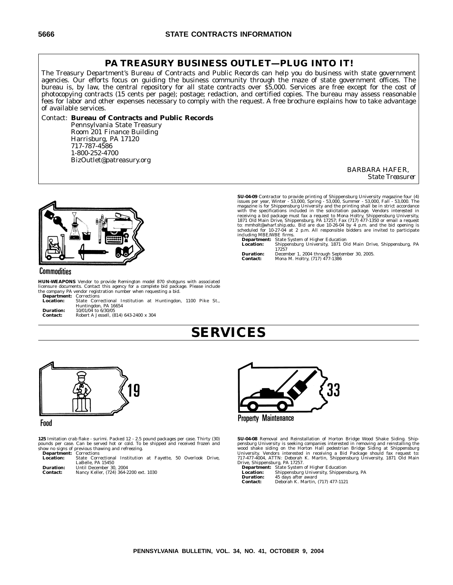# **PA TREASURY BUSINESS OUTLET—PLUG INTO IT!**

The Treasury Department's Bureau of Contracts and Public Records can help you do business with state government agencies. Our efforts focus on guiding the business community through the maze of state government offices. The bureau is, by law, the central repository for all state contracts over \$5,000. Services are free except for the cost of photocopying contracts (15 cents per page); postage; redaction, and certified copies. The bureau may assess reasonable fees for labor and other expenses necessary to comply with the request. A free brochure explains how to take advantage of available services.

### Contact: **Bureau of Contracts and Public Records**

Pennsylvania State Treasury Room 201 Finance Building Harrisburg, PA 17120 717-787-4586 1-800-252-4700 BizOutlet@patreasury.org

> BARBARA HAFER, *State Treasurer*



# Commodities

**HUN-WEAPONS** Vendor to provide Remington model 870 shotguns with associated licensure documents. Contact this agency for a complete bid package. Please include the company PA vendor registration number when requesting a bid.

| <b>Department:</b> Corrections |                                                              |  |  |  |
|--------------------------------|--------------------------------------------------------------|--|--|--|
| Location:                      | State Correctional Institution at Huntingdon, 1100 Pike St., |  |  |  |
|                                | Huntingdon, PA 16654                                         |  |  |  |
| <b>Duration:</b>               | 10/01/04 to 6/30/05                                          |  |  |  |
| <b>Contact:</b>                | Robert A Jessell, (814) 643-2400 x 304                       |  |  |  |

**SU-04-09** Contractor to provide printing of Shippensburg University magazine four (4) issues per year, Winter - 53,000, Spring - 53,000, Spring magazine is for Shippensburg University and the printing shall be in strict

including MBE/WBE firms.<br> **Department:** State System of Higher Education<br> **Location:** Shippensburg University, 1871 Old Main Drive, Shippensburg, PA<br>
17257

**Duration:** December 1, 2004 through September 30, 2005.<br> **Contact:** Mona M. Holtry. (717) 477-1386 **Contact:** Mona M. Holtry, (717) 477-1386

# **SERVICES**



### Food

**125** Imitation crab flake - surimi. Packed 12 - 2.5 pound packages per case. Thirty (30)<br>pounds per case. Can be served hot or cold. To be shipped and received frozen and<br>show no signs of previous thawing and refreezing.

**Department:** Corrections<br> **Location:** State Corre **Location:** State Correctional Institution at Fayette, 50 Overlook Drive, LaBelle, PA 15450 **Duration:** Until December 30, 2004

**Contact:** Nancy Keller, (724) 364-2200 ext. 1030



**SU-04-08** Removal and Reinstallation of Horton Bridge Wood Shake Siding. Shippensburg University is seeking companies interested in removing and reinstalling the wood shake siding on the Horton Hall pedestrian Bridge Siding at Shippensburg University. Vendors interested in receiving a Bid Package s

**Location:** Shippensburg University, Shippensburg, PA **Duration:** 45 days after award **Contact:** Deborah K. Martin, (717) 477-1121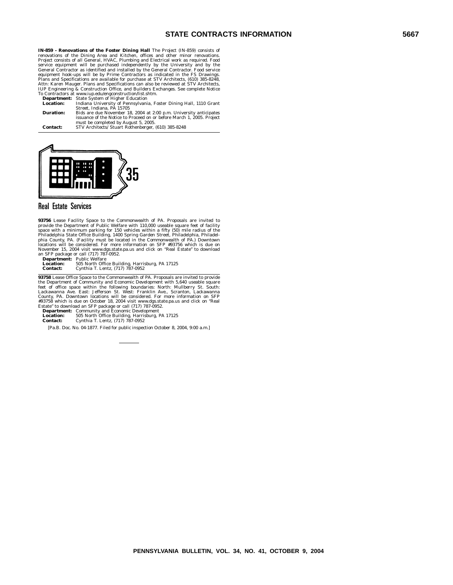**IN-859 - Renovations of the Foster Dining Hall** The Project (IN-859) consists of renovations of the Dining Area and Kitchen, offices and other minor renovations.<br>Project consists of all General, HVAC, Plumbing and Electrical work as required. Food<br>service equipment will be purchased independently by th equipment hook-ups will be by Prime Contractors as indicated in the FS Drawings.<br>Plans and Specifications are available for purchase at STV Architects, (610) 385-8248,<br>Attn: Karen Mauger. Plans and Specifications can also

**Department:** State System of Higher Education **Location:** Indiana University of Pennsylvania, Foster Dining Hall, 1110 Grant Street, Indiana, PA 15705 **Duration:** Bids are due November 18, 2004 at 2:00 p.m. University anticipates issuance of the Notice to Proceed on or before March 1, 2005. Project must be completed by August 5, 2005. **Contact:** STV Architects/ Stuart Rothenberger, (610) 385-8248



# **Real Estate Services**

**93756** Lease Facility Space to the Commonwealth of PA. Proposals are invited to provide the Department of Public Welfare with 110,000 useable square feet of facility space with a minimum parking for 150 vehicles within a

**93758** Lease Office Space to the Commonwealth of PA. Proposals are invited to provide<br>the Department of Community and Economic Development with 5,640 useable square<br>feet of office space within the following boundaries: No

**Location:** 505 North Office Building, Harrisburg, PA 17125<br>**Contact:** Cynthia T. Lentz, (717) 787-0952

**Contact:** Cynthia T. Lentz, (717) 787-0952

[Pa.B. Doc. No. 04-1877. Filed for public inspection October 8, 2004, 9:00 a.m.]